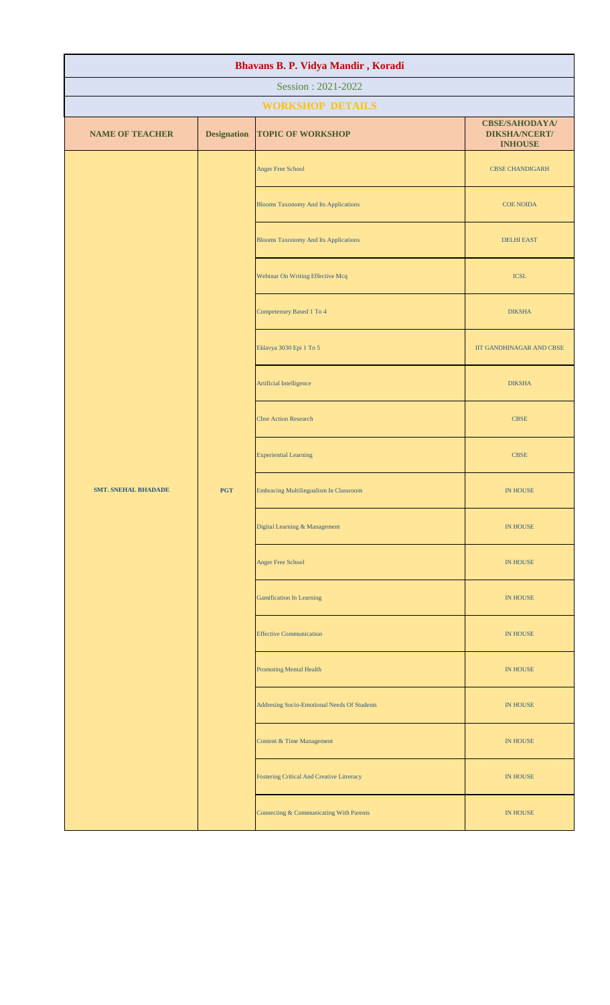| Bhavans B. P. Vidya Mandir, Koradi |                    |                                                  |                                                                 |  |
|------------------------------------|--------------------|--------------------------------------------------|-----------------------------------------------------------------|--|
| Session: 2021-2022                 |                    |                                                  |                                                                 |  |
|                                    |                    | <b>WORKSHOP DETAILS</b>                          |                                                                 |  |
| <b>NAME OF TEACHER</b>             | <b>Designation</b> | <b>TOPIC OF WORKSHOP</b>                         | <b>CBSE/SAHODAYA/</b><br><b>DIKSHA/NCERT/</b><br><b>INHOUSE</b> |  |
|                                    |                    | <b>Anger Free School</b>                         | <b>CBSE CHANDIGARH</b>                                          |  |
|                                    |                    | <b>Blooms Taxonomy And Its Applications</b>      | <b>COE NOIDA</b>                                                |  |
|                                    |                    | <b>Blooms Taxonomy And Its Applications</b>      | <b>DELHI EAST</b>                                               |  |
|                                    |                    | Webinar On Writing Effective Mcq                 | <b>ICSL</b>                                                     |  |
|                                    |                    | Competensey Based 1 To 4                         | <b>DIKSHA</b>                                                   |  |
|                                    |                    | Eklavya 3030 Epi $1\ {\rm To}\ 5$                | IIT GANDHINAGAR AND CBSE                                        |  |
|                                    |                    | Artificial Intelligence                          | <b>DIKSHA</b>                                                   |  |
|                                    |                    | <b>Cbse Action Research</b>                      | <b>CBSE</b>                                                     |  |
|                                    |                    | <b>Experiential Learning</b>                     | <b>CBSE</b>                                                     |  |
| <b>SMT. SNEHAL BHADADE</b>         | <b>PGT</b>         | Embracing Multilingualism In Classroom           | <b>IN HOUSE</b>                                                 |  |
|                                    |                    | Digital Learning & Management                    | IN HOUSE                                                        |  |
|                                    |                    | <b>Anger Free School</b>                         | IN HOUSE                                                        |  |
|                                    |                    | <b>Gamification In Learning</b>                  | IN HOUSE                                                        |  |
|                                    |                    | <b>Effective Communication</b>                   | IN HOUSE                                                        |  |
|                                    |                    | <b>Promoting Mental Health</b>                   | IN HOUSE                                                        |  |
|                                    |                    | Addresing Socio-Emotional Needs Of Students      | IN HOUSE                                                        |  |
|                                    |                    | <b>Content &amp; Time Management</b>             | IN HOUSE                                                        |  |
|                                    |                    | <b>Fostering Critical And Creative Litreracy</b> | IN HOUSE                                                        |  |
|                                    |                    | Connecting & Communicating With Parents          | <b>IN HOUSE</b>                                                 |  |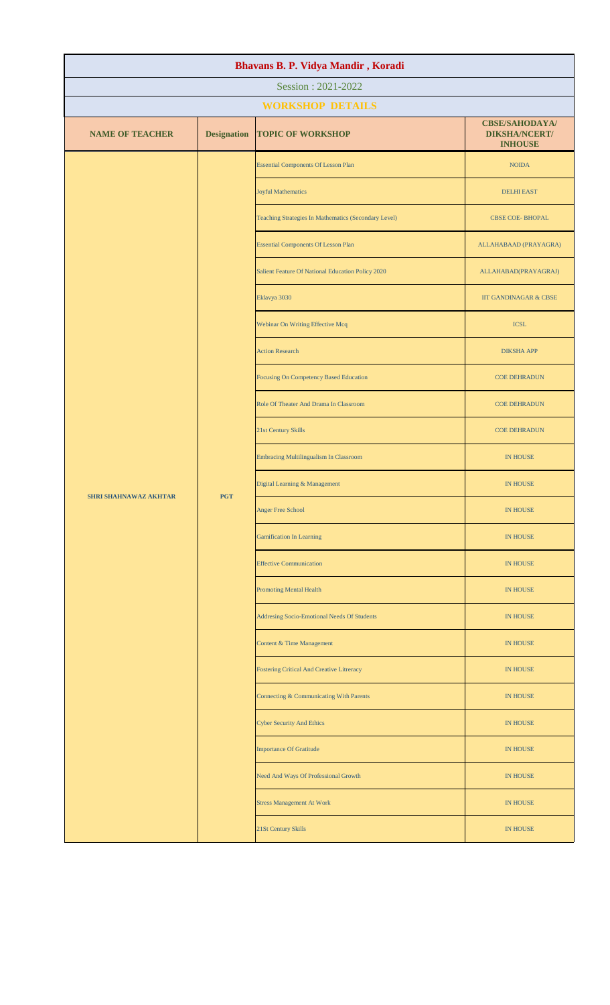| Bhavans B. P. Vidya Mandir, Koradi |                    |                                                      |                                                                 |  |  |
|------------------------------------|--------------------|------------------------------------------------------|-----------------------------------------------------------------|--|--|
| Session: 2021-2022                 |                    |                                                      |                                                                 |  |  |
|                                    |                    | <b>WORKSHOP DETAILS</b>                              |                                                                 |  |  |
| <b>NAME OF TEACHER</b>             | <b>Designation</b> | <b>TOPIC OF WORKSHOP</b>                             | <b>CBSE/SAHODAYA/</b><br><b>DIKSHA/NCERT/</b><br><b>INHOUSE</b> |  |  |
|                                    |                    | <b>Essential Components Of Lesson Plan</b>           | <b>NOIDA</b>                                                    |  |  |
|                                    |                    | <b>Joyful Mathematics</b>                            | <b>DELHI EAST</b>                                               |  |  |
|                                    |                    | Teaching Strategies In Mathematics (Secondary Level) | <b>CBSE COE-BHOPAL</b>                                          |  |  |
|                                    |                    | <b>Essential Components Of Lesson Plan</b>           | ALLAHABAAD (PRAYAGRA)                                           |  |  |
|                                    |                    | Salient Feature Of National Education Policy 2020    | ALLAHABAD(PRAYAGRAJ)                                            |  |  |
|                                    |                    | Eklavya 3030                                         | <b>IIT GANDINAGAR &amp; CBSE</b>                                |  |  |
|                                    |                    | Webinar On Writing Effective Mcq                     | <b>ICSL</b>                                                     |  |  |
|                                    |                    | <b>Action Research</b>                               | <b>DIKSHA APP</b>                                               |  |  |
|                                    |                    | Focusing On Competency Based Education               | <b>COE DEHRADUN</b>                                             |  |  |
|                                    | <b>PGT</b>         | Role Of Theater And Drama In Classroom               | <b>COE DEHRADUN</b>                                             |  |  |
| <b>SHRI SHAHNAWAZ AKHTAR</b>       |                    | 21st Century Skills                                  | <b>COE DEHRADUN</b>                                             |  |  |
|                                    |                    | Embracing Multilingualism In Classroom               | <b>IN HOUSE</b>                                                 |  |  |
|                                    |                    | Digital Learning & Management                        | <b>IN HOUSE</b>                                                 |  |  |
|                                    |                    | <b>Anger Free School</b>                             | IN HOUSE                                                        |  |  |
|                                    |                    | <b>Gamification In Learning</b>                      | <b>IN HOUSE</b>                                                 |  |  |
|                                    |                    | <b>Effective Communication</b>                       | <b>IN HOUSE</b>                                                 |  |  |
|                                    |                    | <b>Promoting Mental Health</b>                       | <b>IN HOUSE</b>                                                 |  |  |
|                                    |                    | Addresing Socio-Emotional Needs Of Students          | IN HOUSE                                                        |  |  |
|                                    |                    | Content & Time Management                            | <b>IN HOUSE</b>                                                 |  |  |
|                                    |                    | <b>Fostering Critical And Creative Litreracy</b>     | <b>IN HOUSE</b>                                                 |  |  |
|                                    |                    | Connecting & Communicating With Parents              | IN HOUSE                                                        |  |  |
|                                    |                    | <b>Cyber Security And Ethics</b>                     | <b>IN HOUSE</b>                                                 |  |  |
|                                    |                    | <b>Importance Of Gratitude</b>                       | <b>IN HOUSE</b>                                                 |  |  |
|                                    |                    | Need And Ways Of Professional Growth                 | <b>IN HOUSE</b>                                                 |  |  |
|                                    |                    | <b>Stress Management At Work</b>                     | <b>IN HOUSE</b>                                                 |  |  |
|                                    |                    | 21St Century Skills                                  | <b>IN HOUSE</b>                                                 |  |  |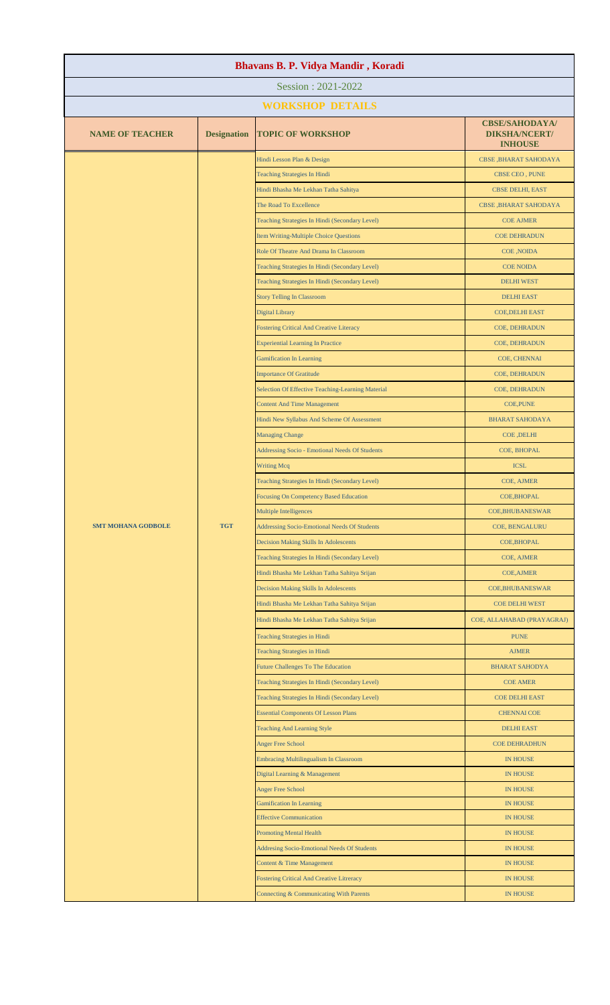| Bhavans B. P. Vidya Mandir, Koradi |                    |                                                                      |                                                                 |  |
|------------------------------------|--------------------|----------------------------------------------------------------------|-----------------------------------------------------------------|--|
| Session: 2021-2022                 |                    |                                                                      |                                                                 |  |
|                                    |                    | <b>WORKSHOP DETAILS</b>                                              |                                                                 |  |
| <b>NAME OF TEACHER</b>             | <b>Designation</b> | <b>TOPIC OF WORKSHOP</b>                                             | <b>CBSE/SAHODAYA/</b><br><b>DIKSHA/NCERT/</b><br><b>INHOUSE</b> |  |
|                                    |                    | Hindi Lesson Plan & Design                                           | CBSE, BHARAT SAHODAYA                                           |  |
|                                    |                    | <b>Teaching Strategies In Hindi</b>                                  | CBSE CEO, PUNE                                                  |  |
|                                    |                    | Hindi Bhasha Me Lekhan Tatha Sahitya                                 | CBSE DELHI, EAST                                                |  |
|                                    |                    | The Road To Excellence                                               | CBSE, BHARAT SAHODAYA                                           |  |
|                                    |                    | Teaching Strategies In Hindi (Secondary Level)                       | <b>COE AJMER</b>                                                |  |
|                                    |                    | Item Writing-Multiple Choice Questions                               | <b>COE DEHRADUN</b>                                             |  |
|                                    |                    | Role Of Theatre And Drama In Classroom                               | <b>COE, NOIDA</b>                                               |  |
|                                    |                    | Teaching Strategies In Hindi (Secondary Level)                       | <b>COE NOIDA</b>                                                |  |
|                                    |                    | Teaching Strategies In Hindi (Secondary Level)                       | <b>DELHI WEST</b>                                               |  |
|                                    |                    | <b>Story Telling In Classroom</b>                                    | <b>DELHI EAST</b>                                               |  |
|                                    |                    | <b>Digital Library</b>                                               | <b>COE, DELHI EAST</b>                                          |  |
|                                    |                    | <b>Fostering Critical And Creative Literacy</b>                      | COE, DEHRADUN                                                   |  |
|                                    |                    | <b>Experiential Learning In Practice</b>                             | COE, DEHRADUN                                                   |  |
|                                    |                    | <b>Gamification In Learning</b>                                      | COE, CHENNAI                                                    |  |
|                                    |                    | <b>Importance Of Gratitude</b>                                       | COE, DEHRADUN                                                   |  |
|                                    |                    | Selection Of Effective Teaching-Learning Material                    | COE, DEHRADUN                                                   |  |
|                                    |                    | <b>Content And Time Management</b>                                   | <b>COE, PUNE</b>                                                |  |
|                                    |                    | Hindi New Syllabus And Scheme Of Assessment                          | <b>BHARAT SAHODAYA</b>                                          |  |
|                                    |                    | <b>Managing Change</b>                                               | <b>COE, DELHI</b>                                               |  |
|                                    |                    | Addressing Socio - Emotional Needs Of Students                       | COE, BHOPAL                                                     |  |
|                                    |                    | <b>Writing Mcq</b><br>Teaching Strategies In Hindi (Secondary Level) | <b>ICSL</b>                                                     |  |
|                                    |                    | Focusing On Competency Based Education                               | COE, AJMER<br><b>COE, BHOPAL</b>                                |  |
|                                    |                    | Multiple Intelligences                                               | <b>COE,BHUBANESWAR</b>                                          |  |
| <b>SMT MOHANA GODBOLE</b>          | <b>TGT</b>         | Addressing Socio-Emotional Needs Of Students                         | <b>COE, BENGALURU</b>                                           |  |
|                                    |                    | Decision Making Skills In Adolescents                                | <b>COE, BHOPAL</b>                                              |  |
|                                    |                    | Teaching Strategies In Hindi (Secondary Level)                       | COE, AJMER                                                      |  |
|                                    |                    | Hindi Bhasha Me Lekhan Tatha Sahitya Srijan                          | <b>COE, AJMER</b>                                               |  |
|                                    |                    | <b>Decision Making Skills In Adolescents</b>                         | COE, BHUBANESWAR                                                |  |
|                                    |                    | Hindi Bhasha Me Lekhan Tatha Sahitya Srijan                          | <b>COE DELHI WEST</b>                                           |  |
|                                    |                    | Hindi Bhasha Me Lekhan Tatha Sahitya Srijan                          | COE, ALLAHABAD (PRAYAGRAJ)                                      |  |
|                                    |                    | Teaching Strategies in Hindi                                         | <b>PUNE</b>                                                     |  |
|                                    |                    | <b>Teaching Strategies in Hindi</b>                                  | <b>AJMER</b>                                                    |  |
|                                    |                    | <b>Future Challenges To The Education</b>                            | <b>BHARAT SAHODYA</b>                                           |  |
|                                    |                    | Teaching Strategies In Hindi (Secondary Level)                       | <b>COE AMER</b>                                                 |  |
|                                    |                    | Teaching Strategies In Hindi (Secondary Level)                       | <b>COE DELHI EAST</b>                                           |  |
|                                    |                    | <b>Essential Components Of Lesson Plans</b>                          | <b>CHENNAI COE</b>                                              |  |
|                                    |                    | <b>Teaching And Learning Style</b>                                   | <b>DELHI EAST</b>                                               |  |
|                                    |                    | <b>Anger Free School</b>                                             | <b>COE DEHRADHUN</b>                                            |  |
|                                    |                    | <b>Embracing Multilingualism In Classroom</b>                        | <b>IN HOUSE</b>                                                 |  |
|                                    |                    | Digital Learning & Management                                        | IN HOUSE                                                        |  |
|                                    |                    | <b>Anger Free School</b>                                             | IN HOUSE                                                        |  |
|                                    |                    | Gamification In Learning                                             | <b>IN HOUSE</b>                                                 |  |
|                                    |                    | <b>Effective Communication</b>                                       | <b>IN HOUSE</b>                                                 |  |
|                                    |                    | <b>Promoting Mental Health</b>                                       | <b>IN HOUSE</b>                                                 |  |
|                                    |                    | <b>Addresing Socio-Emotional Needs Of Students</b>                   | <b>IN HOUSE</b>                                                 |  |
|                                    |                    | Content & Time Management                                            | <b>IN HOUSE</b>                                                 |  |
|                                    |                    | <b>Fostering Critical And Creative Litreracy</b>                     | <b>IN HOUSE</b>                                                 |  |
|                                    |                    | Connecting & Communicating With Parents                              | <b>IN HOUSE</b>                                                 |  |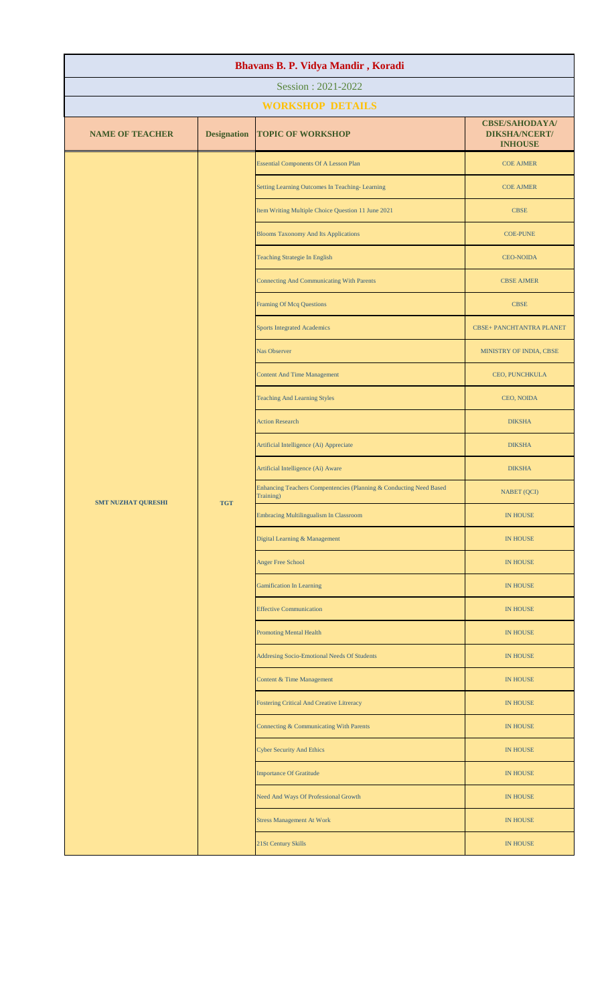| Bhavans B. P. Vidya Mandir, Koradi |                    |                                                                                 |                                                                 |  |
|------------------------------------|--------------------|---------------------------------------------------------------------------------|-----------------------------------------------------------------|--|
|                                    |                    | Session: 2021-2022                                                              |                                                                 |  |
|                                    |                    | <b>WORKSHOP DETAILS</b>                                                         |                                                                 |  |
| <b>NAME OF TEACHER</b>             | <b>Designation</b> | <b>TOPIC OF WORKSHOP</b>                                                        | <b>CBSE/SAHODAYA/</b><br><b>DIKSHA/NCERT/</b><br><b>INHOUSE</b> |  |
|                                    |                    | <b>Essential Components Of A Lesson Plan</b>                                    | <b>COE AJMER</b>                                                |  |
|                                    |                    | Setting Learning Outcomes In Teaching-Learning                                  | <b>COE AJMER</b>                                                |  |
|                                    |                    | Item Writing Multiple Choice Question 11 June 2021                              | <b>CBSE</b>                                                     |  |
|                                    |                    | <b>Blooms Taxonomy And Its Applications</b>                                     | <b>COE-PUNE</b>                                                 |  |
|                                    |                    | <b>Teaching Strategie In English</b>                                            | <b>CEO-NOIDA</b>                                                |  |
|                                    |                    | <b>Connecting And Communicating With Parents</b>                                | <b>CBSE AJMER</b>                                               |  |
|                                    |                    | <b>Framing Of Mcq Questions</b>                                                 | <b>CBSE</b>                                                     |  |
|                                    |                    | <b>Sports Integrated Academics</b>                                              | <b>CBSE+ PANCHTANTRA PLANET</b>                                 |  |
|                                    |                    | <b>Nas Observer</b>                                                             | MINISTRY OF INDIA, CBSE                                         |  |
|                                    |                    | <b>Content And Time Management</b>                                              | CEO, PUNCHKULA                                                  |  |
|                                    |                    | <b>Teaching And Learning Styles</b>                                             | CEO, NOIDA                                                      |  |
|                                    |                    | <b>Action Research</b>                                                          | <b>DIKSHA</b>                                                   |  |
| <b>SMT NUZHAT QURESHI</b>          | <b>TGT</b>         | Artificial Intelligence (Ai) Appreciate                                         | <b>DIKSHA</b>                                                   |  |
|                                    |                    | Artificial Intelligence (Ai) Aware                                              | <b>DIKSHA</b>                                                   |  |
|                                    |                    | Enhancing Teachers Compentencies (Planning & Conducting Need Based<br>Training) | <b>NABET</b> (QCI)                                              |  |
|                                    |                    | <b>Embracing Multilingualism In Classroom</b>                                   | <b>IN HOUSE</b>                                                 |  |
|                                    |                    | Digital Learning & Management                                                   | <b>IN HOUSE</b>                                                 |  |
|                                    |                    | <b>Anger Free School</b>                                                        | <b>IN HOUSE</b>                                                 |  |
|                                    |                    | <b>Gamification In Learning</b>                                                 | <b>IN HOUSE</b>                                                 |  |
|                                    |                    | <b>Effective Communication</b>                                                  | <b>IN HOUSE</b>                                                 |  |
|                                    |                    | <b>Promoting Mental Health</b>                                                  | <b>IN HOUSE</b>                                                 |  |
|                                    |                    | <b>Addresing Socio-Emotional Needs Of Students</b>                              | <b>IN HOUSE</b>                                                 |  |
|                                    |                    | Content & Time Management                                                       | <b>IN HOUSE</b>                                                 |  |
|                                    |                    | Fostering Critical And Creative Litreracy                                       | <b>IN HOUSE</b>                                                 |  |
|                                    |                    | Connecting & Communicating With Parents                                         | <b>IN HOUSE</b>                                                 |  |
|                                    |                    | <b>Cyber Security And Ethics</b>                                                | <b>IN HOUSE</b>                                                 |  |
|                                    |                    | <b>Importance Of Gratitude</b>                                                  | <b>IN HOUSE</b>                                                 |  |
|                                    |                    | Need And Ways Of Professional Growth                                            | <b>IN HOUSE</b>                                                 |  |
|                                    |                    | <b>Stress Management At Work</b>                                                | <b>IN HOUSE</b>                                                 |  |
|                                    |                    | 21St Century Skills                                                             | <b>IN HOUSE</b>                                                 |  |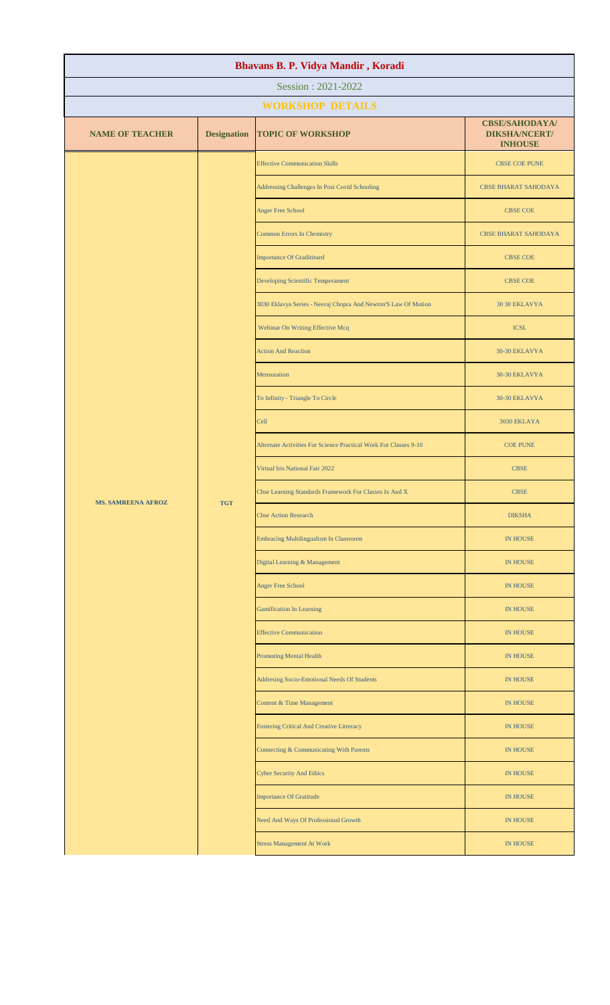| Bhavans B. P. Vidya Mandir, Koradi |                    |                                                                  |                                                                 |  |  |
|------------------------------------|--------------------|------------------------------------------------------------------|-----------------------------------------------------------------|--|--|
| Session: 2021-2022                 |                    |                                                                  |                                                                 |  |  |
|                                    |                    | <b>WORKSHOP DETAILS</b>                                          |                                                                 |  |  |
| <b>NAME OF TEACHER</b>             | <b>Designation</b> | <b>TOPIC OF WORKSHOP</b>                                         | <b>CBSE/SAHODAYA/</b><br><b>DIKSHA/NCERT/</b><br><b>INHOUSE</b> |  |  |
|                                    |                    | <b>Effective Communication Skills</b>                            | <b>CBSE COE PUNE</b>                                            |  |  |
|                                    |                    | Addressing Challenges In Post Covid Schooling                    | <b>CBSE BHARAT SAHODAYA</b>                                     |  |  |
|                                    |                    | Anger Free School                                                | <b>CBSE COE</b>                                                 |  |  |
|                                    |                    | Common Errors In Chemistry                                       | <b>CBSE BHARAT SAHODAYA</b>                                     |  |  |
|                                    |                    | <b>Importance Of Gradititued</b>                                 | <b>CBSE COE</b>                                                 |  |  |
|                                    |                    | Developing Scientific Temperament                                | <b>CBSE COE</b>                                                 |  |  |
|                                    |                    | 3030 Eklavya Series - Neeraj Chopra And Newton'S Law Of Motion   | 30 30 EKLAVYA                                                   |  |  |
|                                    |                    | Webinar On Writing Effective Mcq                                 | <b>ICSL</b>                                                     |  |  |
|                                    |                    | <b>Action And Reaction</b>                                       | 30-30 EKLAVYA                                                   |  |  |
|                                    |                    | Mensuration                                                      | 30-30 EKLAVYA                                                   |  |  |
|                                    |                    | To Infinity - Triangle To Circle                                 | 30-30 EKLAVYA                                                   |  |  |
|                                    |                    | Cell                                                             | 3030 EKLAYA                                                     |  |  |
| <b>MS. SAMREENA AFROZ</b>          | <b>TGT</b>         | Alternate Activities For Science Practical Work For Classes 9-10 | <b>COE PUNE</b>                                                 |  |  |
|                                    |                    | Virtual Iris National Fair 2022                                  | <b>CBSE</b>                                                     |  |  |
|                                    |                    | Cbse Learning Standards Framework For Classes Ix And X           | <b>CBSE</b>                                                     |  |  |
|                                    |                    | <b>Cbse Action Research</b>                                      | <b>DIKSHA</b>                                                   |  |  |
|                                    |                    | <b>Embracing Multilingualism In Classroom</b>                    | <b>IN HOUSE</b>                                                 |  |  |
|                                    |                    | Digital Learning & Management                                    | IN HOUSE                                                        |  |  |
|                                    |                    | Anger Free School                                                | IN HOUSE                                                        |  |  |
|                                    |                    | <b>Gamification In Learning</b>                                  | <b>IN HOUSE</b>                                                 |  |  |
|                                    |                    | <b>Effective Communication</b>                                   | <b>IN HOUSE</b>                                                 |  |  |
|                                    |                    | <b>Promoting Mental Health</b>                                   | <b>IN HOUSE</b>                                                 |  |  |
|                                    |                    | Addresing Socio-Emotional Needs Of Students                      | <b>IN HOUSE</b>                                                 |  |  |
|                                    |                    | Content & Time Management                                        | <b>IN HOUSE</b>                                                 |  |  |
|                                    |                    | Fostering Critical And Creative Litreracy                        | IN HOUSE                                                        |  |  |
|                                    |                    | Connecting & Communicating With Parents                          | <b>IN HOUSE</b>                                                 |  |  |
|                                    |                    | <b>Cyber Security And Ethics</b>                                 | <b>IN HOUSE</b>                                                 |  |  |
|                                    |                    | <b>Importance Of Gratitude</b>                                   | <b>IN HOUSE</b>                                                 |  |  |
|                                    |                    | Need And Ways Of Professional Growth                             | IN HOUSE                                                        |  |  |
|                                    |                    | <b>Stress Management At Work</b>                                 | <b>IN HOUSE</b>                                                 |  |  |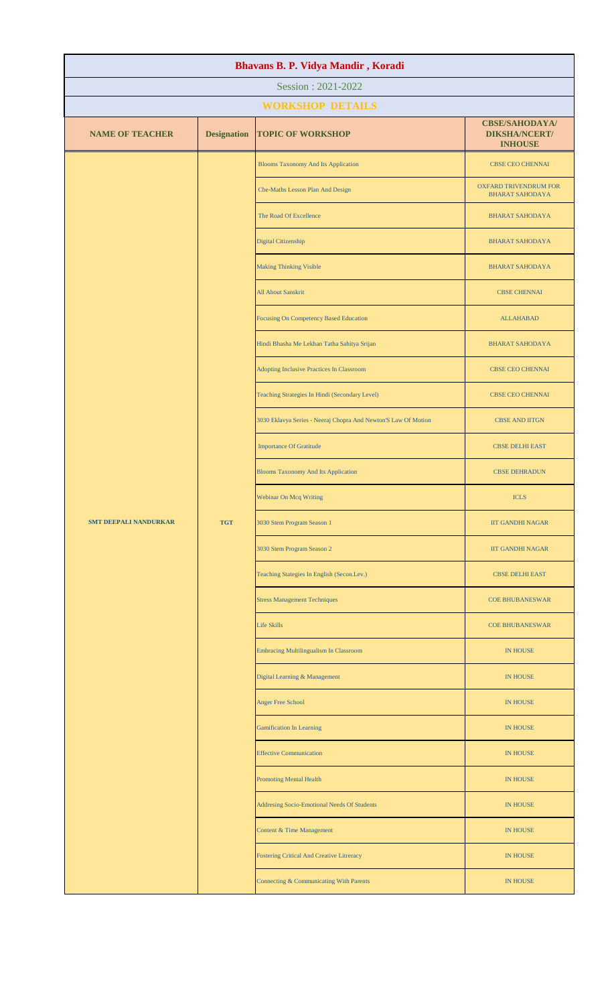| Bhavans B. P. Vidya Mandir, Koradi |                    |                                                                |                                                                 |  |
|------------------------------------|--------------------|----------------------------------------------------------------|-----------------------------------------------------------------|--|
| Session: 2021-2022                 |                    |                                                                |                                                                 |  |
|                                    |                    | <b>WORKSHOP DETAILS</b>                                        |                                                                 |  |
| <b>NAME OF TEACHER</b>             | <b>Designation</b> | <b>TOPIC OF WORKSHOP</b>                                       | <b>CBSE/SAHODAYA/</b><br><b>DIKSHA/NCERT/</b><br><b>INHOUSE</b> |  |
|                                    |                    | <b>Blooms Taxonomy And Its Application</b>                     | CBSE CEO CHENNAI                                                |  |
|                                    |                    | Cbe-Maths Lesson Plan And Design                               | <b>OXFARD TRIVENDRUM FOR</b><br><b>BHARAT SAHODAYA</b>          |  |
|                                    |                    | The Road Of Excellence                                         | <b>BHARAT SAHODAYA</b>                                          |  |
|                                    |                    | Digital Citizenship                                            | <b>BHARAT SAHODAYA</b>                                          |  |
|                                    |                    | <b>Making Thinking Visible</b>                                 | <b>BHARAT SAHODAYA</b>                                          |  |
|                                    |                    | <b>All About Sanskrit</b>                                      | <b>CBSE CHENNAI</b>                                             |  |
|                                    |                    | <b>Focusing On Competency Based Education</b>                  | <b>ALLAHABAD</b>                                                |  |
|                                    |                    | Hindi Bhasha Me Lekhan Tatha Sahitya Srijan                    | <b>BHARAT SAHODAYA</b>                                          |  |
|                                    |                    | Adopting Inclusive Practices In Classroom                      | <b>CBSE CEO CHENNAI</b>                                         |  |
|                                    |                    | Teaching Strategies In Hindi (Secondary Level)                 | <b>CBSE CEO CHENNAI</b>                                         |  |
|                                    |                    | 3030 Eklavya Series - Neeraj Chopra And Newton'S Law Of Motion | <b>CBSE AND IITGN</b>                                           |  |
|                                    |                    | <b>Importance Of Gratitude</b>                                 | <b>CBSE DELHI EAST</b>                                          |  |
|                                    |                    | <b>Blooms Taxonomy And Its Application</b>                     | <b>CBSE DEHRADUN</b>                                            |  |
|                                    |                    | Webinar On Mcq Writing                                         | <b>ICLS</b>                                                     |  |
| <b>SMT DEEPALI NANDURKAR</b>       | <b>TGT</b>         | 3030 Stem Program Season 1                                     | <b>IIT GANDHI NAGAR</b>                                         |  |
|                                    |                    | 3030 Stem Program Season 2                                     | <b>IIT GANDHI NAGAR</b>                                         |  |
|                                    |                    | Teaching Stategies In English (Secon.Lev.)                     | <b>CBSE DELHI EAST</b>                                          |  |
|                                    |                    | <b>Stress Management Techniques</b>                            | <b>COE BHUBANESWAR</b>                                          |  |
|                                    |                    | <b>Life Skills</b>                                             | <b>COE BHUBANESWAR</b>                                          |  |
|                                    |                    | Embracing Multilingualism In Classroom                         | <b>IN HOUSE</b>                                                 |  |
|                                    |                    | Digital Learning & Management                                  | <b>IN HOUSE</b>                                                 |  |
|                                    |                    | <b>Anger Free School</b>                                       | <b>IN HOUSE</b>                                                 |  |
|                                    |                    | <b>Gamification In Learning</b>                                | <b>IN HOUSE</b>                                                 |  |
|                                    |                    | <b>Effective Communication</b>                                 | <b>IN HOUSE</b>                                                 |  |
|                                    |                    | <b>Promoting Mental Health</b>                                 | <b>IN HOUSE</b>                                                 |  |
|                                    |                    | Addresing Socio-Emotional Needs Of Students                    | <b>IN HOUSE</b>                                                 |  |
|                                    |                    | Content & Time Management                                      | <b>IN HOUSE</b>                                                 |  |
|                                    |                    | <b>Fostering Critical And Creative Litreracy</b>               | <b>IN HOUSE</b>                                                 |  |
|                                    |                    | Connecting & Communicating With Parents                        | IN HOUSE                                                        |  |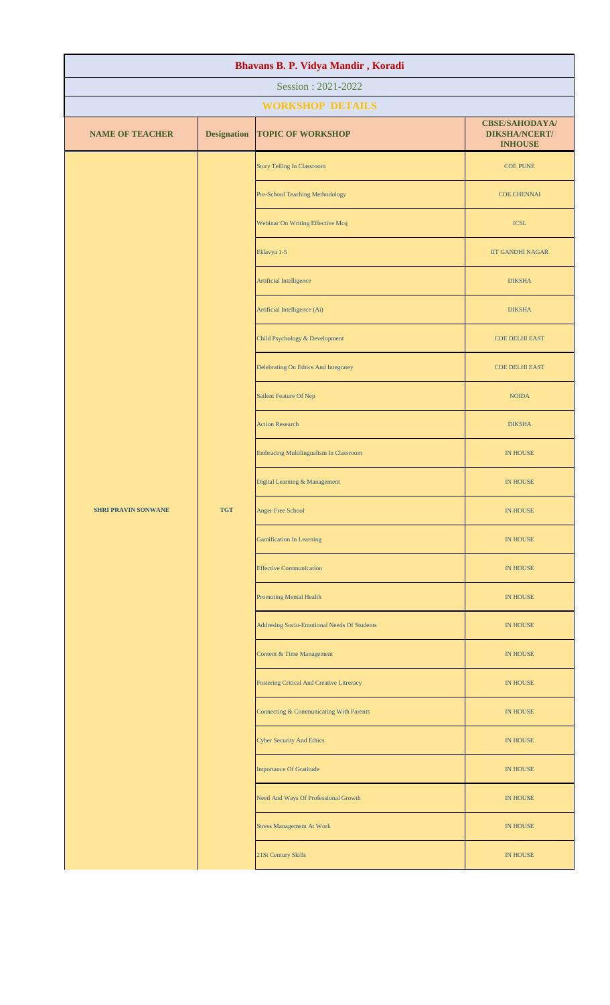| Bhavans B. P. Vidya Mandir, Koradi |                    |                                                  |                                                                 |  |  |
|------------------------------------|--------------------|--------------------------------------------------|-----------------------------------------------------------------|--|--|
| Session: 2021-2022                 |                    |                                                  |                                                                 |  |  |
|                                    |                    | <b>WORKSHOP DETAILS</b>                          |                                                                 |  |  |
| <b>NAME OF TEACHER</b>             | <b>Designation</b> | <b>TOPIC OF WORKSHOP</b>                         | <b>CBSE/SAHODAYA/</b><br><b>DIKSHA/NCERT/</b><br><b>INHOUSE</b> |  |  |
|                                    |                    | <b>Story Telling In Classroom</b>                | <b>COE PUNE</b>                                                 |  |  |
|                                    |                    | Pre-School Teaching Methodology                  | <b>COE CHENNAI</b>                                              |  |  |
|                                    |                    | Webinar On Writing Effective Mcq                 | <b>ICSL</b>                                                     |  |  |
|                                    |                    | Eklavya 1-5                                      | <b>IIT GANDHI NAGAR</b>                                         |  |  |
|                                    |                    | Artificial Intelligence                          | <b>DIKSHA</b>                                                   |  |  |
|                                    |                    | Artificial Intelligence (Ai)                     | <b>DIKSHA</b>                                                   |  |  |
|                                    |                    | Child Psychology & Development                   | <b>COE DELHI EAST</b>                                           |  |  |
|                                    |                    | Delebrating On Ethics And Integratey             | <b>COE DELHI EAST</b>                                           |  |  |
|                                    |                    | <b>Sailent Feature Of Nep</b>                    | <b>NOIDA</b>                                                    |  |  |
|                                    |                    | <b>Action Research</b>                           | <b>DIKSHA</b>                                                   |  |  |
|                                    |                    | <b>Embracing Multilingualism In Classroom</b>    | <b>IN HOUSE</b>                                                 |  |  |
|                                    |                    | Digital Learning & Management                    | <b>IN HOUSE</b>                                                 |  |  |
| <b>SHRI PRAVIN SONWANE</b>         | <b>TGT</b>         | Anger Free School                                | IN HOUSE                                                        |  |  |
|                                    |                    | <b>Gamification In Learning</b>                  | <b>IN HOUSE</b>                                                 |  |  |
|                                    |                    | <b>Effective Communication</b>                   | IN HOUSE                                                        |  |  |
|                                    |                    | <b>Promoting Mental Health</b>                   | <b>IN HOUSE</b>                                                 |  |  |
|                                    |                    | Addresing Socio-Emotional Needs Of Students      | <b>IN HOUSE</b>                                                 |  |  |
|                                    |                    | Content & Time Management                        | IN HOUSE                                                        |  |  |
|                                    |                    | <b>Fostering Critical And Creative Litreracy</b> | IN HOUSE                                                        |  |  |
|                                    |                    | Connecting & Communicating With Parents          | IN HOUSE                                                        |  |  |
|                                    |                    | <b>Cyber Security And Ethics</b>                 | <b>IN HOUSE</b>                                                 |  |  |
|                                    |                    | <b>Importance Of Gratitude</b>                   | IN HOUSE                                                        |  |  |
|                                    |                    | Need And Ways Of Professional Growth             | IN HOUSE                                                        |  |  |
|                                    |                    | <b>Stress Management At Work</b>                 | IN HOUSE                                                        |  |  |
|                                    |                    | 21St Century Skills                              | IN HOUSE                                                        |  |  |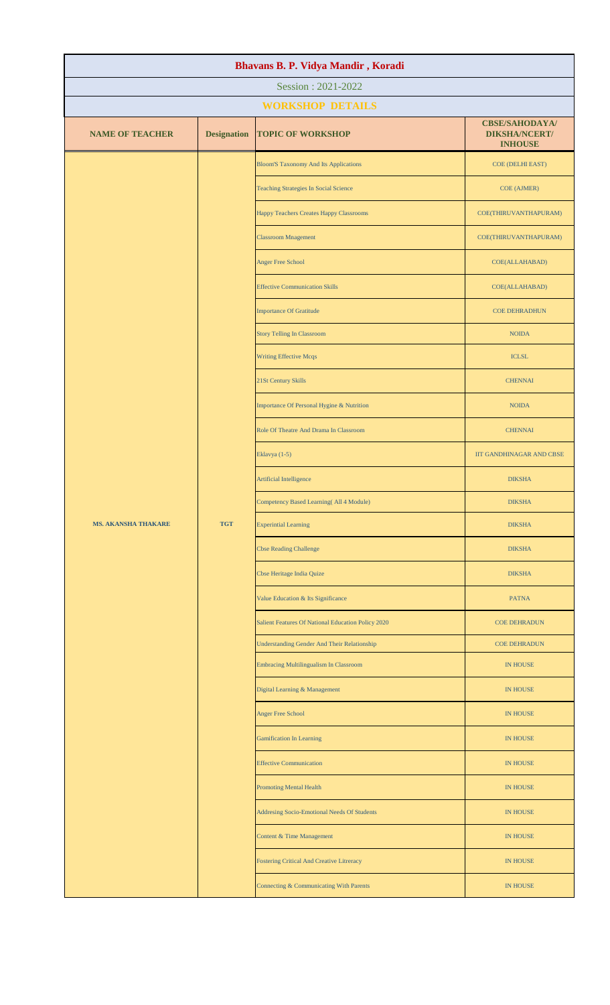| Bhavans B. P. Vidya Mandir, Koradi |                    |                                                    |                                                                 |  |
|------------------------------------|--------------------|----------------------------------------------------|-----------------------------------------------------------------|--|
| Session: 2021-2022                 |                    |                                                    |                                                                 |  |
|                                    |                    | <b>WORKSHOP DETAILS</b>                            |                                                                 |  |
| <b>NAME OF TEACHER</b>             | <b>Designation</b> | <b>TOPIC OF WORKSHOP</b>                           | <b>CBSE/SAHODAYA/</b><br><b>DIKSHA/NCERT/</b><br><b>INHOUSE</b> |  |
|                                    |                    | <b>Bloom'S Taxonomy And Its Applications</b>       | COE (DELHI EAST)                                                |  |
|                                    |                    | <b>Teaching Strategies In Social Science</b>       | COE (AJMER)                                                     |  |
|                                    |                    | Happy Teachers Creates Happy Classrooms            | COE(THIRUVANTHAPURAM)                                           |  |
|                                    |                    | <b>Classroom Mnagement</b>                         | COE(THIRUVANTHAPURAM)                                           |  |
|                                    |                    | <b>Anger Free School</b>                           | COE(ALLAHABAD)                                                  |  |
|                                    |                    | <b>Effective Communication Skills</b>              | COE(ALLAHABAD)                                                  |  |
|                                    |                    | <b>Importance Of Gratitude</b>                     | <b>COE DEHRADHUN</b>                                            |  |
|                                    |                    | <b>Story Telling In Classroom</b>                  | <b>NOIDA</b>                                                    |  |
|                                    |                    | <b>Writing Effective Mcqs</b>                      | <b>ICLSL</b>                                                    |  |
|                                    |                    | 21St Century Skills                                | <b>CHENNAI</b>                                                  |  |
|                                    |                    | Importance Of Personal Hygine & Nutrition          | <b>NOIDA</b>                                                    |  |
|                                    |                    | Role Of Theatre And Drama In Classroom             | <b>CHENNAI</b>                                                  |  |
|                                    |                    | Eklavya (1-5)                                      | <b>IIT GANDHINAGAR AND CBSE</b>                                 |  |
|                                    |                    | Artificial Intelligence                            | <b>DIKSHA</b>                                                   |  |
|                                    |                    | Competency Based Learning(All 4 Module)            | <b>DIKSHA</b>                                                   |  |
| <b>MS. AKANSHA THAKARE</b>         | <b>TGT</b>         | <b>Experintial Learning</b>                        | <b>DIKSHA</b>                                                   |  |
|                                    |                    | <b>Cbse Reading Challenge</b>                      | <b>DIKSHA</b>                                                   |  |
|                                    |                    | Cbse Heritage India Quize                          | <b>DIKSHA</b>                                                   |  |
|                                    |                    | Value Education & Its Significance                 | <b>PATNA</b>                                                    |  |
|                                    |                    | Salient Features Of National Education Policy 2020 | <b>COE DEHRADUN</b>                                             |  |
|                                    |                    | <b>Understanding Gender And Their Relationship</b> | <b>COE DEHRADUN</b>                                             |  |
|                                    |                    | <b>Embracing Multilingualism In Classroom</b>      | <b>IN HOUSE</b>                                                 |  |
|                                    |                    | Digital Learning & Management                      | <b>IN HOUSE</b>                                                 |  |
|                                    |                    | <b>Anger Free School</b>                           | <b>IN HOUSE</b>                                                 |  |
|                                    |                    | <b>Gamification In Learning</b>                    | <b>IN HOUSE</b>                                                 |  |
|                                    |                    | <b>Effective Communication</b>                     | <b>IN HOUSE</b>                                                 |  |
|                                    |                    | <b>Promoting Mental Health</b>                     | <b>IN HOUSE</b>                                                 |  |
|                                    |                    | Addresing Socio-Emotional Needs Of Students        | <b>IN HOUSE</b>                                                 |  |
|                                    |                    | Content & Time Management                          | <b>IN HOUSE</b>                                                 |  |
|                                    |                    | <b>Fostering Critical And Creative Litreracy</b>   | <b>IN HOUSE</b>                                                 |  |
|                                    |                    | Connecting & Communicating With Parents            | <b>IN HOUSE</b>                                                 |  |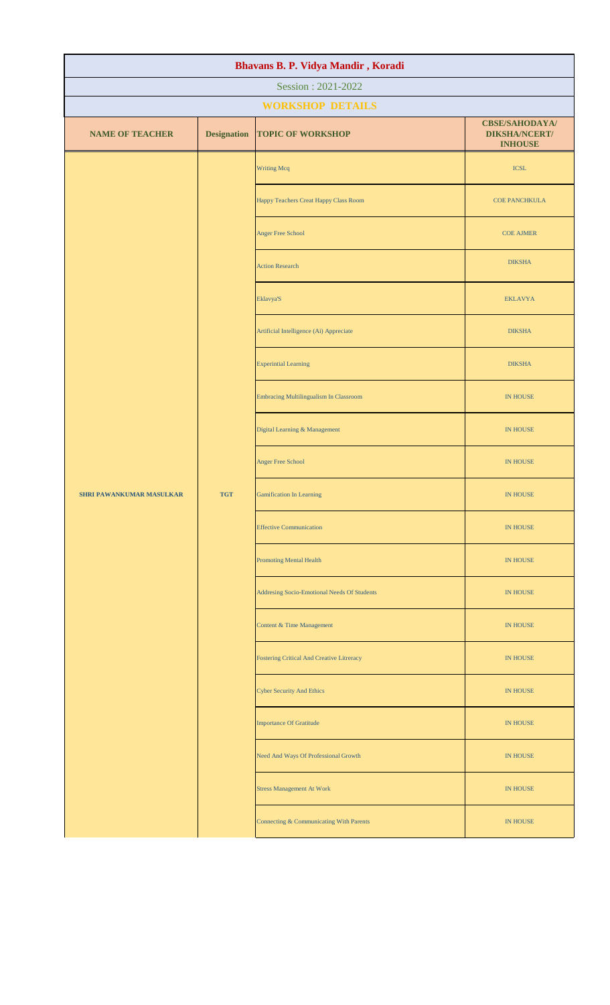| Bhavans B. P. Vidya Mandir, Koradi |                    |                                                  |                                                                 |  |  |
|------------------------------------|--------------------|--------------------------------------------------|-----------------------------------------------------------------|--|--|
| Session: 2021-2022                 |                    |                                                  |                                                                 |  |  |
|                                    |                    | <b>WORKSHOP DETAILS</b>                          |                                                                 |  |  |
| <b>NAME OF TEACHER</b>             | <b>Designation</b> | <b>TOPIC OF WORKSHOP</b>                         | <b>CBSE/SAHODAYA/</b><br><b>DIKSHA/NCERT/</b><br><b>INHOUSE</b> |  |  |
|                                    |                    | <b>Writing Mcq</b>                               | <b>ICSL</b>                                                     |  |  |
|                                    |                    | Happy Teachers Creat Happy Class Room            | <b>COE PANCHKULA</b>                                            |  |  |
|                                    |                    | Anger Free School                                | <b>COE AJMER</b>                                                |  |  |
|                                    |                    | <b>Action Research</b>                           | <b>DIKSHA</b>                                                   |  |  |
|                                    |                    | Eklavya'S                                        | <b>EKLAVYA</b>                                                  |  |  |
|                                    |                    | Artificial Intelligence (Ai) Appreciate          | <b>DIKSHA</b>                                                   |  |  |
|                                    |                    | <b>Experintial Learning</b>                      | <b>DIKSHA</b>                                                   |  |  |
|                                    |                    | <b>Embracing Multilingualism In Classroom</b>    | <b>IN HOUSE</b>                                                 |  |  |
|                                    |                    | Digital Learning & Management                    | <b>IN HOUSE</b>                                                 |  |  |
|                                    |                    | Anger Free School                                | IN HOUSE                                                        |  |  |
| SHRI PAWANKUMAR MASULKAR           | <b>TGT</b>         | <b>Gamification In Learning</b>                  | <b>IN HOUSE</b>                                                 |  |  |
|                                    |                    | <b>Effective Communication</b>                   | <b>IN HOUSE</b>                                                 |  |  |
|                                    |                    | <b>Promoting Mental Health</b>                   | <b>IN HOUSE</b>                                                 |  |  |
|                                    |                    | Addresing Socio-Emotional Needs Of Students      | IN HOUSE                                                        |  |  |
|                                    |                    | Content & Time Management                        | IN HOUSE                                                        |  |  |
|                                    |                    | <b>Fostering Critical And Creative Litreracy</b> | IN HOUSE                                                        |  |  |
|                                    |                    | <b>Cyber Security And Ethics</b>                 | IN HOUSE                                                        |  |  |
|                                    |                    | <b>Importance Of Gratitude</b>                   | IN HOUSE                                                        |  |  |
|                                    |                    | Need And Ways Of Professional Growth             | <b>IN HOUSE</b>                                                 |  |  |
|                                    |                    | <b>Stress Management At Work</b>                 | <b>IN HOUSE</b>                                                 |  |  |
|                                    |                    | Connecting & Communicating With Parents          | <b>IN HOUSE</b>                                                 |  |  |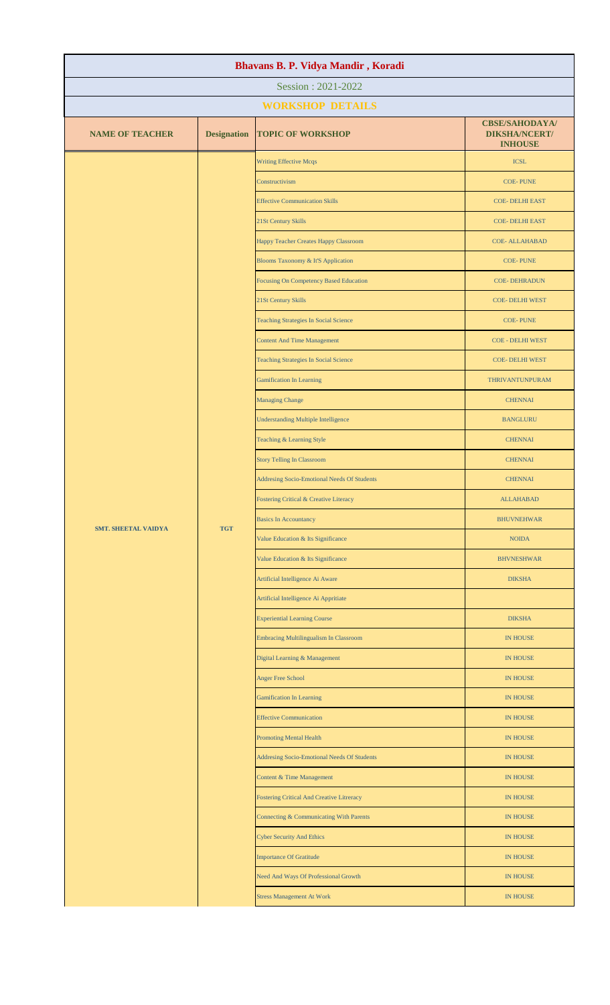| Bhavans B. P. Vidya Mandir, Koradi |                    |                                                  |                                                                 |  |
|------------------------------------|--------------------|--------------------------------------------------|-----------------------------------------------------------------|--|
| Session: 2021-2022                 |                    |                                                  |                                                                 |  |
|                                    |                    | <b>WORKSHOP DETAILS</b>                          |                                                                 |  |
| <b>NAME OF TEACHER</b>             | <b>Designation</b> | <b>TOPIC OF WORKSHOP</b>                         | <b>CBSE/SAHODAYA/</b><br><b>DIKSHA/NCERT/</b><br><b>INHOUSE</b> |  |
|                                    |                    | <b>Writing Effective Mcqs</b>                    | <b>ICSL</b>                                                     |  |
|                                    |                    | Constructivism                                   | <b>COE-PUNE</b>                                                 |  |
|                                    |                    | <b>Effective Communication Skills</b>            | <b>COE-DELHI EAST</b>                                           |  |
|                                    |                    | 21St Century Skills                              | <b>COE-DELHI EAST</b>                                           |  |
|                                    |                    | Happy Teacher Creates Happy Classroom            | <b>COE- ALLAHABAD</b>                                           |  |
|                                    |                    | Blooms Taxonomy & It'S Application               | <b>COE-PUNE</b>                                                 |  |
|                                    |                    | Focusing On Competency Based Education           | <b>COE-DEHRADUN</b>                                             |  |
|                                    |                    | 21St Century Skills                              | <b>COE- DELHI WEST</b>                                          |  |
|                                    |                    | <b>Teaching Strategies In Social Science</b>     | <b>COE-PUNE</b>                                                 |  |
|                                    |                    | <b>Content And Time Management</b>               | <b>COE - DELHI WEST</b>                                         |  |
|                                    |                    | <b>Teaching Strategies In Social Science</b>     | COE- DELHI WEST                                                 |  |
|                                    |                    | <b>Gamification In Learning</b>                  | THRIVANTUNPURAM                                                 |  |
|                                    |                    | <b>Managing Change</b>                           | <b>CHENNAI</b>                                                  |  |
|                                    |                    | <b>Understanding Multiple Intelligence</b>       | <b>BANGLURU</b>                                                 |  |
|                                    |                    | Teaching & Learning Style                        | <b>CHENNAI</b>                                                  |  |
|                                    | <b>TGT</b>         | <b>Story Telling In Classroom</b>                | <b>CHENNAI</b>                                                  |  |
| <b>SMT. SHEETAL VAIDYA</b>         |                    | Addresing Socio-Emotional Needs Of Students      | <b>CHENNAI</b>                                                  |  |
|                                    |                    | Fostering Critical & Creative Literacy           | <b>ALLAHABAD</b>                                                |  |
|                                    |                    | <b>Basics In Accountancy</b>                     | <b>BHUVNEHWAR</b>                                               |  |
|                                    |                    | Value Education & Its Significance               | <b>NOIDA</b>                                                    |  |
|                                    |                    | Value Education & Its Significance               | <b>BHVNESHWAR</b>                                               |  |
|                                    |                    | Artificial Intelligence Ai Aware                 | <b>DIKSHA</b>                                                   |  |
|                                    |                    | Artificial Intelligence Ai Appritiate            |                                                                 |  |
|                                    |                    | <b>Experiential Learning Course</b>              | <b>DIKSHA</b>                                                   |  |
|                                    |                    | <b>Embracing Multilingualism In Classroom</b>    | <b>IN HOUSE</b>                                                 |  |
|                                    |                    | Digital Learning & Management                    | <b>IN HOUSE</b>                                                 |  |
|                                    |                    | Anger Free School                                | <b>IN HOUSE</b>                                                 |  |
|                                    |                    | <b>Gamification In Learning</b>                  | <b>IN HOUSE</b>                                                 |  |
|                                    |                    | <b>Effective Communication</b>                   | <b>IN HOUSE</b>                                                 |  |
|                                    |                    | <b>Promoting Mental Health</b>                   | <b>IN HOUSE</b>                                                 |  |
|                                    |                    | Addresing Socio-Emotional Needs Of Students      | <b>IN HOUSE</b>                                                 |  |
|                                    |                    | Content & Time Management                        | <b>IN HOUSE</b>                                                 |  |
|                                    |                    | <b>Fostering Critical And Creative Litreracy</b> | <b>IN HOUSE</b>                                                 |  |
|                                    |                    | Connecting & Communicating With Parents          | <b>IN HOUSE</b>                                                 |  |
|                                    |                    | <b>Cyber Security And Ethics</b>                 | <b>IN HOUSE</b>                                                 |  |
|                                    |                    | <b>Importance Of Gratitude</b>                   | <b>IN HOUSE</b>                                                 |  |
|                                    |                    | Need And Ways Of Professional Growth             | <b>IN HOUSE</b>                                                 |  |
|                                    |                    | <b>Stress Management At Work</b>                 | <b>IN HOUSE</b>                                                 |  |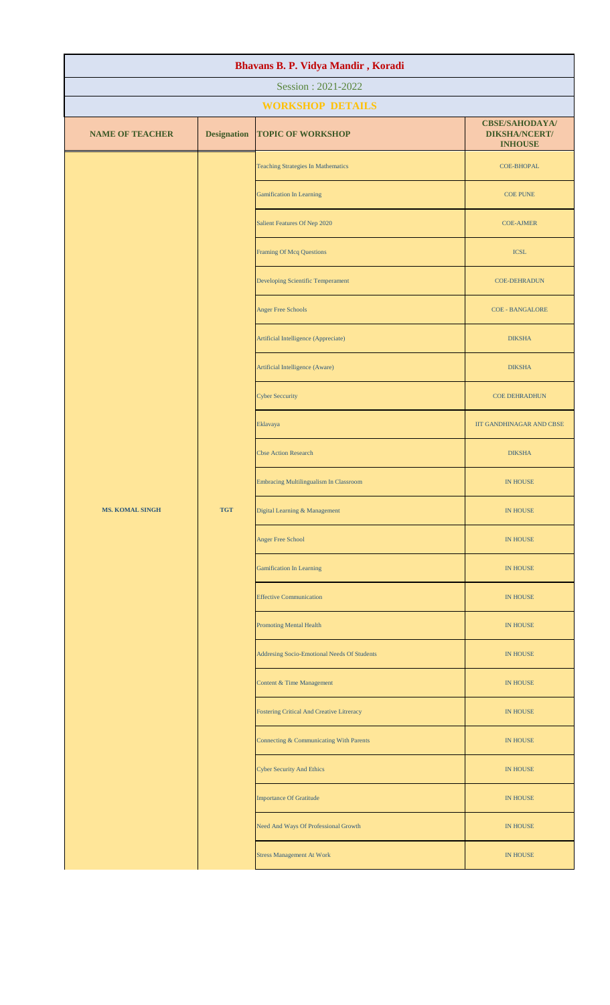| Bhavans B. P. Vidya Mandir, Koradi |                    |                                                  |                                                                 |  |  |
|------------------------------------|--------------------|--------------------------------------------------|-----------------------------------------------------------------|--|--|
| Session: 2021-2022                 |                    |                                                  |                                                                 |  |  |
|                                    |                    | <b>WORKSHOP DETAILS</b>                          |                                                                 |  |  |
| <b>NAME OF TEACHER</b>             | <b>Designation</b> | <b>TOPIC OF WORKSHOP</b>                         | <b>CBSE/SAHODAYA/</b><br><b>DIKSHA/NCERT/</b><br><b>INHOUSE</b> |  |  |
|                                    |                    | <b>Teaching Strategies In Mathematics</b>        | COE-BHOPAL                                                      |  |  |
|                                    |                    | <b>Gamification In Learning</b>                  | <b>COE PUNE</b>                                                 |  |  |
|                                    |                    | Salient Features Of Nep 2020                     | <b>COE-AJMER</b>                                                |  |  |
|                                    |                    | <b>Framing Of Mcq Questions</b>                  | <b>ICSL</b>                                                     |  |  |
|                                    |                    | Developing Scientific Temperament                | <b>COE-DEHRADUN</b>                                             |  |  |
|                                    |                    | <b>Anger Free Schools</b>                        | <b>COE - BANGALORE</b>                                          |  |  |
|                                    |                    | Artificial Intelligence (Appreciate)             | <b>DIKSHA</b>                                                   |  |  |
|                                    |                    | Artificial Intelligence (Aware)                  | <b>DIKSHA</b>                                                   |  |  |
|                                    |                    | <b>Cyber Seccurity</b>                           | <b>COE DEHRADHUN</b>                                            |  |  |
|                                    |                    | Eklavaya                                         | IIT GANDHINAGAR AND CBSE                                        |  |  |
|                                    |                    | <b>Cbse Action Research</b>                      | <b>DIKSHA</b>                                                   |  |  |
|                                    |                    | Embracing Multilingualism In Classroom           | <b>IN HOUSE</b>                                                 |  |  |
| <b>MS. KOMAL SINGH</b>             | <b>TGT</b>         | Digital Learning & Management                    | IN HOUSE                                                        |  |  |
|                                    |                    | Anger Free School                                | IN HOUSE                                                        |  |  |
|                                    |                    | <b>Gamification In Learning</b>                  | IN HOUSE                                                        |  |  |
|                                    |                    | <b>Effective Communication</b>                   | <b>IN HOUSE</b>                                                 |  |  |
|                                    |                    | <b>Promoting Mental Health</b>                   | <b>IN HOUSE</b>                                                 |  |  |
|                                    |                    | Addresing Socio-Emotional Needs Of Students      | IN HOUSE                                                        |  |  |
|                                    |                    | Content & Time Management                        | IN HOUSE                                                        |  |  |
|                                    |                    | <b>Fostering Critical And Creative Litreracy</b> | IN HOUSE                                                        |  |  |
|                                    |                    | Connecting & Communicating With Parents          | <b>IN HOUSE</b>                                                 |  |  |
|                                    |                    | <b>Cyber Security And Ethics</b>                 | <b>IN HOUSE</b>                                                 |  |  |
|                                    |                    | <b>Importance Of Gratitude</b>                   | <b>IN HOUSE</b>                                                 |  |  |
|                                    |                    | Need And Ways Of Professional Growth             | IN HOUSE                                                        |  |  |
|                                    |                    | <b>Stress Management At Work</b>                 | IN HOUSE                                                        |  |  |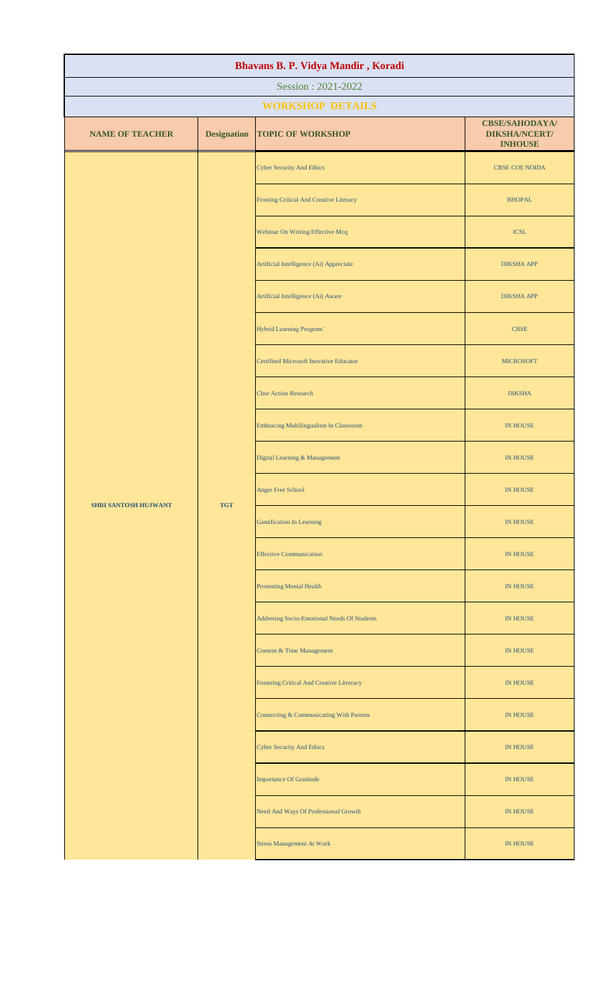| Bhavans B. P. Vidya Mandir, Koradi |                    |                                                  |                                                                 |  |  |
|------------------------------------|--------------------|--------------------------------------------------|-----------------------------------------------------------------|--|--|
| Session: 2021-2022                 |                    |                                                  |                                                                 |  |  |
|                                    |                    | <b>WORKSHOP DETAILS</b>                          |                                                                 |  |  |
| <b>NAME OF TEACHER</b>             | <b>Designation</b> | <b>TOPIC OF WORKSHOP</b>                         | <b>CBSE/SAHODAYA/</b><br><b>DIKSHA/NCERT/</b><br><b>INHOUSE</b> |  |  |
|                                    |                    | <b>Cyber Security And Ethics</b>                 | <b>CBSE COE NOIDA</b>                                           |  |  |
|                                    |                    | Frosting Critical And Creative Literacy          | <b>BHOPAL</b>                                                   |  |  |
|                                    |                    | Webinar On Writing Effective Mcq                 | $\ensuremath{\textup{\textbf{ICSL}}}$                           |  |  |
|                                    |                    | Artificial Intelligence (Ai) Appreciate          | <b>DIKSHA APP</b>                                               |  |  |
|                                    |                    | Artificial Intelligence (Ai) Aware               | <b>DIKSHA APP</b>                                               |  |  |
|                                    |                    | Hybrid Learning Program'                         | <b>CBSE</b>                                                     |  |  |
|                                    |                    | <b>Certifited Microsoft Inovative Educator</b>   | <b>MICROSOFT</b>                                                |  |  |
|                                    |                    | <b>Cbse Action Research</b>                      | <b>DIKSHA</b>                                                   |  |  |
|                                    |                    | <b>Embracing Multilingualism In Classroom</b>    | IN HOUSE                                                        |  |  |
|                                    |                    | Digital Learning & Management                    | IN HOUSE                                                        |  |  |
| <b>SHRI SANTOSH HUJWANT</b>        | <b>TGT</b>         | <b>Anger Free School</b>                         | <b>IN HOUSE</b>                                                 |  |  |
|                                    |                    | <b>Gamification In Learning</b>                  | <b>IN HOUSE</b>                                                 |  |  |
|                                    |                    | <b>Effective Communication</b>                   | IN HOUSE                                                        |  |  |
|                                    |                    | <b>Promoting Mental Health</b>                   | IN HOUSE                                                        |  |  |
|                                    |                    | Addresing Socio-Emotional Needs Of Students      | IN HOUSE                                                        |  |  |
|                                    |                    | <b>Content &amp; Time Management</b>             | <b>IN HOUSE</b>                                                 |  |  |
|                                    |                    | <b>Fostering Critical And Creative Litreracy</b> | IN HOUSE                                                        |  |  |
|                                    |                    | Connecting & Communicating With Parents          | IN HOUSE                                                        |  |  |
|                                    |                    | <b>Cyber Security And Ethics</b>                 | IN HOUSE                                                        |  |  |
|                                    |                    | <b>Importance Of Gratitude</b>                   | <b>IN HOUSE</b>                                                 |  |  |
|                                    |                    | Need And Ways Of Professional Growth             | <b>IN HOUSE</b>                                                 |  |  |
|                                    |                    | <b>Stress Management At Work</b>                 | <b>IN HOUSE</b>                                                 |  |  |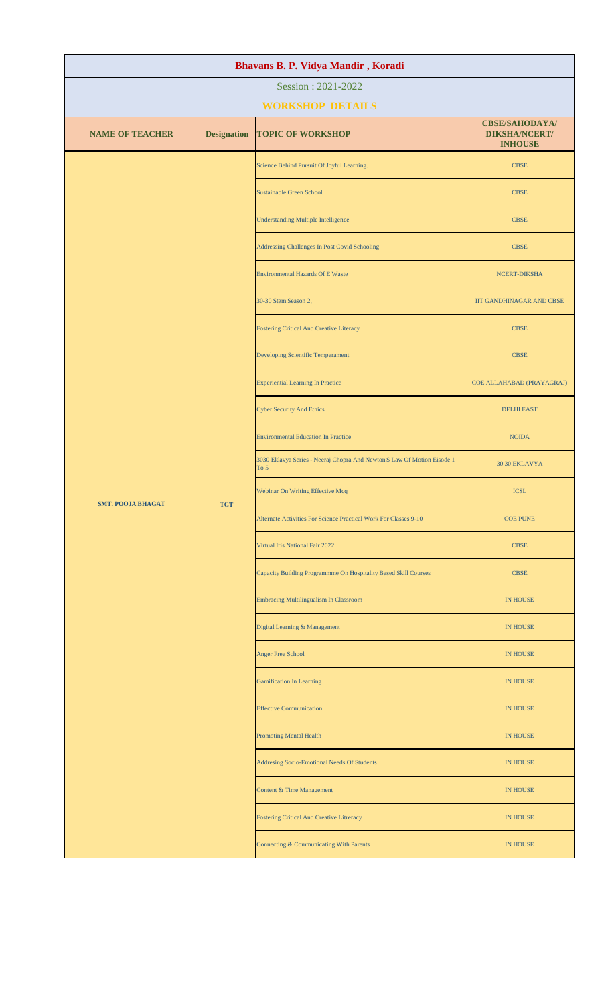| Bhavans B. P. Vidya Mandir, Koradi |                    |                                                                                   |                                                                 |  |  |
|------------------------------------|--------------------|-----------------------------------------------------------------------------------|-----------------------------------------------------------------|--|--|
| Session: 2021-2022                 |                    |                                                                                   |                                                                 |  |  |
|                                    |                    | <b>WORKSHOP DETAILS</b>                                                           |                                                                 |  |  |
| <b>NAME OF TEACHER</b>             | <b>Designation</b> | <b>TOPIC OF WORKSHOP</b>                                                          | <b>CBSE/SAHODAYA/</b><br><b>DIKSHA/NCERT/</b><br><b>INHOUSE</b> |  |  |
|                                    |                    | Science Behind Pursuit Of Joyful Learning.                                        | <b>CBSE</b>                                                     |  |  |
|                                    |                    | <b>Sustainable Green School</b>                                                   | <b>CBSE</b>                                                     |  |  |
|                                    |                    | <b>Understanding Multiple Intelligence</b>                                        | <b>CBSE</b>                                                     |  |  |
|                                    |                    | Addressing Challenges In Post Covid Schooling                                     | <b>CBSE</b>                                                     |  |  |
|                                    |                    | Environmental Hazards Of E Waste                                                  | NCERT-DIKSHA                                                    |  |  |
|                                    |                    | 30-30 Stem Season 2,                                                              | <b>IIT GANDHINAGAR AND CBSE</b>                                 |  |  |
|                                    |                    | <b>Fostering Critical And Creative Literacy</b>                                   | <b>CBSE</b>                                                     |  |  |
|                                    |                    | Developing Scientific Temperament                                                 | <b>CBSE</b>                                                     |  |  |
|                                    |                    | <b>Experiential Learning In Practice</b>                                          | COE ALLAHABAD (PRAYAGRAJ)                                       |  |  |
|                                    |                    | <b>Cyber Security And Ethics</b>                                                  | <b>DELHI EAST</b>                                               |  |  |
|                                    | <b>TGT</b>         | <b>Environmental Education In Practice</b>                                        | <b>NOIDA</b>                                                    |  |  |
| <b>SMT. POOJA BHAGAT</b>           |                    | 3030 Eklavya Series - Neeraj Chopra And Newton'S Law Of Motion Eisode 1<br>To $5$ | <b>30 30 EKLAVYA</b>                                            |  |  |
|                                    |                    | Webinar On Writing Effective Mcq                                                  | <b>ICSL</b>                                                     |  |  |
|                                    |                    | Alternate Activities For Science Practical Work For Classes 9-10                  | <b>COE PUNE</b>                                                 |  |  |
|                                    |                    | Virtual Iris National Fair 2022                                                   | <b>CBSE</b>                                                     |  |  |
|                                    |                    | Capacity Building Programmme On Hospitality Based Skill Courses                   | <b>CBSE</b>                                                     |  |  |
|                                    |                    | <b>Embracing Multilingualism In Classroom</b>                                     | <b>IN HOUSE</b>                                                 |  |  |
|                                    |                    | Digital Learning & Management                                                     | <b>IN HOUSE</b>                                                 |  |  |
|                                    |                    | Anger Free School                                                                 | <b>IN HOUSE</b>                                                 |  |  |
|                                    |                    | <b>Gamification In Learning</b>                                                   | <b>IN HOUSE</b>                                                 |  |  |
|                                    |                    | <b>Effective Communication</b>                                                    | <b>IN HOUSE</b>                                                 |  |  |
|                                    |                    | <b>Promoting Mental Health</b>                                                    | <b>IN HOUSE</b>                                                 |  |  |
|                                    |                    | Addresing Socio-Emotional Needs Of Students                                       | <b>IN HOUSE</b>                                                 |  |  |
|                                    |                    | Content & Time Management                                                         | IN HOUSE                                                        |  |  |
|                                    |                    | Fostering Critical And Creative Litreracy                                         | IN HOUSE                                                        |  |  |
|                                    |                    | Connecting & Communicating With Parents                                           | IN HOUSE                                                        |  |  |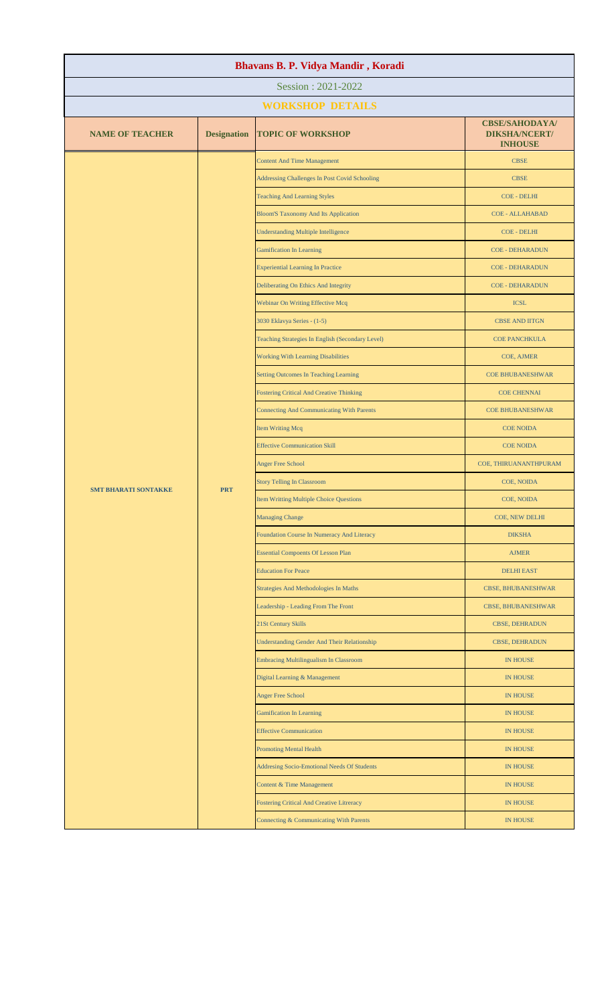| Bhavans B. P. Vidya Mandir, Koradi |                    |                                                      |                                                                 |  |
|------------------------------------|--------------------|------------------------------------------------------|-----------------------------------------------------------------|--|
|                                    |                    | Session: 2021-2022                                   |                                                                 |  |
|                                    |                    | <b>WORKSHOP DETAILS</b>                              |                                                                 |  |
| <b>NAME OF TEACHER</b>             | <b>Designation</b> | <b>TOPIC OF WORKSHOP</b>                             | <b>CBSE/SAHODAYA/</b><br><b>DIKSHA/NCERT/</b><br><b>INHOUSE</b> |  |
|                                    |                    | <b>Content And Time Management</b>                   | <b>CBSE</b>                                                     |  |
|                                    |                    | <b>Addressing Challenges In Post Covid Schooling</b> | <b>CBSE</b>                                                     |  |
|                                    |                    | <b>Teaching And Learning Styles</b>                  | <b>COE - DELHI</b>                                              |  |
|                                    |                    | <b>Bloom'S Taxonomy And Its Application</b>          | <b>COE - ALLAHABAD</b>                                          |  |
|                                    |                    | <b>Understanding Multiple Intelligence</b>           | <b>COE - DELHI</b>                                              |  |
|                                    |                    | <b>Gamification In Learning</b>                      | <b>COE - DEHARADUN</b>                                          |  |
|                                    |                    | <b>Experiential Learning In Practice</b>             | <b>COE - DEHARADUN</b>                                          |  |
|                                    |                    | Deliberating On Ethics And Integrity                 | <b>COE - DEHARADUN</b>                                          |  |
|                                    |                    | Webinar On Writing Effective Mcq                     | <b>ICSL</b>                                                     |  |
|                                    |                    | 3030 Eklavya Series - (1-5)                          | <b>CBSE AND IITGN</b>                                           |  |
|                                    |                    | Teaching Strategies In English (Secondary Level)     | <b>COE PANCHKULA</b>                                            |  |
|                                    |                    | <b>Working With Learning Disabilities</b>            | COE, AJMER                                                      |  |
|                                    |                    | <b>Setting Outcomes In Teaching Learning</b>         | <b>COE BHUBANESHWAR</b>                                         |  |
|                                    |                    | <b>Fostering Critical And Creative Thinking</b>      | <b>COE CHENNAI</b>                                              |  |
|                                    |                    | <b>Connecting And Communicating With Parents</b>     | <b>COE BHUBANESHWAR</b>                                         |  |
|                                    | <b>PRT</b>         | <b>Item Writing Mcq</b>                              | <b>COE NOIDA</b>                                                |  |
|                                    |                    | <b>Effective Communication Skill</b>                 | <b>COE NOIDA</b>                                                |  |
| <b>SMT BHARATI SONTAKKE</b>        |                    | <b>Anger Free School</b>                             | COE, THIRUANANTHPURAM                                           |  |
|                                    |                    | <b>Story Telling In Classroom</b>                    | COE, NOIDA                                                      |  |
|                                    |                    | <b>Item Writting Multiple Choice Questions</b>       | COE, NOIDA                                                      |  |
|                                    |                    | <b>Managing Change</b>                               | COE, NEW DELHI                                                  |  |
|                                    |                    | Foundation Course In Numeracy And Literacy           | <b>DIKSHA</b>                                                   |  |
|                                    |                    | <b>Essential Compoents Of Lesson Plan</b>            | <b>AJMER</b>                                                    |  |
|                                    |                    | <b>Education For Peace</b>                           | <b>DELHI EAST</b>                                               |  |
|                                    |                    | <b>Strategies And Methodologies In Maths</b>         | <b>CBSE, BHUBANESHWAR</b>                                       |  |
|                                    |                    | Leadership - Leading From The Front                  | <b>CBSE, BHUBANESHWAR</b>                                       |  |
|                                    |                    | 21St Century Skills                                  | <b>CBSE, DEHRADUN</b>                                           |  |
|                                    |                    | <b>Understanding Gender And Their Relationship</b>   | <b>CBSE, DEHRADUN</b>                                           |  |
|                                    |                    | Embracing Multilingualism In Classroom               | <b>IN HOUSE</b>                                                 |  |
|                                    |                    | Digital Learning & Management                        | <b>IN HOUSE</b>                                                 |  |
|                                    |                    | <b>Anger Free School</b>                             | <b>IN HOUSE</b>                                                 |  |
|                                    |                    | <b>Gamification In Learning</b>                      | <b>IN HOUSE</b>                                                 |  |
|                                    |                    | <b>Effective Communication</b>                       | <b>IN HOUSE</b>                                                 |  |
|                                    |                    | <b>Promoting Mental Health</b>                       | IN HOUSE                                                        |  |
|                                    |                    | Addresing Socio-Emotional Needs Of Students          | <b>IN HOUSE</b>                                                 |  |
|                                    |                    | Content & Time Management                            | <b>IN HOUSE</b>                                                 |  |
|                                    |                    | <b>Fostering Critical And Creative Litreracy</b>     | <b>IN HOUSE</b>                                                 |  |
|                                    |                    | Connecting & Communicating With Parents              | <b>IN HOUSE</b>                                                 |  |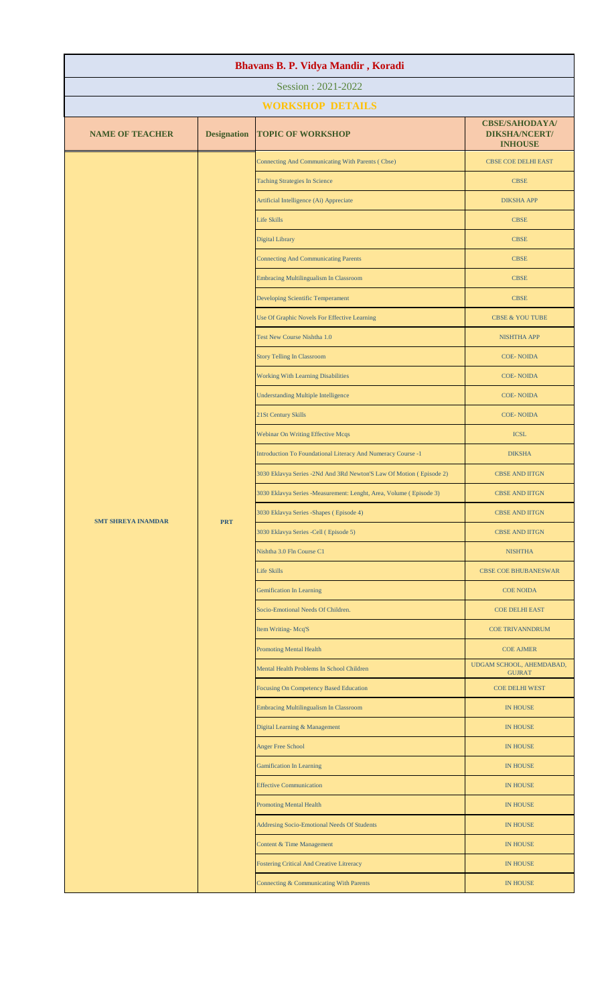| Bhavans B. P. Vidya Mandir, Koradi |                    |                                                                     |                                                                 |  |  |
|------------------------------------|--------------------|---------------------------------------------------------------------|-----------------------------------------------------------------|--|--|
| Session: 2021-2022                 |                    |                                                                     |                                                                 |  |  |
|                                    |                    | <b>WORKSHOP DETAILS</b>                                             |                                                                 |  |  |
| <b>NAME OF TEACHER</b>             | <b>Designation</b> | <b>TOPIC OF WORKSHOP</b>                                            | <b>CBSE/SAHODAYA/</b><br><b>DIKSHA/NCERT/</b><br><b>INHOUSE</b> |  |  |
|                                    |                    | Connecting And Communicating With Parents (Cbse)                    | <b>CBSE COE DELHI EAST</b>                                      |  |  |
|                                    |                    | <b>Taching Strategies In Science</b>                                | <b>CBSE</b>                                                     |  |  |
|                                    |                    | Artificial Intelligence (Ai) Appreciate                             | <b>DIKSHA APP</b>                                               |  |  |
|                                    |                    | <b>Life Skills</b>                                                  | <b>CBSE</b>                                                     |  |  |
|                                    |                    | <b>Digital Library</b>                                              | <b>CBSE</b>                                                     |  |  |
|                                    |                    | <b>Connecting And Communicating Parents</b>                         | <b>CBSE</b>                                                     |  |  |
|                                    |                    | Embracing Multilingualism In Classroom                              | <b>CBSE</b>                                                     |  |  |
|                                    |                    | Developing Scientific Temperament                                   | <b>CBSE</b>                                                     |  |  |
|                                    |                    | Use Of Graphic Novels For Effective Learning                        | <b>CBSE &amp; YOU TUBE</b>                                      |  |  |
|                                    |                    | Test New Course Nishtha 1.0                                         | <b>NISHTHA APP</b>                                              |  |  |
|                                    |                    | <b>Story Telling In Classroom</b>                                   | <b>COE-NOIDA</b>                                                |  |  |
|                                    |                    | <b>Working With Learning Disabilities</b>                           | <b>COE-NOIDA</b>                                                |  |  |
|                                    |                    | <b>Understanding Multiple Intelligence</b>                          | <b>COE-NOIDA</b>                                                |  |  |
|                                    |                    | 21St Century Skills                                                 | <b>COE-NOIDA</b>                                                |  |  |
|                                    |                    | Webinar On Writing Effective Mcqs                                   | <b>ICSL</b>                                                     |  |  |
|                                    |                    | Introduction To Foundational Literacy And Numeracy Course -1        | <b>DIKSHA</b>                                                   |  |  |
| <b>SMT SHREYA INAMDAR</b>          |                    | 3030 Eklavya Series -2Nd And 3Rd Newton'S Law Of Motion (Episode 2) | <b>CBSE AND IITGN</b>                                           |  |  |
|                                    | <b>PRT</b>         | 3030 Eklavya Series -Measurement: Lenght, Area, Volume (Episode 3)  | <b>CBSE AND IITGN</b>                                           |  |  |
|                                    |                    | 3030 Eklavya Series - Shapes (Episode 4)                            | <b>CBSE AND IITGN</b>                                           |  |  |
|                                    |                    | 3030 Eklavya Series -Cell (Episode 5)                               | <b>CBSE AND IITGN</b>                                           |  |  |
|                                    |                    | Nishtha 3.0 Fln Course C1                                           | <b>NISHTHA</b>                                                  |  |  |
|                                    |                    | <b>Life Skills</b>                                                  | <b>CBSE COE BHUBANESWAR</b>                                     |  |  |
|                                    |                    | <b>Gemification In Learning</b>                                     | <b>COE NOIDA</b>                                                |  |  |
|                                    |                    | Socio-Emotional Needs Of Children.                                  | <b>COE DELHI EAST</b>                                           |  |  |
|                                    |                    | Item Writing-Mcq'S                                                  | <b>COE TRIVANNDRUM</b>                                          |  |  |
|                                    |                    | <b>Promoting Mental Health</b>                                      | <b>COE AJMER</b>                                                |  |  |
|                                    |                    | Mental Health Problems In School Children                           | UDGAM SCHOOL, AHEMDABAD,<br><b>GUJRAT</b>                       |  |  |
|                                    |                    | <b>Focusing On Competency Based Education</b>                       | <b>COE DELHI WEST</b>                                           |  |  |
|                                    |                    | <b>Embracing Multilingualism In Classroom</b>                       | <b>IN HOUSE</b>                                                 |  |  |
|                                    |                    | Digital Learning & Management                                       | <b>IN HOUSE</b>                                                 |  |  |
|                                    |                    | <b>Anger Free School</b>                                            | <b>IN HOUSE</b>                                                 |  |  |
|                                    |                    | <b>Gamification In Learning</b>                                     | IN HOUSE                                                        |  |  |
|                                    |                    | <b>Effective Communication</b>                                      | <b>IN HOUSE</b>                                                 |  |  |
|                                    |                    | <b>Promoting Mental Health</b>                                      | <b>IN HOUSE</b>                                                 |  |  |
|                                    |                    | Addresing Socio-Emotional Needs Of Students                         | <b>IN HOUSE</b>                                                 |  |  |
|                                    |                    | Content & Time Management                                           | <b>IN HOUSE</b>                                                 |  |  |
|                                    |                    | Fostering Critical And Creative Litreracy                           | <b>IN HOUSE</b>                                                 |  |  |
|                                    |                    | Connecting & Communicating With Parents                             | <b>IN HOUSE</b>                                                 |  |  |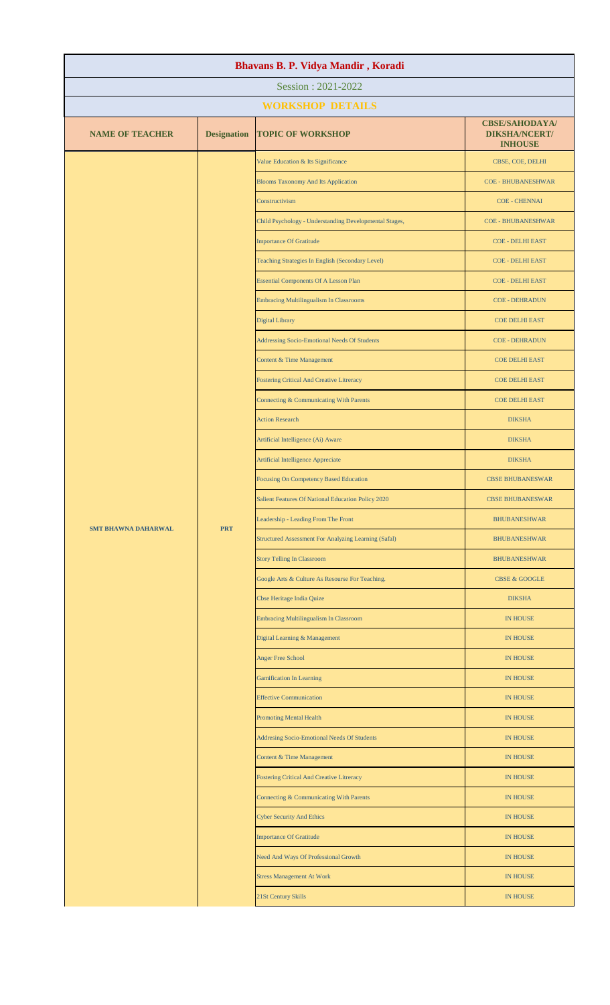| Bhavans B. P. Vidya Mandir, Koradi |                    |                                                             |                                                                 |  |  |
|------------------------------------|--------------------|-------------------------------------------------------------|-----------------------------------------------------------------|--|--|
| Session: 2021-2022                 |                    |                                                             |                                                                 |  |  |
|                                    |                    | <b>WORKSHOP DETAILS</b>                                     |                                                                 |  |  |
| <b>NAME OF TEACHER</b>             | <b>Designation</b> | <b>TOPIC OF WORKSHOP</b>                                    | <b>CBSE/SAHODAYA/</b><br><b>DIKSHA/NCERT/</b><br><b>INHOUSE</b> |  |  |
|                                    |                    | Value Education & Its Significance                          | CBSE, COE, DELHI                                                |  |  |
|                                    |                    | <b>Blooms Taxonomy And Its Application</b>                  | <b>COE - BHUBANESHWAR</b>                                       |  |  |
|                                    |                    | Constructivism                                              | <b>COE - CHENNAI</b>                                            |  |  |
|                                    |                    | Child Psychology - Understanding Developmental Stages,      | <b>COE - BHUBANESHWAR</b>                                       |  |  |
|                                    |                    | <b>Importance Of Gratitude</b>                              | <b>COE - DELHI EAST</b>                                         |  |  |
|                                    |                    | Teaching Strategies In English (Secondary Level)            | <b>COE - DELHI EAST</b>                                         |  |  |
|                                    |                    | <b>Essential Components Of A Lesson Plan</b>                | <b>COE - DELHI EAST</b>                                         |  |  |
|                                    |                    | Embracing Multilingualism In Classrooms                     | <b>COE - DEHRADUN</b>                                           |  |  |
|                                    |                    | Digital Library                                             | <b>COE DELHI EAST</b>                                           |  |  |
|                                    |                    | Addressing Socio-Emotional Needs Of Students                | <b>COE - DEHRADUN</b>                                           |  |  |
|                                    |                    | Content & Time Management                                   | <b>COE DELHI EAST</b>                                           |  |  |
|                                    |                    | <b>Fostering Critical And Creative Litreracy</b>            | <b>COE DELHI EAST</b>                                           |  |  |
|                                    |                    | Connecting & Communicating With Parents                     | <b>COE DELHI EAST</b>                                           |  |  |
|                                    |                    | <b>Action Research</b>                                      | <b>DIKSHA</b>                                                   |  |  |
|                                    |                    | Artificial Intelligence (Ai) Aware                          | <b>DIKSHA</b>                                                   |  |  |
|                                    | <b>PRT</b>         | Artificial Intelligence Appreciate                          | <b>DIKSHA</b>                                                   |  |  |
|                                    |                    | <b>Focusing On Competency Based Education</b>               | <b>CBSE BHUBANESWAR</b>                                         |  |  |
| <b>SMT BHAWNA DAHARWAL</b>         |                    | Salient Features Of National Education Policy 2020          | <b>CBSE BHUBANESWAR</b>                                         |  |  |
|                                    |                    | Leadership - Leading From The Front                         | <b>BHUBANESHWAR</b>                                             |  |  |
|                                    |                    | <b>Structured Assessment For Analyzing Learning (Safal)</b> | <b>BHUBANESHWAR</b>                                             |  |  |
|                                    |                    | <b>Story Telling In Classroom</b>                           | <b>BHUBANESHWAR</b>                                             |  |  |
|                                    |                    | Google Arts & Culture As Resourse For Teaching.             | <b>CBSE &amp; GOOGLE</b>                                        |  |  |
|                                    |                    | Cbse Heritage India Quize                                   | <b>DIKSHA</b>                                                   |  |  |
|                                    |                    | <b>Embracing Multilingualism In Classroom</b>               | IN HOUSE                                                        |  |  |
|                                    |                    | Digital Learning & Management                               | <b>IN HOUSE</b>                                                 |  |  |
|                                    |                    | <b>Anger Free School</b>                                    | <b>IN HOUSE</b>                                                 |  |  |
|                                    |                    | <b>Gamification In Learning</b>                             | <b>IN HOUSE</b>                                                 |  |  |
|                                    |                    | <b>Effective Communication</b>                              | <b>IN HOUSE</b>                                                 |  |  |
|                                    |                    | <b>Promoting Mental Health</b>                              | <b>IN HOUSE</b>                                                 |  |  |
|                                    |                    | Addresing Socio-Emotional Needs Of Students                 | <b>IN HOUSE</b>                                                 |  |  |
|                                    |                    | Content & Time Management                                   | <b>IN HOUSE</b>                                                 |  |  |
|                                    |                    | <b>Fostering Critical And Creative Litreracy</b>            | <b>IN HOUSE</b>                                                 |  |  |
|                                    |                    | Connecting & Communicating With Parents                     | IN HOUSE                                                        |  |  |
|                                    |                    | <b>Cyber Security And Ethics</b>                            | <b>IN HOUSE</b>                                                 |  |  |
|                                    |                    | <b>Importance Of Gratitude</b>                              | <b>IN HOUSE</b>                                                 |  |  |
|                                    |                    | Need And Ways Of Professional Growth                        | IN HOUSE                                                        |  |  |
|                                    |                    | <b>Stress Management At Work</b>                            | <b>IN HOUSE</b>                                                 |  |  |
|                                    |                    | 21St Century Skills                                         | <b>IN HOUSE</b>                                                 |  |  |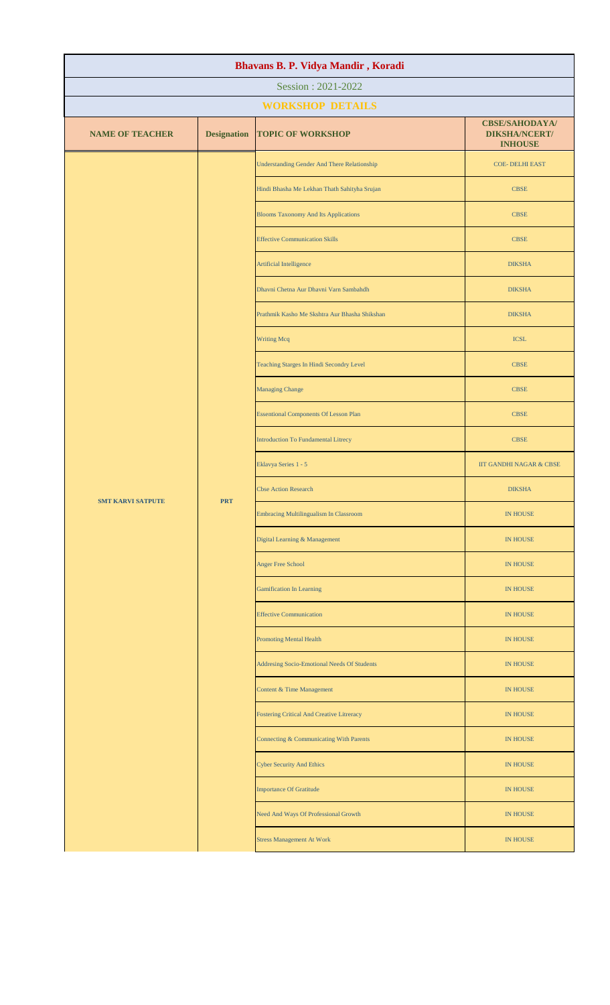| Bhavans B. P. Vidya Mandir, Koradi |                    |                                                    |                                                                 |  |  |
|------------------------------------|--------------------|----------------------------------------------------|-----------------------------------------------------------------|--|--|
| Session: 2021-2022                 |                    |                                                    |                                                                 |  |  |
|                                    |                    | <b>WORKSHOP DETAILS</b>                            |                                                                 |  |  |
| <b>NAME OF TEACHER</b>             | <b>Designation</b> | <b>TOPIC OF WORKSHOP</b>                           | <b>CBSE/SAHODAYA/</b><br><b>DIKSHA/NCERT/</b><br><b>INHOUSE</b> |  |  |
|                                    |                    | <b>Understanding Gender And There Relationship</b> | <b>COE- DELHI EAST</b>                                          |  |  |
|                                    |                    | Hindi Bhasha Me Lekhan Thath Sahityha Srujan       | <b>CBSE</b>                                                     |  |  |
|                                    |                    | <b>Blooms Taxonomy And Its Applications</b>        | <b>CBSE</b>                                                     |  |  |
|                                    |                    | <b>Effective Communication Skills</b>              | <b>CBSE</b>                                                     |  |  |
|                                    |                    | Artificial Intelligence                            | <b>DIKSHA</b>                                                   |  |  |
|                                    |                    | Dhavni Chetna Aur Dhavni Varn Sambahdh             | <b>DIKSHA</b>                                                   |  |  |
|                                    |                    | Prathmik Kasho Me Skshtra Aur Bhasha Shikshan      | <b>DIKSHA</b>                                                   |  |  |
|                                    |                    | <b>Writing Mcq</b>                                 | <b>ICSL</b>                                                     |  |  |
|                                    |                    | Teaching Starges In Hindi Secondry Level           | <b>CBSE</b>                                                     |  |  |
|                                    |                    | <b>Managing Change</b>                             | <b>CBSE</b>                                                     |  |  |
| <b>SMT KARVI SATPUTE</b>           | <b>PRT</b>         | <b>Essentional Components Of Lesson Plan</b>       | <b>CBSE</b>                                                     |  |  |
|                                    |                    | <b>Introduction To Fundamental Litrecy</b>         | <b>CBSE</b>                                                     |  |  |
|                                    |                    | Eklavya Series 1 - 5                               | IIT GANDHI NAGAR & CBSE                                         |  |  |
|                                    |                    | <b>Cbse Action Research</b>                        | <b>DIKSHA</b>                                                   |  |  |
|                                    |                    | <b>Embracing Multilingualism In Classroom</b>      | IN HOUSE                                                        |  |  |
|                                    |                    | Digital Learning & Management                      | IN HOUSE                                                        |  |  |
|                                    |                    | Anger Free School                                  | IN HOUSE                                                        |  |  |
|                                    |                    | <b>Gamification In Learning</b>                    | IN HOUSE                                                        |  |  |
|                                    |                    | <b>Effective Communication</b>                     | IN HOUSE                                                        |  |  |
|                                    |                    | <b>Promoting Mental Health</b>                     | <b>IN HOUSE</b>                                                 |  |  |
|                                    |                    | Addresing Socio-Emotional Needs Of Students        | IN HOUSE                                                        |  |  |
|                                    |                    | Content & Time Management                          | IN HOUSE                                                        |  |  |
|                                    |                    | <b>Fostering Critical And Creative Litreracy</b>   | IN HOUSE                                                        |  |  |
|                                    |                    | Connecting & Communicating With Parents            | IN HOUSE                                                        |  |  |
|                                    |                    | <b>Cyber Security And Ethics</b>                   | <b>IN HOUSE</b>                                                 |  |  |
|                                    |                    | <b>Importance Of Gratitude</b>                     | <b>IN HOUSE</b>                                                 |  |  |
|                                    |                    | Need And Ways Of Professional Growth               | <b>IN HOUSE</b>                                                 |  |  |
|                                    |                    | <b>Stress Management At Work</b>                   | IN HOUSE                                                        |  |  |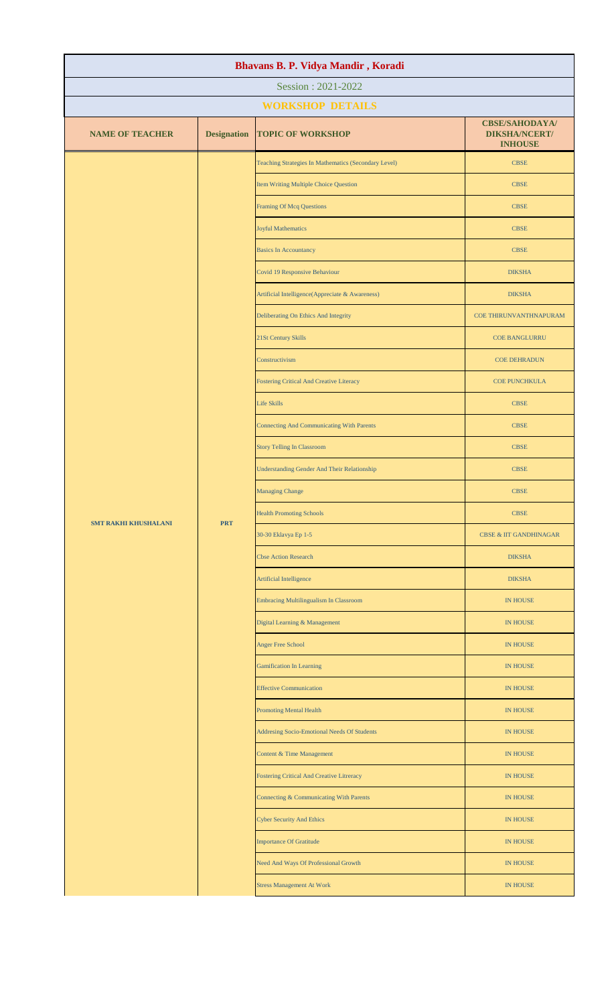| Bhavans B. P. Vidya Mandir, Koradi |                    |                                                      |                                                                 |  |  |
|------------------------------------|--------------------|------------------------------------------------------|-----------------------------------------------------------------|--|--|
| Session: 2021-2022                 |                    |                                                      |                                                                 |  |  |
|                                    |                    | <b>WORKSHOP DETAILS</b>                              |                                                                 |  |  |
| <b>NAME OF TEACHER</b>             | <b>Designation</b> | <b>TOPIC OF WORKSHOP</b>                             | <b>CBSE/SAHODAYA/</b><br><b>DIKSHA/NCERT/</b><br><b>INHOUSE</b> |  |  |
|                                    |                    | Teaching Strategies In Mathematics (Secondary Level) | <b>CBSE</b>                                                     |  |  |
|                                    |                    | Item Writing Multiple Choice Question                | <b>CBSE</b>                                                     |  |  |
|                                    |                    | <b>Framing Of Mcq Questions</b>                      | <b>CBSE</b>                                                     |  |  |
|                                    |                    | <b>Joyful Mathematics</b>                            | <b>CBSE</b>                                                     |  |  |
|                                    |                    | <b>Basics In Accountancy</b>                         | <b>CBSE</b>                                                     |  |  |
|                                    |                    | Covid 19 Responsive Behaviour                        | <b>DIKSHA</b>                                                   |  |  |
|                                    |                    | Artificial Intelligence(Appreciate & Awareness)      | <b>DIKSHA</b>                                                   |  |  |
|                                    |                    | Deliberating On Ethics And Integrity                 | COE THIRUNVANTHNAPURAM                                          |  |  |
|                                    |                    | 21St Century Skills                                  | <b>COE BANGLURRU</b>                                            |  |  |
|                                    |                    | Constructivism                                       | <b>COE DEHRADUN</b>                                             |  |  |
|                                    |                    | <b>Fostering Critical And Creative Literacy</b>      | <b>COE PUNCHKULA</b>                                            |  |  |
|                                    |                    | <b>Life Skills</b>                                   | <b>CBSE</b>                                                     |  |  |
|                                    |                    | <b>Connecting And Communicating With Parents</b>     | <b>CBSE</b>                                                     |  |  |
|                                    | <b>PRT</b>         | <b>Story Telling In Classroom</b>                    | <b>CBSE</b>                                                     |  |  |
| <b>SMT RAKHI KHUSHALANI</b>        |                    | <b>Understanding Gender And Their Relationship</b>   | <b>CBSE</b>                                                     |  |  |
|                                    |                    | <b>Managing Change</b>                               | <b>CBSE</b>                                                     |  |  |
|                                    |                    | <b>Health Promoting Schools</b>                      | <b>CBSE</b>                                                     |  |  |
|                                    |                    | 30-30 Eklavya Ep 1-5                                 | <b>CBSE &amp; IIT GANDHINAGAR</b>                               |  |  |
|                                    |                    | <b>Cbse Action Research</b>                          | <b>DIKSHA</b>                                                   |  |  |
|                                    |                    | Artificial Intelligence                              | <b>DIKSHA</b>                                                   |  |  |
|                                    |                    | Embracing Multilingualism In Classroom               | <b>IN HOUSE</b>                                                 |  |  |
|                                    |                    | Digital Learning & Management                        | <b>IN HOUSE</b>                                                 |  |  |
|                                    |                    | <b>Anger Free School</b>                             | <b>IN HOUSE</b>                                                 |  |  |
|                                    |                    | <b>Gamification In Learning</b>                      | <b>IN HOUSE</b>                                                 |  |  |
|                                    |                    | <b>Effective Communication</b>                       | <b>IN HOUSE</b>                                                 |  |  |
|                                    |                    | <b>Promoting Mental Health</b>                       | <b>IN HOUSE</b>                                                 |  |  |
|                                    |                    | Addresing Socio-Emotional Needs Of Students          | <b>IN HOUSE</b>                                                 |  |  |
|                                    |                    | Content & Time Management                            | <b>IN HOUSE</b>                                                 |  |  |
|                                    |                    | <b>Fostering Critical And Creative Litreracy</b>     | <b>IN HOUSE</b>                                                 |  |  |
|                                    |                    | Connecting & Communicating With Parents              | <b>IN HOUSE</b>                                                 |  |  |
|                                    |                    | <b>Cyber Security And Ethics</b>                     | <b>IN HOUSE</b>                                                 |  |  |
|                                    |                    | <b>Importance Of Gratitude</b>                       | <b>IN HOUSE</b>                                                 |  |  |
|                                    |                    | Need And Ways Of Professional Growth                 | <b>IN HOUSE</b>                                                 |  |  |
|                                    |                    | <b>Stress Management At Work</b>                     | <b>IN HOUSE</b>                                                 |  |  |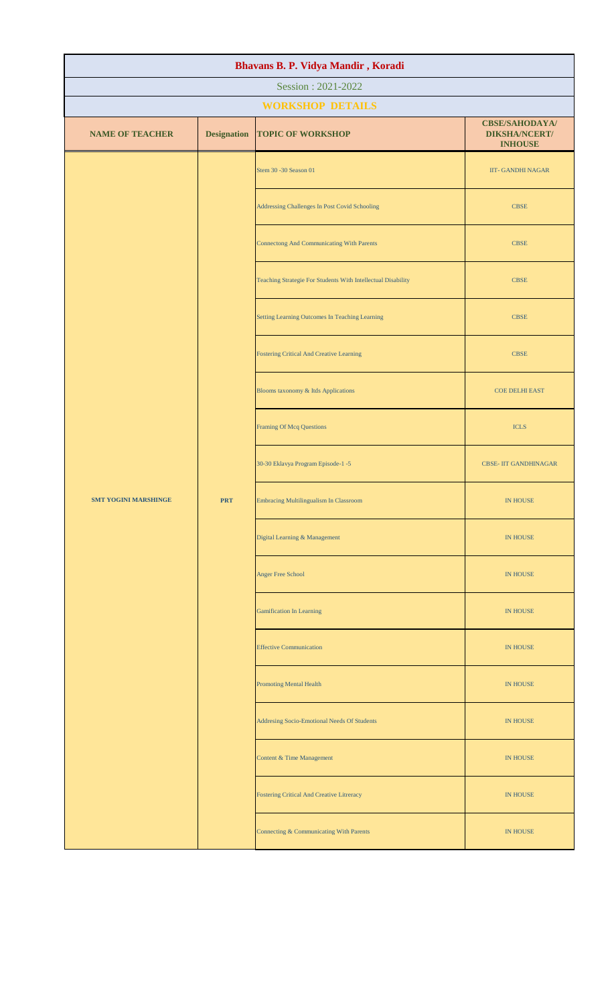| Bhavans B. P. Vidya Mandir, Koradi |                    |                                                              |                                                                 |  |
|------------------------------------|--------------------|--------------------------------------------------------------|-----------------------------------------------------------------|--|
| Session: 2021-2022                 |                    |                                                              |                                                                 |  |
|                                    |                    | <b>WORKSHOP DETAILS</b>                                      |                                                                 |  |
| <b>NAME OF TEACHER</b>             | <b>Designation</b> | <b>TOPIC OF WORKSHOP</b>                                     | <b>CBSE/SAHODAYA/</b><br><b>DIKSHA/NCERT/</b><br><b>INHOUSE</b> |  |
|                                    |                    | Stem 30 - 30 Season 01                                       | <b>IIT- GANDHI NAGAR</b>                                        |  |
|                                    |                    | Addressing Challenges In Post Covid Schooling                | <b>CBSE</b>                                                     |  |
|                                    |                    | <b>Connectong And Communicating With Parents</b>             | <b>CBSE</b>                                                     |  |
|                                    |                    | Teaching Strategie For Students With Intellectual Disability | CBSE                                                            |  |
|                                    |                    | Setting Learning Outcomes In Teaching Learning               | $\ensuremath{\mathsf{CBSE}}$                                    |  |
|                                    |                    | Fostering Critical And Creative Learning                     | $\ensuremath{\mathsf{CBSE}}$                                    |  |
|                                    |                    | Blooms taxonomy & Itds Applications                          | <b>COE DELHI EAST</b>                                           |  |
|                                    |                    | <b>Framing Of Mcq Questions</b>                              | <b>ICLS</b>                                                     |  |
|                                    |                    | 30-30 Eklavya Program Episode-1 -5                           | <b>CBSE- IIT GANDHINAGAR</b>                                    |  |
| <b>SMT YOGINI MARSHINGE</b>        | <b>PRT</b>         | <b>Embracing Multilingualism In Classroom</b>                | IN HOUSE                                                        |  |
|                                    |                    | Digital Learning & Management                                | <b>IN HOUSE</b>                                                 |  |
|                                    |                    | Anger Free School                                            | IN HOUSE                                                        |  |
|                                    |                    | <b>Gamification In Learning</b>                              | IN HOUSE                                                        |  |
|                                    |                    | <b>Effective Communication</b>                               | IN HOUSE                                                        |  |
|                                    |                    | <b>Promoting Mental Health</b>                               | IN HOUSE                                                        |  |
|                                    |                    | Addresing Socio-Emotional Needs Of Students                  | <b>IN HOUSE</b>                                                 |  |
|                                    |                    | Content & Time Management                                    | IN HOUSE                                                        |  |
|                                    |                    | <b>Fostering Critical And Creative Litreracy</b>             | <b>IN HOUSE</b>                                                 |  |
|                                    |                    | Connecting & Communicating With Parents                      | IN HOUSE                                                        |  |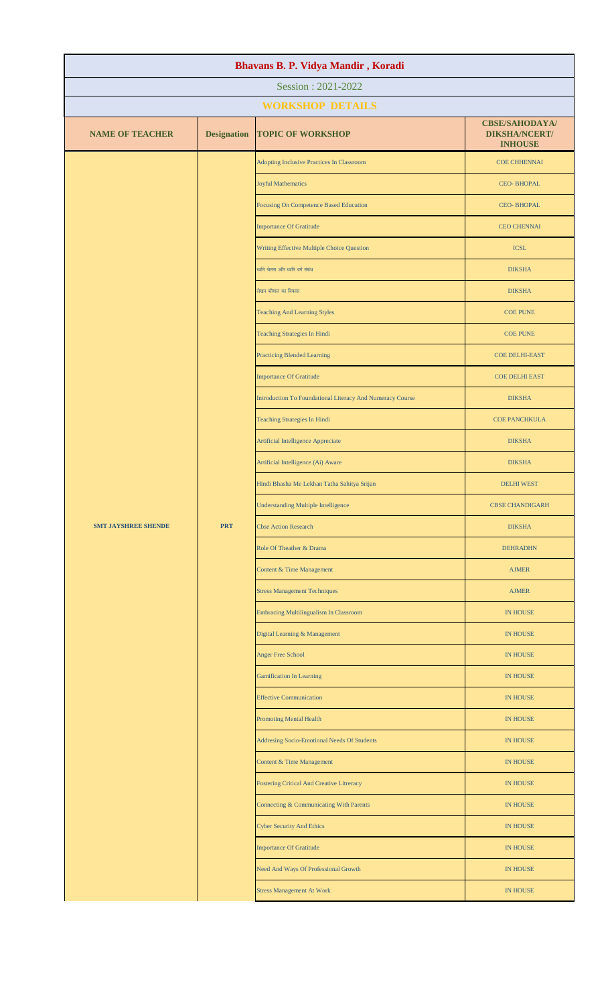| Bhavans B. P. Vidya Mandir, Koradi |                    |                                                           |                                                                 |  |
|------------------------------------|--------------------|-----------------------------------------------------------|-----------------------------------------------------------------|--|
| Session: 2021-2022                 |                    |                                                           |                                                                 |  |
|                                    |                    | <b>WORKSHOP DETAILS</b>                                   |                                                                 |  |
| <b>NAME OF TEACHER</b>             | <b>Designation</b> | <b>TOPIC OF WORKSHOP</b>                                  | <b>CBSE/SAHODAYA/</b><br><b>DIKSHA/NCERT/</b><br><b>INHOUSE</b> |  |
|                                    |                    | Adopting Inclusive Practices In Classroom                 | <b>COE CHHENNAI</b>                                             |  |
|                                    |                    | <b>Joyful Mathematics</b>                                 | <b>CEO-BHOPAL</b>                                               |  |
|                                    |                    | Focusing On Competence Based Education                    | <b>CEO-BHOPAL</b>                                               |  |
|                                    |                    | <b>Importance Of Gratitude</b>                            | <b>CEO CHENNAI</b>                                              |  |
|                                    |                    | Writing Effective Multiple Choice Question                | <b>ICSL</b>                                                     |  |
|                                    |                    | ध्वनि चेतना और ध्वनि वर्ग संबंध                           | <b>DIKSHA</b>                                                   |  |
|                                    |                    | लेखन कौशल का विकास                                        | <b>DIKSHA</b>                                                   |  |
|                                    |                    | <b>Teaching And Learning Styles</b>                       | <b>COE PUNE</b>                                                 |  |
|                                    |                    | <b>Teaching Strategies In Hindi</b>                       | <b>COE PUNE</b>                                                 |  |
|                                    |                    | <b>Practicing Blended Learning</b>                        | <b>COE DELHI-EAST</b>                                           |  |
|                                    |                    | <b>Importance Of Gratitude</b>                            | <b>COE DELHI EAST</b>                                           |  |
|                                    |                    | Introduction To Foundational Literacy And Numeracy Course | <b>DIKSHA</b>                                                   |  |
|                                    |                    | Teaching Strategies In Hindi                              | <b>COE PANCHKULA</b>                                            |  |
|                                    |                    | Artificial Intelligence Appreciate                        | <b>DIKSHA</b>                                                   |  |
|                                    |                    | Artificial Intelligence (Ai) Aware                        | <b>DIKSHA</b>                                                   |  |
|                                    |                    | Hindi Bhasha Me Lekhan Tatha Sahitya Srijan               | <b>DELHI WEST</b>                                               |  |
|                                    |                    | <b>Understanding Multiple Intelligence</b>                | <b>CBSE CHANDIGARH</b>                                          |  |
| <b>SMT JAYSHREE SHENDE</b>         | <b>PRT</b>         | <b>Cbse Action Research</b>                               | <b>DIKSHA</b>                                                   |  |
|                                    |                    | Role Of Theather & Drama                                  | <b>DEHRADHN</b>                                                 |  |
|                                    |                    | Content & Time Management                                 | <b>AJMER</b>                                                    |  |
|                                    |                    | <b>Stress Management Techniques</b>                       | <b>AJMER</b>                                                    |  |
|                                    |                    | <b>Embracing Multilingualism In Classroom</b>             | <b>IN HOUSE</b>                                                 |  |
|                                    |                    | Digital Learning & Management                             | <b>IN HOUSE</b>                                                 |  |
|                                    |                    | <b>Anger Free School</b>                                  | <b>IN HOUSE</b>                                                 |  |
|                                    |                    | <b>Gamification In Learning</b>                           | IN HOUSE                                                        |  |
|                                    |                    | <b>Effective Communication</b>                            | <b>IN HOUSE</b>                                                 |  |
|                                    |                    | <b>Promoting Mental Health</b>                            | <b>IN HOUSE</b>                                                 |  |
|                                    |                    | Addresing Socio-Emotional Needs Of Students               | <b>IN HOUSE</b>                                                 |  |
|                                    |                    | Content & Time Management                                 | <b>IN HOUSE</b>                                                 |  |
|                                    |                    | <b>Fostering Critical And Creative Litreracy</b>          | <b>IN HOUSE</b>                                                 |  |
|                                    |                    | Connecting & Communicating With Parents                   | <b>IN HOUSE</b>                                                 |  |
|                                    |                    | <b>Cyber Security And Ethics</b>                          | <b>IN HOUSE</b>                                                 |  |
|                                    |                    | <b>Importance Of Gratitude</b>                            | <b>IN HOUSE</b>                                                 |  |
|                                    |                    | Need And Ways Of Professional Growth                      | <b>IN HOUSE</b>                                                 |  |
|                                    |                    | <b>Stress Management At Work</b>                          | <b>IN HOUSE</b>                                                 |  |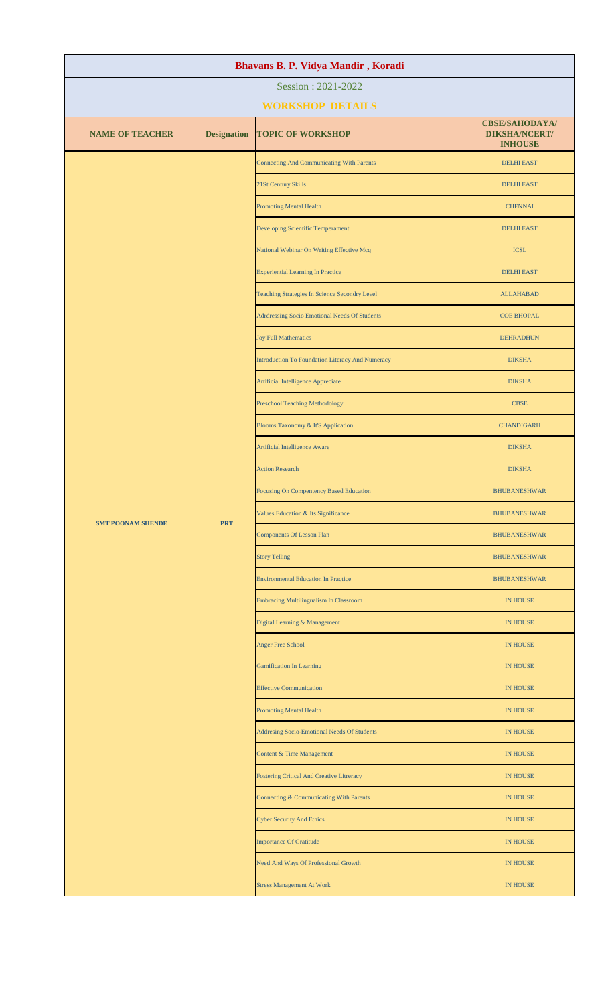| Bhavans B. P. Vidya Mandir, Koradi |                    |                                                  |                                                                 |  |  |
|------------------------------------|--------------------|--------------------------------------------------|-----------------------------------------------------------------|--|--|
| Session: 2021-2022                 |                    |                                                  |                                                                 |  |  |
|                                    |                    | <b>WORKSHOP DETAILS</b>                          |                                                                 |  |  |
| <b>NAME OF TEACHER</b>             | <b>Designation</b> | <b>TOPIC OF WORKSHOP</b>                         | <b>CBSE/SAHODAYA/</b><br><b>DIKSHA/NCERT/</b><br><b>INHOUSE</b> |  |  |
|                                    |                    | <b>Connecting And Communicating With Parents</b> | <b>DELHI EAST</b>                                               |  |  |
|                                    |                    | 21St Century Skills                              | <b>DELHI EAST</b>                                               |  |  |
|                                    |                    | <b>Promoting Mental Health</b>                   | <b>CHENNAI</b>                                                  |  |  |
|                                    |                    | Developing Scientific Temperament                | <b>DELHI EAST</b>                                               |  |  |
|                                    |                    | National Webinar On Writing Effective Mcq        | <b>ICSL</b>                                                     |  |  |
|                                    |                    | <b>Experiential Learning In Practice</b>         | <b>DELHI EAST</b>                                               |  |  |
|                                    |                    | Teaching Strategies In Science Secondry Level    | <b>ALLAHABAD</b>                                                |  |  |
|                                    |                    | Adrdressing Socio Emotional Needs Of Students    | <b>COE BHOPAL</b>                                               |  |  |
|                                    |                    | <b>Joy Full Mathematics</b>                      | <b>DEHRADHUN</b>                                                |  |  |
|                                    |                    | Introduction To Foundation Literacy And Numeracy | <b>DIKSHA</b>                                                   |  |  |
|                                    |                    | Artificial Intelligence Appreciate               | <b>DIKSHA</b>                                                   |  |  |
|                                    |                    | <b>Preschool Teaching Methodology</b>            | <b>CBSE</b>                                                     |  |  |
|                                    |                    | Blooms Taxonomy & It'S Application               | <b>CHANDIGARH</b>                                               |  |  |
|                                    |                    | Artificial Intelligence Aware                    | <b>DIKSHA</b>                                                   |  |  |
| <b>SMT POONAM SHENDE</b>           | <b>PRT</b>         | <b>Action Research</b>                           | <b>DIKSHA</b>                                                   |  |  |
|                                    |                    | Focusing On Compentency Based Education          | <b>BHUBANESHWAR</b>                                             |  |  |
|                                    |                    | Values Education & Its Significance              | <b>BHUBANESHWAR</b>                                             |  |  |
|                                    |                    | <b>Components Of Lesson Plan</b>                 | <b>BHUBANESHWAR</b>                                             |  |  |
|                                    |                    | <b>Story Telling</b>                             | <b>BHUBANESHWAR</b>                                             |  |  |
|                                    |                    | <b>Environmental Education In Practice</b>       | <b>BHUBANESHWAR</b>                                             |  |  |
|                                    |                    | Embracing Multilingualism In Classroom           | <b>IN HOUSE</b>                                                 |  |  |
|                                    |                    | Digital Learning & Management                    | <b>IN HOUSE</b>                                                 |  |  |
|                                    |                    | <b>Anger Free School</b>                         | IN HOUSE                                                        |  |  |
|                                    |                    | <b>Gamification In Learning</b>                  | <b>IN HOUSE</b>                                                 |  |  |
|                                    |                    | <b>Effective Communication</b>                   | <b>IN HOUSE</b>                                                 |  |  |
|                                    |                    | <b>Promoting Mental Health</b>                   | <b>IN HOUSE</b>                                                 |  |  |
|                                    |                    | Addresing Socio-Emotional Needs Of Students      | <b>IN HOUSE</b>                                                 |  |  |
|                                    |                    | Content & Time Management                        | <b>IN HOUSE</b>                                                 |  |  |
|                                    |                    | Fostering Critical And Creative Litreracy        | <b>IN HOUSE</b>                                                 |  |  |
|                                    |                    | Connecting & Communicating With Parents          | <b>IN HOUSE</b>                                                 |  |  |
|                                    |                    | <b>Cyber Security And Ethics</b>                 | <b>IN HOUSE</b>                                                 |  |  |
|                                    |                    | <b>Importance Of Gratitude</b>                   | <b>IN HOUSE</b>                                                 |  |  |
|                                    |                    | Need And Ways Of Professional Growth             | <b>IN HOUSE</b>                                                 |  |  |
|                                    |                    | <b>Stress Management At Work</b>                 | <b>IN HOUSE</b>                                                 |  |  |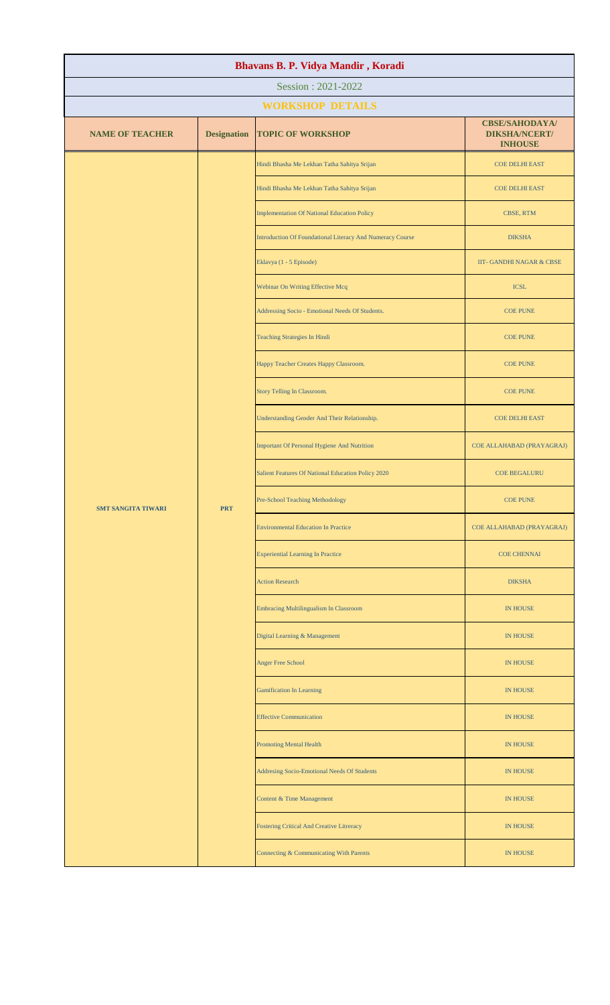| Bhavans B. P. Vidya Mandir, Koradi |                    |                                                           |                                                                 |  |  |
|------------------------------------|--------------------|-----------------------------------------------------------|-----------------------------------------------------------------|--|--|
| Session: 2021-2022                 |                    |                                                           |                                                                 |  |  |
|                                    |                    | <b>WORKSHOP DETAILS</b>                                   |                                                                 |  |  |
| <b>NAME OF TEACHER</b>             | <b>Designation</b> | <b>TOPIC OF WORKSHOP</b>                                  | <b>CBSE/SAHODAYA/</b><br><b>DIKSHA/NCERT/</b><br><b>INHOUSE</b> |  |  |
|                                    |                    | Hindi Bhasha Me Lekhan Tatha Sahitya Srijan               | <b>COE DELHI EAST</b>                                           |  |  |
|                                    |                    | Hindi Bhasha Me Lekhan Tatha Sahitya Srijan               | <b>COE DELHI EAST</b>                                           |  |  |
|                                    |                    | <b>Implementation Of National Education Policy</b>        | CBSE, RTM                                                       |  |  |
|                                    |                    | Introduction Of Foundational Literacy And Numeracy Course | <b>DIKSHA</b>                                                   |  |  |
|                                    |                    | Eklavya (1 - 5 Episode)                                   | IIT- GANDHI NAGAR & CBSE                                        |  |  |
|                                    |                    | Webinar On Writing Effective Mcq                          | <b>ICSL</b>                                                     |  |  |
|                                    |                    | Addressing Socio - Emotional Needs Of Students.           | <b>COE PUNE</b>                                                 |  |  |
|                                    |                    | <b>Teaching Strategies In Hindi</b>                       | <b>COE PUNE</b>                                                 |  |  |
|                                    |                    | Happy Teacher Creates Happy Classroom.                    | <b>COE PUNE</b>                                                 |  |  |
|                                    |                    | Story Telling In Classroom.                               | <b>COE PUNE</b>                                                 |  |  |
| <b>SMT SANGITA TIWARI</b>          | <b>PRT</b>         | Understanding Gender And Their Relationship.              | <b>COE DELHI EAST</b>                                           |  |  |
|                                    |                    | Important Of Personal Hygiene And Nutrition               | COE ALLAHABAD (PRAYAGRAJ)                                       |  |  |
|                                    |                    | Salient Features Of National Education Policy 2020        | <b>COE BEGALURU</b>                                             |  |  |
|                                    |                    | Pre-School Teaching Methodology                           | <b>COE PUNE</b>                                                 |  |  |
|                                    |                    | <b>Environmental Education In Practice</b>                | COE ALLAHABAD (PRAYAGRAJ)                                       |  |  |
|                                    |                    | <b>Experiential Learning In Practice</b>                  | <b>COE CHENNAI</b>                                              |  |  |
|                                    |                    | <b>Action Research</b>                                    | <b>DIKSHA</b>                                                   |  |  |
|                                    |                    | Embracing Multilingualism In Classroom                    | <b>IN HOUSE</b>                                                 |  |  |
|                                    |                    | Digital Learning & Management                             | IN HOUSE                                                        |  |  |
|                                    |                    | <b>Anger Free School</b>                                  | <b>IN HOUSE</b>                                                 |  |  |
|                                    |                    | <b>Gamification In Learning</b>                           | IN HOUSE                                                        |  |  |
|                                    |                    | <b>Effective Communication</b>                            | <b>IN HOUSE</b>                                                 |  |  |
|                                    |                    | <b>Promoting Mental Health</b>                            | IN HOUSE                                                        |  |  |
|                                    |                    | Addresing Socio-Emotional Needs Of Students               | IN HOUSE                                                        |  |  |
|                                    |                    | Content & Time Management                                 | <b>IN HOUSE</b>                                                 |  |  |
|                                    |                    | <b>Fostering Critical And Creative Litreracy</b>          | <b>IN HOUSE</b>                                                 |  |  |
|                                    |                    | Connecting & Communicating With Parents                   | <b>IN HOUSE</b>                                                 |  |  |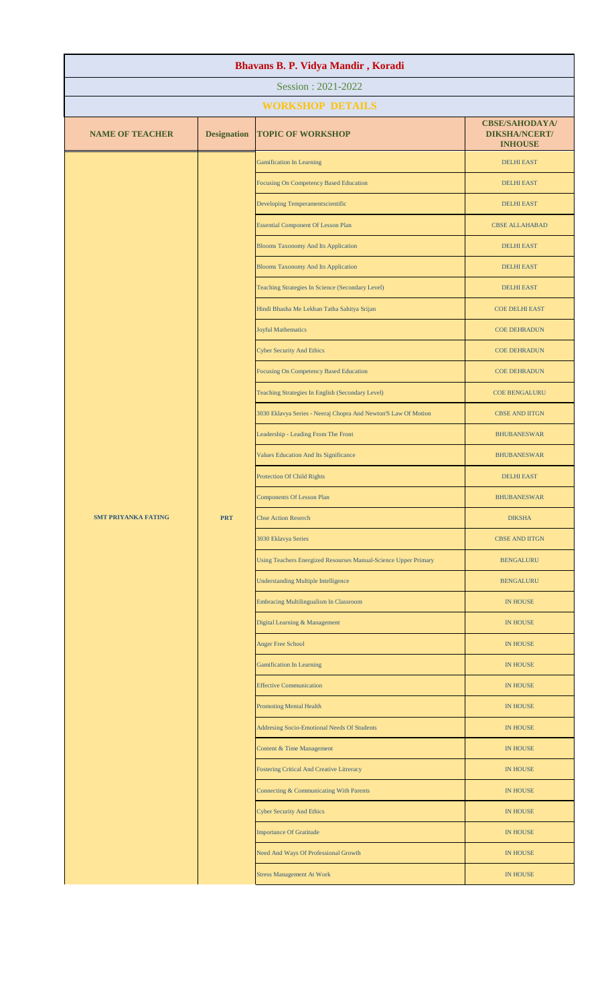| Bhavans B. P. Vidya Mandir, Koradi |                    |                                                                 |                                                                 |  |  |
|------------------------------------|--------------------|-----------------------------------------------------------------|-----------------------------------------------------------------|--|--|
| Session: 2021-2022                 |                    |                                                                 |                                                                 |  |  |
|                                    |                    | <b>WORKSHOP DETAILS</b>                                         |                                                                 |  |  |
| <b>NAME OF TEACHER</b>             | <b>Designation</b> | <b>TOPIC OF WORKSHOP</b>                                        | <b>CBSE/SAHODAYA/</b><br><b>DIKSHA/NCERT/</b><br><b>INHOUSE</b> |  |  |
|                                    |                    | <b>Gamification In Learning</b>                                 | <b>DELHI EAST</b>                                               |  |  |
|                                    |                    | <b>Focusing On Competency Based Education</b>                   | <b>DELHI EAST</b>                                               |  |  |
|                                    |                    | Developing Temperamentscientific                                | <b>DELHI EAST</b>                                               |  |  |
|                                    |                    | <b>Essential Component Of Lesson Plan</b>                       | <b>CBSE ALLAHABAD</b>                                           |  |  |
|                                    |                    | <b>Blooms Taxonomy And Its Application</b>                      | <b>DELHI EAST</b>                                               |  |  |
|                                    |                    | <b>Blooms Taxonomy And Its Application</b>                      | <b>DELHI EAST</b>                                               |  |  |
|                                    |                    | Teaching Strategies In Science (Secondary Level)                | <b>DELHI EAST</b>                                               |  |  |
|                                    |                    | Hindi Bhasha Me Lekhan Tatha Sahitya Srijan                     | <b>COE DELHI EAST</b>                                           |  |  |
|                                    |                    | <b>Joyful Mathematics</b>                                       | <b>COE DEHRADUN</b>                                             |  |  |
|                                    |                    | <b>Cyber Security And Ethics</b>                                | <b>COE DEHRADUN</b>                                             |  |  |
|                                    |                    | <b>Focusing On Competency Based Education</b>                   | <b>COE DEHRADUN</b>                                             |  |  |
|                                    |                    | Teaching Strategies In English (Secondary Level)                | <b>COE BENGALURU</b>                                            |  |  |
|                                    |                    | 3030 Eklavya Series - Neeraj Chopra And Newton'S Law Of Motion  | <b>CBSE AND IITGN</b>                                           |  |  |
|                                    |                    | Leadership - Leading From The Front                             | <b>BHUBANESWAR</b>                                              |  |  |
|                                    |                    | Values Education And Its Significance                           | <b>BHUBANESWAR</b>                                              |  |  |
|                                    |                    | <b>Protection Of Child Rights</b>                               | <b>DELHI EAST</b>                                               |  |  |
|                                    |                    | <b>Components Of Lesson Plan</b>                                | <b>BHUBANESWAR</b>                                              |  |  |
| <b>SMT PRIYANKA FATING</b>         | <b>PRT</b>         | <b>Cbse Action Reserch</b>                                      | <b>DIKSHA</b>                                                   |  |  |
|                                    |                    | 3030 Eklavya Series                                             | <b>CBSE AND IITGN</b>                                           |  |  |
|                                    |                    | Using Teachers Energized Resourses Manual-Science Upper Primary | <b>BENGALURU</b>                                                |  |  |
|                                    |                    | <b>Understanding Multiple Intelligence</b>                      | <b>BENGALURU</b>                                                |  |  |
|                                    |                    | <b>Embracing Multilingualism In Classroom</b>                   | <b>IN HOUSE</b>                                                 |  |  |
|                                    |                    | Digital Learning & Management                                   | IN HOUSE                                                        |  |  |
|                                    |                    | <b>Anger Free School</b>                                        | <b>IN HOUSE</b>                                                 |  |  |
|                                    |                    | <b>Gamification In Learning</b>                                 | <b>IN HOUSE</b>                                                 |  |  |
|                                    |                    | <b>Effective Communication</b>                                  | <b>IN HOUSE</b>                                                 |  |  |
|                                    |                    | <b>Promoting Mental Health</b>                                  | IN HOUSE                                                        |  |  |
|                                    |                    | Addresing Socio-Emotional Needs Of Students                     | <b>IN HOUSE</b>                                                 |  |  |
|                                    |                    | Content & Time Management                                       | IN HOUSE                                                        |  |  |
|                                    |                    | Fostering Critical And Creative Litreracy                       | <b>IN HOUSE</b>                                                 |  |  |
|                                    |                    | Connecting & Communicating With Parents                         | IN HOUSE                                                        |  |  |
|                                    |                    | <b>Cyber Security And Ethics</b>                                | <b>IN HOUSE</b>                                                 |  |  |
|                                    |                    | <b>Importance Of Gratitude</b>                                  | <b>IN HOUSE</b>                                                 |  |  |
|                                    |                    | Need And Ways Of Professional Growth                            | <b>IN HOUSE</b>                                                 |  |  |
|                                    |                    | <b>Stress Management At Work</b>                                | IN HOUSE                                                        |  |  |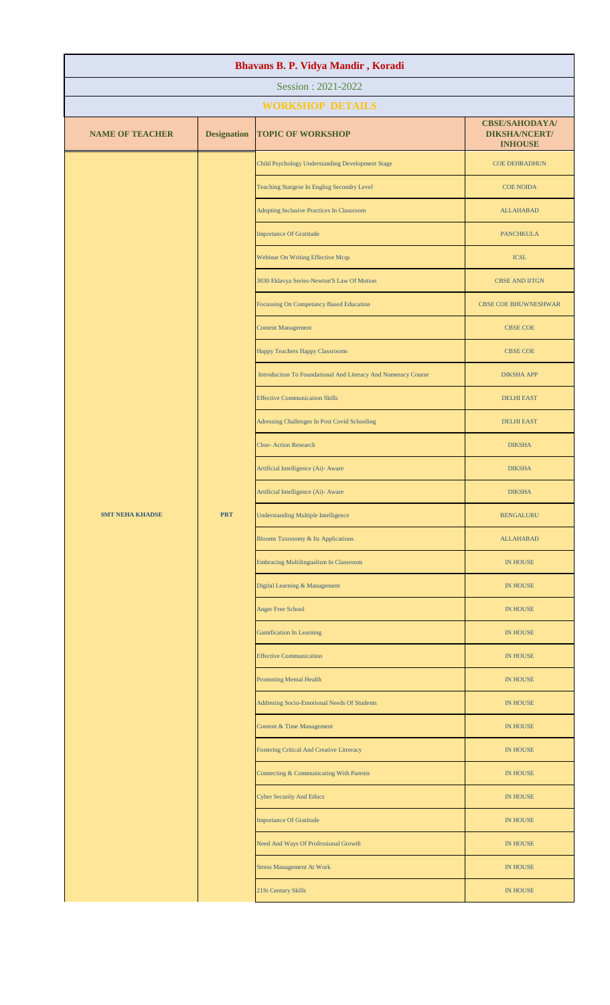| Bhavans B. P. Vidya Mandir, Koradi |                    |                                                               |                                                                 |  |
|------------------------------------|--------------------|---------------------------------------------------------------|-----------------------------------------------------------------|--|
| Session: 2021-2022                 |                    |                                                               |                                                                 |  |
|                                    |                    | <b>WORKSHOP DETAILS</b>                                       |                                                                 |  |
| <b>NAME OF TEACHER</b>             | <b>Designation</b> | <b>TOPIC OF WORKSHOP</b>                                      | <b>CBSE/SAHODAYA/</b><br><b>DIKSHA/NCERT/</b><br><b>INHOUSE</b> |  |
|                                    |                    | Child Psychology Understanding Development Stage              | <b>COE DEHRADHUN</b>                                            |  |
|                                    |                    | Teaching Stargese In Englisg Secondry Level                   | <b>COE NOIDA</b>                                                |  |
|                                    |                    | Adopting Inclusive Practices In Classroom                     | <b>ALLAHABAD</b>                                                |  |
|                                    |                    | <b>Importance Of Gratitude</b>                                | <b>PANCHKULA</b>                                                |  |
|                                    |                    | Webinar On Writing Effective Mcqs                             | <b>ICSL</b>                                                     |  |
|                                    |                    | 3030 Eklavya Series-Newton'S Law Of Motion                    | <b>CBSE AND IITGN</b>                                           |  |
|                                    |                    | Focussing On Competancy Based Education                       | <b>CBSE COE BHUWNESHWAR</b>                                     |  |
|                                    |                    | <b>Content Management</b>                                     | <b>CBSE COE</b>                                                 |  |
|                                    |                    | Happy Teachers Happy Classrooms                               | <b>CBSE COE</b>                                                 |  |
|                                    |                    | Introduction To Foundational And Literacy And Numeracy Course | <b>DIKSHA APP</b>                                               |  |
|                                    |                    | <b>Effective Communication Skills</b>                         | <b>DELHI EAST</b>                                               |  |
|                                    |                    | Adressing Challenges In Post Covid Schooling                  | <b>DELHI EAST</b>                                               |  |
|                                    |                    | <b>Cbse-Action Research</b>                                   | <b>DIKSHA</b>                                                   |  |
|                                    |                    | Artificial Intelligence (Ai)- Aware                           | <b>DIKSHA</b>                                                   |  |
|                                    |                    | Artificial Intelligence (Ai)- Aware                           | <b>DIKSHA</b>                                                   |  |
| <b>SMT NEHA KHADSE</b>             | <b>PRT</b>         | <b>Understanding Multiple Intelligence</b>                    | <b>BENGALURU</b>                                                |  |
|                                    |                    | <b>Blooms Taxonomy &amp; Its Applications</b>                 | <b>ALLAHABAD</b>                                                |  |
|                                    |                    | <b>Embracing Multilingualism In Classroom</b>                 | <b>IN HOUSE</b>                                                 |  |
|                                    |                    | Digital Learning & Management                                 | <b>IN HOUSE</b>                                                 |  |
|                                    |                    | <b>Anger Free School</b>                                      | <b>IN HOUSE</b>                                                 |  |
|                                    |                    | <b>Gamification In Learning</b>                               | <b>IN HOUSE</b>                                                 |  |
|                                    |                    | <b>Effective Communication</b>                                | <b>IN HOUSE</b>                                                 |  |
|                                    |                    | <b>Promoting Mental Health</b>                                | <b>IN HOUSE</b>                                                 |  |
|                                    |                    | Addresing Socio-Emotional Needs Of Students                   | <b>IN HOUSE</b>                                                 |  |
|                                    |                    | Content & Time Management                                     | <b>IN HOUSE</b>                                                 |  |
|                                    |                    | Fostering Critical And Creative Litreracy                     | <b>IN HOUSE</b>                                                 |  |
|                                    |                    | Connecting & Communicating With Parents                       | <b>IN HOUSE</b>                                                 |  |
|                                    |                    | <b>Cyber Security And Ethics</b>                              | IN HOUSE                                                        |  |
|                                    |                    | <b>Importance Of Gratitude</b>                                | <b>IN HOUSE</b>                                                 |  |
|                                    |                    | Need And Ways Of Professional Growth                          | <b>IN HOUSE</b>                                                 |  |
|                                    |                    | <b>Stress Management At Work</b>                              | <b>IN HOUSE</b>                                                 |  |
|                                    |                    | 21St Century Skills                                           | <b>IN HOUSE</b>                                                 |  |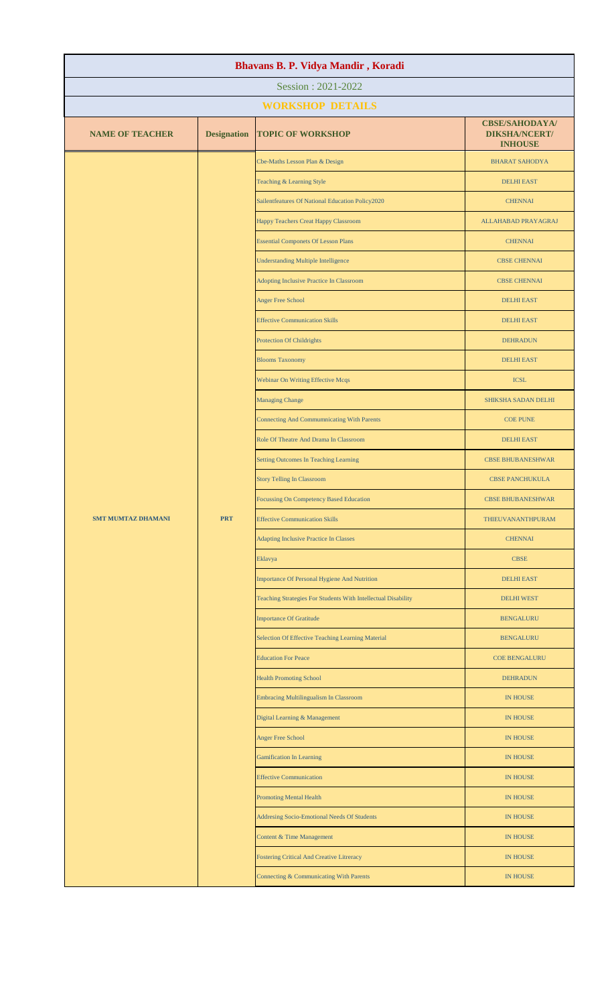| Bhavans B. P. Vidya Mandir, Koradi |                    |                                                               |                                                                 |  |
|------------------------------------|--------------------|---------------------------------------------------------------|-----------------------------------------------------------------|--|
| Session: 2021-2022                 |                    |                                                               |                                                                 |  |
|                                    |                    | <b>WORKSHOP DETAILS</b>                                       |                                                                 |  |
| <b>NAME OF TEACHER</b>             | <b>Designation</b> | <b>TOPIC OF WORKSHOP</b>                                      | <b>CBSE/SAHODAYA/</b><br><b>DIKSHA/NCERT/</b><br><b>INHOUSE</b> |  |
|                                    |                    | Cbe-Maths Lesson Plan & Design                                | <b>BHARAT SAHODYA</b>                                           |  |
|                                    |                    | Teaching & Learning Style                                     | <b>DELHI EAST</b>                                               |  |
|                                    |                    | Sailentfeatures Of National Education Policy2020              | <b>CHENNAI</b>                                                  |  |
|                                    |                    | Happy Teachers Creat Happy Classroom                          | ALLAHABAD PRAYAGRAJ                                             |  |
|                                    |                    | <b>Essential Componets Of Lesson Plans</b>                    | <b>CHENNAI</b>                                                  |  |
|                                    |                    | <b>Understanding Multiple Intelligence</b>                    | <b>CBSE CHENNAI</b>                                             |  |
|                                    |                    | Adopting Inclusive Practice In Classroom                      | <b>CBSE CHENNAI</b>                                             |  |
|                                    |                    | <b>Anger Free School</b>                                      | <b>DELHI EAST</b>                                               |  |
|                                    |                    | <b>Effective Communication Skills</b>                         | <b>DELHI EAST</b>                                               |  |
|                                    |                    | <b>Protection Of Childrights</b>                              | <b>DEHRADUN</b>                                                 |  |
|                                    |                    | <b>Blooms Taxonomy</b>                                        | <b>DELHI EAST</b>                                               |  |
|                                    |                    | Webinar On Writing Effective Mcqs                             | <b>ICSL</b>                                                     |  |
|                                    |                    | <b>Managing Change</b>                                        | SHIKSHA SADAN DELHI                                             |  |
|                                    |                    | <b>Connecting And Commumnicating With Parents</b>             | <b>COE PUNE</b>                                                 |  |
|                                    |                    | Role Of Theatre And Drama In Classroom                        | <b>DELHI EAST</b>                                               |  |
|                                    |                    | <b>Setting Outcomes In Teaching Learning</b>                  | <b>CBSE BHUBANESHWAR</b>                                        |  |
|                                    |                    | <b>Story Telling In Classroom</b>                             | <b>CBSE PANCHUKULA</b>                                          |  |
|                                    |                    | Focussing On Competency Based Education                       | <b>CBSE BHUBANESHWAR</b>                                        |  |
| <b>SMT MUMTAZ DHAMANI</b>          | <b>PRT</b>         | <b>Effective Communication Skills</b>                         | THIEUVANANTHPURAM                                               |  |
|                                    |                    | <b>Adapting Inclusive Practice In Classes</b>                 | <b>CHENNAI</b>                                                  |  |
|                                    |                    | Eklavya                                                       | <b>CBSE</b>                                                     |  |
|                                    |                    | Importance Of Personal Hygiene And Nutrition                  | <b>DELHI EAST</b>                                               |  |
|                                    |                    | Teaching Strategies For Students With Intellectual Disability | <b>DELHI WEST</b>                                               |  |
|                                    |                    | <b>Importance Of Gratitude</b>                                | <b>BENGALURU</b>                                                |  |
|                                    |                    | Selection Of Effective Teaching Learning Material             | <b>BENGALURU</b>                                                |  |
|                                    |                    | <b>Education For Peace</b>                                    | <b>COE BENGALURU</b>                                            |  |
|                                    |                    | <b>Health Promoting School</b>                                | <b>DEHRADUN</b>                                                 |  |
|                                    |                    | Embracing Multilingualism In Classroom                        | <b>IN HOUSE</b>                                                 |  |
|                                    |                    | Digital Learning & Management                                 | <b>IN HOUSE</b>                                                 |  |
|                                    |                    | <b>Anger Free School</b>                                      | <b>IN HOUSE</b>                                                 |  |
|                                    |                    | <b>Gamification In Learning</b>                               | <b>IN HOUSE</b>                                                 |  |
|                                    |                    | <b>Effective Communication</b>                                | <b>IN HOUSE</b>                                                 |  |
|                                    |                    | <b>Promoting Mental Health</b>                                | <b>IN HOUSE</b>                                                 |  |
|                                    |                    | Addresing Socio-Emotional Needs Of Students                   | <b>IN HOUSE</b>                                                 |  |
|                                    |                    | Content & Time Management                                     | <b>IN HOUSE</b>                                                 |  |
|                                    |                    | Fostering Critical And Creative Litreracy                     | <b>IN HOUSE</b>                                                 |  |
|                                    |                    | Connecting & Communicating With Parents                       | <b>IN HOUSE</b>                                                 |  |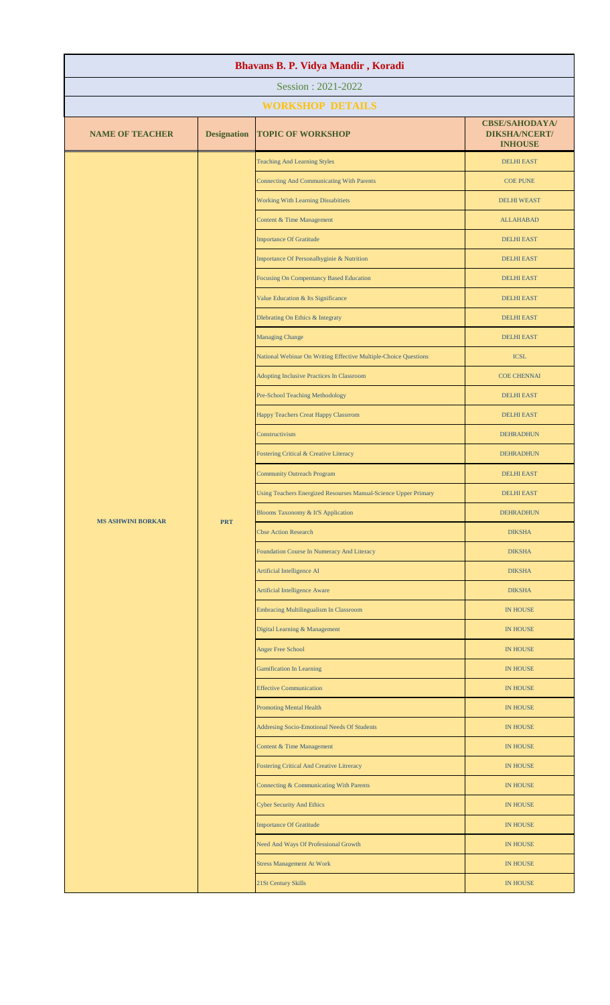| Bhavans B. P. Vidya Mandir, Koradi |                    |                                                                 |                                                                                                                                                                                                                                                                                                                                                                                                                                                                                          |  |
|------------------------------------|--------------------|-----------------------------------------------------------------|------------------------------------------------------------------------------------------------------------------------------------------------------------------------------------------------------------------------------------------------------------------------------------------------------------------------------------------------------------------------------------------------------------------------------------------------------------------------------------------|--|
| Session: 2021-2022                 |                    |                                                                 |                                                                                                                                                                                                                                                                                                                                                                                                                                                                                          |  |
| <b>WORKSHOP DETAILS</b>            |                    |                                                                 |                                                                                                                                                                                                                                                                                                                                                                                                                                                                                          |  |
| <b>NAME OF TEACHER</b>             | <b>Designation</b> | <b>TOPIC OF WORKSHOP</b>                                        | <b>CBSE/SAHODAYA/</b><br><b>DIKSHA/NCERT/</b><br><b>INHOUSE</b>                                                                                                                                                                                                                                                                                                                                                                                                                          |  |
|                                    |                    | <b>Teaching And Learning Styles</b>                             | <b>DELHI EAST</b>                                                                                                                                                                                                                                                                                                                                                                                                                                                                        |  |
|                                    |                    | <b>Connecting And Communicating With Parents</b>                | <b>COE PUNE</b>                                                                                                                                                                                                                                                                                                                                                                                                                                                                          |  |
|                                    |                    | <b>Working With Learning Dissabitiets</b>                       | <b>DELHI WEAST</b>                                                                                                                                                                                                                                                                                                                                                                                                                                                                       |  |
|                                    |                    | Content & Time Management                                       | <b>ALLAHABAD</b>                                                                                                                                                                                                                                                                                                                                                                                                                                                                         |  |
|                                    |                    | <b>Importance Of Gratitude</b>                                  | <b>DELHI EAST</b>                                                                                                                                                                                                                                                                                                                                                                                                                                                                        |  |
|                                    |                    | Importance Of Personalhyginie & Nutrition                       | <b>DELHI EAST</b>                                                                                                                                                                                                                                                                                                                                                                                                                                                                        |  |
|                                    |                    | <b>Focusing On Compentancy Based Education</b>                  | <b>DELHI EAST</b>                                                                                                                                                                                                                                                                                                                                                                                                                                                                        |  |
|                                    |                    | Value Education & Its Significance                              | <b>DELHI EAST</b>                                                                                                                                                                                                                                                                                                                                                                                                                                                                        |  |
|                                    |                    | Dlebrating On Ethics & Integraty                                | <b>DELHI EAST</b>                                                                                                                                                                                                                                                                                                                                                                                                                                                                        |  |
|                                    |                    | <b>Managing Change</b>                                          | <b>DELHI EAST</b>                                                                                                                                                                                                                                                                                                                                                                                                                                                                        |  |
|                                    |                    | National Webinar On Writing Effective Multiple-Choice Questions | <b>ICSL</b>                                                                                                                                                                                                                                                                                                                                                                                                                                                                              |  |
|                                    |                    | Adopting Inclusive Practices In Classroom                       | <b>COE CHENNAI</b>                                                                                                                                                                                                                                                                                                                                                                                                                                                                       |  |
|                                    |                    | Pre-School Teaching Methodology                                 | <b>DELHI EAST</b>                                                                                                                                                                                                                                                                                                                                                                                                                                                                        |  |
|                                    |                    | Happy Teachers Creat Happy Classrrom                            | <b>DELHI EAST</b><br><b>DEHRADHUN</b><br><b>DEHRADHUN</b><br><b>DELHI EAST</b><br><b>DELHI EAST</b><br><b>DEHRADHUN</b><br><b>DIKSHA</b><br><b>DIKSHA</b><br><b>DIKSHA</b><br><b>DIKSHA</b><br><b>IN HOUSE</b><br><b>IN HOUSE</b><br><b>IN HOUSE</b><br><b>IN HOUSE</b><br><b>IN HOUSE</b><br><b>IN HOUSE</b><br><b>IN HOUSE</b><br><b>IN HOUSE</b><br><b>IN HOUSE</b><br><b>IN HOUSE</b><br><b>IN HOUSE</b><br><b>IN HOUSE</b><br><b>IN HOUSE</b><br><b>IN HOUSE</b><br><b>IN HOUSE</b> |  |
|                                    |                    |                                                                 | Constructivism                                                                                                                                                                                                                                                                                                                                                                                                                                                                           |  |
|                                    |                    | Fostering Critical & Creative Literacy                          |                                                                                                                                                                                                                                                                                                                                                                                                                                                                                          |  |
|                                    |                    | <b>Community Outreach Program</b>                               |                                                                                                                                                                                                                                                                                                                                                                                                                                                                                          |  |
|                                    |                    | Using Teachers Energized Resourses Manual-Science Upper Primary |                                                                                                                                                                                                                                                                                                                                                                                                                                                                                          |  |
| <b>MS ASHWINI BORKAR</b>           | <b>PRT</b>         | Blooms Taxonomy & It'S Application                              |                                                                                                                                                                                                                                                                                                                                                                                                                                                                                          |  |
|                                    |                    | <b>Cbse Action Research</b>                                     |                                                                                                                                                                                                                                                                                                                                                                                                                                                                                          |  |
|                                    |                    | Foundation Course In Numeracy And Literacy                      |                                                                                                                                                                                                                                                                                                                                                                                                                                                                                          |  |
|                                    |                    | Artificial Intelligence AI                                      |                                                                                                                                                                                                                                                                                                                                                                                                                                                                                          |  |
|                                    |                    | <b>Artificial Intelligence Aware</b>                            |                                                                                                                                                                                                                                                                                                                                                                                                                                                                                          |  |
|                                    |                    | <b>Embracing Multilingualism In Classroom</b>                   |                                                                                                                                                                                                                                                                                                                                                                                                                                                                                          |  |
|                                    |                    | Digital Learning & Management                                   |                                                                                                                                                                                                                                                                                                                                                                                                                                                                                          |  |
|                                    |                    | <b>Anger Free School</b>                                        |                                                                                                                                                                                                                                                                                                                                                                                                                                                                                          |  |
|                                    |                    | <b>Gamification In Learning</b>                                 |                                                                                                                                                                                                                                                                                                                                                                                                                                                                                          |  |
|                                    |                    | <b>Effective Communication</b>                                  |                                                                                                                                                                                                                                                                                                                                                                                                                                                                                          |  |
|                                    |                    | <b>Promoting Mental Health</b>                                  |                                                                                                                                                                                                                                                                                                                                                                                                                                                                                          |  |
|                                    |                    | Addresing Socio-Emotional Needs Of Students                     |                                                                                                                                                                                                                                                                                                                                                                                                                                                                                          |  |
|                                    |                    | Content & Time Management                                       |                                                                                                                                                                                                                                                                                                                                                                                                                                                                                          |  |
|                                    |                    | <b>Fostering Critical And Creative Litreracy</b>                |                                                                                                                                                                                                                                                                                                                                                                                                                                                                                          |  |
|                                    |                    | Connecting & Communicating With Parents                         |                                                                                                                                                                                                                                                                                                                                                                                                                                                                                          |  |
|                                    |                    | <b>Cyber Security And Ethics</b>                                |                                                                                                                                                                                                                                                                                                                                                                                                                                                                                          |  |
|                                    |                    | <b>Importance Of Gratitude</b>                                  |                                                                                                                                                                                                                                                                                                                                                                                                                                                                                          |  |
|                                    |                    | Need And Ways Of Professional Growth                            |                                                                                                                                                                                                                                                                                                                                                                                                                                                                                          |  |
|                                    |                    | <b>Stress Management At Work</b>                                |                                                                                                                                                                                                                                                                                                                                                                                                                                                                                          |  |
|                                    |                    | 21St Century Skills                                             |                                                                                                                                                                                                                                                                                                                                                                                                                                                                                          |  |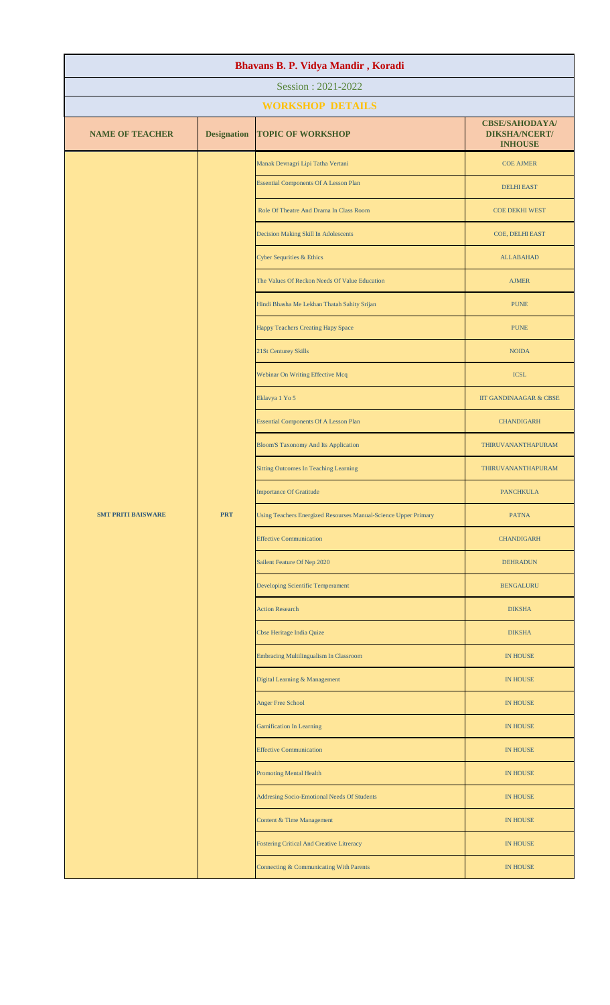| Bhavans B. P. Vidya Mandir, Koradi |                         |                                                                 |                                                                 |  |  |
|------------------------------------|-------------------------|-----------------------------------------------------------------|-----------------------------------------------------------------|--|--|
| Session: 2021-2022                 |                         |                                                                 |                                                                 |  |  |
|                                    | <b>WORKSHOP DETAILS</b> |                                                                 |                                                                 |  |  |
| <b>NAME OF TEACHER</b>             | <b>Designation</b>      | <b>TOPIC OF WORKSHOP</b>                                        | <b>CBSE/SAHODAYA/</b><br><b>DIKSHA/NCERT/</b><br><b>INHOUSE</b> |  |  |
|                                    |                         | Manak Devnagri Lipi Tatha Vertani                               | <b>COE AJMER</b>                                                |  |  |
|                                    |                         | <b>Essential Components Of A Lesson Plan</b>                    | <b>DELHI EAST</b>                                               |  |  |
|                                    |                         | Role Of Theatre And Drama In Class Room                         | <b>COE DEKHI WEST</b>                                           |  |  |
|                                    |                         | Decision Making Skill In Adolescents                            | COE, DELHI EAST                                                 |  |  |
|                                    |                         | <b>Cyber Sequrities &amp; Ethics</b>                            | <b>ALLABAHAD</b>                                                |  |  |
|                                    |                         | The Values Of Reckon Needs Of Value Education                   | <b>AJMER</b>                                                    |  |  |
|                                    |                         | Hindi Bhasha Me Lekhan Thatah Sahity Srijan                     | <b>PUNE</b>                                                     |  |  |
|                                    |                         | Happy Teachers Creating Hapy Space                              | <b>PUNE</b>                                                     |  |  |
|                                    |                         | 21St Centurey Skills                                            | <b>NOIDA</b>                                                    |  |  |
|                                    |                         | Webinar On Writing Effective Mcq                                | <b>ICSL</b>                                                     |  |  |
|                                    |                         | Eklavya 1 Yo 5                                                  | <b>IIT GANDINAAGAR &amp; CBSE</b>                               |  |  |
|                                    |                         | <b>Essential Components Of A Lesson Plan</b>                    | <b>CHANDIGARH</b>                                               |  |  |
|                                    |                         | <b>Bloom'S Taxonomy And Its Application</b>                     | THIRUVANANTHAPURAM                                              |  |  |
|                                    |                         | <b>Sitting Outcomes In Teaching Learning</b>                    | THIRUVANANTHAPURAM                                              |  |  |
|                                    |                         | <b>Importance Of Gratitude</b>                                  | <b>PANCHKULA</b>                                                |  |  |
| <b>SMT PRITI BAISWARE</b>          | <b>PRT</b>              | Using Teachers Energized Resourses Manual-Science Upper Primary | <b>PATNA</b>                                                    |  |  |
|                                    |                         | <b>Effective Communication</b>                                  | <b>CHANDIGARH</b>                                               |  |  |
|                                    |                         | Sailent Feature Of Nep 2020                                     | <b>DEHRADUN</b>                                                 |  |  |
|                                    |                         | Developing Scientific Temperament                               | <b>BENGALURU</b>                                                |  |  |
|                                    |                         | <b>Action Research</b>                                          | <b>DIKSHA</b>                                                   |  |  |
|                                    |                         | Cbse Heritage India Quize                                       | <b>DIKSHA</b>                                                   |  |  |
|                                    |                         | Embracing Multilingualism In Classroom                          | <b>IN HOUSE</b>                                                 |  |  |
|                                    |                         | Digital Learning & Management                                   | <b>IN HOUSE</b>                                                 |  |  |
|                                    |                         | <b>Anger Free School</b>                                        | <b>IN HOUSE</b>                                                 |  |  |
|                                    |                         | <b>Gamification In Learning</b>                                 | <b>IN HOUSE</b>                                                 |  |  |
|                                    |                         | <b>Effective Communication</b>                                  | <b>IN HOUSE</b>                                                 |  |  |
|                                    |                         | <b>Promoting Mental Health</b>                                  | <b>IN HOUSE</b>                                                 |  |  |
|                                    |                         | Addresing Socio-Emotional Needs Of Students                     | <b>IN HOUSE</b>                                                 |  |  |
|                                    |                         | Content & Time Management                                       | <b>IN HOUSE</b>                                                 |  |  |
|                                    |                         | <b>Fostering Critical And Creative Litreracy</b>                | <b>IN HOUSE</b>                                                 |  |  |
|                                    |                         | Connecting & Communicating With Parents                         | <b>IN HOUSE</b>                                                 |  |  |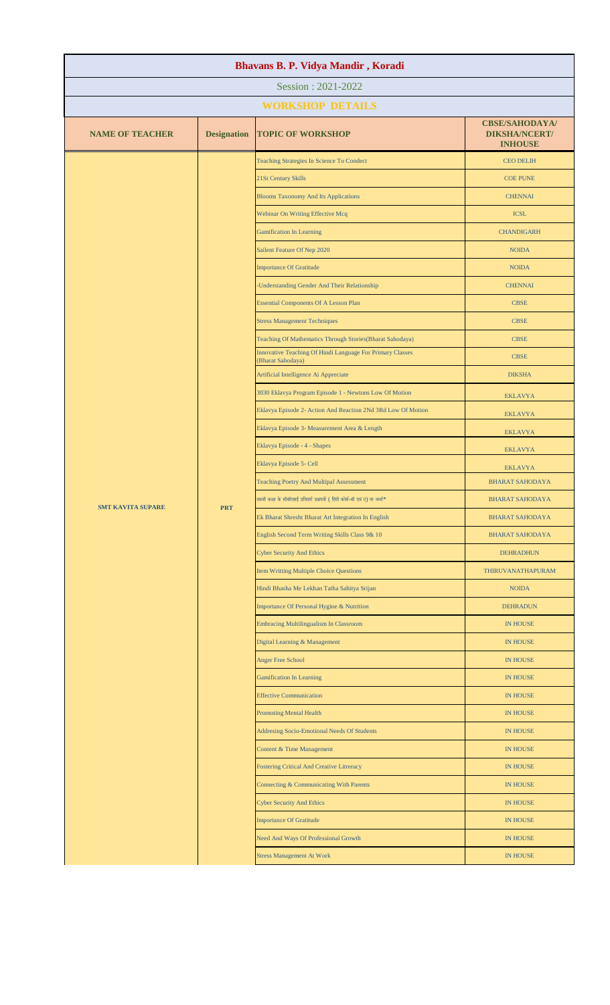| Session: 2021-2022<br><b>WORKSHOP DETAILS</b><br><b>CBSE/SAHODAYA/</b><br><b>NAME OF TEACHER</b><br><b>Designation</b><br><b>TOPIC OF WORKSHOP</b><br><b>DIKSHA/NCERT/</b><br><b>INHOUSE</b><br>Teaching Strategies In Science To Condect<br><b>CEO DELIH</b><br>21St Century Skills<br><b>COE PUNE</b><br><b>Blooms Taxonomy And Its Applications</b><br><b>CHENNAI</b><br>Webinar On Writing Effective Mcq<br><b>ICSL</b><br><b>Gamification In Learning</b><br><b>CHANDIGARH</b><br>Sailent Feature Of Nep 2020<br><b>NOIDA</b><br><b>Importance Of Gratitude</b><br><b>NOIDA</b><br><b>Understanding Gender And Their Relationship</b><br><b>CHENNAI</b><br><b>Essential Components Of A Lesson Plan</b><br><b>CBSE</b><br><b>Stress Management Techniques</b><br><b>CBSE</b><br>Teaching Of Mathematics Through Stories(Bharat Sahodaya)<br><b>CBSE</b><br>Innovative Teaching Of Hindi Language For Primary Classes<br><b>CBSE</b><br>(Bharat Sahodaya)<br>Artificial Intelligence Ai Appreciate<br><b>DIKSHA</b><br>3030 Eklavya Program Episode 1 - Newtons Low Of Motion<br><b>EKLAVYA</b><br>Eklavya Episode 2- Action And Reaction 2Nd 3Rd Low Of Motion<br><b>EKLAVYA</b><br>Eklavya Episode 3- Measurement Area & Length<br><b>EKLAVYA</b><br>Eklavya Episode - 4 - Shapes<br><b>EKLAVYA</b><br>Eklavya Episode 5- Cell<br><b>EKLAVYA</b><br><b>Teaching Poetry And Multipal Assessment</b><br><b>BHARAT SAHODAYA</b><br>दसवीं कक्षा के सीबीएसई प्रतिदर्श प्रश्नपत्रों ( हिंदी कोर्स-बी एवं ए) पर चर्चा <sup>*</sup><br><b>BHARAT SAHODAYA</b><br><b>PRT</b><br><b>SMT KAVITA SUPARE</b> |
|-------------------------------------------------------------------------------------------------------------------------------------------------------------------------------------------------------------------------------------------------------------------------------------------------------------------------------------------------------------------------------------------------------------------------------------------------------------------------------------------------------------------------------------------------------------------------------------------------------------------------------------------------------------------------------------------------------------------------------------------------------------------------------------------------------------------------------------------------------------------------------------------------------------------------------------------------------------------------------------------------------------------------------------------------------------------------------------------------------------------------------------------------------------------------------------------------------------------------------------------------------------------------------------------------------------------------------------------------------------------------------------------------------------------------------------------------------------------------------------------------------------------------------------------------------------------------------------------------------|
|                                                                                                                                                                                                                                                                                                                                                                                                                                                                                                                                                                                                                                                                                                                                                                                                                                                                                                                                                                                                                                                                                                                                                                                                                                                                                                                                                                                                                                                                                                                                                                                                       |
|                                                                                                                                                                                                                                                                                                                                                                                                                                                                                                                                                                                                                                                                                                                                                                                                                                                                                                                                                                                                                                                                                                                                                                                                                                                                                                                                                                                                                                                                                                                                                                                                       |
|                                                                                                                                                                                                                                                                                                                                                                                                                                                                                                                                                                                                                                                                                                                                                                                                                                                                                                                                                                                                                                                                                                                                                                                                                                                                                                                                                                                                                                                                                                                                                                                                       |
|                                                                                                                                                                                                                                                                                                                                                                                                                                                                                                                                                                                                                                                                                                                                                                                                                                                                                                                                                                                                                                                                                                                                                                                                                                                                                                                                                                                                                                                                                                                                                                                                       |
|                                                                                                                                                                                                                                                                                                                                                                                                                                                                                                                                                                                                                                                                                                                                                                                                                                                                                                                                                                                                                                                                                                                                                                                                                                                                                                                                                                                                                                                                                                                                                                                                       |
|                                                                                                                                                                                                                                                                                                                                                                                                                                                                                                                                                                                                                                                                                                                                                                                                                                                                                                                                                                                                                                                                                                                                                                                                                                                                                                                                                                                                                                                                                                                                                                                                       |
|                                                                                                                                                                                                                                                                                                                                                                                                                                                                                                                                                                                                                                                                                                                                                                                                                                                                                                                                                                                                                                                                                                                                                                                                                                                                                                                                                                                                                                                                                                                                                                                                       |
|                                                                                                                                                                                                                                                                                                                                                                                                                                                                                                                                                                                                                                                                                                                                                                                                                                                                                                                                                                                                                                                                                                                                                                                                                                                                                                                                                                                                                                                                                                                                                                                                       |
|                                                                                                                                                                                                                                                                                                                                                                                                                                                                                                                                                                                                                                                                                                                                                                                                                                                                                                                                                                                                                                                                                                                                                                                                                                                                                                                                                                                                                                                                                                                                                                                                       |
|                                                                                                                                                                                                                                                                                                                                                                                                                                                                                                                                                                                                                                                                                                                                                                                                                                                                                                                                                                                                                                                                                                                                                                                                                                                                                                                                                                                                                                                                                                                                                                                                       |
|                                                                                                                                                                                                                                                                                                                                                                                                                                                                                                                                                                                                                                                                                                                                                                                                                                                                                                                                                                                                                                                                                                                                                                                                                                                                                                                                                                                                                                                                                                                                                                                                       |
|                                                                                                                                                                                                                                                                                                                                                                                                                                                                                                                                                                                                                                                                                                                                                                                                                                                                                                                                                                                                                                                                                                                                                                                                                                                                                                                                                                                                                                                                                                                                                                                                       |
|                                                                                                                                                                                                                                                                                                                                                                                                                                                                                                                                                                                                                                                                                                                                                                                                                                                                                                                                                                                                                                                                                                                                                                                                                                                                                                                                                                                                                                                                                                                                                                                                       |
|                                                                                                                                                                                                                                                                                                                                                                                                                                                                                                                                                                                                                                                                                                                                                                                                                                                                                                                                                                                                                                                                                                                                                                                                                                                                                                                                                                                                                                                                                                                                                                                                       |
|                                                                                                                                                                                                                                                                                                                                                                                                                                                                                                                                                                                                                                                                                                                                                                                                                                                                                                                                                                                                                                                                                                                                                                                                                                                                                                                                                                                                                                                                                                                                                                                                       |
|                                                                                                                                                                                                                                                                                                                                                                                                                                                                                                                                                                                                                                                                                                                                                                                                                                                                                                                                                                                                                                                                                                                                                                                                                                                                                                                                                                                                                                                                                                                                                                                                       |
|                                                                                                                                                                                                                                                                                                                                                                                                                                                                                                                                                                                                                                                                                                                                                                                                                                                                                                                                                                                                                                                                                                                                                                                                                                                                                                                                                                                                                                                                                                                                                                                                       |
|                                                                                                                                                                                                                                                                                                                                                                                                                                                                                                                                                                                                                                                                                                                                                                                                                                                                                                                                                                                                                                                                                                                                                                                                                                                                                                                                                                                                                                                                                                                                                                                                       |
|                                                                                                                                                                                                                                                                                                                                                                                                                                                                                                                                                                                                                                                                                                                                                                                                                                                                                                                                                                                                                                                                                                                                                                                                                                                                                                                                                                                                                                                                                                                                                                                                       |
|                                                                                                                                                                                                                                                                                                                                                                                                                                                                                                                                                                                                                                                                                                                                                                                                                                                                                                                                                                                                                                                                                                                                                                                                                                                                                                                                                                                                                                                                                                                                                                                                       |
|                                                                                                                                                                                                                                                                                                                                                                                                                                                                                                                                                                                                                                                                                                                                                                                                                                                                                                                                                                                                                                                                                                                                                                                                                                                                                                                                                                                                                                                                                                                                                                                                       |
|                                                                                                                                                                                                                                                                                                                                                                                                                                                                                                                                                                                                                                                                                                                                                                                                                                                                                                                                                                                                                                                                                                                                                                                                                                                                                                                                                                                                                                                                                                                                                                                                       |
|                                                                                                                                                                                                                                                                                                                                                                                                                                                                                                                                                                                                                                                                                                                                                                                                                                                                                                                                                                                                                                                                                                                                                                                                                                                                                                                                                                                                                                                                                                                                                                                                       |
| Ek Bharat Shresht Bharat Art Integration In English<br><b>BHARAT SAHODAYA</b>                                                                                                                                                                                                                                                                                                                                                                                                                                                                                                                                                                                                                                                                                                                                                                                                                                                                                                                                                                                                                                                                                                                                                                                                                                                                                                                                                                                                                                                                                                                         |
| English Second Term Writing Skills Class 9& 10<br><b>BHARAT SAHODAYA</b>                                                                                                                                                                                                                                                                                                                                                                                                                                                                                                                                                                                                                                                                                                                                                                                                                                                                                                                                                                                                                                                                                                                                                                                                                                                                                                                                                                                                                                                                                                                              |
| <b>Cyber Security And Ethics</b><br><b>DEHRADHUN</b>                                                                                                                                                                                                                                                                                                                                                                                                                                                                                                                                                                                                                                                                                                                                                                                                                                                                                                                                                                                                                                                                                                                                                                                                                                                                                                                                                                                                                                                                                                                                                  |
| Item Writting Multiple Choice Questions<br>THIRUVANATHAPURAM                                                                                                                                                                                                                                                                                                                                                                                                                                                                                                                                                                                                                                                                                                                                                                                                                                                                                                                                                                                                                                                                                                                                                                                                                                                                                                                                                                                                                                                                                                                                          |
| Hindi Bhasha Me Lekhan Tatha Sahitya Srijan<br><b>NOIDA</b>                                                                                                                                                                                                                                                                                                                                                                                                                                                                                                                                                                                                                                                                                                                                                                                                                                                                                                                                                                                                                                                                                                                                                                                                                                                                                                                                                                                                                                                                                                                                           |
| Importance Of Personal Hygine & Nutrition<br><b>DEHRADUN</b>                                                                                                                                                                                                                                                                                                                                                                                                                                                                                                                                                                                                                                                                                                                                                                                                                                                                                                                                                                                                                                                                                                                                                                                                                                                                                                                                                                                                                                                                                                                                          |
| <b>Embracing Multilingualism In Classroom</b><br><b>IN HOUSE</b>                                                                                                                                                                                                                                                                                                                                                                                                                                                                                                                                                                                                                                                                                                                                                                                                                                                                                                                                                                                                                                                                                                                                                                                                                                                                                                                                                                                                                                                                                                                                      |
| Digital Learning & Management<br>IN HOUSE                                                                                                                                                                                                                                                                                                                                                                                                                                                                                                                                                                                                                                                                                                                                                                                                                                                                                                                                                                                                                                                                                                                                                                                                                                                                                                                                                                                                                                                                                                                                                             |
| <b>Anger Free School</b><br>IN HOUSE                                                                                                                                                                                                                                                                                                                                                                                                                                                                                                                                                                                                                                                                                                                                                                                                                                                                                                                                                                                                                                                                                                                                                                                                                                                                                                                                                                                                                                                                                                                                                                  |
| <b>Gamification In Learning</b><br><b>IN HOUSE</b>                                                                                                                                                                                                                                                                                                                                                                                                                                                                                                                                                                                                                                                                                                                                                                                                                                                                                                                                                                                                                                                                                                                                                                                                                                                                                                                                                                                                                                                                                                                                                    |
| <b>Effective Communication</b><br><b>IN HOUSE</b>                                                                                                                                                                                                                                                                                                                                                                                                                                                                                                                                                                                                                                                                                                                                                                                                                                                                                                                                                                                                                                                                                                                                                                                                                                                                                                                                                                                                                                                                                                                                                     |
| <b>Promoting Mental Health</b><br><b>IN HOUSE</b>                                                                                                                                                                                                                                                                                                                                                                                                                                                                                                                                                                                                                                                                                                                                                                                                                                                                                                                                                                                                                                                                                                                                                                                                                                                                                                                                                                                                                                                                                                                                                     |
| Addresing Socio-Emotional Needs Of Students<br><b>IN HOUSE</b>                                                                                                                                                                                                                                                                                                                                                                                                                                                                                                                                                                                                                                                                                                                                                                                                                                                                                                                                                                                                                                                                                                                                                                                                                                                                                                                                                                                                                                                                                                                                        |
| Content & Time Management<br><b>IN HOUSE</b>                                                                                                                                                                                                                                                                                                                                                                                                                                                                                                                                                                                                                                                                                                                                                                                                                                                                                                                                                                                                                                                                                                                                                                                                                                                                                                                                                                                                                                                                                                                                                          |
| <b>Fostering Critical And Creative Litreracy</b><br><b>IN HOUSE</b>                                                                                                                                                                                                                                                                                                                                                                                                                                                                                                                                                                                                                                                                                                                                                                                                                                                                                                                                                                                                                                                                                                                                                                                                                                                                                                                                                                                                                                                                                                                                   |
| Connecting & Communicating With Parents<br><b>IN HOUSE</b>                                                                                                                                                                                                                                                                                                                                                                                                                                                                                                                                                                                                                                                                                                                                                                                                                                                                                                                                                                                                                                                                                                                                                                                                                                                                                                                                                                                                                                                                                                                                            |
| <b>Cyber Security And Ethics</b><br><b>IN HOUSE</b>                                                                                                                                                                                                                                                                                                                                                                                                                                                                                                                                                                                                                                                                                                                                                                                                                                                                                                                                                                                                                                                                                                                                                                                                                                                                                                                                                                                                                                                                                                                                                   |
| <b>Importance Of Gratitude</b><br><b>IN HOUSE</b>                                                                                                                                                                                                                                                                                                                                                                                                                                                                                                                                                                                                                                                                                                                                                                                                                                                                                                                                                                                                                                                                                                                                                                                                                                                                                                                                                                                                                                                                                                                                                     |
| Need And Ways Of Professional Growth<br><b>IN HOUSE</b>                                                                                                                                                                                                                                                                                                                                                                                                                                                                                                                                                                                                                                                                                                                                                                                                                                                                                                                                                                                                                                                                                                                                                                                                                                                                                                                                                                                                                                                                                                                                               |
| <b>Stress Management At Work</b><br>IN HOUSE                                                                                                                                                                                                                                                                                                                                                                                                                                                                                                                                                                                                                                                                                                                                                                                                                                                                                                                                                                                                                                                                                                                                                                                                                                                                                                                                                                                                                                                                                                                                                          |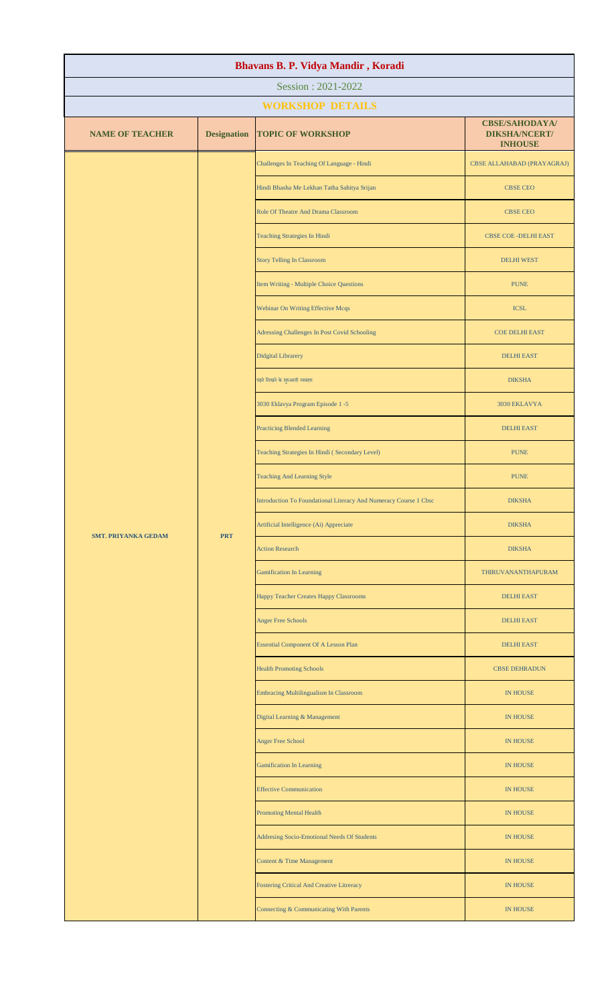| Bhavans B. P. Vidya Mandir, Koradi |                    |                                                  |                                                                                                                                                                                                                                                                                                                                                                                                                                                                                                                                                                   |  |  |
|------------------------------------|--------------------|--------------------------------------------------|-------------------------------------------------------------------------------------------------------------------------------------------------------------------------------------------------------------------------------------------------------------------------------------------------------------------------------------------------------------------------------------------------------------------------------------------------------------------------------------------------------------------------------------------------------------------|--|--|
| Session: 2021-2022                 |                    |                                                  |                                                                                                                                                                                                                                                                                                                                                                                                                                                                                                                                                                   |  |  |
| <b>WORKSHOP DETAILS</b>            |                    |                                                  |                                                                                                                                                                                                                                                                                                                                                                                                                                                                                                                                                                   |  |  |
| <b>NAME OF TEACHER</b>             | <b>Designation</b> | <b>TOPIC OF WORKSHOP</b>                         | <b>DIKSHA/NCERT/</b><br><b>INHOUSE</b>                                                                                                                                                                                                                                                                                                                                                                                                                                                                                                                            |  |  |
|                                    |                    | Challenges In Teaching Of Language - Hindi       | CBSE ALLAHABAD (PRAYAGRAJ)                                                                                                                                                                                                                                                                                                                                                                                                                                                                                                                                        |  |  |
|                                    |                    | Hindi Bhasha Me Lekhan Tatha Sahitya Srijan      | <b>CBSE CEO</b>                                                                                                                                                                                                                                                                                                                                                                                                                                                                                                                                                   |  |  |
|                                    |                    | Role Of Theatre And Drama Classroom              | <b>CBSE CEO</b>                                                                                                                                                                                                                                                                                                                                                                                                                                                                                                                                                   |  |  |
|                                    |                    | <b>Teaching Strategies In Hindi</b>              | <b>CBSE COE - DELHI EAST</b>                                                                                                                                                                                                                                                                                                                                                                                                                                                                                                                                      |  |  |
|                                    |                    | <b>Story Telling In Classroom</b>                | <b>CBSE/SAHODAYA/</b><br><b>DELHI WEST</b><br><b>PUNE</b><br><b>ICSL</b><br><b>COE DELHI EAST</b><br><b>DELHI EAST</b><br><b>DIKSHA</b><br>3030 EKLAVYA<br><b>DELHI EAST</b><br><b>PUNE</b><br><b>PUNE</b><br><b>DIKSHA</b><br><b>DIKSHA</b><br><b>DIKSHA</b><br>THIRUVANANTHAPURAM<br><b>DELHI EAST</b><br><b>DELHI EAST</b><br><b>DELHI EAST</b><br><b>CBSE DEHRADUN</b><br><b>IN HOUSE</b><br>IN HOUSE<br><b>IN HOUSE</b><br><b>IN HOUSE</b><br><b>IN HOUSE</b><br><b>IN HOUSE</b><br><b>IN HOUSE</b><br><b>IN HOUSE</b><br><b>IN HOUSE</b><br><b>IN HOUSE</b> |  |  |
|                                    |                    | Item Writing - Multiple Choice Questions         |                                                                                                                                                                                                                                                                                                                                                                                                                                                                                                                                                                   |  |  |
|                                    |                    | <b>Webinar On Writing Effective Mcqs</b>         |                                                                                                                                                                                                                                                                                                                                                                                                                                                                                                                                                                   |  |  |
|                                    |                    | Adressing Challenges In Post Covid Schooling     |                                                                                                                                                                                                                                                                                                                                                                                                                                                                                                                                                                   |  |  |
|                                    |                    | <b>Didgital Librarery</b>                        |                                                                                                                                                                                                                                                                                                                                                                                                                                                                                                                                                                   |  |  |
|                                    |                    | पढ़ने लिखने के शुरुआती व्यवहार                   |                                                                                                                                                                                                                                                                                                                                                                                                                                                                                                                                                                   |  |  |
|                                    |                    | 3030 Eklavya Program Episode 1 -5                |                                                                                                                                                                                                                                                                                                                                                                                                                                                                                                                                                                   |  |  |
|                                    |                    | <b>Practicing Blended Learning</b>               |                                                                                                                                                                                                                                                                                                                                                                                                                                                                                                                                                                   |  |  |
| <b>SMT. PRIYANKA GEDAM</b>         |                    | <b>PRT</b>                                       | Teaching Strategies In Hindi (Secondary Level)                                                                                                                                                                                                                                                                                                                                                                                                                                                                                                                    |  |  |
|                                    |                    |                                                  | <b>Teaching And Learning Style</b>                                                                                                                                                                                                                                                                                                                                                                                                                                                                                                                                |  |  |
|                                    |                    |                                                  | Introduction To Foundational Literacy And Numeracy Course 1 Cbsc                                                                                                                                                                                                                                                                                                                                                                                                                                                                                                  |  |  |
|                                    |                    |                                                  | Artificial Intelligence (Ai) Appreciate                                                                                                                                                                                                                                                                                                                                                                                                                                                                                                                           |  |  |
|                                    |                    | <b>Action Research</b>                           |                                                                                                                                                                                                                                                                                                                                                                                                                                                                                                                                                                   |  |  |
|                                    |                    | <b>Gamification In Learning</b>                  |                                                                                                                                                                                                                                                                                                                                                                                                                                                                                                                                                                   |  |  |
|                                    |                    | Happy Teacher Creates Happy Classrooms           |                                                                                                                                                                                                                                                                                                                                                                                                                                                                                                                                                                   |  |  |
|                                    |                    | <b>Anger Free Schools</b>                        |                                                                                                                                                                                                                                                                                                                                                                                                                                                                                                                                                                   |  |  |
|                                    |                    | <b>Essential Component Of A Lesson Plan</b>      |                                                                                                                                                                                                                                                                                                                                                                                                                                                                                                                                                                   |  |  |
|                                    |                    | <b>Health Promoting Schools</b>                  |                                                                                                                                                                                                                                                                                                                                                                                                                                                                                                                                                                   |  |  |
|                                    |                    | Embracing Multilingualism In Classroom           |                                                                                                                                                                                                                                                                                                                                                                                                                                                                                                                                                                   |  |  |
|                                    |                    | Digital Learning & Management                    |                                                                                                                                                                                                                                                                                                                                                                                                                                                                                                                                                                   |  |  |
|                                    |                    | Anger Free School                                |                                                                                                                                                                                                                                                                                                                                                                                                                                                                                                                                                                   |  |  |
|                                    |                    | <b>Gamification In Learning</b>                  |                                                                                                                                                                                                                                                                                                                                                                                                                                                                                                                                                                   |  |  |
|                                    |                    | <b>Effective Communication</b>                   |                                                                                                                                                                                                                                                                                                                                                                                                                                                                                                                                                                   |  |  |
|                                    |                    | <b>Promoting Mental Health</b>                   |                                                                                                                                                                                                                                                                                                                                                                                                                                                                                                                                                                   |  |  |
|                                    |                    | Addresing Socio-Emotional Needs Of Students      |                                                                                                                                                                                                                                                                                                                                                                                                                                                                                                                                                                   |  |  |
|                                    |                    | Content & Time Management                        |                                                                                                                                                                                                                                                                                                                                                                                                                                                                                                                                                                   |  |  |
|                                    |                    | <b>Fostering Critical And Creative Litreracy</b> |                                                                                                                                                                                                                                                                                                                                                                                                                                                                                                                                                                   |  |  |
|                                    |                    | Connecting & Communicating With Parents          |                                                                                                                                                                                                                                                                                                                                                                                                                                                                                                                                                                   |  |  |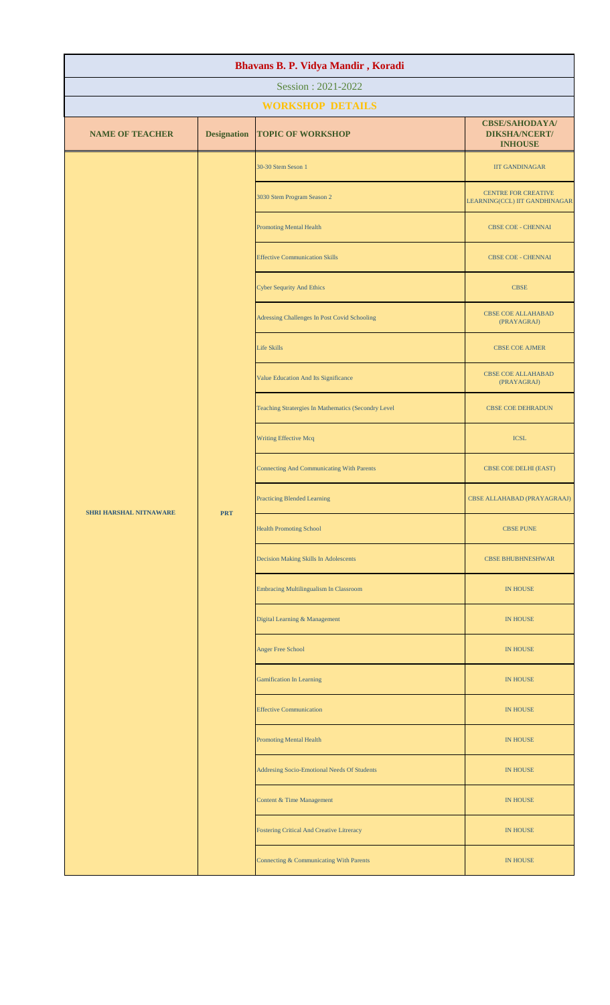| Bhavans B. P. Vidya Mandir, Koradi          |                                       |                                                     |                                                                 |                             |
|---------------------------------------------|---------------------------------------|-----------------------------------------------------|-----------------------------------------------------------------|-----------------------------|
| Session: 2021-2022                          |                                       |                                                     |                                                                 |                             |
| <b>WORKSHOP DETAILS</b>                     |                                       |                                                     |                                                                 |                             |
| <b>NAME OF TEACHER</b>                      | <b>Designation</b>                    | <b>TOPIC OF WORKSHOP</b>                            | <b>CBSE/SAHODAYA/</b><br><b>DIKSHA/NCERT/</b><br><b>INHOUSE</b> |                             |
|                                             |                                       | 30-30 Stem Seson 1                                  | <b>IIT GANDINAGAR</b>                                           |                             |
|                                             |                                       | 3030 Stem Program Season 2                          | CENTRE FOR CREATIVE<br>LEARNING(CCL) IIT GANDHINAGAR            |                             |
|                                             |                                       | <b>Promoting Mental Health</b>                      | <b>CBSE COE - CHENNAI</b>                                       |                             |
|                                             |                                       | <b>Effective Communication Skills</b>               | CBSE COE - CHENNAI                                              |                             |
|                                             |                                       | <b>Cyber Sequrity And Ethics</b>                    | <b>CBSE</b>                                                     |                             |
|                                             |                                       | Adressing Challenges In Post Covid Schooling        | <b>CBSE COE ALLAHABAD</b><br>(PRAYAGRAJ)                        |                             |
|                                             |                                       | <b>Life Skills</b>                                  | <b>CBSE COE AJMER</b>                                           |                             |
|                                             |                                       | Value Education And Its Significance                | <b>CBSE COE ALLAHABAD</b><br>(PRAYAGRAJ)                        |                             |
| <b>SHRI HARSHAL NITNAWARE</b><br><b>PRT</b> |                                       | Teaching Stratergies In Mathematics (Secondry Level | <b>CBSE COE DEHRADUN</b>                                        |                             |
|                                             |                                       |                                                     | <b>Writing Effective Mcq</b>                                    | <b>ICSL</b>                 |
|                                             |                                       | <b>Connecting And Communicating With Parents</b>    | CBSE COE DELHI (EAST)                                           |                             |
|                                             |                                       |                                                     | <b>Practicing Blended Learning</b>                              | CBSE ALLAHABAD (PRAYAGRAAJ) |
|                                             |                                       | <b>Health Promoting School</b>                      | <b>CBSE PUNE</b>                                                |                             |
|                                             | Decision Making Skills In Adolescents | <b>CBSE BHUBHNESHWAR</b>                            |                                                                 |                             |
|                                             |                                       |                                                     | Embracing Multilingualism In Classroom                          | IN HOUSE                    |
|                                             |                                       | Digital Learning & Management                       | <b>IN HOUSE</b>                                                 |                             |
|                                             |                                       | Anger Free School                                   | IN HOUSE                                                        |                             |
|                                             |                                       | <b>Gamification In Learning</b>                     | <b>IN HOUSE</b>                                                 |                             |
|                                             |                                       | <b>Effective Communication</b>                      | IN HOUSE                                                        |                             |
|                                             |                                       | <b>Promoting Mental Health</b>                      | IN HOUSE                                                        |                             |
|                                             |                                       | Addresing Socio-Emotional Needs Of Students         | <b>IN HOUSE</b>                                                 |                             |
|                                             |                                       | Content & Time Management                           | <b>IN HOUSE</b>                                                 |                             |
|                                             |                                       | <b>Fostering Critical And Creative Litreracy</b>    | <b>IN HOUSE</b>                                                 |                             |
|                                             |                                       | Connecting & Communicating With Parents             | <b>IN HOUSE</b>                                                 |                             |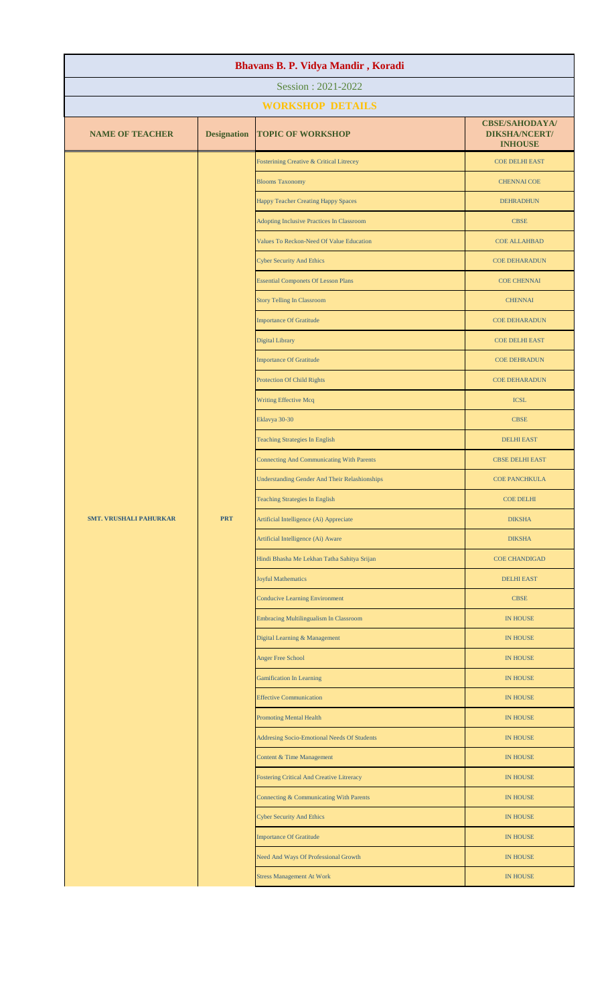| Bhavans B. P. Vidya Mandir, Koradi |                    |                                                      |                                                                 |  |
|------------------------------------|--------------------|------------------------------------------------------|-----------------------------------------------------------------|--|
| Session: 2021-2022                 |                    |                                                      |                                                                 |  |
| <b>WORKSHOP DETAILS</b>            |                    |                                                      |                                                                 |  |
| <b>NAME OF TEACHER</b>             | <b>Designation</b> | <b>TOPIC OF WORKSHOP</b>                             | <b>CBSE/SAHODAYA/</b><br><b>DIKSHA/NCERT/</b><br><b>INHOUSE</b> |  |
|                                    |                    | Fosterining Creative & Critical Litrecey             | <b>COE DELHI EAST</b>                                           |  |
|                                    |                    | <b>Blooms Taxonomy</b>                               | <b>CHENNAI COE</b>                                              |  |
|                                    |                    | Happy Teacher Creating Happy Spaces                  | <b>DEHRADHUN</b>                                                |  |
|                                    |                    | Adopting Inclusive Practices In Classroom            | <b>CBSE</b>                                                     |  |
|                                    |                    | Values To Reckon-Need Of Value Education             | <b>COE ALLAHBAD</b>                                             |  |
|                                    |                    | <b>Cyber Security And Ethics</b>                     | <b>COE DEHARADUN</b>                                            |  |
|                                    |                    | <b>Essential Componets Of Lesson Plans</b>           | <b>COE CHENNAI</b>                                              |  |
|                                    |                    | <b>Story Telling In Classroom</b>                    | <b>CHENNAI</b>                                                  |  |
|                                    |                    | <b>Importance Of Gratitude</b>                       | <b>COE DEHARADUN</b>                                            |  |
|                                    |                    | Digital Library                                      | <b>COE DELHI EAST</b>                                           |  |
|                                    |                    | <b>Importance Of Gratitude</b>                       | <b>COE DEHRADUN</b>                                             |  |
|                                    |                    | Protection Of Child Rights                           | <b>COE DEHARADUN</b>                                            |  |
|                                    |                    | Writing Effective Mcq                                | <b>ICSL</b>                                                     |  |
|                                    |                    | Eklavya 30-30                                        | <b>CBSE</b>                                                     |  |
|                                    |                    | <b>Teaching Strategies In English</b>                | <b>DELHI EAST</b>                                               |  |
|                                    |                    | <b>Connecting And Communicating With Parents</b>     | <b>CBSE DELHI EAST</b>                                          |  |
|                                    |                    | <b>Understanding Gender And Their Relashionships</b> | <b>COE PANCHKULA</b>                                            |  |
|                                    |                    | <b>Teaching Strategies In English</b>                | <b>COE DELHI</b>                                                |  |
| <b>SMT. VRUSHALI PAHURKAR</b>      | <b>PRT</b>         | Artificial Intelligence (Ai) Appreciate              | <b>DIKSHA</b>                                                   |  |
|                                    |                    | Artificial Intelligence (Ai) Aware                   | <b>DIKSHA</b>                                                   |  |
|                                    |                    | Hindi Bhasha Me Lekhan Tatha Sahitya Srijan          | <b>COE CHANDIGAD</b>                                            |  |
|                                    |                    | <b>Joyful Mathematics</b>                            | <b>DELHI EAST</b>                                               |  |
|                                    |                    | <b>Conducive Learning Environment</b>                | <b>CBSE</b>                                                     |  |
|                                    |                    | <b>Embracing Multilingualism In Classroom</b>        | IN HOUSE                                                        |  |
|                                    |                    | Digital Learning & Management                        | IN HOUSE                                                        |  |
|                                    |                    | Anger Free School                                    | IN HOUSE                                                        |  |
|                                    |                    | <b>Gamification In Learning</b>                      | IN HOUSE                                                        |  |
|                                    |                    | <b>Effective Communication</b>                       | IN HOUSE                                                        |  |
|                                    |                    | <b>Promoting Mental Health</b>                       | IN HOUSE                                                        |  |
|                                    |                    | Addresing Socio-Emotional Needs Of Students          | IN HOUSE                                                        |  |
|                                    |                    | Content & Time Management                            | IN HOUSE                                                        |  |
|                                    |                    | <b>Fostering Critical And Creative Litreracy</b>     | IN HOUSE                                                        |  |
|                                    |                    | Connecting & Communicating With Parents              | IN HOUSE                                                        |  |
|                                    |                    | <b>Cyber Security And Ethics</b>                     | IN HOUSE                                                        |  |
|                                    |                    | <b>Importance Of Gratitude</b>                       | <b>IN HOUSE</b>                                                 |  |
|                                    |                    | Need And Ways Of Professional Growth                 | IN HOUSE                                                        |  |
|                                    |                    | <b>Stress Management At Work</b>                     | IN HOUSE                                                        |  |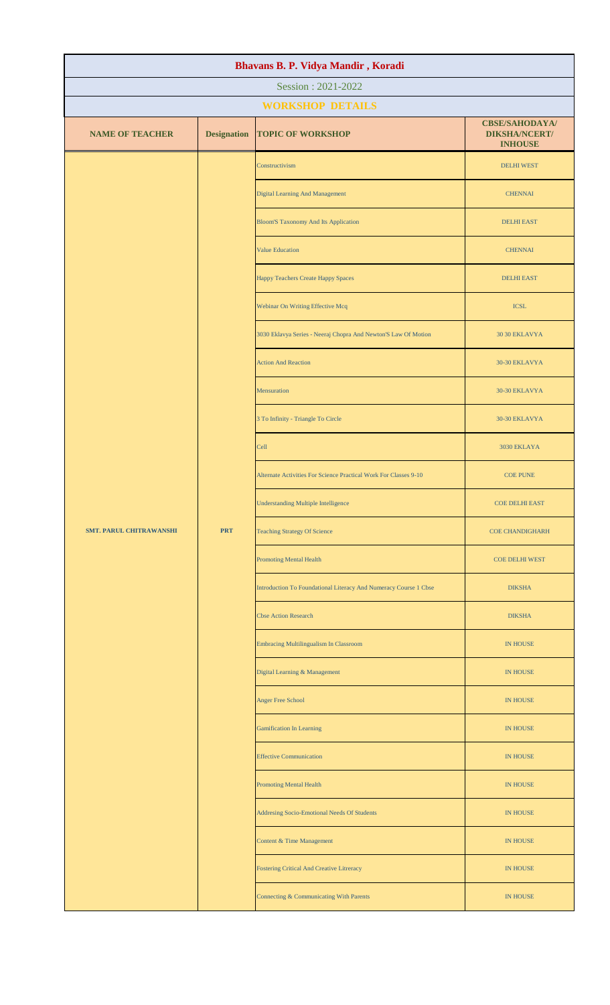| Bhavans B. P. Vidya Mandir, Koradi |                    |                                                                  |                                                                                                                                      |                 |
|------------------------------------|--------------------|------------------------------------------------------------------|--------------------------------------------------------------------------------------------------------------------------------------|-----------------|
| Session: 2021-2022                 |                    |                                                                  |                                                                                                                                      |                 |
| <b>WORKSHOP DETAILS</b>            |                    |                                                                  |                                                                                                                                      |                 |
| <b>NAME OF TEACHER</b>             | <b>Designation</b> | <b>TOPIC OF WORKSHOP</b>                                         | <b>CBSE/SAHODAYA/</b><br><b>DIKSHA/NCERT/</b><br><b>INHOUSE</b>                                                                      |                 |
|                                    |                    | Constructivism                                                   | <b>DELHI WEST</b>                                                                                                                    |                 |
|                                    |                    | <b>Digital Learning And Management</b>                           | <b>CHENNAI</b>                                                                                                                       |                 |
|                                    |                    | <b>Bloom'S Taxonomy And Its Application</b>                      | <b>DELHI EAST</b>                                                                                                                    |                 |
|                                    |                    | <b>Value Education</b>                                           | <b>CHENNAI</b>                                                                                                                       |                 |
|                                    |                    | <b>Happy Teachers Create Happy Spaces</b>                        | <b>DELHI EAST</b>                                                                                                                    |                 |
|                                    |                    | Webinar On Writing Effective Mcq                                 | <b>ICSL</b>                                                                                                                          |                 |
|                                    |                    | 3030 Eklavya Series - Neeraj Chopra And Newton'S Law Of Motion   | 30 30 EKLAVYA                                                                                                                        |                 |
|                                    |                    | <b>Action And Reaction</b>                                       | 30-30 EKLAVYA                                                                                                                        |                 |
|                                    |                    | Mensuration                                                      | 30-30 EKLAVYA                                                                                                                        |                 |
|                                    |                    | 3 To Infinity - Triangle To Circle                               | 30-30 EKLAVYA                                                                                                                        |                 |
|                                    |                    |                                                                  | Cell                                                                                                                                 | 3030 EKLAYA     |
|                                    |                    |                                                                  | Alternate Activities For Science Practical Work For Classes 9-10                                                                     | <b>COE PUNE</b> |
|                                    |                    | <b>Understanding Multiple Intelligence</b>                       | <b>COE DELHI EAST</b>                                                                                                                |                 |
| <b>SMT. PARUL CHITRAWANSHI</b>     | <b>PRT</b>         | <b>Teaching Strategy Of Science</b>                              | <b>COE CHANDIGHARH</b>                                                                                                               |                 |
|                                    |                    | <b>Promoting Mental Health</b>                                   | <b>COE DELHI WEST</b>                                                                                                                |                 |
|                                    |                    | Introduction To Foundational Literacy And Numeracy Course 1 Cbse | <b>DIKSHA</b>                                                                                                                        |                 |
|                                    |                    | <b>Cbse Action Research</b>                                      | <b>DIKSHA</b>                                                                                                                        |                 |
|                                    |                    | <b>Embracing Multilingualism In Classroom</b>                    | <b>IN HOUSE</b>                                                                                                                      |                 |
|                                    |                    | Digital Learning & Management                                    | IN HOUSE<br>IN HOUSE<br>IN HOUSE<br><b>IN HOUSE</b><br><b>IN HOUSE</b><br><b>IN HOUSE</b><br>IN HOUSE<br>IN HOUSE<br><b>IN HOUSE</b> |                 |
|                                    |                    | Anger Free School                                                |                                                                                                                                      |                 |
|                                    |                    | <b>Gamification In Learning</b>                                  |                                                                                                                                      |                 |
|                                    |                    | <b>Effective Communication</b>                                   |                                                                                                                                      |                 |
|                                    |                    | <b>Promoting Mental Health</b>                                   |                                                                                                                                      |                 |
|                                    |                    | Addresing Socio-Emotional Needs Of Students                      |                                                                                                                                      |                 |
|                                    |                    | <b>Content &amp; Time Management</b>                             |                                                                                                                                      |                 |
|                                    |                    | <b>Fostering Critical And Creative Litreracy</b>                 |                                                                                                                                      |                 |
|                                    |                    | Connecting & Communicating With Parents                          |                                                                                                                                      |                 |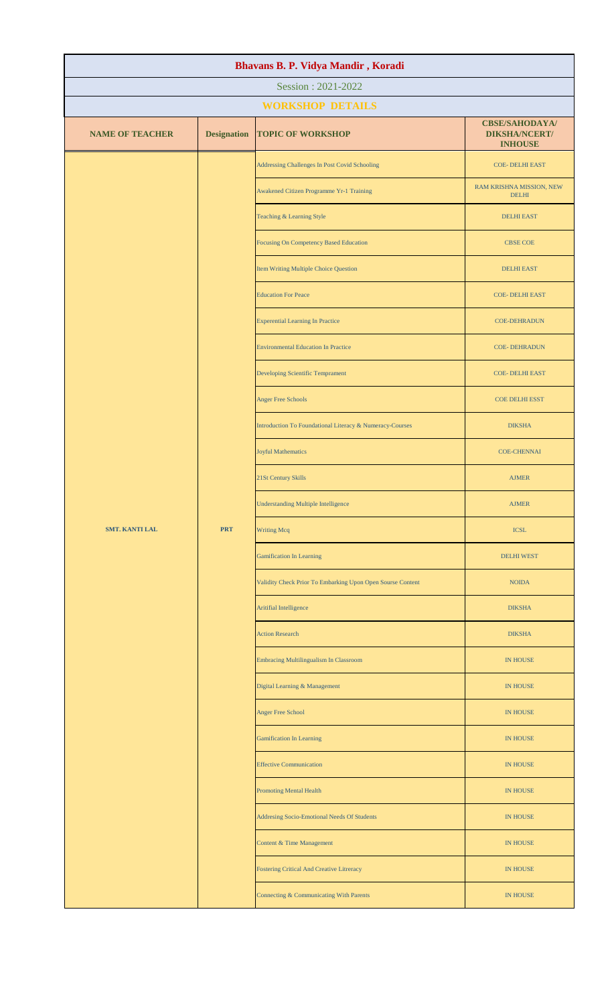| Bhavans B. P. Vidya Mandir, Koradi |                    |                                                            |                                                                 |                    |
|------------------------------------|--------------------|------------------------------------------------------------|-----------------------------------------------------------------|--------------------|
| Session: 2021-2022                 |                    |                                                            |                                                                 |                    |
| <b>WORKSHOP DETAILS</b>            |                    |                                                            |                                                                 |                    |
| <b>NAME OF TEACHER</b>             | <b>Designation</b> | <b>TOPIC OF WORKSHOP</b>                                   | <b>CBSE/SAHODAYA/</b><br><b>DIKSHA/NCERT/</b><br><b>INHOUSE</b> |                    |
|                                    |                    | Addressing Challenges In Post Covid Schooling              | <b>COE- DELHI EAST</b>                                          |                    |
|                                    |                    | Awakened Citizen Programme Yr-1 Training                   | RAM KRISHNA MISSION, NEW<br><b>DELHI</b>                        |                    |
|                                    |                    | Teaching & Learning Style                                  | <b>DELHI EAST</b>                                               |                    |
|                                    |                    | <b>Focusing On Competency Based Education</b>              | <b>CBSE COE</b>                                                 |                    |
|                                    |                    | Item Writing Multiple Choice Question                      | <b>DELHI EAST</b>                                               |                    |
|                                    |                    | <b>Education For Peace</b>                                 | <b>COE- DELHI EAST</b>                                          |                    |
|                                    |                    | <b>Experential Learning In Practice</b>                    | <b>COE-DEHRADUN</b>                                             |                    |
|                                    |                    | <b>Environmental Education In Practice</b>                 | <b>COE-DEHRADUN</b>                                             |                    |
|                                    |                    | Developing Scientific Temprament                           | <b>COE- DELHI EAST</b>                                          |                    |
|                                    |                    | <b>Anger Free Schools</b>                                  | <b>COE DELHI ESST</b>                                           |                    |
|                                    |                    | Introduction To Foundational Literacy & Numeracy-Courses   | <b>DIKSHA</b>                                                   |                    |
|                                    |                    |                                                            | <b>Joyful Mathematics</b>                                       | <b>COE-CHENNAI</b> |
|                                    |                    | 21St Century Skills                                        | <b>AJMER</b>                                                    |                    |
|                                    |                    | <b>Understanding Multiple Intelligence</b>                 | <b>AJMER</b>                                                    |                    |
| <b>SMT. KANTI LAL</b>              | <b>PRT</b>         | <b>Writing Mcq</b>                                         | <b>ICSL</b>                                                     |                    |
|                                    |                    | <b>Gamification In Learning</b>                            | <b>DELHI WEST</b>                                               |                    |
|                                    |                    | Validity Check Prior To Embarking Upon Open Sourse Content | <b>NOIDA</b>                                                    |                    |
|                                    |                    | Aritifial Intelligence                                     | <b>DIKSHA</b>                                                   |                    |
|                                    |                    | <b>Action Research</b>                                     | <b>DIKSHA</b>                                                   |                    |
|                                    |                    | <b>Embracing Multilingualism In Classroom</b>              | <b>IN HOUSE</b>                                                 |                    |
|                                    |                    | Digital Learning & Management                              | <b>IN HOUSE</b>                                                 |                    |
|                                    |                    | Anger Free School                                          | <b>IN HOUSE</b>                                                 |                    |
|                                    |                    | <b>Gamification In Learning</b>                            | IN HOUSE                                                        |                    |
|                                    |                    | <b>Effective Communication</b>                             | <b>IN HOUSE</b>                                                 |                    |
|                                    |                    | <b>Promoting Mental Health</b>                             | <b>IN HOUSE</b>                                                 |                    |
|                                    |                    | Addresing Socio-Emotional Needs Of Students                | <b>IN HOUSE</b>                                                 |                    |
|                                    |                    | Content & Time Management                                  | <b>IN HOUSE</b>                                                 |                    |
|                                    |                    | <b>Fostering Critical And Creative Litreracy</b>           | <b>IN HOUSE</b>                                                 |                    |
|                                    |                    | Connecting & Communicating With Parents                    | <b>IN HOUSE</b>                                                 |                    |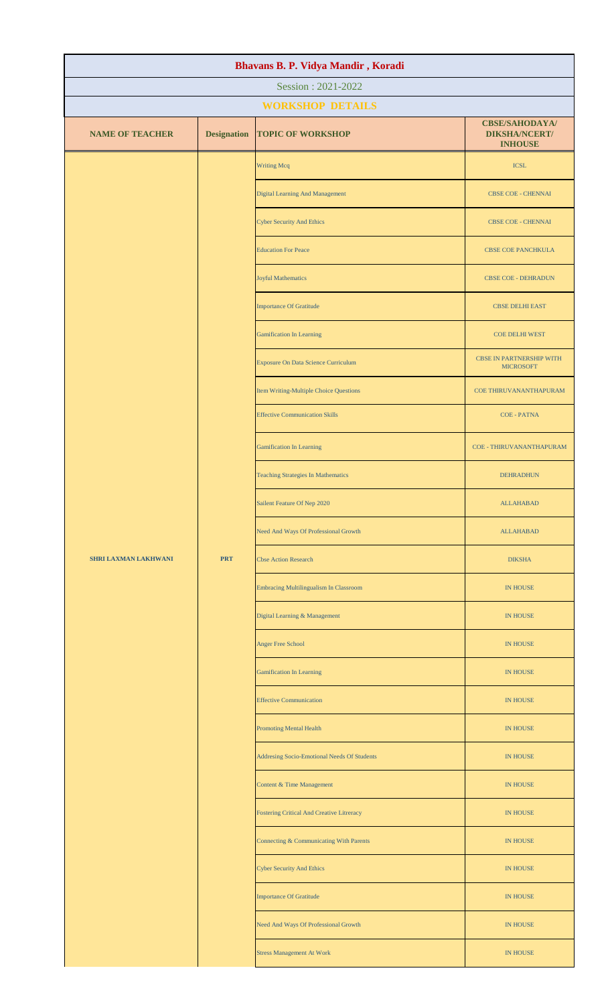| Bhavans B. P. Vidya Mandir, Koradi |                    |                                                  |                                                                 |  |
|------------------------------------|--------------------|--------------------------------------------------|-----------------------------------------------------------------|--|
| Session: 2021-2022                 |                    |                                                  |                                                                 |  |
| <b>WORKSHOP DETAILS</b>            |                    |                                                  |                                                                 |  |
| <b>NAME OF TEACHER</b>             | <b>Designation</b> | <b>TOPIC OF WORKSHOP</b>                         | <b>CBSE/SAHODAYA/</b><br><b>DIKSHA/NCERT/</b><br><b>INHOUSE</b> |  |
|                                    |                    | <b>Writing Mcq</b>                               | <b>ICSL</b>                                                     |  |
|                                    |                    | <b>Digital Learning And Management</b>           | <b>CBSE COE - CHENNAI</b>                                       |  |
|                                    |                    | <b>Cyber Security And Ethics</b>                 | <b>CBSE COE - CHENNAI</b>                                       |  |
|                                    |                    | <b>Education For Peace</b>                       | <b>CBSE COE PANCHKULA</b>                                       |  |
|                                    |                    | Joyful Mathematics                               | <b>CBSE COE - DEHRADUN</b>                                      |  |
|                                    |                    | <b>Importance Of Gratitude</b>                   | <b>CBSE DELHI EAST</b>                                          |  |
|                                    |                    | <b>Gamification In Learning</b>                  | <b>COE DELHI WEST</b>                                           |  |
|                                    |                    | <b>Exposure On Data Science Curriculum</b>       | <b>CBSE IN PARTNERSHIP WITH</b><br><b>MICROSOFT</b>             |  |
|                                    |                    | Item Writing-Multiple Choice Questions           | COE THIRUVANANTHAPURAM                                          |  |
|                                    |                    | <b>Effective Communication Skills</b>            | <b>COE - PATNA</b>                                              |  |
|                                    |                    | <b>Gamification In Learning</b>                  | COE - THIRUVANANTHAPURAM                                        |  |
|                                    |                    | <b>Teaching Strategies In Mathematics</b>        | <b>DEHRADHUN</b>                                                |  |
|                                    |                    | Sailent Feature Of Nep 2020                      | ALLAHABAD                                                       |  |
|                                    | <b>PRT</b>         | Need And Ways Of Professional Growth             | <b>ALLAHABAD</b>                                                |  |
| <b>SHRI LAXMAN LAKHWANI</b>        |                    | <b>Cbse Action Research</b>                      | <b>DIKSHA</b>                                                   |  |
|                                    |                    | <b>Embracing Multilingualism In Classroom</b>    | IN HOUSE                                                        |  |
|                                    |                    | Digital Learning & Management                    | <b>IN HOUSE</b>                                                 |  |
|                                    |                    | Anger Free School                                | <b>IN HOUSE</b>                                                 |  |
|                                    |                    | <b>Gamification In Learning</b>                  | <b>IN HOUSE</b>                                                 |  |
|                                    |                    | <b>Effective Communication</b>                   | <b>IN HOUSE</b>                                                 |  |
|                                    |                    | <b>Promoting Mental Health</b>                   | <b>IN HOUSE</b>                                                 |  |
|                                    |                    | Addresing Socio-Emotional Needs Of Students      | <b>IN HOUSE</b>                                                 |  |
|                                    |                    | <b>Content &amp; Time Management</b>             | <b>IN HOUSE</b>                                                 |  |
|                                    |                    | <b>Fostering Critical And Creative Litreracy</b> | <b>IN HOUSE</b>                                                 |  |
|                                    |                    | Connecting & Communicating With Parents          | <b>IN HOUSE</b>                                                 |  |
|                                    |                    | <b>Cyber Security And Ethics</b>                 | <b>IN HOUSE</b>                                                 |  |
|                                    |                    | <b>Importance Of Gratitude</b>                   | <b>IN HOUSE</b>                                                 |  |
|                                    |                    | Need And Ways Of Professional Growth             | <b>IN HOUSE</b>                                                 |  |
|                                    |                    | <b>Stress Management At Work</b>                 | IN HOUSE                                                        |  |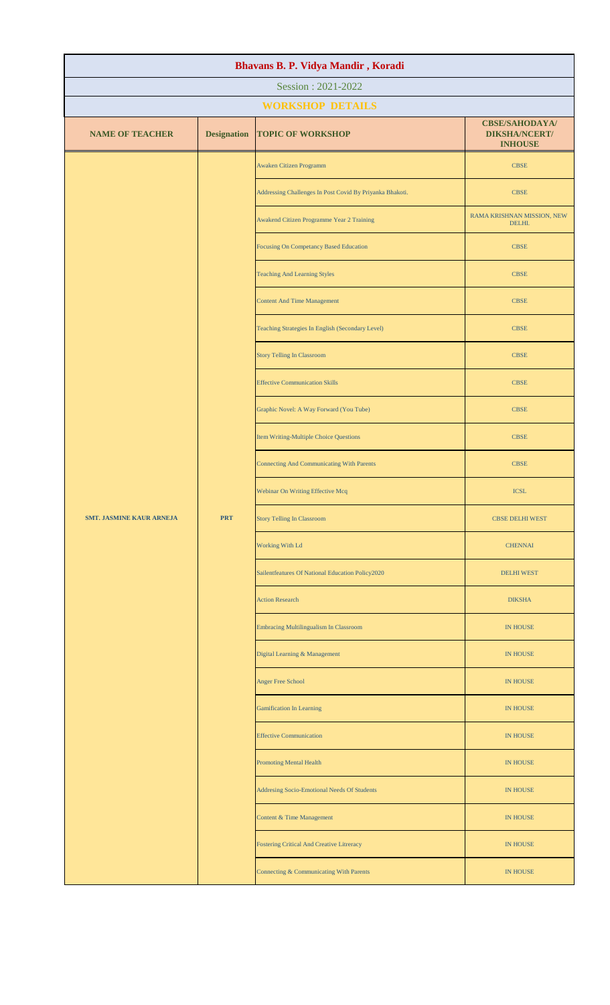| Bhavans B. P. Vidya Mandir, Koradi            |                    |                                                          |                                                                 |  |
|-----------------------------------------------|--------------------|----------------------------------------------------------|-----------------------------------------------------------------|--|
| Session: 2021-2022                            |                    |                                                          |                                                                 |  |
| <b>WORKSHOP DETAILS</b>                       |                    |                                                          |                                                                 |  |
| <b>NAME OF TEACHER</b>                        | <b>Designation</b> | <b>TOPIC OF WORKSHOP</b>                                 | <b>CBSE/SAHODAYA/</b><br><b>DIKSHA/NCERT/</b><br><b>INHOUSE</b> |  |
|                                               |                    | Awaken Citizen Programm                                  | <b>CBSE</b>                                                     |  |
|                                               |                    | Addressing Challenges In Post Covid By Priyanka Bhakoti. | <b>CBSE</b>                                                     |  |
|                                               |                    | Awakend Citizen Programme Year 2 Training                | RAMA KRISHNAN MISSION, NEW<br>DELHI.                            |  |
|                                               |                    | Focusing On Competancy Based Education                   | <b>CBSE</b>                                                     |  |
|                                               |                    | <b>Teaching And Learning Styles</b>                      | <b>CBSE</b>                                                     |  |
|                                               |                    | <b>Content And Time Management</b>                       | <b>CBSE</b>                                                     |  |
|                                               |                    | Teaching Strategies In English (Secondary Level)         | <b>CBSE</b>                                                     |  |
|                                               |                    | <b>Story Telling In Classroom</b>                        | <b>CBSE</b>                                                     |  |
|                                               |                    | <b>Effective Communication Skills</b>                    | <b>CBSE</b>                                                     |  |
|                                               |                    | Graphic Novel: A Way Forward (You Tube)                  | <b>CBSE</b>                                                     |  |
| <b>PRT</b><br><b>SMT. JASMINE KAUR ARNEJA</b> |                    | Item Writing-Multiple Choice Questions                   | <b>CBSE</b>                                                     |  |
|                                               |                    | <b>Connecting And Communicating With Parents</b>         | <b>CBSE</b>                                                     |  |
|                                               |                    | Webinar On Writing Effective Mcq                         | <b>ICSL</b>                                                     |  |
|                                               |                    | <b>Story Telling In Classroom</b>                        | <b>CBSE DELHI WEST</b>                                          |  |
|                                               | Working With Ld    | <b>CHENNAI</b>                                           |                                                                 |  |
|                                               |                    | Sailentfeatures Of National Education Policy2020         | <b>DELHI WEST</b>                                               |  |
|                                               |                    | <b>Action Research</b>                                   | <b>DIKSHA</b>                                                   |  |
|                                               |                    | <b>Embracing Multilingualism In Classroom</b>            | <b>IN HOUSE</b>                                                 |  |
|                                               |                    | Digital Learning & Management                            | <b>IN HOUSE</b>                                                 |  |
|                                               |                    | <b>Anger Free School</b>                                 | <b>IN HOUSE</b>                                                 |  |
|                                               |                    | <b>Gamification In Learning</b>                          | <b>IN HOUSE</b>                                                 |  |
|                                               |                    | <b>Effective Communication</b>                           | <b>IN HOUSE</b>                                                 |  |
|                                               |                    | <b>Promoting Mental Health</b>                           | IN HOUSE                                                        |  |
|                                               |                    | Addresing Socio-Emotional Needs Of Students              | <b>IN HOUSE</b>                                                 |  |
|                                               |                    | Content & Time Management                                | <b>IN HOUSE</b>                                                 |  |
|                                               |                    | <b>Fostering Critical And Creative Litreracy</b>         | <b>IN HOUSE</b>                                                 |  |
|                                               |                    | Connecting & Communicating With Parents                  | <b>IN HOUSE</b>                                                 |  |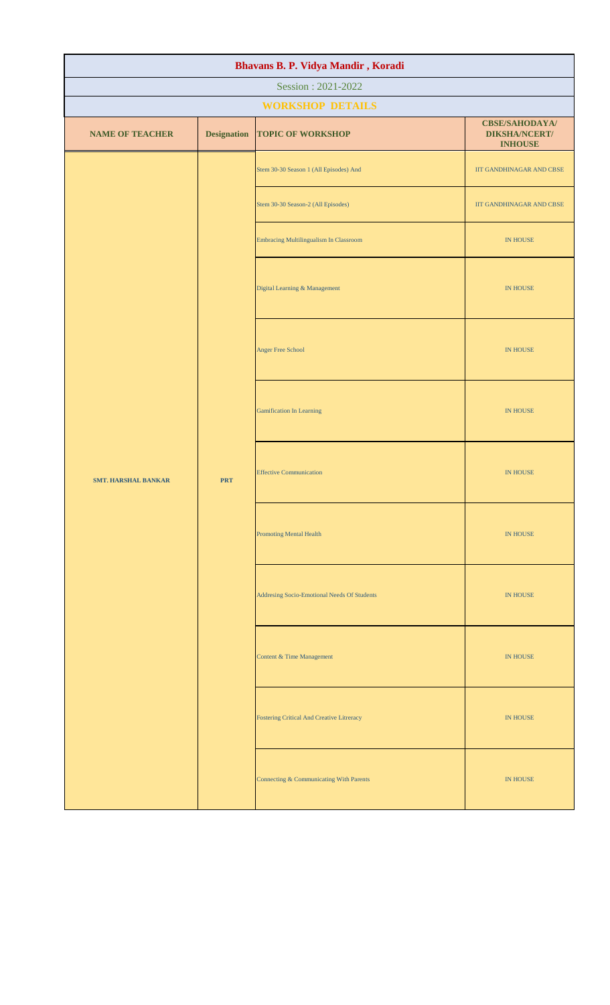| Bhavans B. P. Vidya Mandir, Koradi |                         |                                                  |                                                                 |                 |                                      |
|------------------------------------|-------------------------|--------------------------------------------------|-----------------------------------------------------------------|-----------------|--------------------------------------|
| Session: 2021-2022                 |                         |                                                  |                                                                 |                 |                                      |
|                                    | <b>WORKSHOP DETAILS</b> |                                                  |                                                                 |                 |                                      |
| <b>NAME OF TEACHER</b>             | <b>Designation</b>      | <b>TOPIC OF WORKSHOP</b>                         | <b>CBSE/SAHODAYA/</b><br><b>DIKSHA/NCERT/</b><br><b>INHOUSE</b> |                 |                                      |
|                                    |                         | Stem 30-30 Season 1 (All Episodes) And           | IIT GANDHINAGAR AND CBSE                                        |                 |                                      |
|                                    |                         | Stem 30-30 Season-2 (All Episodes)               | IIT GANDHINAGAR AND CBSE                                        |                 |                                      |
|                                    |                         | Embracing Multilingualism In Classroom           | IN HOUSE                                                        |                 |                                      |
|                                    |                         | Digital Learning & Management                    | IN HOUSE                                                        |                 |                                      |
| <b>SMT. HARSHAL BANKAR</b>         |                         | Anger Free School                                | IN HOUSE                                                        |                 |                                      |
|                                    |                         | <b>PRT</b>                                       | <b>Gamification In Learning</b>                                 | <b>IN HOUSE</b> |                                      |
|                                    |                         |                                                  | <b>Effective Communication</b>                                  | <b>IN HOUSE</b> |                                      |
|                                    |                         |                                                  | <b>Promoting Mental Health</b>                                  | <b>IN HOUSE</b> |                                      |
|                                    |                         | Addresing Socio-Emotional Needs Of Students      | <b>IN HOUSE</b>                                                 |                 |                                      |
|                                    |                         |                                                  |                                                                 |                 | <b>Content &amp; Time Management</b> |
|                                    |                         | <b>Fostering Critical And Creative Litreracy</b> | <b>IN HOUSE</b>                                                 |                 |                                      |
|                                    |                         | Connecting & Communicating With Parents          | IN HOUSE                                                        |                 |                                      |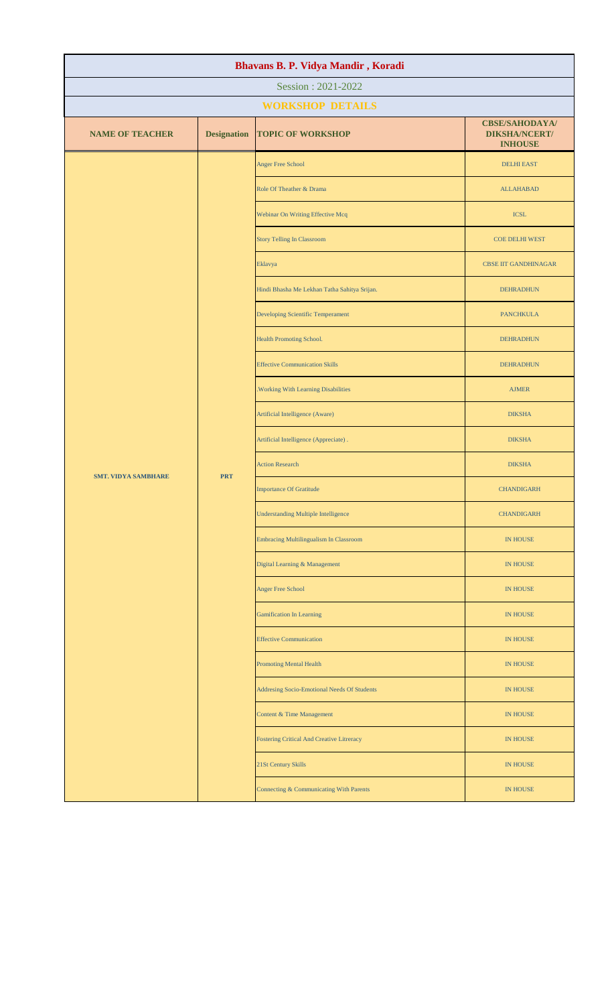| Bhavans B. P. Vidya Mandir, Koradi |                    |                                               |                                                                 |                   |
|------------------------------------|--------------------|-----------------------------------------------|-----------------------------------------------------------------|-------------------|
| Session: 2021-2022                 |                    |                                               |                                                                 |                   |
|                                    |                    | <b>WORKSHOP DETAILS</b>                       |                                                                 |                   |
| <b>NAME OF TEACHER</b>             | <b>Designation</b> | <b>TOPIC OF WORKSHOP</b>                      | <b>CBSE/SAHODAYA/</b><br><b>DIKSHA/NCERT/</b><br><b>INHOUSE</b> |                   |
|                                    |                    | <b>Anger Free School</b>                      | <b>DELHI EAST</b>                                               |                   |
|                                    |                    | Role Of Theather & Drama                      | <b>ALLAHABAD</b>                                                |                   |
|                                    |                    | Webinar On Writing Effective Mcq              | <b>ICSL</b>                                                     |                   |
|                                    |                    | <b>Story Telling In Classroom</b>             | <b>COE DELHI WEST</b>                                           |                   |
|                                    |                    | Eklavya                                       | <b>CBSE IIT GANDHINAGAR</b>                                     |                   |
|                                    |                    | Hindi Bhasha Me Lekhan Tatha Sahitya Srijan.  | <b>DEHRADHUN</b>                                                |                   |
|                                    |                    | Developing Scientific Temperament             | <b>PANCHKULA</b>                                                |                   |
|                                    |                    | Health Promoting School.                      | <b>DEHRADHUN</b>                                                |                   |
|                                    |                    | <b>Effective Communication Skills</b>         | <b>DEHRADHUN</b>                                                |                   |
| <b>SMT. VIDYA SAMBHARE</b>         |                    | .Working With Learning Disabilities           | <b>AJMER</b>                                                    |                   |
|                                    |                    |                                               | Artificial Intelligence (Aware)                                 | <b>DIKSHA</b>     |
|                                    |                    |                                               | Artificial Intelligence (Appreciate).                           | <b>DIKSHA</b>     |
|                                    | <b>PRT</b>         | <b>Action Research</b>                        | <b>DIKSHA</b>                                                   |                   |
|                                    |                    |                                               | <b>Importance Of Gratitude</b>                                  | <b>CHANDIGARH</b> |
|                                    |                    | <b>Understanding Multiple Intelligence</b>    | <b>CHANDIGARH</b>                                               |                   |
|                                    |                    | <b>Embracing Multilingualism In Classroom</b> | <b>IN HOUSE</b>                                                 |                   |
|                                    |                    | Digital Learning & Management                 | IN HOUSE                                                        |                   |
|                                    |                    | <b>Anger Free School</b>                      | <b>IN HOUSE</b>                                                 |                   |
|                                    |                    |                                               | <b>Gamification In Learning</b>                                 | <b>IN HOUSE</b>   |
|                                    |                    |                                               | <b>Effective Communication</b>                                  | <b>IN HOUSE</b>   |
|                                    |                    | <b>Promoting Mental Health</b>                | <b>IN HOUSE</b>                                                 |                   |
|                                    |                    | Addresing Socio-Emotional Needs Of Students   | <b>IN HOUSE</b>                                                 |                   |
|                                    |                    | Content & Time Management                     | <b>IN HOUSE</b>                                                 |                   |
|                                    |                    | Fostering Critical And Creative Litreracy     | <b>IN HOUSE</b>                                                 |                   |
|                                    |                    | 21St Century Skills                           | <b>IN HOUSE</b>                                                 |                   |
|                                    |                    | Connecting & Communicating With Parents       | <b>IN HOUSE</b>                                                 |                   |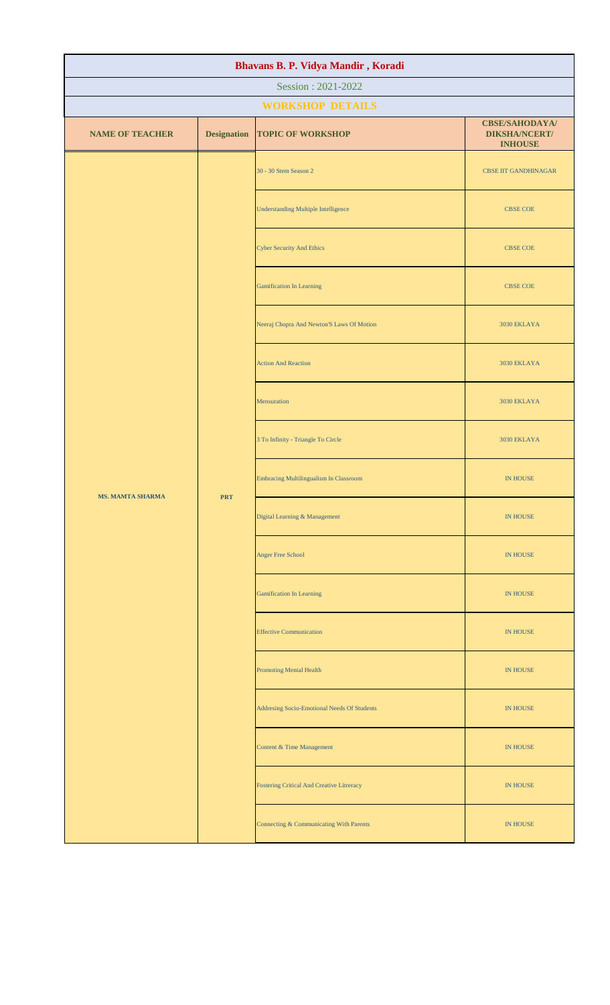| Bhavans B. P. Vidya Mandir, Koradi |                    |                                                  |                                                                 |  |  |
|------------------------------------|--------------------|--------------------------------------------------|-----------------------------------------------------------------|--|--|
| Session: 2021-2022                 |                    |                                                  |                                                                 |  |  |
|                                    |                    | <b>WORKSHOP DETAILS</b>                          |                                                                 |  |  |
| <b>NAME OF TEACHER</b>             | <b>Designation</b> | <b>TOPIC OF WORKSHOP</b>                         | <b>CBSE/SAHODAYA/</b><br><b>DIKSHA/NCERT/</b><br><b>INHOUSE</b> |  |  |
|                                    |                    | 30 - 30 Stem Season 2                            | <b>CBSE IIT GANDHINAGAR</b>                                     |  |  |
|                                    |                    | <b>Understanding Multiple Intelligence</b>       | <b>CBSE COE</b>                                                 |  |  |
|                                    |                    | <b>Cyber Security And Ethics</b>                 | <b>CBSE COE</b>                                                 |  |  |
|                                    |                    | <b>Gamification In Learning</b>                  | <b>CBSE COE</b>                                                 |  |  |
|                                    |                    | Neeraj Chopra And Newton'S Laws Of Motion        | 3030 EKLAYA                                                     |  |  |
|                                    |                    | <b>Action And Reaction</b>                       | 3030 EKLAYA                                                     |  |  |
|                                    |                    | Mensuration                                      | 3030 EKLAYA                                                     |  |  |
|                                    |                    | 3 To Infinity - Triangle To Circle               | 3030 EKLAYA                                                     |  |  |
| <b>MS. MAMTA SHARMA</b>            | <b>PRT</b>         | <b>Embracing Multilingualism In Classroom</b>    | IN HOUSE                                                        |  |  |
|                                    |                    | Digital Learning & Management                    | <b>IN HOUSE</b>                                                 |  |  |
|                                    |                    | Anger Free School                                | IN HOUSE                                                        |  |  |
|                                    |                    | <b>Gamification In Learning</b>                  | IN HOUSE                                                        |  |  |
|                                    |                    | <b>Effective Communication</b>                   | <b>IN HOUSE</b>                                                 |  |  |
|                                    |                    | <b>Promoting Mental Health</b>                   | IN HOUSE                                                        |  |  |
|                                    |                    | Addresing Socio-Emotional Needs Of Students      | IN HOUSE                                                        |  |  |
|                                    |                    | Content & Time Management                        | <b>IN HOUSE</b>                                                 |  |  |
|                                    |                    | <b>Fostering Critical And Creative Litreracy</b> | IN HOUSE                                                        |  |  |
|                                    |                    | Connecting & Communicating With Parents          | <b>IN HOUSE</b>                                                 |  |  |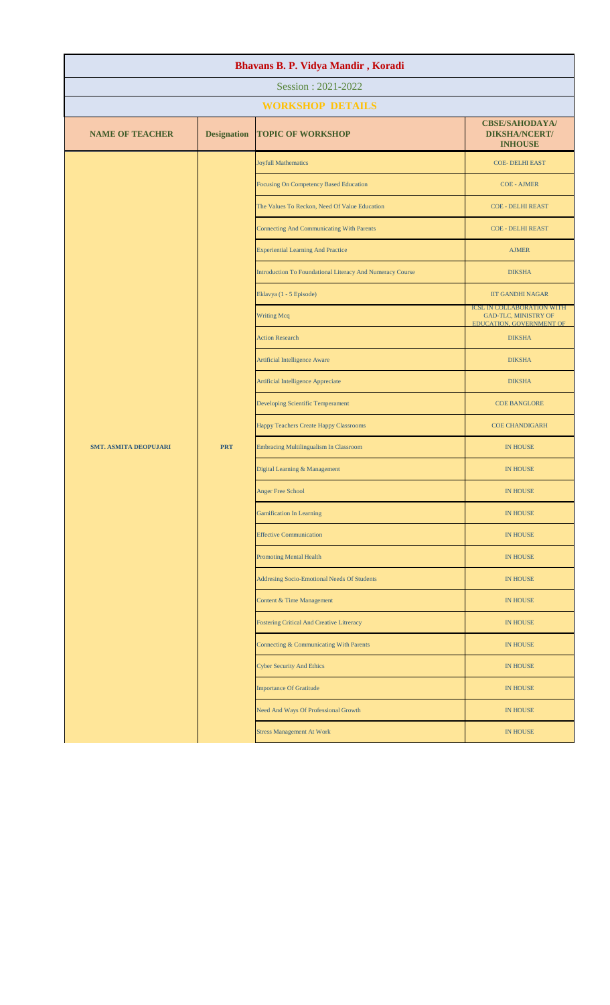| Bhavans B. P. Vidya Mandir, Koradi |                    |                                                           |                                                                                                                                                     |  |  |
|------------------------------------|--------------------|-----------------------------------------------------------|-----------------------------------------------------------------------------------------------------------------------------------------------------|--|--|
| Session: 2021-2022                 |                    |                                                           |                                                                                                                                                     |  |  |
|                                    |                    | <b>WORKSHOP DETAILS</b>                                   |                                                                                                                                                     |  |  |
| <b>NAME OF TEACHER</b>             | <b>Designation</b> | <b>TOPIC OF WORKSHOP</b>                                  | <b>CBSE/SAHODAYA/</b><br><b>DIKSHA/NCERT/</b><br><b>INHOUSE</b>                                                                                     |  |  |
|                                    |                    | <b>Joyfull Mathematics</b>                                | <b>COE- DELHI EAST</b>                                                                                                                              |  |  |
|                                    |                    | Focusing On Competency Based Education                    | <b>COE - AJMER</b>                                                                                                                                  |  |  |
|                                    |                    | The Values To Reckon, Need Of Value Education             | <b>COE - DELHI REAST</b>                                                                                                                            |  |  |
|                                    |                    | <b>Connecting And Communicating With Parents</b>          | <b>COE - DELHI REAST</b>                                                                                                                            |  |  |
|                                    |                    | <b>Experiential Learning And Practice</b>                 | <b>AJMER</b>                                                                                                                                        |  |  |
|                                    |                    | Introduction To Foundational Literacy And Numeracy Course | <b>DIKSHA</b>                                                                                                                                       |  |  |
|                                    |                    | Eklavya (1 - 5 Episode)                                   | <b>IIT GANDHI NAGAR</b>                                                                                                                             |  |  |
|                                    |                    | <b>Writing Mcq</b>                                        | <b>GAD-TLC, MINISTRY OF</b><br>EDUCATION, GOVERNMENT OF                                                                                             |  |  |
|                                    |                    | <b>Action Research</b>                                    | <b>DIKSHA</b>                                                                                                                                       |  |  |
|                                    |                    | <b>Artificial Intelligence Aware</b>                      | <b>DIKSHA</b>                                                                                                                                       |  |  |
|                                    |                    | <b>Artificial Intelligence Appreciate</b>                 | <b>DIKSHA</b>                                                                                                                                       |  |  |
|                                    |                    | Developing Scientific Temperament                         | <b>COE BANGLORE</b>                                                                                                                                 |  |  |
|                                    |                    | Happy Teachers Create Happy Classrooms                    | <b>COE CHANDIGARH</b>                                                                                                                               |  |  |
| <b>SMT. ASMITA DEOPUJARI</b>       | <b>PRT</b>         | Embracing Multilingualism In Classroom                    | <b>IN HOUSE</b>                                                                                                                                     |  |  |
|                                    |                    | Digital Learning & Management                             | <b>IN HOUSE</b>                                                                                                                                     |  |  |
|                                    |                    | <b>Anger Free School</b>                                  | <b>IN HOUSE</b>                                                                                                                                     |  |  |
|                                    |                    | <b>Gamification In Learning</b>                           | <b>IN HOUSE</b>                                                                                                                                     |  |  |
|                                    |                    | <b>Effective Communication</b>                            | <b>IN HOUSE</b>                                                                                                                                     |  |  |
|                                    |                    | <b>Promoting Mental Health</b>                            | <b>IN HOUSE</b>                                                                                                                                     |  |  |
|                                    |                    | Addresing Socio-Emotional Needs Of Students               | <b>IN HOUSE</b>                                                                                                                                     |  |  |
|                                    |                    | Content & Time Management                                 | <b>IN HOUSE</b>                                                                                                                                     |  |  |
|                                    |                    | <b>Fostering Critical And Creative Litreracy</b>          | <b>ICSL IN COLLABORATION WITH</b><br><b>IN HOUSE</b><br><b>IN HOUSE</b><br><b>IN HOUSE</b><br><b>IN HOUSE</b><br><b>IN HOUSE</b><br><b>IN HOUSE</b> |  |  |
|                                    |                    | Connecting & Communicating With Parents                   |                                                                                                                                                     |  |  |
|                                    |                    | <b>Cyber Security And Ethics</b>                          |                                                                                                                                                     |  |  |
|                                    |                    | <b>Importance Of Gratitude</b>                            |                                                                                                                                                     |  |  |
|                                    |                    | Need And Ways Of Professional Growth                      |                                                                                                                                                     |  |  |
|                                    |                    | <b>Stress Management At Work</b>                          |                                                                                                                                                     |  |  |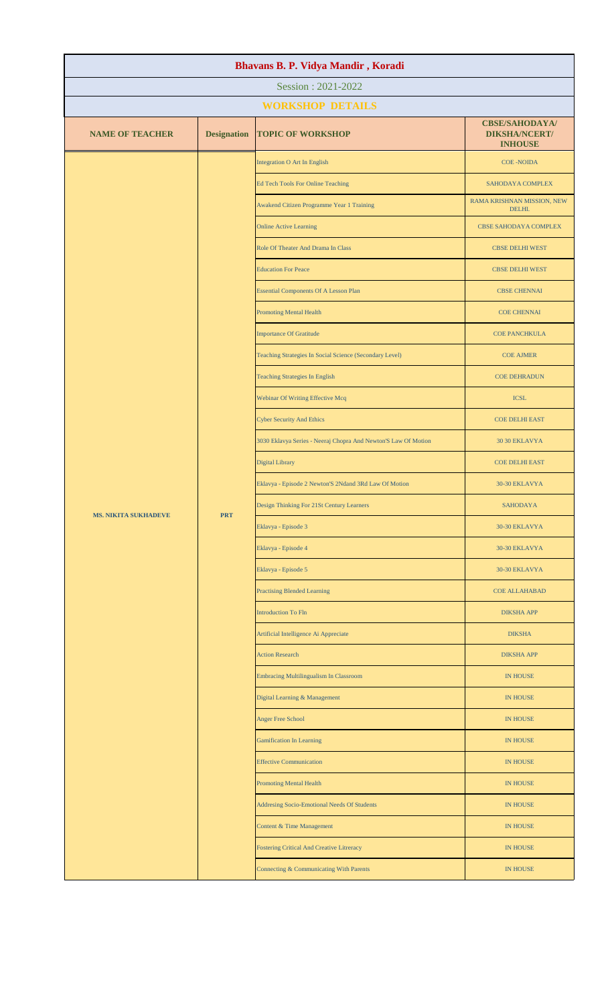| Bhavans B. P. Vidya Mandir, Koradi |                                           |                                                                |                                                                 |                       |
|------------------------------------|-------------------------------------------|----------------------------------------------------------------|-----------------------------------------------------------------|-----------------------|
| Session: 2021-2022                 |                                           |                                                                |                                                                 |                       |
|                                    |                                           | <b>WORKSHOP DETAILS</b>                                        |                                                                 |                       |
| <b>NAME OF TEACHER</b>             | <b>Designation</b>                        | <b>TOPIC OF WORKSHOP</b>                                       | <b>CBSE/SAHODAYA/</b><br><b>DIKSHA/NCERT/</b><br><b>INHOUSE</b> |                       |
|                                    |                                           | Integration O Art In English                                   | <b>COE-NOIDA</b>                                                |                       |
|                                    |                                           | <b>Ed Tech Tools For Online Teaching</b>                       | SAHODAYA COMPLEX                                                |                       |
|                                    |                                           | Awakend Citizen Programme Year 1 Training                      | RAMA KRISHNAN MISSION, NEW<br>DELHI.                            |                       |
|                                    |                                           | <b>Online Active Learning</b>                                  | CBSE SAHODAYA COMPLEX                                           |                       |
|                                    |                                           | Role Of Theater And Drama In Class                             | <b>CBSE DELHI WEST</b>                                          |                       |
|                                    |                                           | <b>Education For Peace</b>                                     | <b>CBSE DELHI WEST</b>                                          |                       |
|                                    |                                           | <b>Essential Components Of A Lesson Plan</b>                   | <b>CBSE CHENNAI</b>                                             |                       |
|                                    |                                           | <b>Promoting Mental Health</b>                                 | <b>COE CHENNAI</b>                                              |                       |
|                                    |                                           | <b>Importance Of Gratitude</b>                                 | <b>COE PANCHKULA</b>                                            |                       |
|                                    |                                           | Teaching Strategies In Social Science (Secondary Level)        | <b>COE AJMER</b>                                                |                       |
|                                    |                                           | <b>Teaching Strategies In English</b>                          | <b>COE DEHRADUN</b>                                             |                       |
|                                    |                                           | Webinar Of Writing Effective Mcq                               | <b>ICSL</b>                                                     |                       |
|                                    |                                           | <b>Cyber Security And Ethics</b>                               | <b>COE DELHI EAST</b>                                           |                       |
|                                    |                                           | 3030 Eklavya Series - Neeraj Chopra And Newton'S Law Of Motion | 30 30 EKLAVYA                                                   |                       |
|                                    |                                           |                                                                | Digital Library                                                 | <b>COE DELHI EAST</b> |
|                                    |                                           | Eklavya - Episode 2 Newton'S 2Ndand 3Rd Law Of Motion          | 30-30 EKLAVYA                                                   |                       |
|                                    | <b>PRT</b><br><b>MS. NIKITA SUKHADEVE</b> | Design Thinking For 21St Century Learners                      | <b>SAHODAYA</b>                                                 |                       |
|                                    |                                           | Eklavya - Episode 3                                            | 30-30 EKLAVYA                                                   |                       |
|                                    |                                           | Eklavya - Episode 4                                            | 30-30 EKLAVYA                                                   |                       |
|                                    | Eklavya - Episode 5                       | 30-30 EKLAVYA                                                  |                                                                 |                       |
|                                    |                                           | <b>Practising Blended Learning</b>                             | <b>COE ALLAHABAD</b>                                            |                       |
|                                    |                                           | <b>Introduction To Fln</b>                                     | <b>DIKSHA APP</b>                                               |                       |
|                                    |                                           | Artificial Intelligence Ai Appreciate                          | <b>DIKSHA</b>                                                   |                       |
|                                    |                                           | <b>Action Research</b>                                         | <b>DIKSHA APP</b>                                               |                       |
|                                    |                                           | <b>Embracing Multilingualism In Classroom</b>                  | <b>IN HOUSE</b>                                                 |                       |
|                                    |                                           | Digital Learning & Management                                  | <b>IN HOUSE</b>                                                 |                       |
|                                    |                                           | <b>Anger Free School</b>                                       | <b>IN HOUSE</b>                                                 |                       |
|                                    |                                           | <b>Gamification In Learning</b>                                | <b>IN HOUSE</b>                                                 |                       |
|                                    |                                           | <b>Effective Communication</b>                                 | <b>IN HOUSE</b>                                                 |                       |
|                                    |                                           | <b>Promoting Mental Health</b>                                 | <b>IN HOUSE</b>                                                 |                       |
|                                    |                                           | Addresing Socio-Emotional Needs Of Students                    | <b>IN HOUSE</b>                                                 |                       |
|                                    |                                           | Content & Time Management                                      | <b>IN HOUSE</b>                                                 |                       |
|                                    |                                           | <b>Fostering Critical And Creative Litreracy</b>               | <b>IN HOUSE</b>                                                 |                       |
|                                    |                                           | Connecting & Communicating With Parents                        | <b>IN HOUSE</b>                                                 |                       |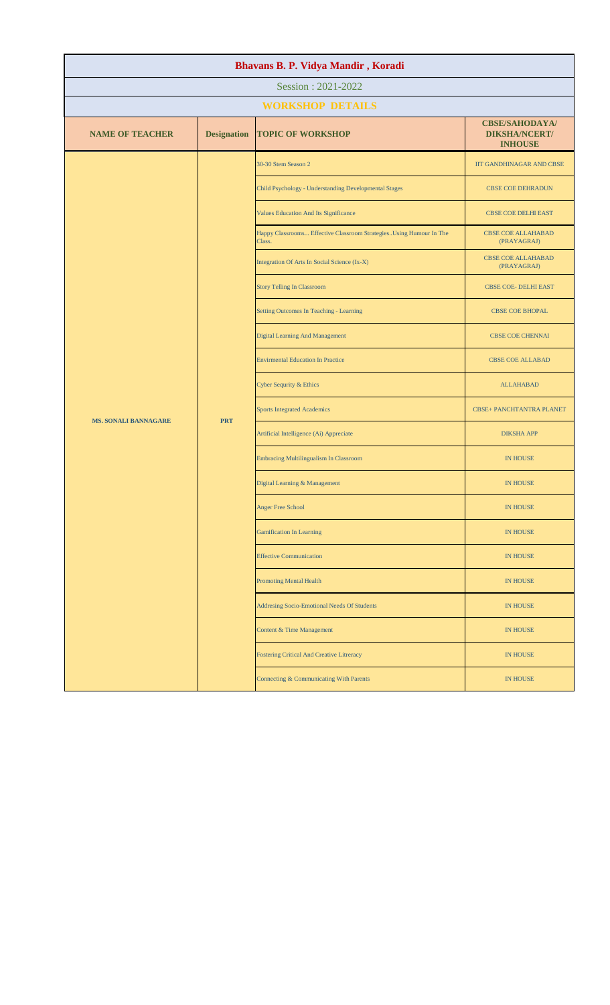| Bhavans B. P. Vidya Mandir, Koradi |                    |                                                                              |                                                                 |  |
|------------------------------------|--------------------|------------------------------------------------------------------------------|-----------------------------------------------------------------|--|
| Session: 2021-2022                 |                    |                                                                              |                                                                 |  |
|                                    |                    | <b>WORKSHOP DETAILS</b>                                                      |                                                                 |  |
| <b>NAME OF TEACHER</b>             | <b>Designation</b> | <b>TOPIC OF WORKSHOP</b>                                                     | <b>CBSE/SAHODAYA/</b><br><b>DIKSHA/NCERT/</b><br><b>INHOUSE</b> |  |
|                                    |                    | 30-30 Stem Season 2                                                          | IIT GANDHINAGAR AND CBSE                                        |  |
|                                    |                    | Child Psychology - Understanding Developmental Stages                        | <b>CBSE COE DEHRADUN</b>                                        |  |
|                                    |                    | Values Education And Its Significance                                        | CBSE COE DELHI EAST                                             |  |
|                                    |                    | Happy Classrooms Effective Classroom StrategiesUsing Humour In The<br>Class. | <b>CBSE COE ALLAHABAD</b><br>(PRAYAGRAJ)                        |  |
|                                    |                    | Integration Of Arts In Social Science (Ix-X)                                 | <b>CBSE COE ALLAHABAD</b><br>(PRAYAGRAJ)                        |  |
|                                    |                    | <b>Story Telling In Classroom</b>                                            | <b>CBSE COE- DELHI EAST</b>                                     |  |
|                                    |                    | Setting Outcomes In Teaching - Learning                                      | <b>CBSE COE BHOPAL</b>                                          |  |
|                                    |                    | <b>Digital Learning And Management</b>                                       | <b>CBSE COE CHENNAI</b>                                         |  |
|                                    |                    | <b>Envirmental Education In Practice</b>                                     | <b>CBSE COE ALLABAD</b>                                         |  |
|                                    |                    | Cyber Sequrity & Ethics                                                      | <b>ALLAHABAD</b>                                                |  |
| <b>MS. SONALI BANNAGARE</b>        | <b>PRT</b>         | <b>Sports Integrated Academics</b>                                           | <b>CBSE+ PANCHTANTRA PLANET</b>                                 |  |
|                                    |                    | Artificial Intelligence (Ai) Appreciate                                      | <b>DIKSHA APP</b>                                               |  |
|                                    |                    | Embracing Multilingualism In Classroom                                       | <b>IN HOUSE</b>                                                 |  |
|                                    |                    | Digital Learning & Management                                                | <b>IN HOUSE</b>                                                 |  |
|                                    |                    | <b>Anger Free School</b>                                                     | <b>IN HOUSE</b>                                                 |  |
|                                    |                    | <b>Gamification In Learning</b>                                              | <b>IN HOUSE</b>                                                 |  |
|                                    |                    | <b>Effective Communication</b>                                               | <b>IN HOUSE</b>                                                 |  |
|                                    |                    | <b>Promoting Mental Health</b>                                               | <b>IN HOUSE</b>                                                 |  |
|                                    |                    | <b>Addresing Socio-Emotional Needs Of Students</b>                           | <b>IN HOUSE</b>                                                 |  |
|                                    |                    | Content & Time Management                                                    | <b>IN HOUSE</b>                                                 |  |
|                                    |                    | <b>Fostering Critical And Creative Litreracy</b>                             | <b>IN HOUSE</b>                                                 |  |
|                                    |                    | Connecting & Communicating With Parents                                      | <b>IN HOUSE</b>                                                 |  |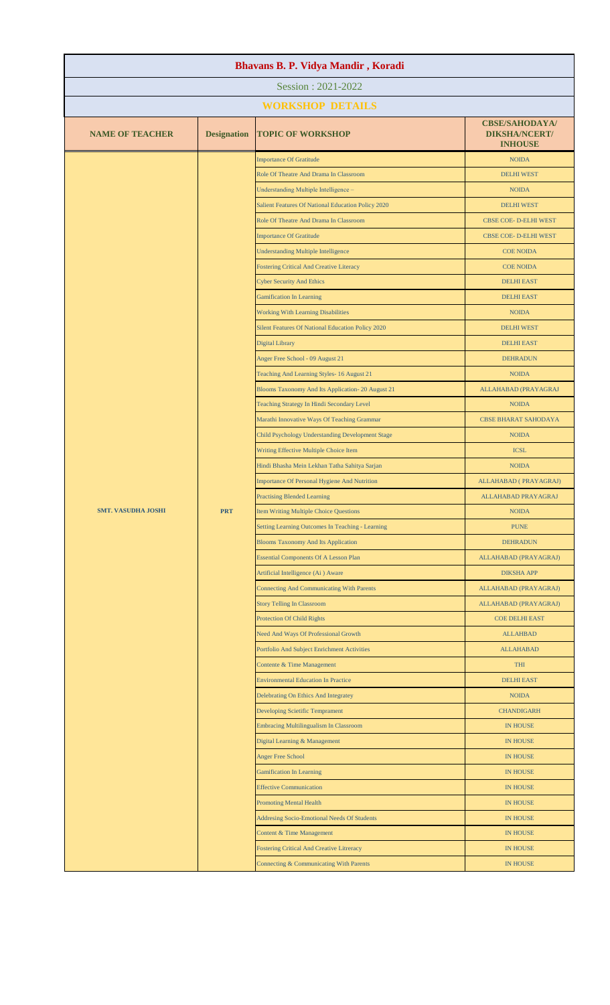| Session: 2021-2022<br><b>WORKSHOP DETAILS</b><br><b>CBSE/SAHODAYA/</b><br><b>NAME OF TEACHER</b><br><b>Designation</b><br><b>TOPIC OF WORKSHOP</b><br><b>DIKSHA/NCERT/</b><br><b>INHOUSE</b><br><b>Importance Of Gratitude</b><br><b>NOIDA</b><br>Role Of Theatre And Drama In Classroom<br><b>DELHI WEST</b><br>Understanding Multiple Intelligence -<br><b>NOIDA</b><br>Salient Features Of National Education Policy 2020<br><b>DELHI WEST</b><br>Role Of Theatre And Drama In Classroom<br>CBSE COE- D-ELHI WEST<br><b>Importance Of Gratitude</b><br>CBSE COE- D-ELHI WEST<br><b>Understanding Multiple Intelligence</b><br><b>COE NOIDA</b><br><b>Fostering Critical And Creative Literacy</b><br><b>COE NOIDA</b><br><b>Cyber Security And Ethics</b><br><b>DELHI EAST</b><br><b>Gamification In Learning</b><br><b>DELHI EAST</b><br><b>Working With Learning Disabilities</b><br><b>NOIDA</b><br>Silent Features Of National Education Policy 2020<br><b>DELHI WEST</b><br><b>Digital Library</b><br><b>DELHI EAST</b><br>Anger Free School - 09 August 21<br><b>DEHRADUN</b><br>Teaching And Learning Styles- 16 August 21<br><b>NOIDA</b><br>Blooms Taxonomy And Its Application-20 August 21<br>ALLAHABAD (PRAYAGRAJ<br>Teaching Strategy In Hindi Secondary Level<br><b>NOIDA</b><br>Marathi Innovative Ways Of Teaching Grammar<br><b>CBSE BHARAT SAHODAYA</b><br>Child Psychology Understanding Development Stage<br><b>NOIDA</b><br>Writing Effective Multiple Choice Item<br><b>ICSL</b><br>Hindi Bhasha Mein Lekhan Tatha Sahitya Sarjan<br><b>NOIDA</b><br>Importance Of Personal Hygiene And Nutrition<br>ALLAHABAD (PRAYAGRAJ)<br><b>Practising Blended Learning</b><br>ALLAHABAD PRAYAGRAJ<br><b>PRT</b><br><b>SMT. VASUDHA JOSHI</b><br><b>Item Writing Multiple Choice Questions</b><br><b>NOIDA</b><br>Setting Learning Outcomes In Teaching - Learning<br><b>PUNE</b><br><b>Blooms Taxonomy And Its Application</b><br><b>DEHRADUN</b><br><b>Essential Components Of A Lesson Plan</b><br>ALLAHABAD (PRAYAGRAJ)<br>Artificial Intelligence (Ai) Aware<br><b>DIKSHA APP</b><br><b>Connecting And Communicating With Parents</b><br>ALLAHABAD (PRAYAGRAJ)<br><b>Story Telling In Classroom</b><br>ALLAHABAD (PRAYAGRAJ)<br><b>Protection Of Child Rights</b><br><b>COE DELHI EAST</b> |
|---------------------------------------------------------------------------------------------------------------------------------------------------------------------------------------------------------------------------------------------------------------------------------------------------------------------------------------------------------------------------------------------------------------------------------------------------------------------------------------------------------------------------------------------------------------------------------------------------------------------------------------------------------------------------------------------------------------------------------------------------------------------------------------------------------------------------------------------------------------------------------------------------------------------------------------------------------------------------------------------------------------------------------------------------------------------------------------------------------------------------------------------------------------------------------------------------------------------------------------------------------------------------------------------------------------------------------------------------------------------------------------------------------------------------------------------------------------------------------------------------------------------------------------------------------------------------------------------------------------------------------------------------------------------------------------------------------------------------------------------------------------------------------------------------------------------------------------------------------------------------------------------------------------------------------------------------------------------------------------------------------------------------------------------------------------------------------------------------------------------------------------------------------------------------------------------------------------------------------------------------------------------------------------------------------------|
|                                                                                                                                                                                                                                                                                                                                                                                                                                                                                                                                                                                                                                                                                                                                                                                                                                                                                                                                                                                                                                                                                                                                                                                                                                                                                                                                                                                                                                                                                                                                                                                                                                                                                                                                                                                                                                                                                                                                                                                                                                                                                                                                                                                                                                                                                                               |
|                                                                                                                                                                                                                                                                                                                                                                                                                                                                                                                                                                                                                                                                                                                                                                                                                                                                                                                                                                                                                                                                                                                                                                                                                                                                                                                                                                                                                                                                                                                                                                                                                                                                                                                                                                                                                                                                                                                                                                                                                                                                                                                                                                                                                                                                                                               |
|                                                                                                                                                                                                                                                                                                                                                                                                                                                                                                                                                                                                                                                                                                                                                                                                                                                                                                                                                                                                                                                                                                                                                                                                                                                                                                                                                                                                                                                                                                                                                                                                                                                                                                                                                                                                                                                                                                                                                                                                                                                                                                                                                                                                                                                                                                               |
|                                                                                                                                                                                                                                                                                                                                                                                                                                                                                                                                                                                                                                                                                                                                                                                                                                                                                                                                                                                                                                                                                                                                                                                                                                                                                                                                                                                                                                                                                                                                                                                                                                                                                                                                                                                                                                                                                                                                                                                                                                                                                                                                                                                                                                                                                                               |
|                                                                                                                                                                                                                                                                                                                                                                                                                                                                                                                                                                                                                                                                                                                                                                                                                                                                                                                                                                                                                                                                                                                                                                                                                                                                                                                                                                                                                                                                                                                                                                                                                                                                                                                                                                                                                                                                                                                                                                                                                                                                                                                                                                                                                                                                                                               |
|                                                                                                                                                                                                                                                                                                                                                                                                                                                                                                                                                                                                                                                                                                                                                                                                                                                                                                                                                                                                                                                                                                                                                                                                                                                                                                                                                                                                                                                                                                                                                                                                                                                                                                                                                                                                                                                                                                                                                                                                                                                                                                                                                                                                                                                                                                               |
|                                                                                                                                                                                                                                                                                                                                                                                                                                                                                                                                                                                                                                                                                                                                                                                                                                                                                                                                                                                                                                                                                                                                                                                                                                                                                                                                                                                                                                                                                                                                                                                                                                                                                                                                                                                                                                                                                                                                                                                                                                                                                                                                                                                                                                                                                                               |
|                                                                                                                                                                                                                                                                                                                                                                                                                                                                                                                                                                                                                                                                                                                                                                                                                                                                                                                                                                                                                                                                                                                                                                                                                                                                                                                                                                                                                                                                                                                                                                                                                                                                                                                                                                                                                                                                                                                                                                                                                                                                                                                                                                                                                                                                                                               |
|                                                                                                                                                                                                                                                                                                                                                                                                                                                                                                                                                                                                                                                                                                                                                                                                                                                                                                                                                                                                                                                                                                                                                                                                                                                                                                                                                                                                                                                                                                                                                                                                                                                                                                                                                                                                                                                                                                                                                                                                                                                                                                                                                                                                                                                                                                               |
|                                                                                                                                                                                                                                                                                                                                                                                                                                                                                                                                                                                                                                                                                                                                                                                                                                                                                                                                                                                                                                                                                                                                                                                                                                                                                                                                                                                                                                                                                                                                                                                                                                                                                                                                                                                                                                                                                                                                                                                                                                                                                                                                                                                                                                                                                                               |
|                                                                                                                                                                                                                                                                                                                                                                                                                                                                                                                                                                                                                                                                                                                                                                                                                                                                                                                                                                                                                                                                                                                                                                                                                                                                                                                                                                                                                                                                                                                                                                                                                                                                                                                                                                                                                                                                                                                                                                                                                                                                                                                                                                                                                                                                                                               |
|                                                                                                                                                                                                                                                                                                                                                                                                                                                                                                                                                                                                                                                                                                                                                                                                                                                                                                                                                                                                                                                                                                                                                                                                                                                                                                                                                                                                                                                                                                                                                                                                                                                                                                                                                                                                                                                                                                                                                                                                                                                                                                                                                                                                                                                                                                               |
|                                                                                                                                                                                                                                                                                                                                                                                                                                                                                                                                                                                                                                                                                                                                                                                                                                                                                                                                                                                                                                                                                                                                                                                                                                                                                                                                                                                                                                                                                                                                                                                                                                                                                                                                                                                                                                                                                                                                                                                                                                                                                                                                                                                                                                                                                                               |
|                                                                                                                                                                                                                                                                                                                                                                                                                                                                                                                                                                                                                                                                                                                                                                                                                                                                                                                                                                                                                                                                                                                                                                                                                                                                                                                                                                                                                                                                                                                                                                                                                                                                                                                                                                                                                                                                                                                                                                                                                                                                                                                                                                                                                                                                                                               |
|                                                                                                                                                                                                                                                                                                                                                                                                                                                                                                                                                                                                                                                                                                                                                                                                                                                                                                                                                                                                                                                                                                                                                                                                                                                                                                                                                                                                                                                                                                                                                                                                                                                                                                                                                                                                                                                                                                                                                                                                                                                                                                                                                                                                                                                                                                               |
|                                                                                                                                                                                                                                                                                                                                                                                                                                                                                                                                                                                                                                                                                                                                                                                                                                                                                                                                                                                                                                                                                                                                                                                                                                                                                                                                                                                                                                                                                                                                                                                                                                                                                                                                                                                                                                                                                                                                                                                                                                                                                                                                                                                                                                                                                                               |
|                                                                                                                                                                                                                                                                                                                                                                                                                                                                                                                                                                                                                                                                                                                                                                                                                                                                                                                                                                                                                                                                                                                                                                                                                                                                                                                                                                                                                                                                                                                                                                                                                                                                                                                                                                                                                                                                                                                                                                                                                                                                                                                                                                                                                                                                                                               |
|                                                                                                                                                                                                                                                                                                                                                                                                                                                                                                                                                                                                                                                                                                                                                                                                                                                                                                                                                                                                                                                                                                                                                                                                                                                                                                                                                                                                                                                                                                                                                                                                                                                                                                                                                                                                                                                                                                                                                                                                                                                                                                                                                                                                                                                                                                               |
|                                                                                                                                                                                                                                                                                                                                                                                                                                                                                                                                                                                                                                                                                                                                                                                                                                                                                                                                                                                                                                                                                                                                                                                                                                                                                                                                                                                                                                                                                                                                                                                                                                                                                                                                                                                                                                                                                                                                                                                                                                                                                                                                                                                                                                                                                                               |
|                                                                                                                                                                                                                                                                                                                                                                                                                                                                                                                                                                                                                                                                                                                                                                                                                                                                                                                                                                                                                                                                                                                                                                                                                                                                                                                                                                                                                                                                                                                                                                                                                                                                                                                                                                                                                                                                                                                                                                                                                                                                                                                                                                                                                                                                                                               |
|                                                                                                                                                                                                                                                                                                                                                                                                                                                                                                                                                                                                                                                                                                                                                                                                                                                                                                                                                                                                                                                                                                                                                                                                                                                                                                                                                                                                                                                                                                                                                                                                                                                                                                                                                                                                                                                                                                                                                                                                                                                                                                                                                                                                                                                                                                               |
|                                                                                                                                                                                                                                                                                                                                                                                                                                                                                                                                                                                                                                                                                                                                                                                                                                                                                                                                                                                                                                                                                                                                                                                                                                                                                                                                                                                                                                                                                                                                                                                                                                                                                                                                                                                                                                                                                                                                                                                                                                                                                                                                                                                                                                                                                                               |
|                                                                                                                                                                                                                                                                                                                                                                                                                                                                                                                                                                                                                                                                                                                                                                                                                                                                                                                                                                                                                                                                                                                                                                                                                                                                                                                                                                                                                                                                                                                                                                                                                                                                                                                                                                                                                                                                                                                                                                                                                                                                                                                                                                                                                                                                                                               |
|                                                                                                                                                                                                                                                                                                                                                                                                                                                                                                                                                                                                                                                                                                                                                                                                                                                                                                                                                                                                                                                                                                                                                                                                                                                                                                                                                                                                                                                                                                                                                                                                                                                                                                                                                                                                                                                                                                                                                                                                                                                                                                                                                                                                                                                                                                               |
|                                                                                                                                                                                                                                                                                                                                                                                                                                                                                                                                                                                                                                                                                                                                                                                                                                                                                                                                                                                                                                                                                                                                                                                                                                                                                                                                                                                                                                                                                                                                                                                                                                                                                                                                                                                                                                                                                                                                                                                                                                                                                                                                                                                                                                                                                                               |
|                                                                                                                                                                                                                                                                                                                                                                                                                                                                                                                                                                                                                                                                                                                                                                                                                                                                                                                                                                                                                                                                                                                                                                                                                                                                                                                                                                                                                                                                                                                                                                                                                                                                                                                                                                                                                                                                                                                                                                                                                                                                                                                                                                                                                                                                                                               |
|                                                                                                                                                                                                                                                                                                                                                                                                                                                                                                                                                                                                                                                                                                                                                                                                                                                                                                                                                                                                                                                                                                                                                                                                                                                                                                                                                                                                                                                                                                                                                                                                                                                                                                                                                                                                                                                                                                                                                                                                                                                                                                                                                                                                                                                                                                               |
|                                                                                                                                                                                                                                                                                                                                                                                                                                                                                                                                                                                                                                                                                                                                                                                                                                                                                                                                                                                                                                                                                                                                                                                                                                                                                                                                                                                                                                                                                                                                                                                                                                                                                                                                                                                                                                                                                                                                                                                                                                                                                                                                                                                                                                                                                                               |
|                                                                                                                                                                                                                                                                                                                                                                                                                                                                                                                                                                                                                                                                                                                                                                                                                                                                                                                                                                                                                                                                                                                                                                                                                                                                                                                                                                                                                                                                                                                                                                                                                                                                                                                                                                                                                                                                                                                                                                                                                                                                                                                                                                                                                                                                                                               |
|                                                                                                                                                                                                                                                                                                                                                                                                                                                                                                                                                                                                                                                                                                                                                                                                                                                                                                                                                                                                                                                                                                                                                                                                                                                                                                                                                                                                                                                                                                                                                                                                                                                                                                                                                                                                                                                                                                                                                                                                                                                                                                                                                                                                                                                                                                               |
|                                                                                                                                                                                                                                                                                                                                                                                                                                                                                                                                                                                                                                                                                                                                                                                                                                                                                                                                                                                                                                                                                                                                                                                                                                                                                                                                                                                                                                                                                                                                                                                                                                                                                                                                                                                                                                                                                                                                                                                                                                                                                                                                                                                                                                                                                                               |
|                                                                                                                                                                                                                                                                                                                                                                                                                                                                                                                                                                                                                                                                                                                                                                                                                                                                                                                                                                                                                                                                                                                                                                                                                                                                                                                                                                                                                                                                                                                                                                                                                                                                                                                                                                                                                                                                                                                                                                                                                                                                                                                                                                                                                                                                                                               |
|                                                                                                                                                                                                                                                                                                                                                                                                                                                                                                                                                                                                                                                                                                                                                                                                                                                                                                                                                                                                                                                                                                                                                                                                                                                                                                                                                                                                                                                                                                                                                                                                                                                                                                                                                                                                                                                                                                                                                                                                                                                                                                                                                                                                                                                                                                               |
| Need And Ways Of Professional Growth<br><b>ALLAHBAD</b>                                                                                                                                                                                                                                                                                                                                                                                                                                                                                                                                                                                                                                                                                                                                                                                                                                                                                                                                                                                                                                                                                                                                                                                                                                                                                                                                                                                                                                                                                                                                                                                                                                                                                                                                                                                                                                                                                                                                                                                                                                                                                                                                                                                                                                                       |
| Portfolio And Subject Enrichment Activities<br><b>ALLAHABAD</b>                                                                                                                                                                                                                                                                                                                                                                                                                                                                                                                                                                                                                                                                                                                                                                                                                                                                                                                                                                                                                                                                                                                                                                                                                                                                                                                                                                                                                                                                                                                                                                                                                                                                                                                                                                                                                                                                                                                                                                                                                                                                                                                                                                                                                                               |
| THI<br>Contente & Time Management                                                                                                                                                                                                                                                                                                                                                                                                                                                                                                                                                                                                                                                                                                                                                                                                                                                                                                                                                                                                                                                                                                                                                                                                                                                                                                                                                                                                                                                                                                                                                                                                                                                                                                                                                                                                                                                                                                                                                                                                                                                                                                                                                                                                                                                                             |
| <b>Environmental Education In Practice</b><br><b>DELHI EAST</b>                                                                                                                                                                                                                                                                                                                                                                                                                                                                                                                                                                                                                                                                                                                                                                                                                                                                                                                                                                                                                                                                                                                                                                                                                                                                                                                                                                                                                                                                                                                                                                                                                                                                                                                                                                                                                                                                                                                                                                                                                                                                                                                                                                                                                                               |
| Delebrating On Ethics And Integratey<br><b>NOIDA</b>                                                                                                                                                                                                                                                                                                                                                                                                                                                                                                                                                                                                                                                                                                                                                                                                                                                                                                                                                                                                                                                                                                                                                                                                                                                                                                                                                                                                                                                                                                                                                                                                                                                                                                                                                                                                                                                                                                                                                                                                                                                                                                                                                                                                                                                          |
| Developing Scietific Temprament<br><b>CHANDIGARH</b>                                                                                                                                                                                                                                                                                                                                                                                                                                                                                                                                                                                                                                                                                                                                                                                                                                                                                                                                                                                                                                                                                                                                                                                                                                                                                                                                                                                                                                                                                                                                                                                                                                                                                                                                                                                                                                                                                                                                                                                                                                                                                                                                                                                                                                                          |
| <b>Embracing Multilingualism In Classroom</b><br><b>IN HOUSE</b>                                                                                                                                                                                                                                                                                                                                                                                                                                                                                                                                                                                                                                                                                                                                                                                                                                                                                                                                                                                                                                                                                                                                                                                                                                                                                                                                                                                                                                                                                                                                                                                                                                                                                                                                                                                                                                                                                                                                                                                                                                                                                                                                                                                                                                              |
| Digital Learning & Management<br><b>IN HOUSE</b>                                                                                                                                                                                                                                                                                                                                                                                                                                                                                                                                                                                                                                                                                                                                                                                                                                                                                                                                                                                                                                                                                                                                                                                                                                                                                                                                                                                                                                                                                                                                                                                                                                                                                                                                                                                                                                                                                                                                                                                                                                                                                                                                                                                                                                                              |
| <b>Anger Free School</b><br><b>IN HOUSE</b>                                                                                                                                                                                                                                                                                                                                                                                                                                                                                                                                                                                                                                                                                                                                                                                                                                                                                                                                                                                                                                                                                                                                                                                                                                                                                                                                                                                                                                                                                                                                                                                                                                                                                                                                                                                                                                                                                                                                                                                                                                                                                                                                                                                                                                                                   |
| <b>Gamification In Learning</b><br>IN HOUSE                                                                                                                                                                                                                                                                                                                                                                                                                                                                                                                                                                                                                                                                                                                                                                                                                                                                                                                                                                                                                                                                                                                                                                                                                                                                                                                                                                                                                                                                                                                                                                                                                                                                                                                                                                                                                                                                                                                                                                                                                                                                                                                                                                                                                                                                   |
| <b>Effective Communication</b><br><b>IN HOUSE</b>                                                                                                                                                                                                                                                                                                                                                                                                                                                                                                                                                                                                                                                                                                                                                                                                                                                                                                                                                                                                                                                                                                                                                                                                                                                                                                                                                                                                                                                                                                                                                                                                                                                                                                                                                                                                                                                                                                                                                                                                                                                                                                                                                                                                                                                             |
| <b>Promoting Mental Health</b><br><b>IN HOUSE</b>                                                                                                                                                                                                                                                                                                                                                                                                                                                                                                                                                                                                                                                                                                                                                                                                                                                                                                                                                                                                                                                                                                                                                                                                                                                                                                                                                                                                                                                                                                                                                                                                                                                                                                                                                                                                                                                                                                                                                                                                                                                                                                                                                                                                                                                             |
| <b>Addresing Socio-Emotional Needs Of Students</b><br><b>IN HOUSE</b>                                                                                                                                                                                                                                                                                                                                                                                                                                                                                                                                                                                                                                                                                                                                                                                                                                                                                                                                                                                                                                                                                                                                                                                                                                                                                                                                                                                                                                                                                                                                                                                                                                                                                                                                                                                                                                                                                                                                                                                                                                                                                                                                                                                                                                         |
| <b>Content &amp; Time Management</b><br><b>IN HOUSE</b>                                                                                                                                                                                                                                                                                                                                                                                                                                                                                                                                                                                                                                                                                                                                                                                                                                                                                                                                                                                                                                                                                                                                                                                                                                                                                                                                                                                                                                                                                                                                                                                                                                                                                                                                                                                                                                                                                                                                                                                                                                                                                                                                                                                                                                                       |
| <b>Fostering Critical And Creative Litreracy</b><br><b>IN HOUSE</b>                                                                                                                                                                                                                                                                                                                                                                                                                                                                                                                                                                                                                                                                                                                                                                                                                                                                                                                                                                                                                                                                                                                                                                                                                                                                                                                                                                                                                                                                                                                                                                                                                                                                                                                                                                                                                                                                                                                                                                                                                                                                                                                                                                                                                                           |
| Connecting & Communicating With Parents<br><b>IN HOUSE</b>                                                                                                                                                                                                                                                                                                                                                                                                                                                                                                                                                                                                                                                                                                                                                                                                                                                                                                                                                                                                                                                                                                                                                                                                                                                                                                                                                                                                                                                                                                                                                                                                                                                                                                                                                                                                                                                                                                                                                                                                                                                                                                                                                                                                                                                    |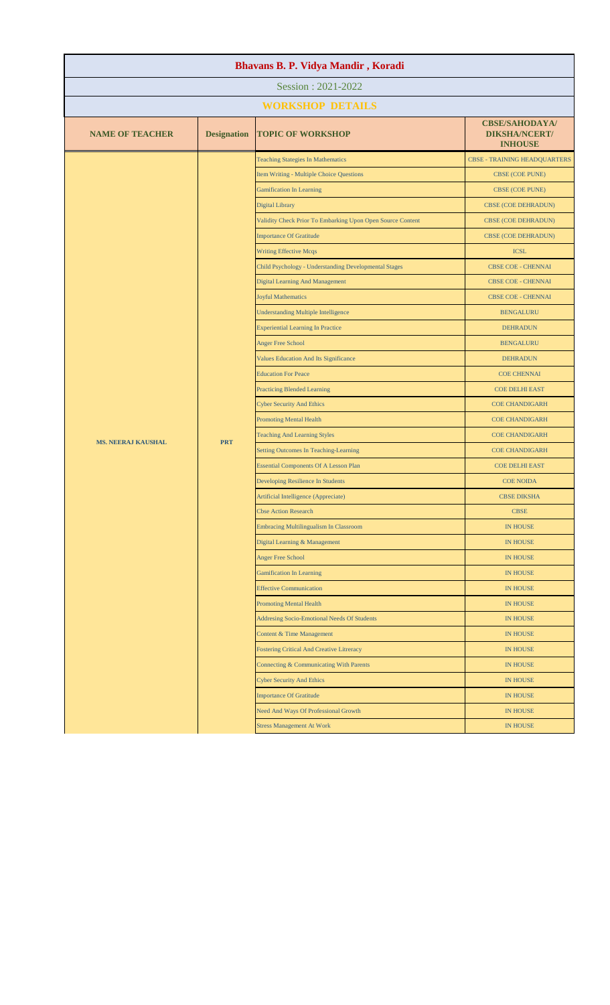| Bhavans B. P. Vidya Mandir, Koradi |                               |                                                            |                                                                 |  |
|------------------------------------|-------------------------------|------------------------------------------------------------|-----------------------------------------------------------------|--|
| Session: 2021-2022                 |                               |                                                            |                                                                 |  |
|                                    |                               | <b>WORKSHOP DETAILS</b>                                    |                                                                 |  |
| <b>NAME OF TEACHER</b>             | <b>Designation</b>            | <b>TOPIC OF WORKSHOP</b>                                   | <b>CBSE/SAHODAYA/</b><br><b>DIKSHA/NCERT/</b><br><b>INHOUSE</b> |  |
|                                    |                               | <b>Teaching Stategies In Mathematics</b>                   | <b>CBSE - TRAINING HEADQUARTERS</b>                             |  |
|                                    |                               | Item Writing - Multiple Choice Questions                   | CBSE (COE PUNE)                                                 |  |
|                                    |                               | <b>Gamification In Learning</b>                            | <b>CBSE (COE PUNE)</b>                                          |  |
|                                    |                               | <b>Digital Library</b>                                     | CBSE (COE DEHRADUN)                                             |  |
|                                    |                               | Validity Check Prior To Embarking Upon Open Source Content | <b>CBSE (COE DEHRADUN)</b>                                      |  |
|                                    |                               | <b>Importance Of Gratitude</b>                             | CBSE (COE DEHRADUN)                                             |  |
|                                    | <b>Writing Effective Mcqs</b> | <b>ICSL</b>                                                |                                                                 |  |
|                                    |                               | Child Psychology - Understanding Developmental Stages      | <b>CBSE COE - CHENNAI</b>                                       |  |
|                                    |                               | Digital Learning And Management                            | <b>CBSE COE - CHENNAI</b>                                       |  |
|                                    |                               | <b>Joyful Mathematics</b>                                  | CBSE COE - CHENNAI                                              |  |
|                                    |                               | <b>Understanding Multiple Intelligence</b>                 | <b>BENGALURU</b>                                                |  |
|                                    |                               | <b>Experiential Learning In Practice</b>                   | <b>DEHRADUN</b>                                                 |  |
|                                    |                               | <b>Anger Free School</b>                                   | <b>BENGALURU</b>                                                |  |
|                                    |                               | Values Education And Its Significance                      | <b>DEHRADUN</b>                                                 |  |
|                                    |                               | <b>Education For Peace</b>                                 | <b>COE CHENNAI</b>                                              |  |
|                                    |                               | <b>Practicing Blended Learning</b>                         | <b>COE DELHI EAST</b>                                           |  |
|                                    |                               | <b>Cyber Security And Ethics</b>                           | <b>COE CHANDIGARH</b>                                           |  |
|                                    |                               | <b>Promoting Mental Health</b>                             | <b>COE CHANDIGARH</b>                                           |  |
| <b>MS. NEERAJ KAUSHAL</b>          | <b>PRT</b>                    | <b>Teaching And Learning Styles</b>                        | <b>COE CHANDIGARH</b>                                           |  |
|                                    |                               | Setting Outcomes In Teaching-Learning                      | <b>COE CHANDIGARH</b>                                           |  |
|                                    |                               | <b>Essential Components Of A Lesson Plan</b>               | <b>COE DELHI EAST</b>                                           |  |
|                                    |                               | Developing Resilience In Students                          | <b>COE NOIDA</b>                                                |  |
|                                    |                               | Artificial Intelligence (Appreciate)                       | <b>CBSE DIKSHA</b>                                              |  |
|                                    |                               | <b>Cbse Action Research</b>                                | <b>CBSE</b>                                                     |  |
|                                    |                               | Embracing Multilingualism In Classroom                     | <b>IN HOUSE</b>                                                 |  |
|                                    |                               | Digital Learning & Management                              | <b>IN HOUSE</b>                                                 |  |
|                                    |                               | <b>Anger Free School</b>                                   | <b>IN HOUSE</b>                                                 |  |
|                                    |                               | <b>Gamification In Learning</b>                            | <b>IN HOUSE</b>                                                 |  |
|                                    |                               | <b>Effective Communication</b>                             | <b>IN HOUSE</b>                                                 |  |
|                                    |                               | <b>Promoting Mental Health</b>                             | <b>IN HOUSE</b>                                                 |  |
|                                    |                               | <b>Addresing Socio-Emotional Needs Of Students</b>         | <b>IN HOUSE</b>                                                 |  |
|                                    |                               | Content & Time Management                                  | <b>IN HOUSE</b>                                                 |  |
|                                    |                               | <b>Fostering Critical And Creative Litreracy</b>           | <b>IN HOUSE</b>                                                 |  |
|                                    |                               | Connecting & Communicating With Parents                    | <b>IN HOUSE</b>                                                 |  |
|                                    |                               | <b>Cyber Security And Ethics</b>                           | <b>IN HOUSE</b>                                                 |  |
|                                    |                               | <b>Importance Of Gratitude</b>                             | <b>IN HOUSE</b>                                                 |  |
|                                    |                               | Need And Ways Of Professional Growth                       | <b>IN HOUSE</b>                                                 |  |
|                                    |                               | <b>Stress Management At Work</b>                           | <b>IN HOUSE</b>                                                 |  |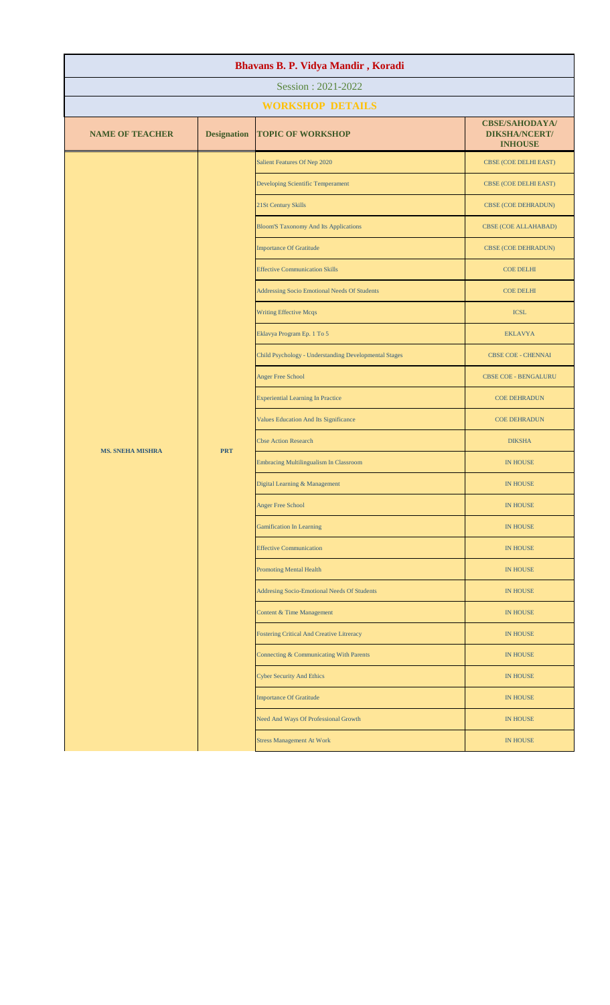| Bhavans B. P. Vidya Mandir, Koradi |                    |                                                                                                                                                                                                                                                                                                                                                                                                                                                                                                                                                               |                                                                 |  |
|------------------------------------|--------------------|---------------------------------------------------------------------------------------------------------------------------------------------------------------------------------------------------------------------------------------------------------------------------------------------------------------------------------------------------------------------------------------------------------------------------------------------------------------------------------------------------------------------------------------------------------------|-----------------------------------------------------------------|--|
| Session: 2021-2022                 |                    |                                                                                                                                                                                                                                                                                                                                                                                                                                                                                                                                                               |                                                                 |  |
|                                    |                    | <b>WORKSHOP DETAILS</b>                                                                                                                                                                                                                                                                                                                                                                                                                                                                                                                                       |                                                                 |  |
| <b>NAME OF TEACHER</b>             | <b>Designation</b> | <b>TOPIC OF WORKSHOP</b>                                                                                                                                                                                                                                                                                                                                                                                                                                                                                                                                      | <b>CBSE/SAHODAYA/</b><br><b>DIKSHA/NCERT/</b><br><b>INHOUSE</b> |  |
|                                    |                    | Salient Features Of Nep 2020                                                                                                                                                                                                                                                                                                                                                                                                                                                                                                                                  | CBSE (COE DELHI EAST)                                           |  |
|                                    |                    | <b>Developing Scientific Temperament</b>                                                                                                                                                                                                                                                                                                                                                                                                                                                                                                                      | CBSE (COE DELHI EAST)                                           |  |
|                                    |                    | 21St Century Skills                                                                                                                                                                                                                                                                                                                                                                                                                                                                                                                                           | <b>CBSE (COE DEHRADUN)</b>                                      |  |
|                                    |                    | <b>Bloom'S Taxonomy And Its Applications</b><br>CBSE (COE ALLAHABAD)<br><b>CBSE (COE DEHRADUN)</b><br><b>COE DELHI</b><br><b>COE DELHI</b><br><b>ICSL</b><br><b>EKLAVYA</b><br><b>CBSE COE - CHENNAI</b><br><b>CBSE COE - BENGALURU</b><br><b>COE DEHRADUN</b><br><b>COE DEHRADUN</b><br><b>DIKSHA</b><br><b>IN HOUSE</b><br><b>IN HOUSE</b><br><b>IN HOUSE</b><br><b>IN HOUSE</b><br><b>IN HOUSE</b><br><b>IN HOUSE</b><br><b>IN HOUSE</b><br><b>IN HOUSE</b><br><b>IN HOUSE</b><br><b>IN HOUSE</b><br><b>IN HOUSE</b><br><b>IN HOUSE</b><br><b>IN HOUSE</b> |                                                                 |  |
|                                    |                    | <b>Importance Of Gratitude</b>                                                                                                                                                                                                                                                                                                                                                                                                                                                                                                                                |                                                                 |  |
|                                    |                    | <b>Effective Communication Skills</b><br><b>Addressing Socio Emotional Needs Of Students</b>                                                                                                                                                                                                                                                                                                                                                                                                                                                                  |                                                                 |  |
|                                    |                    |                                                                                                                                                                                                                                                                                                                                                                                                                                                                                                                                                               |                                                                 |  |
|                                    |                    | <b>Writing Effective Mcqs</b>                                                                                                                                                                                                                                                                                                                                                                                                                                                                                                                                 |                                                                 |  |
|                                    |                    | Eklavya Program Ep. 1 To 5                                                                                                                                                                                                                                                                                                                                                                                                                                                                                                                                    |                                                                 |  |
|                                    |                    | Child Psychology - Understanding Developmental Stages                                                                                                                                                                                                                                                                                                                                                                                                                                                                                                         |                                                                 |  |
|                                    |                    | <b>Anger Free School</b>                                                                                                                                                                                                                                                                                                                                                                                                                                                                                                                                      |                                                                 |  |
|                                    |                    | <b>Experiential Learning In Practice</b>                                                                                                                                                                                                                                                                                                                                                                                                                                                                                                                      |                                                                 |  |
|                                    |                    | Values Education And Its Significance                                                                                                                                                                                                                                                                                                                                                                                                                                                                                                                         |                                                                 |  |
| <b>MS. SNEHA MISHRA</b>            | <b>PRT</b>         | <b>Cbse Action Research</b>                                                                                                                                                                                                                                                                                                                                                                                                                                                                                                                                   |                                                                 |  |
|                                    |                    | <b>Embracing Multilingualism In Classroom</b>                                                                                                                                                                                                                                                                                                                                                                                                                                                                                                                 |                                                                 |  |
|                                    |                    | Digital Learning & Management                                                                                                                                                                                                                                                                                                                                                                                                                                                                                                                                 |                                                                 |  |
|                                    |                    | <b>Anger Free School</b>                                                                                                                                                                                                                                                                                                                                                                                                                                                                                                                                      |                                                                 |  |
|                                    |                    | <b>Gamification In Learning</b>                                                                                                                                                                                                                                                                                                                                                                                                                                                                                                                               |                                                                 |  |
|                                    |                    | <b>Effective Communication</b>                                                                                                                                                                                                                                                                                                                                                                                                                                                                                                                                |                                                                 |  |
|                                    |                    | <b>Promoting Mental Health</b>                                                                                                                                                                                                                                                                                                                                                                                                                                                                                                                                |                                                                 |  |
|                                    |                    | Addresing Socio-Emotional Needs Of Students                                                                                                                                                                                                                                                                                                                                                                                                                                                                                                                   |                                                                 |  |
|                                    |                    | <b>Content &amp; Time Management</b>                                                                                                                                                                                                                                                                                                                                                                                                                                                                                                                          |                                                                 |  |
|                                    |                    | <b>Fostering Critical And Creative Litreracy</b>                                                                                                                                                                                                                                                                                                                                                                                                                                                                                                              |                                                                 |  |
|                                    |                    | Connecting & Communicating With Parents                                                                                                                                                                                                                                                                                                                                                                                                                                                                                                                       |                                                                 |  |
|                                    |                    | <b>Cyber Security And Ethics</b>                                                                                                                                                                                                                                                                                                                                                                                                                                                                                                                              |                                                                 |  |
|                                    |                    | <b>Importance Of Gratitude</b>                                                                                                                                                                                                                                                                                                                                                                                                                                                                                                                                |                                                                 |  |
|                                    |                    | Need And Ways Of Professional Growth                                                                                                                                                                                                                                                                                                                                                                                                                                                                                                                          |                                                                 |  |
|                                    |                    | <b>Stress Management At Work</b>                                                                                                                                                                                                                                                                                                                                                                                                                                                                                                                              | IN HOUSE                                                        |  |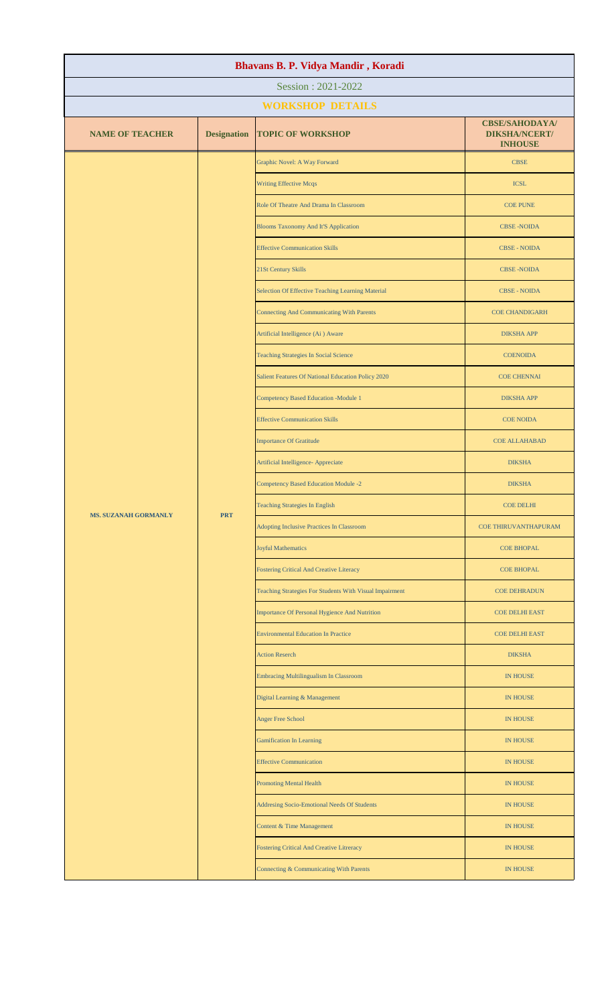| Bhavans B. P. Vidya Mandir, Koradi |                           |                                                         |                                                                                      |               |  |
|------------------------------------|---------------------------|---------------------------------------------------------|--------------------------------------------------------------------------------------|---------------|--|
| Session: 2021-2022                 |                           |                                                         |                                                                                      |               |  |
|                                    | <b>WORKSHOP DETAILS</b>   |                                                         |                                                                                      |               |  |
| <b>NAME OF TEACHER</b>             | <b>Designation</b>        | <b>TOPIC OF WORKSHOP</b>                                | <b>CBSE/SAHODAYA/</b><br><b>DIKSHA/NCERT/</b><br><b>INHOUSE</b>                      |               |  |
|                                    |                           | Graphic Novel: A Way Forward                            | <b>CBSE</b>                                                                          |               |  |
|                                    |                           | <b>Writing Effective Mcqs</b>                           | <b>ICSL</b>                                                                          |               |  |
|                                    |                           | Role Of Theatre And Drama In Classroom                  | <b>COE PUNE</b>                                                                      |               |  |
|                                    |                           | <b>Blooms Taxonomy And It'S Application</b>             | <b>CBSE-NOIDA</b>                                                                    |               |  |
|                                    |                           | <b>Effective Communication Skills</b>                   | <b>CBSE - NOIDA</b>                                                                  |               |  |
|                                    |                           | 21St Century Skills                                     | <b>CBSE-NOIDA</b>                                                                    |               |  |
|                                    |                           | Selection Of Effective Teaching Learning Material       | <b>CBSE - NOIDA</b>                                                                  |               |  |
|                                    |                           | <b>Connecting And Communicating With Parents</b>        | <b>COE CHANDIGARH</b>                                                                |               |  |
|                                    |                           | Artificial Intelligence (Ai) Aware                      | <b>DIKSHA APP</b>                                                                    |               |  |
|                                    |                           | <b>Teaching Strategies In Social Science</b>            | <b>COENOIDA</b>                                                                      |               |  |
|                                    |                           | Salient Features Of National Education Policy 2020      | <b>COE CHENNAI</b>                                                                   |               |  |
|                                    |                           | <b>Competency Based Education -Module 1</b>             | <b>DIKSHA APP</b>                                                                    |               |  |
|                                    |                           | <b>Effective Communication Skills</b>                   | <b>COE NOIDA</b>                                                                     |               |  |
|                                    |                           | <b>Importance Of Gratitude</b>                          | <b>COE ALLAHABAD</b>                                                                 |               |  |
|                                    |                           |                                                         | Artificial Intelligence- Appreciate                                                  | <b>DIKSHA</b> |  |
|                                    | <b>PRT</b>                | <b>Competency Based Education Module -2</b>             | <b>DIKSHA</b>                                                                        |               |  |
| <b>MS. SUZANAH GORMANLY</b>        |                           | <b>Teaching Strategies In English</b>                   | <b>COE DELHI</b>                                                                     |               |  |
|                                    |                           | Adopting Inclusive Practices In Classroom               | COE THIRUVANTHAPURAM                                                                 |               |  |
|                                    | <b>Joyful Mathematics</b> | <b>COE BHOPAL</b>                                       |                                                                                      |               |  |
|                                    |                           | Fostering Critical And Creative Literacy                | <b>COE BHOPAL</b>                                                                    |               |  |
|                                    |                           | Teaching Strategies For Students With Visual Impairment | <b>COE DEHRADUN</b>                                                                  |               |  |
|                                    |                           | Importance Of Personal Hygience And Nutrition           | <b>COE DELHI EAST</b>                                                                |               |  |
|                                    |                           | <b>Environmental Education In Practice</b>              | <b>COE DELHI EAST</b>                                                                |               |  |
|                                    |                           | <b>Action Reserch</b>                                   | <b>DIKSHA</b>                                                                        |               |  |
|                                    |                           | <b>Embracing Multilingualism In Classroom</b>           | IN HOUSE<br><b>IN HOUSE</b><br><b>IN HOUSE</b><br><b>IN HOUSE</b><br><b>IN HOUSE</b> |               |  |
|                                    |                           | Digital Learning & Management                           |                                                                                      |               |  |
|                                    |                           | <b>Anger Free School</b>                                |                                                                                      |               |  |
|                                    |                           | <b>Gamification In Learning</b>                         |                                                                                      |               |  |
|                                    |                           | <b>Effective Communication</b>                          | IN HOUSE<br><b>IN HOUSE</b><br><b>IN HOUSE</b><br><b>IN HOUSE</b><br><b>IN HOUSE</b> |               |  |
|                                    |                           | <b>Promoting Mental Health</b>                          |                                                                                      |               |  |
|                                    |                           | Addresing Socio-Emotional Needs Of Students             |                                                                                      |               |  |
|                                    |                           | Content & Time Management                               |                                                                                      |               |  |
|                                    |                           | <b>Fostering Critical And Creative Litreracy</b>        |                                                                                      |               |  |
|                                    |                           | Connecting & Communicating With Parents                 |                                                                                      |               |  |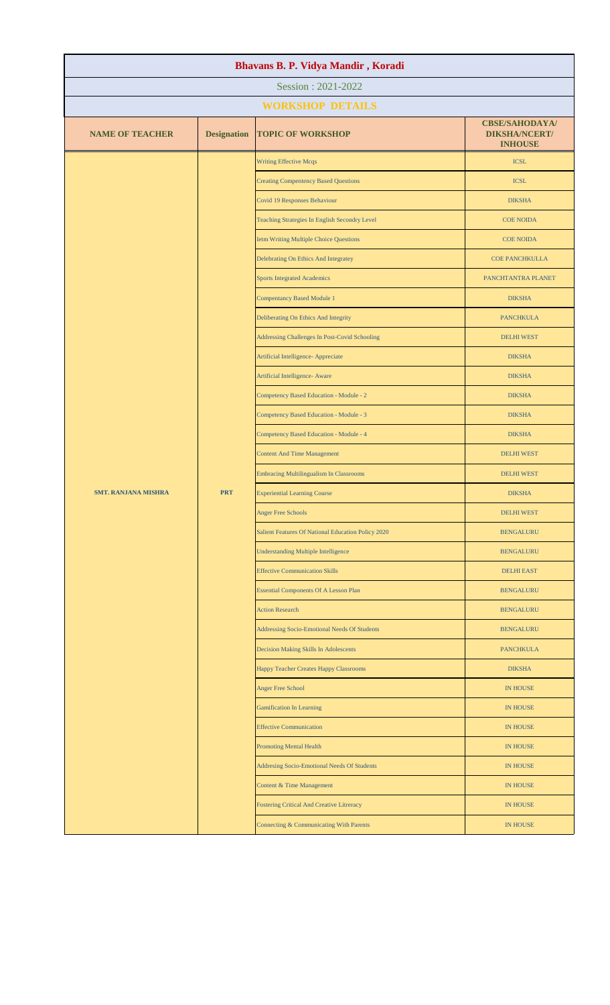| Bhavans B. P. Vidya Mandir, Koradi |                    |                                                    |                                                                 |  |
|------------------------------------|--------------------|----------------------------------------------------|-----------------------------------------------------------------|--|
| Session: 2021-2022                 |                    |                                                    |                                                                 |  |
|                                    |                    | <b>WORKSHOP DETAILS</b>                            |                                                                 |  |
| <b>NAME OF TEACHER</b>             | <b>Designation</b> | <b>TOPIC OF WORKSHOP</b>                           | <b>CBSE/SAHODAYA/</b><br><b>DIKSHA/NCERT/</b><br><b>INHOUSE</b> |  |
|                                    |                    | <b>Writing Effective Mcqs</b>                      | <b>ICSL</b>                                                     |  |
|                                    |                    | <b>Creating Compentency Based Questions</b>        | <b>ICSL</b>                                                     |  |
|                                    |                    | Covid 19 Responses Behaviour                       | <b>DIKSHA</b>                                                   |  |
|                                    |                    | Teaching Strategies In English Secondry Level      | <b>COE NOIDA</b>                                                |  |
|                                    |                    | <b>Ietm Writing Multiple Choice Questions</b>      | <b>COE NOIDA</b>                                                |  |
|                                    |                    | Delebrating On Ethics And Integratey               | <b>COE PANCHKULLA</b>                                           |  |
|                                    |                    | <b>Sports Integrated Academics</b>                 | PANCHTANTRA PLANET                                              |  |
|                                    |                    | <b>Compentancy Based Module 1</b>                  | <b>DIKSHA</b>                                                   |  |
|                                    |                    | Deliberating On Ethics And Integrity               | <b>PANCHKULA</b>                                                |  |
|                                    |                    | Addressing Challenges In Post-Covid Schooling      | <b>DELHI WEST</b>                                               |  |
|                                    |                    | Artificial Intelligence- Appreciate                | <b>DIKSHA</b>                                                   |  |
|                                    |                    | Artificial Intelligence- Aware                     | <b>DIKSHA</b>                                                   |  |
|                                    |                    | Competency Based Education - Module - 2            | <b>DIKSHA</b>                                                   |  |
|                                    |                    | Competency Based Education - Module - 3            | <b>DIKSHA</b>                                                   |  |
|                                    |                    | Competency Based Education - Module - 4            | <b>DIKSHA</b>                                                   |  |
|                                    |                    | <b>Content And Time Management</b>                 | <b>DELHI WEST</b>                                               |  |
|                                    |                    | Embracing Multilingualism In Classrooms            | <b>DELHI WEST</b>                                               |  |
| <b>SMT. RANJANA MISHRA</b>         | <b>PRT</b>         | <b>Experiential Learning Course</b>                | <b>DIKSHA</b>                                                   |  |
|                                    |                    | <b>Anger Free Schools</b>                          | <b>DELHI WEST</b>                                               |  |
|                                    |                    | Salient Features Of National Education Policy 2020 | <b>BENGALURU</b>                                                |  |
|                                    |                    | <b>Understanding Multiple Intelligence</b>         | <b>BENGALURU</b>                                                |  |
|                                    |                    | <b>Effective Communication Skills</b>              | <b>DELHI EAST</b>                                               |  |
|                                    |                    | <b>Essential Components Of A Lesson Plan</b>       | <b>BENGALURU</b>                                                |  |
|                                    |                    | <b>Action Research</b>                             | <b>BENGALURU</b>                                                |  |
|                                    |                    | Addressing Socio-Emotional Needs Of Students       | <b>BENGALURU</b>                                                |  |
|                                    |                    | Decision Making Skills In Adolescents              | <b>PANCHKULA</b>                                                |  |
|                                    |                    | Happy Teacher Creates Happy Classrooms             | <b>DIKSHA</b>                                                   |  |
|                                    |                    | Anger Free School                                  | <b>IN HOUSE</b>                                                 |  |
|                                    |                    | <b>Gamification In Learning</b>                    | <b>IN HOUSE</b>                                                 |  |
|                                    |                    | <b>Effective Communication</b>                     | <b>IN HOUSE</b>                                                 |  |
|                                    |                    | <b>Promoting Mental Health</b>                     | <b>IN HOUSE</b>                                                 |  |
|                                    |                    | Addresing Socio-Emotional Needs Of Students        | <b>IN HOUSE</b>                                                 |  |
|                                    |                    | Content & Time Management                          | <b>IN HOUSE</b>                                                 |  |
|                                    |                    | <b>Fostering Critical And Creative Litreracy</b>   | <b>IN HOUSE</b>                                                 |  |
|                                    |                    | Connecting & Communicating With Parents            | <b>IN HOUSE</b>                                                 |  |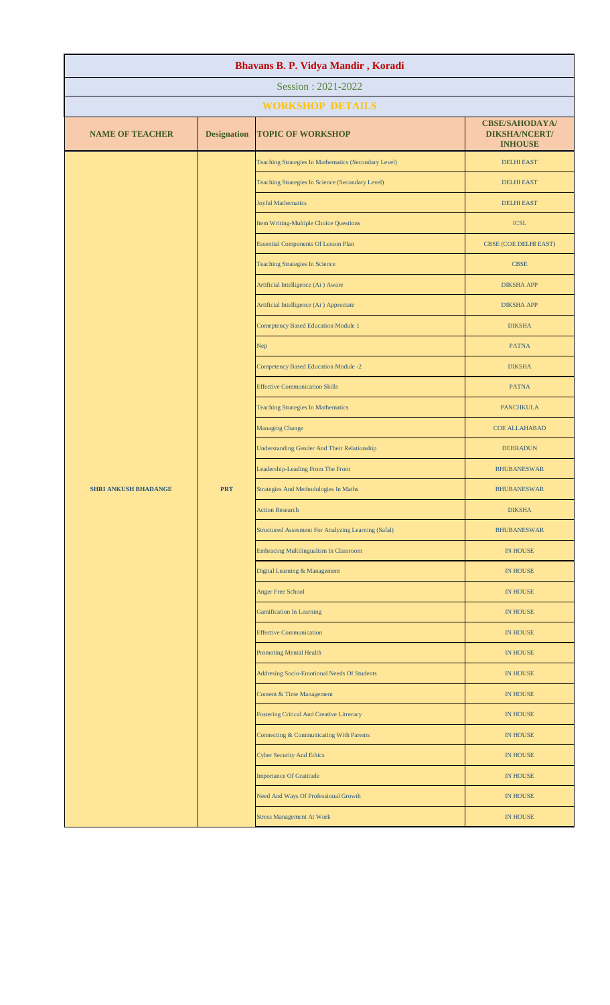| Bhavans B. P. Vidya Mandir, Koradi |                    |                                                      |                                                                 |  |
|------------------------------------|--------------------|------------------------------------------------------|-----------------------------------------------------------------|--|
| Session: 2021-2022                 |                    |                                                      |                                                                 |  |
|                                    |                    | <b>WORKSHOP DETAILS</b>                              |                                                                 |  |
| <b>NAME OF TEACHER</b>             | <b>Designation</b> | <b>TOPIC OF WORKSHOP</b>                             | <b>CBSE/SAHODAYA/</b><br><b>DIKSHA/NCERT/</b><br><b>INHOUSE</b> |  |
|                                    |                    | Teaching Strategies In Mathematics (Secondary Level) | <b>DELHI EAST</b>                                               |  |
|                                    |                    | Teaching Strategies In Science (Secondary Level)     | <b>DELHI EAST</b>                                               |  |
|                                    |                    | <b>Joyful Mathematics</b>                            | <b>DELHI EAST</b>                                               |  |
|                                    |                    | Item Writing-Multiple Choice Questions               | <b>ICSL</b>                                                     |  |
|                                    |                    | <b>Essential Components Of Lesson Plan</b>           | CBSE (COE DELHI EAST)                                           |  |
|                                    |                    | <b>Teaching Strategies In Science</b>                | <b>CBSE</b>                                                     |  |
|                                    |                    | Artificial Intelligence (Ai) Aware                   | <b>DIKSHA APP</b>                                               |  |
|                                    |                    | Artificial Intelligence (Ai) Appreciate              | <b>DIKSHA APP</b>                                               |  |
|                                    |                    | <b>Comeptency Based Education Module 1</b>           | <b>DIKSHA</b>                                                   |  |
|                                    |                    | Nep                                                  | <b>PATNA</b>                                                    |  |
|                                    |                    | <b>Competency Based Education Module -2</b>          | <b>DIKSHA</b>                                                   |  |
|                                    |                    | <b>Effective Communication Skills</b>                | <b>PATNA</b>                                                    |  |
|                                    |                    | <b>Teaching Strategies In Mathematics</b>            | <b>PANCHKULA</b>                                                |  |
|                                    |                    | <b>Managing Change</b>                               | <b>COE ALLAHABAD</b>                                            |  |
|                                    |                    | <b>Understanding Gender And Their Relationship</b>   | <b>DEHRADUN</b>                                                 |  |
|                                    |                    | Leadership-Leading From The Front                    | <b>BHUBANESWAR</b>                                              |  |
| <b>SHRI ANKUSH BHADANGE</b>        | <b>PRT</b>         | Strategies And Methodologies In Maths                | <b>BHUBANESWAR</b>                                              |  |
|                                    |                    | <b>Action Research</b>                               | <b>DIKSHA</b>                                                   |  |
|                                    |                    | Structured Assesment For Analyzing Learning (Safal)  | <b>BHUBANESWAR</b>                                              |  |
|                                    |                    | <b>Embracing Multilingualism In Classroom</b>        | <b>IN HOUSE</b>                                                 |  |
|                                    |                    | Digital Learning & Management                        | IN HOUSE                                                        |  |
|                                    |                    | Anger Free School                                    | IN HOUSE                                                        |  |
|                                    |                    | <b>Gamification In Learning</b>                      | <b>IN HOUSE</b>                                                 |  |
|                                    |                    | <b>Effective Communication</b>                       | <b>IN HOUSE</b>                                                 |  |
|                                    |                    | <b>Promoting Mental Health</b>                       | <b>IN HOUSE</b>                                                 |  |
|                                    |                    | Addresing Socio-Emotional Needs Of Students          | <b>IN HOUSE</b>                                                 |  |
|                                    |                    | Content & Time Management                            | <b>IN HOUSE</b>                                                 |  |
|                                    |                    | Fostering Critical And Creative Litreracy            | <b>IN HOUSE</b>                                                 |  |
|                                    |                    | Connecting & Communicating With Parents              | IN HOUSE                                                        |  |
|                                    |                    | <b>Cyber Security And Ethics</b>                     | <b>IN HOUSE</b>                                                 |  |
|                                    |                    | <b>Importance Of Gratitude</b>                       | <b>IN HOUSE</b>                                                 |  |
|                                    |                    | Need And Ways Of Professional Growth                 | <b>IN HOUSE</b>                                                 |  |
|                                    |                    | <b>Stress Management At Work</b>                     | <b>IN HOUSE</b>                                                 |  |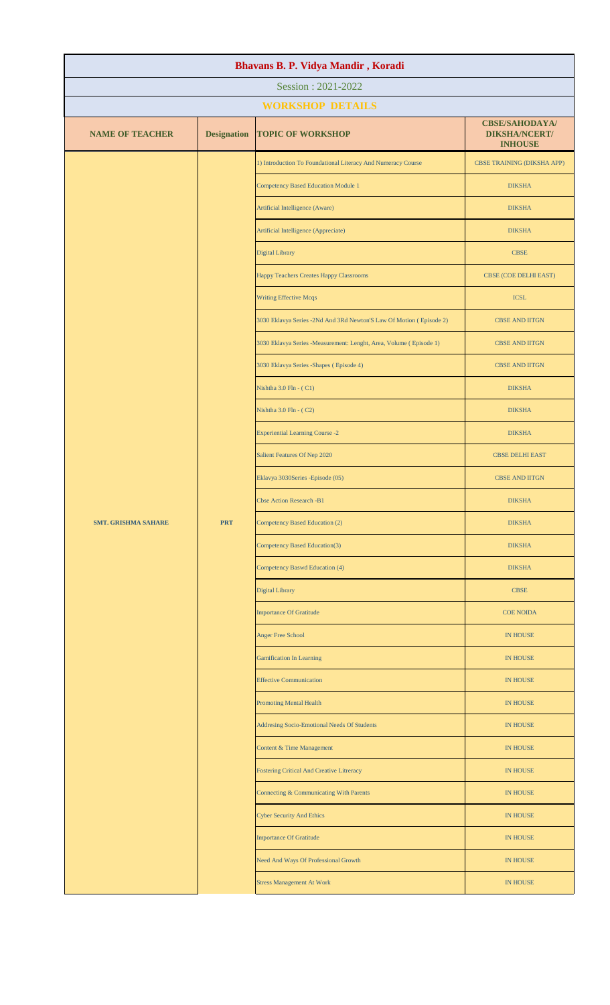| Bhavans B. P. Vidya Mandir, Koradi |                                             |                                                                     |                                                                 |  |  |
|------------------------------------|---------------------------------------------|---------------------------------------------------------------------|-----------------------------------------------------------------|--|--|
| Session: 2021-2022                 |                                             |                                                                     |                                                                 |  |  |
|                                    | <b>WORKSHOP DETAILS</b>                     |                                                                     |                                                                 |  |  |
| <b>NAME OF TEACHER</b>             | <b>Designation</b>                          | <b>TOPIC OF WORKSHOP</b>                                            | <b>CBSE/SAHODAYA/</b><br><b>DIKSHA/NCERT/</b><br><b>INHOUSE</b> |  |  |
|                                    |                                             | 1) Introduction To Foundational Literacy And Numeracy Course        | <b>CBSE TRAINING (DIKSHA APP)</b>                               |  |  |
|                                    |                                             | <b>Competency Based Education Module 1</b>                          | <b>DIKSHA</b>                                                   |  |  |
|                                    |                                             | Artificial Intelligence (Aware)                                     | <b>DIKSHA</b>                                                   |  |  |
|                                    |                                             | Artificial Intelligence (Appreciate)                                | <b>DIKSHA</b>                                                   |  |  |
|                                    |                                             | Digital Library                                                     | <b>CBSE</b>                                                     |  |  |
|                                    |                                             | Happy Teachers Creates Happy Classrooms                             | CBSE (COE DELHI EAST)                                           |  |  |
|                                    |                                             | <b>Writing Effective Mcqs</b>                                       | <b>ICSL</b>                                                     |  |  |
|                                    |                                             | 3030 Eklavya Series -2Nd And 3Rd Newton'S Law Of Motion (Episode 2) | <b>CBSE AND IITGN</b>                                           |  |  |
|                                    |                                             | 3030 Eklavya Series -Measurement: Lenght, Area, Volume (Episode 1)  | <b>CBSE AND IITGN</b>                                           |  |  |
|                                    |                                             | 3030 Eklavya Series - Shapes (Episode 4)                            | <b>CBSE AND IITGN</b>                                           |  |  |
|                                    |                                             | Nishtha $3.0$ Fln $-$ (C1)                                          | <b>DIKSHA</b>                                                   |  |  |
|                                    |                                             | Nishtha 3.0 Fln - (C2)                                              | <b>DIKSHA</b>                                                   |  |  |
|                                    |                                             | <b>Experiential Learning Course -2</b>                              | <b>DIKSHA</b>                                                   |  |  |
|                                    |                                             | Salient Features Of Nep 2020                                        | <b>CBSE DELHI EAST</b>                                          |  |  |
|                                    |                                             | Eklavya 3030Series - Episode (05)                                   | <b>CBSE AND IITGN</b>                                           |  |  |
|                                    |                                             | <b>Cbse Action Research -B1</b>                                     | <b>DIKSHA</b>                                                   |  |  |
| <b>SMT. GRISHMA SAHARE</b>         | <b>PRT</b>                                  | Competency Based Education (2)                                      | <b>DIKSHA</b>                                                   |  |  |
|                                    |                                             | Competency Based Education(3)                                       | <b>DIKSHA</b>                                                   |  |  |
|                                    |                                             | Competency Baswd Education (4)                                      | <b>DIKSHA</b>                                                   |  |  |
|                                    |                                             | Digital Library                                                     | <b>CBSE</b>                                                     |  |  |
|                                    |                                             | <b>Importance Of Gratitude</b>                                      | <b>COE NOIDA</b>                                                |  |  |
|                                    |                                             | Anger Free School                                                   | IN HOUSE                                                        |  |  |
|                                    |                                             | <b>Gamification In Learning</b>                                     | IN HOUSE                                                        |  |  |
|                                    |                                             | <b>Effective Communication</b>                                      | <b>IN HOUSE</b>                                                 |  |  |
|                                    | <b>Promoting Mental Health</b>              | <b>IN HOUSE</b>                                                     |                                                                 |  |  |
|                                    | Addresing Socio-Emotional Needs Of Students | <b>IN HOUSE</b>                                                     |                                                                 |  |  |
|                                    |                                             | Content & Time Management                                           | IN HOUSE                                                        |  |  |
|                                    |                                             | Fostering Critical And Creative Litreracy                           | <b>IN HOUSE</b>                                                 |  |  |
|                                    |                                             | Connecting & Communicating With Parents                             | IN HOUSE                                                        |  |  |
|                                    |                                             | <b>Cyber Security And Ethics</b>                                    | <b>IN HOUSE</b>                                                 |  |  |
|                                    |                                             | <b>Importance Of Gratitude</b>                                      | <b>IN HOUSE</b>                                                 |  |  |
|                                    |                                             | Need And Ways Of Professional Growth                                | <b>IN HOUSE</b>                                                 |  |  |
|                                    |                                             | <b>Stress Management At Work</b>                                    | <b>IN HOUSE</b>                                                 |  |  |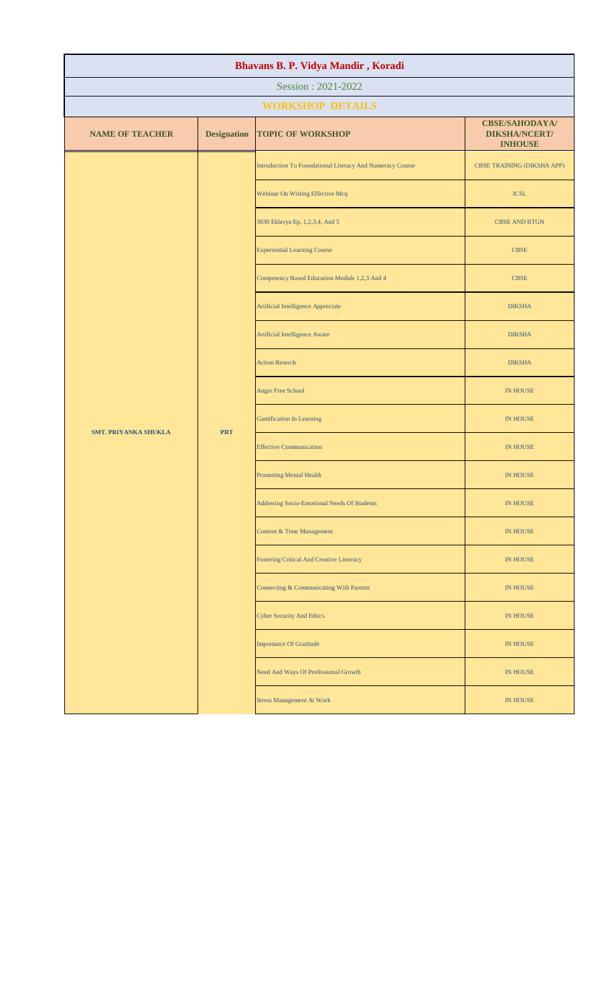| Bhavans B. P. Vidya Mandir, Koradi |                    |                                                           |                                                                 |  |
|------------------------------------|--------------------|-----------------------------------------------------------|-----------------------------------------------------------------|--|
| Session: 2021-2022                 |                    |                                                           |                                                                 |  |
|                                    |                    | <b>WORKSHOP DETAILS</b>                                   |                                                                 |  |
| <b>NAME OF TEACHER</b>             | <b>Designation</b> | <b>TOPIC OF WORKSHOP</b>                                  | <b>CBSE/SAHODAYA/</b><br><b>DIKSHA/NCERT/</b><br><b>INHOUSE</b> |  |
|                                    |                    | Introduction To Foundational Literacy And Numeracy Course | <b>CBSE TRAINING (DIKSHA APP)</b>                               |  |
|                                    |                    | Webinar On Writing Effective Mcq                          | <b>ICSL</b>                                                     |  |
|                                    |                    | 3030 Eklavya Ep. 1,2,3,4, And 5                           | <b>CBSE AND IITGN</b>                                           |  |
|                                    |                    | <b>Experiential Learning Course</b>                       | <b>CBSE</b>                                                     |  |
|                                    |                    | Competency Based Education Module 1,2,3 And 4             | <b>CBSE</b>                                                     |  |
|                                    |                    | <b>Artificial Intelligence Appreciate</b>                 | <b>DIKSHA</b>                                                   |  |
|                                    | <b>PRT</b>         | <b>Artificial Intelligence Aware</b>                      | <b>DIKSHA</b>                                                   |  |
|                                    |                    | <b>Action Reserch</b>                                     | <b>DIKSHA</b>                                                   |  |
|                                    |                    | <b>Anger Free School</b>                                  | <b>IN HOUSE</b>                                                 |  |
| <b>SMT. PRIYANKA SHUKLA</b>        |                    | <b>Gamification In Learning</b>                           | <b>IN HOUSE</b>                                                 |  |
|                                    |                    | <b>Effective Communication</b>                            | <b>IN HOUSE</b>                                                 |  |
|                                    |                    | <b>Promoting Mental Health</b>                            | <b>IN HOUSE</b>                                                 |  |
|                                    |                    | Addresing Socio-Emotional Needs Of Students               | IN HOUSE                                                        |  |
|                                    |                    | Content & Time Management                                 | IN HOUSE                                                        |  |
|                                    |                    | <b>Fostering Critical And Creative Litreracy</b>          | <b>IN HOUSE</b>                                                 |  |
|                                    |                    | Connecting & Communicating With Parents                   | IN HOUSE                                                        |  |
|                                    |                    | <b>Cyber Security And Ethics</b>                          | IN HOUSE                                                        |  |
|                                    |                    | <b>Importance Of Gratitude</b>                            | <b>IN HOUSE</b>                                                 |  |
|                                    |                    | Need And Ways Of Professional Growth                      | IN HOUSE                                                        |  |
|                                    |                    | <b>Stress Management At Work</b>                          | IN HOUSE                                                        |  |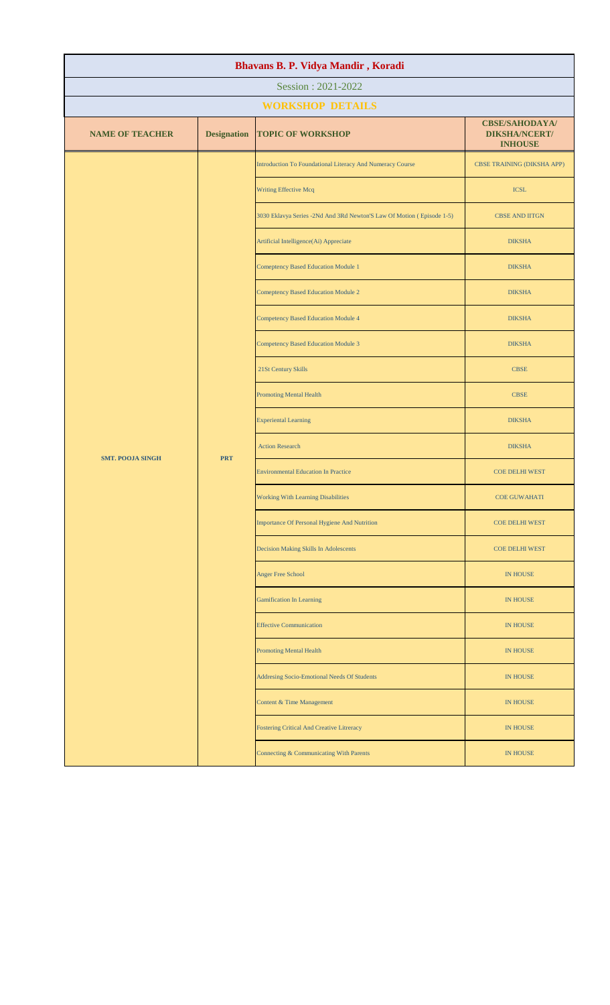| Bhavans B. P. Vidya Mandir, Koradi |                    |                                                                       |                                                                 |  |
|------------------------------------|--------------------|-----------------------------------------------------------------------|-----------------------------------------------------------------|--|
| Session: 2021-2022                 |                    |                                                                       |                                                                 |  |
|                                    |                    | <b>WORKSHOP DETAILS</b>                                               |                                                                 |  |
| <b>NAME OF TEACHER</b>             | <b>Designation</b> | <b>TOPIC OF WORKSHOP</b>                                              | <b>CBSE/SAHODAYA/</b><br><b>DIKSHA/NCERT/</b><br><b>INHOUSE</b> |  |
|                                    |                    | Introduction To Foundational Literacy And Numeracy Course             | <b>CBSE TRAINING (DIKSHA APP)</b>                               |  |
|                                    |                    | Writing Effective Mcq                                                 | <b>ICSL</b>                                                     |  |
|                                    |                    | 3030 Eklavya Series -2Nd And 3Rd Newton'S Law Of Motion (Episode 1-5) | <b>CBSE AND IITGN</b>                                           |  |
|                                    |                    | Artificial Intelligence(Ai) Appreciate                                | <b>DIKSHA</b>                                                   |  |
|                                    |                    | <b>Comeptency Based Education Module 1</b>                            | <b>DIKSHA</b>                                                   |  |
|                                    |                    | <b>Comeptency Based Education Module 2</b>                            | <b>DIKSHA</b>                                                   |  |
|                                    |                    | <b>Competency Based Education Module 4</b>                            | <b>DIKSHA</b>                                                   |  |
|                                    |                    | <b>Competency Based Education Module 3</b>                            | <b>DIKSHA</b>                                                   |  |
|                                    | <b>PRT</b>         | 21St Century Skills                                                   | <b>CBSE</b>                                                     |  |
| <b>SMT. POOJA SINGH</b>            |                    | <b>Promoting Mental Health</b>                                        | <b>CBSE</b>                                                     |  |
|                                    |                    | <b>Experiental Learning</b>                                           | <b>DIKSHA</b>                                                   |  |
|                                    |                    | <b>Action Research</b>                                                | <b>DIKSHA</b>                                                   |  |
|                                    |                    | <b>Environmental Education In Practice</b>                            | <b>COE DELHI WEST</b>                                           |  |
|                                    |                    | Working With Learning Disabilities                                    | <b>COE GUWAHATI</b>                                             |  |
|                                    |                    | Importance Of Personal Hygiene And Nutrition                          | <b>COE DELHI WEST</b>                                           |  |
|                                    |                    | Decision Making Skills In Adolescents                                 | <b>COE DELHI WEST</b>                                           |  |
|                                    |                    | <b>Anger Free School</b>                                              | <b>IN HOUSE</b>                                                 |  |
|                                    |                    | <b>Gamification In Learning</b>                                       | <b>IN HOUSE</b>                                                 |  |
|                                    |                    | <b>Effective Communication</b>                                        | <b>IN HOUSE</b>                                                 |  |
|                                    |                    | <b>Promoting Mental Health</b>                                        | <b>IN HOUSE</b>                                                 |  |
|                                    |                    | Addresing Socio-Emotional Needs Of Students                           | <b>IN HOUSE</b>                                                 |  |
|                                    |                    | <b>Content &amp; Time Management</b>                                  | <b>IN HOUSE</b>                                                 |  |
|                                    |                    | Fostering Critical And Creative Litreracy                             | <b>IN HOUSE</b>                                                 |  |
|                                    |                    | Connecting & Communicating With Parents                               | <b>IN HOUSE</b>                                                 |  |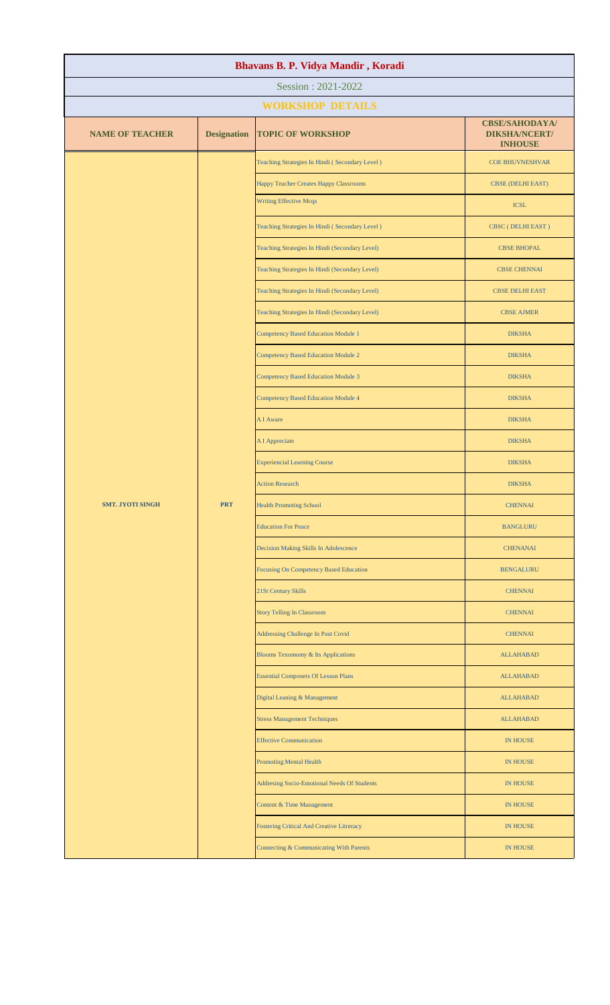| Bhavans B. P. Vidya Mandir, Koradi |                    |                                                  |                                                                 |  |  |
|------------------------------------|--------------------|--------------------------------------------------|-----------------------------------------------------------------|--|--|
| Session: 2021-2022                 |                    |                                                  |                                                                 |  |  |
|                                    |                    | <b>WORKSHOP DETAILS</b>                          |                                                                 |  |  |
| <b>NAME OF TEACHER</b>             | <b>Designation</b> | <b>TOPIC OF WORKSHOP</b>                         | <b>CBSE/SAHODAYA/</b><br><b>DIKSHA/NCERT/</b><br><b>INHOUSE</b> |  |  |
|                                    |                    | Teaching Strategies In Hindi (Secondary Level)   | <b>COE BHUVNESHVAR</b>                                          |  |  |
|                                    |                    | Happy Teacher Creates Happy Classrooms           | <b>CBSE (DELHI EAST)</b>                                        |  |  |
|                                    |                    | <b>Writing Effective Mcqs</b>                    | <b>ICSL</b>                                                     |  |  |
|                                    |                    | Teaching Strategies In Hindi (Secondary Level)   | CBSC (DELHI EAST)                                               |  |  |
|                                    |                    | Teaching Strategies In Hindi (Secondary Level)   | <b>CBSE BHOPAL</b>                                              |  |  |
|                                    |                    | Teaching Strategies In Hindi (Secondary Level)   | <b>CBSE CHENNAI</b>                                             |  |  |
|                                    |                    | Teaching Strategies In Hindi (Secondary Level)   | <b>CBSE DELHI EAST</b>                                          |  |  |
|                                    |                    | Teaching Strategies In Hindi (Secondary Level)   | <b>CBSE AJMER</b>                                               |  |  |
|                                    |                    | <b>Competency Based Education Module 1</b>       | <b>DIKSHA</b>                                                   |  |  |
|                                    |                    | <b>Competency Based Education Module 2</b>       | <b>DIKSHA</b>                                                   |  |  |
|                                    |                    | <b>Competency Based Education Module 3</b>       | <b>DIKSHA</b>                                                   |  |  |
|                                    |                    | <b>Competency Based Education Module 4</b>       | <b>DIKSHA</b>                                                   |  |  |
|                                    |                    | A I Aware                                        | <b>DIKSHA</b>                                                   |  |  |
|                                    |                    | A I Appreciate                                   | <b>DIKSHA</b>                                                   |  |  |
|                                    |                    | <b>Experiencial Learning Course</b>              | <b>DIKSHA</b>                                                   |  |  |
|                                    |                    | <b>Action Research</b>                           | <b>DIKSHA</b>                                                   |  |  |
| <b>SMT. JYOTI SINGH</b>            | <b>PRT</b>         | <b>Health Promoting School</b>                   | <b>CHENNAI</b>                                                  |  |  |
|                                    |                    | <b>Education For Peace</b>                       | <b>BANGLURU</b>                                                 |  |  |
|                                    |                    | Decision Making Skills In Adolescence            | <b>CHENANAI</b>                                                 |  |  |
|                                    |                    | Focusing On Competency Based Education           | <b>BENGALURU</b>                                                |  |  |
|                                    |                    | 21St Century Skills                              | <b>CHENNAI</b>                                                  |  |  |
|                                    |                    | <b>Story Telling In Classroom</b>                | <b>CHENNAI</b>                                                  |  |  |
|                                    |                    | Addressing Challenge In Post Covid               | <b>CHENNAI</b>                                                  |  |  |
|                                    |                    | Blooms Texomomy & Its Applications               | <b>ALLAHABAD</b>                                                |  |  |
|                                    |                    | <b>Essential Componets Of Lesson Plans</b>       | <b>ALLAHABAD</b>                                                |  |  |
|                                    |                    | Digital Leaning & Management                     | <b>ALLAHABAD</b>                                                |  |  |
|                                    |                    | <b>Stress Management Techniques</b>              | <b>ALLAHABAD</b>                                                |  |  |
|                                    |                    | <b>Effective Communication</b>                   | IN HOUSE                                                        |  |  |
|                                    |                    | <b>Promoting Mental Health</b>                   | <b>IN HOUSE</b>                                                 |  |  |
|                                    |                    | Addresing Socio-Emotional Needs Of Students      | <b>IN HOUSE</b>                                                 |  |  |
|                                    |                    | Content & Time Management                        | IN HOUSE                                                        |  |  |
|                                    |                    | <b>Fostering Critical And Creative Litreracy</b> | <b>IN HOUSE</b>                                                 |  |  |
|                                    |                    | Connecting & Communicating With Parents          | <b>IN HOUSE</b>                                                 |  |  |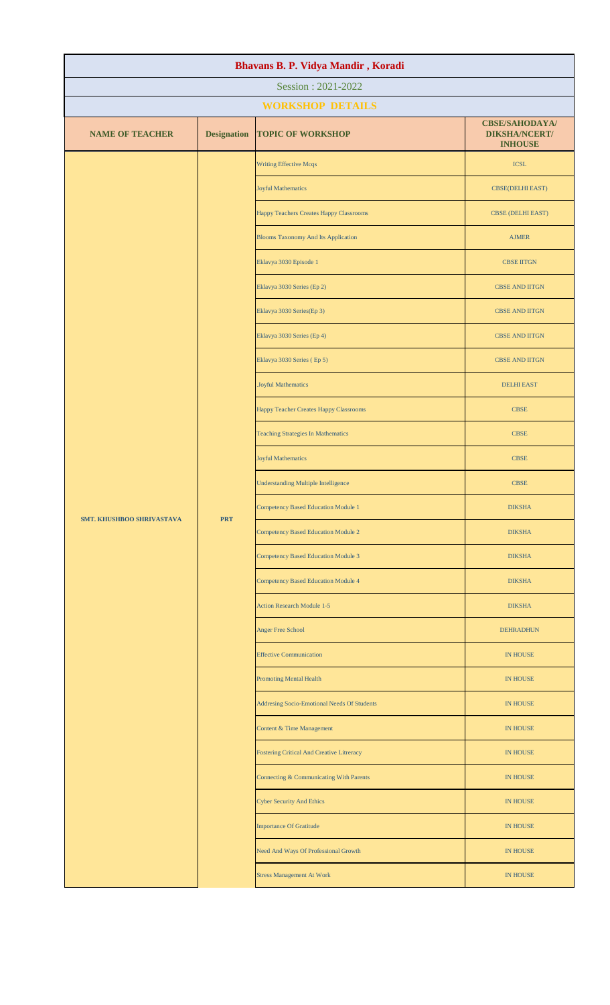| Bhavans B. P. Vidya Mandir, Koradi |                    |                                             |                                                                 |  |
|------------------------------------|--------------------|---------------------------------------------|-----------------------------------------------------------------|--|
| Session: 2021-2022                 |                    |                                             |                                                                 |  |
|                                    |                    | <b>WORKSHOP DETAILS</b>                     |                                                                 |  |
| <b>NAME OF TEACHER</b>             | <b>Designation</b> | <b>TOPIC OF WORKSHOP</b>                    | <b>CBSE/SAHODAYA/</b><br><b>DIKSHA/NCERT/</b><br><b>INHOUSE</b> |  |
|                                    |                    | <b>Writing Effective Mcqs</b>               | <b>ICSL</b>                                                     |  |
|                                    |                    | <b>Joyful Mathematics</b>                   | <b>CBSE(DELHI EAST)</b>                                         |  |
|                                    |                    | Happy Teachers Creates Happy Classrooms     | <b>CBSE (DELHI EAST)</b>                                        |  |
|                                    |                    | <b>Blooms Taxonomy And Its Application</b>  | <b>AJMER</b>                                                    |  |
|                                    |                    | Eklavya 3030 Episode 1                      | <b>CBSE IITGN</b>                                               |  |
|                                    |                    | Eklavya 3030 Series (Ep 2)                  | <b>CBSE AND IITGN</b>                                           |  |
|                                    |                    | Eklavya 3030 Series(Ep 3)                   | <b>CBSE AND IITGN</b>                                           |  |
|                                    |                    | Eklavya 3030 Series (Ep 4)                  | <b>CBSE AND IITGN</b>                                           |  |
|                                    |                    | Eklavya 3030 Series (Ep 5)                  | <b>CBSE AND IITGN</b>                                           |  |
|                                    |                    | .Joyful Mathematics                         | <b>DELHI EAST</b>                                               |  |
|                                    |                    | Happy Teacher Creates Happy Classrooms      | <b>CBSE</b>                                                     |  |
|                                    | <b>PRT</b>         | <b>Teaching Strategies In Mathematics</b>   | <b>CBSE</b>                                                     |  |
|                                    |                    | <b>Joyful Mathematics</b>                   | <b>CBSE</b>                                                     |  |
| <b>SMT. KHUSHBOO SHRIVASTAVA</b>   |                    | <b>Understanding Multiple Intelligence</b>  | <b>CBSE</b>                                                     |  |
|                                    |                    | <b>Competency Based Education Module 1</b>  | <b>DIKSHA</b>                                                   |  |
|                                    |                    | <b>Competency Based Education Module 2</b>  | <b>DIKSHA</b>                                                   |  |
|                                    |                    | <b>Competency Based Education Module 3</b>  | <b>DIKSHA</b>                                                   |  |
|                                    |                    | <b>Competency Based Education Module 4</b>  | <b>DIKSHA</b>                                                   |  |
|                                    |                    | <b>Action Research Module 1-5</b>           | <b>DIKSHA</b>                                                   |  |
|                                    |                    | Anger Free School                           | <b>DEHRADHUN</b>                                                |  |
|                                    |                    | <b>Effective Communication</b>              | <b>IN HOUSE</b>                                                 |  |
|                                    |                    | <b>Promoting Mental Health</b>              | IN HOUSE                                                        |  |
|                                    |                    | Addresing Socio-Emotional Needs Of Students | <b>IN HOUSE</b>                                                 |  |
|                                    |                    | Content & Time Management                   | <b>IN HOUSE</b>                                                 |  |
|                                    |                    | Fostering Critical And Creative Litreracy   | <b>IN HOUSE</b>                                                 |  |
|                                    |                    | Connecting & Communicating With Parents     | <b>IN HOUSE</b>                                                 |  |
|                                    |                    | <b>Cyber Security And Ethics</b>            | IN HOUSE                                                        |  |
|                                    |                    | <b>Importance Of Gratitude</b>              | <b>IN HOUSE</b>                                                 |  |
|                                    |                    | Need And Ways Of Professional Growth        | <b>IN HOUSE</b>                                                 |  |
|                                    |                    | <b>Stress Management At Work</b>            | <b>IN HOUSE</b>                                                 |  |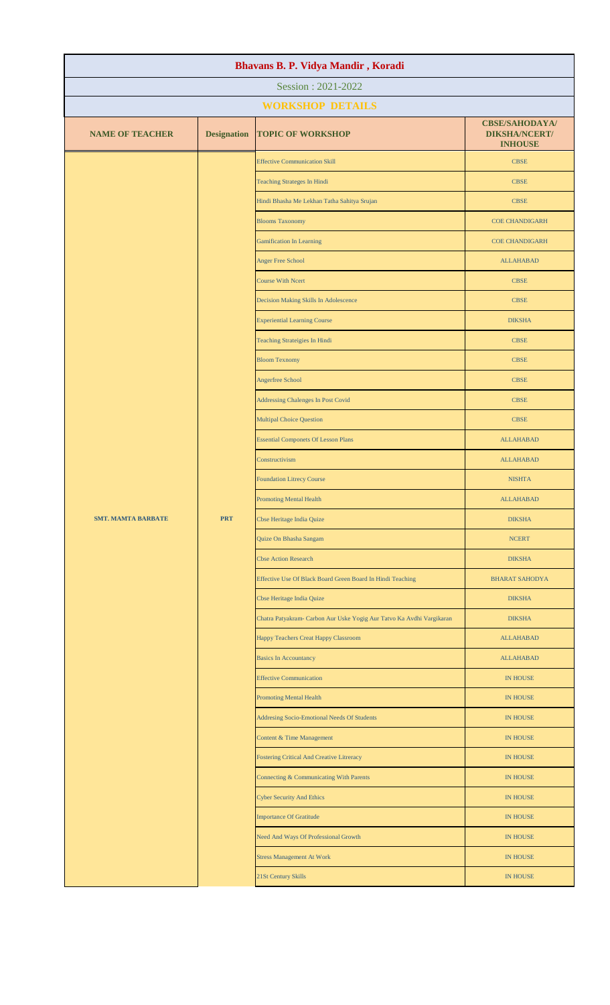| Bhavans B. P. Vidya Mandir, Koradi |                    |                                                                       |                                                                 |  |
|------------------------------------|--------------------|-----------------------------------------------------------------------|-----------------------------------------------------------------|--|
| Session: 2021-2022                 |                    |                                                                       |                                                                 |  |
|                                    |                    | <b>WORKSHOP DETAILS</b>                                               |                                                                 |  |
| <b>NAME OF TEACHER</b>             | <b>Designation</b> | <b>TOPIC OF WORKSHOP</b>                                              | <b>CBSE/SAHODAYA/</b><br><b>DIKSHA/NCERT/</b><br><b>INHOUSE</b> |  |
|                                    |                    | <b>Effective Communication Skill</b>                                  | <b>CBSE</b>                                                     |  |
|                                    |                    | <b>Teaching Strateges In Hindi</b>                                    | <b>CBSE</b>                                                     |  |
|                                    |                    | Hindi Bhasha Me Lekhan Tatha Sahitya Srujan                           | <b>CBSE</b>                                                     |  |
|                                    |                    | <b>Blooms Taxonomy</b>                                                | <b>COE CHANDIGARH</b>                                           |  |
|                                    |                    | <b>Gamification In Learning</b>                                       | <b>COE CHANDIGARH</b>                                           |  |
|                                    |                    | <b>Anger Free School</b>                                              | <b>ALLAHABAD</b>                                                |  |
|                                    |                    | <b>Course With Ncert</b>                                              | <b>CBSE</b>                                                     |  |
|                                    |                    | Decision Making Skills In Adolescence                                 | <b>CBSE</b>                                                     |  |
|                                    |                    | <b>Experiential Learning Course</b>                                   | <b>DIKSHA</b>                                                   |  |
|                                    |                    | Teaching Strateigies In Hindi                                         | <b>CBSE</b>                                                     |  |
|                                    |                    | <b>Bloom Texnomy</b>                                                  | <b>CBSE</b>                                                     |  |
|                                    |                    | Angerfree School                                                      | <b>CBSE</b>                                                     |  |
|                                    |                    | Addressing Chalenges In Post Covid                                    | <b>CBSE</b>                                                     |  |
|                                    |                    | <b>Multipal Choice Question</b>                                       | <b>CBSE</b>                                                     |  |
|                                    |                    | <b>Essential Componets Of Lesson Plans</b>                            | <b>ALLAHABAD</b>                                                |  |
|                                    |                    | Constructivism                                                        | <b>ALLAHABAD</b>                                                |  |
|                                    |                    | <b>Foundation Litrecy Course</b>                                      | <b>NISHTA</b>                                                   |  |
|                                    |                    | <b>Promoting Mental Health</b>                                        | <b>ALLAHABAD</b>                                                |  |
| <b>SMT. MAMTA BARBATE</b>          | <b>PRT</b>         | <b>Cbse Heritage India Quize</b>                                      | <b>DIKSHA</b>                                                   |  |
|                                    |                    | Quize On Bhasha Sangam                                                | <b>NCERT</b>                                                    |  |
|                                    |                    | <b>Cbse Action Research</b>                                           | <b>DIKSHA</b>                                                   |  |
|                                    |                    | Effective Use Of Black Board Green Board In Hindi Teaching            | <b>BHARAT SAHODYA</b>                                           |  |
|                                    |                    | <b>Cbse Heritage India Quize</b>                                      | <b>DIKSHA</b>                                                   |  |
|                                    |                    | Chatra Patyakram- Carbon Aur Uske Yogig Aur Tatvo Ka Avdhi Vargikaran | <b>DIKSHA</b>                                                   |  |
|                                    |                    | Happy Teachers Creat Happy Classroom                                  | <b>ALLAHABAD</b>                                                |  |
|                                    |                    | <b>Basics In Accountancy</b>                                          | <b>ALLAHABAD</b>                                                |  |
|                                    |                    | <b>Effective Communication</b>                                        | <b>IN HOUSE</b>                                                 |  |
|                                    |                    | <b>Promoting Mental Health</b>                                        | <b>IN HOUSE</b>                                                 |  |
|                                    |                    | Addresing Socio-Emotional Needs Of Students                           | <b>IN HOUSE</b>                                                 |  |
|                                    |                    | Content & Time Management                                             | <b>IN HOUSE</b>                                                 |  |
|                                    |                    | <b>Fostering Critical And Creative Litreracy</b>                      | <b>IN HOUSE</b>                                                 |  |
|                                    |                    | Connecting & Communicating With Parents                               | <b>IN HOUSE</b>                                                 |  |
|                                    |                    | <b>Cyber Security And Ethics</b>                                      | <b>IN HOUSE</b>                                                 |  |
|                                    |                    | <b>Importance Of Gratitude</b>                                        | <b>IN HOUSE</b>                                                 |  |
|                                    |                    | Need And Ways Of Professional Growth                                  | <b>IN HOUSE</b>                                                 |  |
|                                    |                    | <b>Stress Management At Work</b>                                      | <b>IN HOUSE</b>                                                 |  |
|                                    |                    | 21St Century Skills                                                   | <b>IN HOUSE</b>                                                 |  |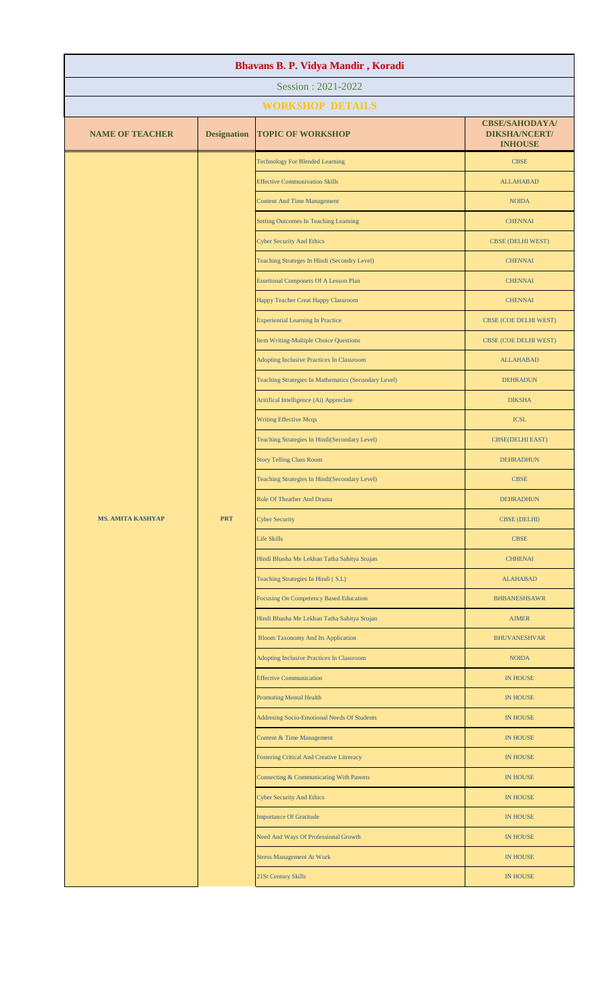| Bhavans B. P. Vidya Mandir, Koradi |                    |                                                      |                                                                 |  |
|------------------------------------|--------------------|------------------------------------------------------|-----------------------------------------------------------------|--|
| Session: 2021-2022                 |                    |                                                      |                                                                 |  |
|                                    |                    | <b>WORKSHOP DETAILS</b>                              |                                                                 |  |
| <b>NAME OF TEACHER</b>             | <b>Designation</b> | <b>TOPIC OF WORKSHOP</b>                             | <b>CBSE/SAHODAYA/</b><br><b>DIKSHA/NCERT/</b><br><b>INHOUSE</b> |  |
|                                    |                    | <b>Technology For Blended Learning</b>               | <b>CBSE</b>                                                     |  |
|                                    |                    | <b>Effective Communivation Skills</b>                | <b>ALLAHABAD</b>                                                |  |
|                                    |                    | <b>Content And Time Management</b>                   | <b>NOIDA</b>                                                    |  |
|                                    |                    | Setting Outcomes In Teaching Learning                | <b>CHENNAI</b>                                                  |  |
|                                    |                    | <b>Cyber Security And Ethics</b>                     | <b>CBSE (DELHI WEST)</b>                                        |  |
|                                    |                    | Teaching Strateges In Hindi (Secondry Level)         | <b>CHENNAI</b>                                                  |  |
|                                    |                    | <b>Essetional Componets Of A Lesson Plan</b>         | <b>CHENNAI</b>                                                  |  |
|                                    |                    | Happy Teacher Creat Happy Classroom                  | <b>CHENNAI</b>                                                  |  |
|                                    |                    | <b>Experiential Learning In Practice</b>             | CBSE (COE DELHI WEST)                                           |  |
|                                    |                    | Item Writing-Multiple Choice Questions               | CBSE (COE DELHI WEST)                                           |  |
|                                    |                    | Adopting Inclusive Practices In Classroom            | <b>ALLAHABAD</b>                                                |  |
|                                    |                    | Teaching Strategies In Mathematics (Secondary Level) | <b>DEHRADUN</b>                                                 |  |
|                                    |                    | Aritifical Intelligence (Ai) Appreclate              | <b>DIKSHA</b>                                                   |  |
|                                    |                    | <b>Writing Effective Mcqs</b>                        | <b>ICSL</b>                                                     |  |
|                                    |                    | Teaching Strategies In Hindi(Secondary Level)        | <b>CBSE(DELHI EAST)</b>                                         |  |
|                                    |                    | <b>Story Telling Class Room</b>                      | <b>DEHRADHUN</b>                                                |  |
|                                    |                    | Teaching Strategies In Hindi(Secondary Level)        | <b>CBSE</b>                                                     |  |
|                                    |                    | Role Of Theather And Drama                           | <b>DEHRADHUN</b>                                                |  |
| <b>MS. AMITA KASHYAP</b>           | <b>PRT</b>         | <b>Cyber Security</b>                                | <b>CBSE (DELHI)</b>                                             |  |
|                                    |                    | <b>Life Skills</b>                                   | <b>CBSE</b>                                                     |  |
|                                    |                    | Hindi Bhasha Me Lekhan Tatha Sahitya Srujan          | <b>CHHENAI</b>                                                  |  |
|                                    |                    | Teaching Strategies In Hindi (S.L)                   | <b>ALAHABAD</b>                                                 |  |
|                                    |                    | <b>Focusing On Competency Based Education</b>        | <b>BHBANESHSAWR</b>                                             |  |
|                                    |                    | Hindi Bhasha Me Lekhan Tatha Sahitya Srujan          | <b>AJMER</b>                                                    |  |
|                                    |                    | <b>Bloom Taxonomy And Its Application</b>            | <b>BHUVANESHVAR</b>                                             |  |
|                                    |                    | Adopting Inclusive Practices In Classroom            | <b>NOIDA</b>                                                    |  |
|                                    |                    | <b>Effective Communication</b>                       | <b>IN HOUSE</b>                                                 |  |
|                                    |                    | <b>Promoting Mental Health</b>                       | <b>IN HOUSE</b>                                                 |  |
|                                    |                    | Addresing Socio-Emotional Needs Of Students          | <b>IN HOUSE</b>                                                 |  |
|                                    |                    | Content & Time Management                            | <b>IN HOUSE</b>                                                 |  |
|                                    |                    | <b>Fostering Critical And Creative Litreracy</b>     | <b>IN HOUSE</b>                                                 |  |
|                                    |                    | Connecting & Communicating With Parents              | <b>IN HOUSE</b>                                                 |  |
|                                    |                    | <b>Cyber Security And Ethics</b>                     | <b>IN HOUSE</b>                                                 |  |
|                                    |                    | <b>Importance Of Gratitude</b>                       | <b>IN HOUSE</b>                                                 |  |
|                                    |                    | Need And Ways Of Professional Growth                 | <b>IN HOUSE</b>                                                 |  |
|                                    |                    | <b>Stress Management At Work</b>                     | <b>IN HOUSE</b>                                                 |  |
|                                    |                    | 21St Century Skills                                  | <b>IN HOUSE</b>                                                 |  |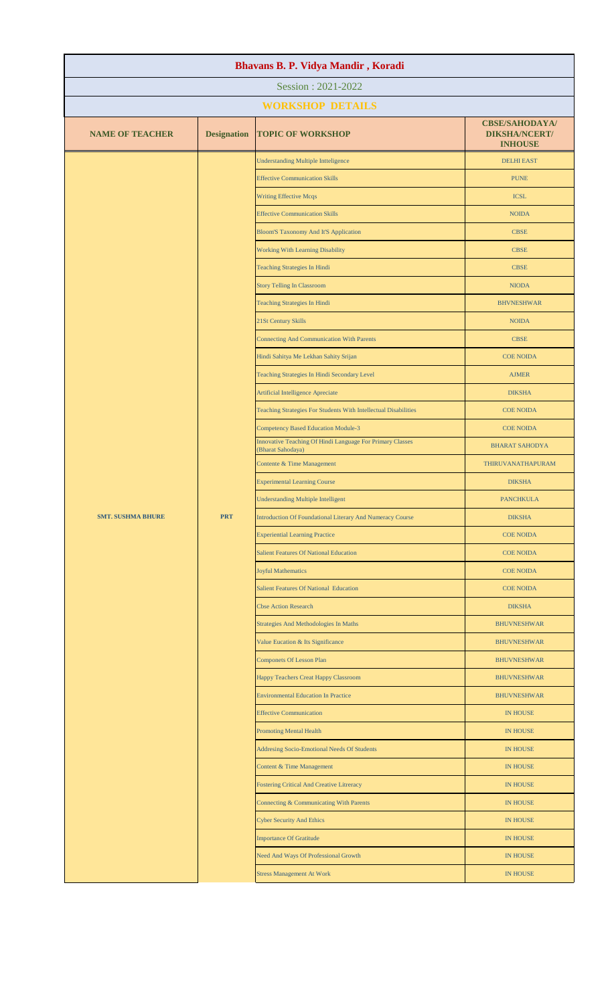| Bhavans B. P. Vidya Mandir, Koradi |                    |                                                                                |                                                                 |  |
|------------------------------------|--------------------|--------------------------------------------------------------------------------|-----------------------------------------------------------------|--|
| Session: 2021-2022                 |                    |                                                                                |                                                                 |  |
|                                    |                    | <b>WORKSHOP DETAILS</b>                                                        |                                                                 |  |
| <b>NAME OF TEACHER</b>             | <b>Designation</b> | <b>TOPIC OF WORKSHOP</b>                                                       | <b>CBSE/SAHODAYA/</b><br><b>DIKSHA/NCERT/</b><br><b>INHOUSE</b> |  |
|                                    |                    | <b>Understanding Multiple Intteligence</b>                                     | <b>DELHI EAST</b>                                               |  |
|                                    |                    | <b>Effective Communication Skills</b>                                          | <b>PUNE</b>                                                     |  |
|                                    |                    | <b>Writing Effective Mcqs</b>                                                  | <b>ICSL</b>                                                     |  |
|                                    |                    | <b>Effective Communication Skills</b>                                          | <b>NOIDA</b>                                                    |  |
|                                    |                    | <b>Bloom'S Taxonomy And It'S Application</b>                                   | <b>CBSE</b>                                                     |  |
|                                    |                    | Working With Learning Disability                                               | <b>CBSE</b>                                                     |  |
|                                    |                    | <b>Teaching Strategies In Hindi</b>                                            | <b>CBSE</b>                                                     |  |
|                                    |                    | <b>Story Telling In Classroom</b>                                              | <b>NIODA</b>                                                    |  |
|                                    |                    | <b>Teaching Strategies In Hindi</b>                                            | <b>BHVNESHWAR</b>                                               |  |
|                                    |                    | 21St Century Skills                                                            | <b>NOIDA</b>                                                    |  |
|                                    |                    | <b>Connecting And Communication With Parents</b>                               | <b>CBSE</b>                                                     |  |
|                                    |                    | Hindi Sahitya Me Lekhan Sahity Srijan                                          | <b>COE NOIDA</b>                                                |  |
|                                    |                    | Teaching Strategies In Hindi Secondary Level                                   | <b>AJMER</b>                                                    |  |
|                                    |                    | <b>Artificial Intelligence Apreciate</b>                                       | <b>DIKSHA</b>                                                   |  |
|                                    |                    | Teaching Strategies For Students With Intellectual Disabilities                | <b>COE NOIDA</b>                                                |  |
|                                    |                    | <b>Competency Based Education Module-3</b>                                     | <b>COE NOIDA</b>                                                |  |
|                                    |                    | Innovative Teaching Of Hindi Language For Primary Classes<br>(Bharat Sahodaya) | <b>BHARAT SAHODYA</b>                                           |  |
|                                    |                    | Contente & Time Management                                                     | THIRUVANATHAPURAM                                               |  |
|                                    |                    | <b>Experimental Learning Course</b>                                            | <b>DIKSHA</b>                                                   |  |
|                                    |                    | <b>Understanding Multiple Intelligent</b>                                      | <b>PANCHKULA</b>                                                |  |
| <b>SMT. SUSHMA BHURE</b>           | <b>PRT</b>         | Introduction Of Foundational Literary And Numeracy Course                      | <b>DIKSHA</b>                                                   |  |
|                                    |                    | <b>Experiential Learning Practice</b>                                          | <b>COE NOIDA</b>                                                |  |
|                                    |                    | <b>Salient Features Of National Education</b>                                  | <b>COE NOIDA</b>                                                |  |
|                                    |                    | <b>Joyful Mathematics</b>                                                      | <b>COE NOIDA</b>                                                |  |
|                                    |                    | <b>Salient Features Of National Education</b>                                  | <b>COE NOIDA</b>                                                |  |
|                                    |                    | <b>Cbse Action Research</b>                                                    | <b>DIKSHA</b>                                                   |  |
|                                    |                    | Strategies And Methodologies In Maths                                          | <b>BHUVNESHWAR</b>                                              |  |
|                                    |                    | Value Eucation & Its Significance                                              | <b>BHUVNESHWAR</b>                                              |  |
|                                    |                    | <b>Componets Of Lesson Plan</b>                                                | <b>BHUVNESHWAR</b>                                              |  |
|                                    |                    | Happy Teachers Creat Happy Classroom                                           | <b>BHUVNESHWAR</b>                                              |  |
|                                    |                    | <b>Environmental Education In Practice</b>                                     | <b>BHUVNESHWAR</b>                                              |  |
|                                    |                    | <b>Effective Communication</b>                                                 | <b>IN HOUSE</b>                                                 |  |
|                                    |                    | <b>Promoting Mental Health</b>                                                 | <b>IN HOUSE</b>                                                 |  |
|                                    |                    | Addresing Socio-Emotional Needs Of Students                                    | <b>IN HOUSE</b>                                                 |  |
|                                    |                    | Content & Time Management                                                      | <b>IN HOUSE</b>                                                 |  |
|                                    |                    | <b>Fostering Critical And Creative Litreracy</b>                               | IN HOUSE                                                        |  |
|                                    |                    | Connecting & Communicating With Parents                                        | <b>IN HOUSE</b>                                                 |  |
|                                    |                    | <b>Cyber Security And Ethics</b>                                               | IN HOUSE                                                        |  |
|                                    |                    | <b>Importance Of Gratitude</b>                                                 | <b>IN HOUSE</b>                                                 |  |
|                                    |                    | Need And Ways Of Professional Growth                                           | <b>IN HOUSE</b>                                                 |  |
|                                    |                    | <b>Stress Management At Work</b>                                               | <b>IN HOUSE</b>                                                 |  |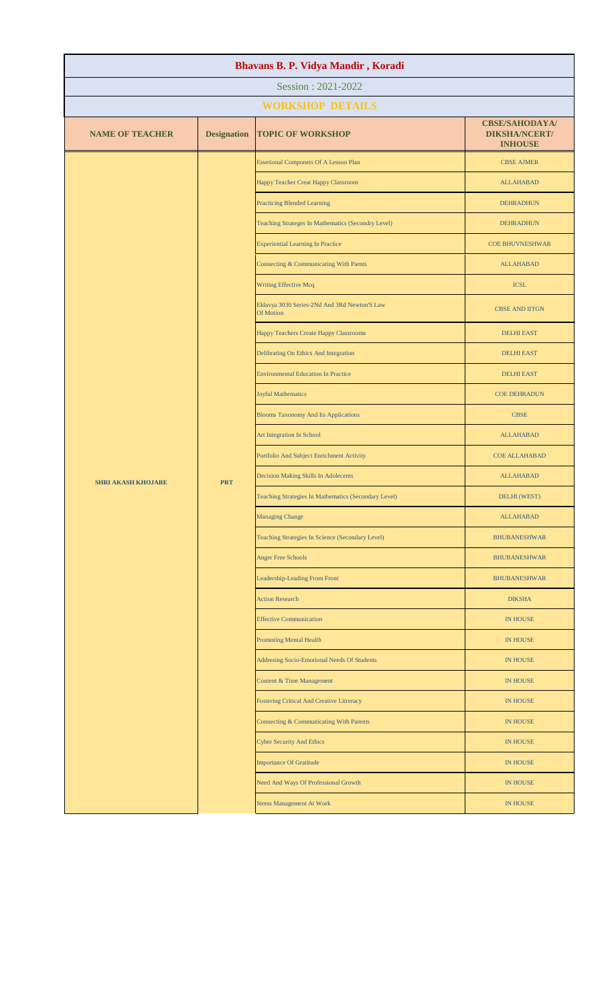| Bhavans B. P. Vidya Mandir, Koradi |                    |                                                           |                                                                 |  |  |
|------------------------------------|--------------------|-----------------------------------------------------------|-----------------------------------------------------------------|--|--|
|                                    | Session: 2021-2022 |                                                           |                                                                 |  |  |
|                                    |                    | <b>WORKSHOP DETAILS</b>                                   |                                                                 |  |  |
| <b>NAME OF TEACHER</b>             | <b>Designation</b> | <b>TOPIC OF WORKSHOP</b>                                  | <b>CBSE/SAHODAYA/</b><br><b>DIKSHA/NCERT/</b><br><b>INHOUSE</b> |  |  |
|                                    |                    | <b>Essetional Componets Of A Lesson Plan</b>              | <b>CBSE AJMER</b>                                               |  |  |
|                                    |                    | Happy Teacher Creat Happy Classroom                       | <b>ALLAHABAD</b>                                                |  |  |
|                                    |                    | <b>Practicing Blended Learning</b>                        | <b>DEHRADHUN</b>                                                |  |  |
|                                    |                    | Teaching Strateges In Mathematics (Secondry Level)        | <b>DEHRADHUN</b>                                                |  |  |
|                                    |                    | <b>Experiential Learning In Practice</b>                  | <b>COE BHUVNESHWAR</b>                                          |  |  |
|                                    |                    | Connecting & Communicating With Parnts                    | <b>ALLAHABAD</b>                                                |  |  |
|                                    |                    | Writing Effective Mcq                                     | <b>ICSL</b>                                                     |  |  |
|                                    |                    | Eklavya 3030 Series-2Nd And 3Rd Newton'S Law<br>Of Motion | <b>CBSE AND IITGN</b>                                           |  |  |
|                                    |                    | Happy Teachers Create Happy Classrooms                    | <b>DELHI EAST</b>                                               |  |  |
|                                    |                    | Delibrating On Ethics And Integration                     | <b>DELHI EAST</b>                                               |  |  |
|                                    |                    | <b>Environmental Education In Practice</b>                | <b>DELHI EAST</b>                                               |  |  |
|                                    | <b>PRT</b>         | <b>Joyful Mathematics</b>                                 | <b>COE DEHRADUN</b>                                             |  |  |
|                                    |                    | <b>Blooms Taxonomy And Its Applications</b>               | <b>CBSE</b>                                                     |  |  |
| <b>SHRI AKASH KHOJARE</b>          |                    | Art Integration In School                                 | <b>ALLAHABAD</b>                                                |  |  |
|                                    |                    | Portfolio And Subject Enrichment Activity                 | <b>COE ALLAHABAD</b>                                            |  |  |
|                                    |                    | Decision Making Skills In Adolecents                      | <b>ALLAHABAD</b>                                                |  |  |
|                                    |                    | Teaching Strategies In Mathematics (Secondary Level)      | DELHI (WEST)                                                    |  |  |
|                                    |                    | <b>Managing Change</b>                                    | <b>ALLAHABAD</b>                                                |  |  |
|                                    |                    | Teaching Strategies In Science (Secondary Level)          | <b>BHUBANESHWAR</b>                                             |  |  |
|                                    |                    | <b>Anger Free Schools</b>                                 | <b>BHUBANESHWAR</b>                                             |  |  |
|                                    |                    | Leadership-Leading From Front                             | <b>BHUBANESHWAR</b>                                             |  |  |
|                                    |                    | <b>Action Research</b>                                    | <b>DIKSHA</b>                                                   |  |  |
|                                    |                    | <b>Effective Communication</b>                            | <b>IN HOUSE</b>                                                 |  |  |
|                                    |                    | <b>Promoting Mental Health</b>                            | <b>IN HOUSE</b>                                                 |  |  |
|                                    |                    | Addresing Socio-Emotional Needs Of Students               | <b>IN HOUSE</b>                                                 |  |  |
|                                    |                    | Content & Time Management                                 | <b>IN HOUSE</b>                                                 |  |  |
|                                    |                    | Fostering Critical And Creative Litreracy                 | <b>IN HOUSE</b>                                                 |  |  |
|                                    |                    | Connecting & Communicating With Parents                   | <b>IN HOUSE</b>                                                 |  |  |
|                                    |                    | <b>Cyber Security And Ethics</b>                          | <b>IN HOUSE</b>                                                 |  |  |
|                                    |                    | <b>Importance Of Gratitude</b>                            | <b>IN HOUSE</b>                                                 |  |  |
|                                    |                    | Need And Ways Of Professional Growth                      | IN HOUSE                                                        |  |  |
|                                    |                    | <b>Stress Management At Work</b>                          | IN HOUSE                                                        |  |  |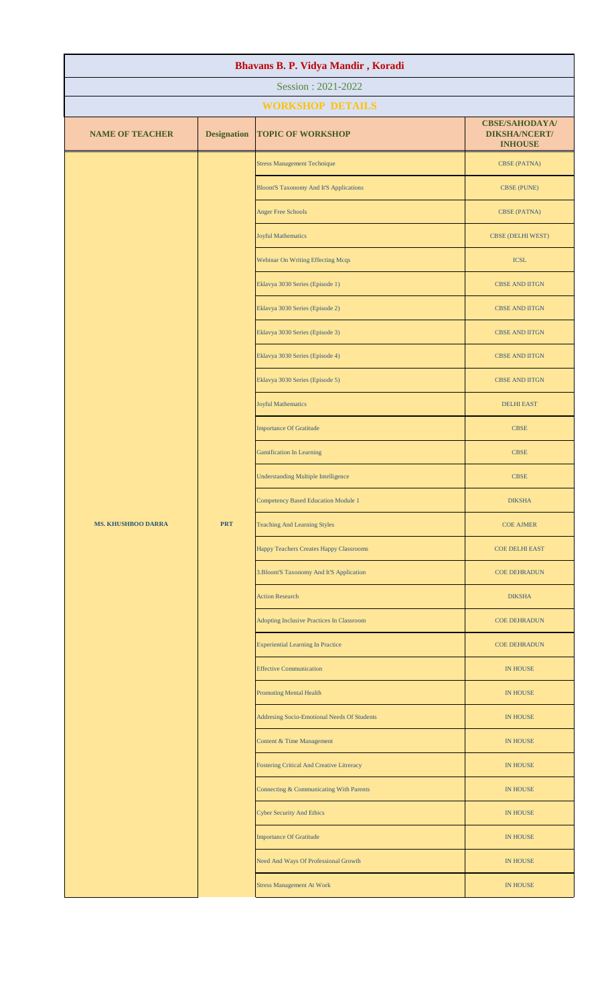| Bhavans B. P. Vidya Mandir, Koradi |                    |                                                  |                                                                 |  |
|------------------------------------|--------------------|--------------------------------------------------|-----------------------------------------------------------------|--|
| Session: 2021-2022                 |                    |                                                  |                                                                 |  |
|                                    |                    | <b>WORKSHOP DETAILS</b>                          |                                                                 |  |
| <b>NAME OF TEACHER</b>             | <b>Designation</b> | <b>TOPIC OF WORKSHOP</b>                         | <b>CBSE/SAHODAYA/</b><br><b>DIKSHA/NCERT/</b><br><b>INHOUSE</b> |  |
|                                    |                    | <b>Stress Management Technique</b>               | <b>CBSE (PATNA)</b>                                             |  |
|                                    |                    | <b>Bloom'S Taxonomy And It'S Applications</b>    | <b>CBSE (PUNE)</b>                                              |  |
|                                    |                    | <b>Anger Free Schools</b>                        | <b>CBSE (PATNA)</b>                                             |  |
|                                    |                    | <b>Joyful Mathematics</b>                        | <b>CBSE (DELHI WEST)</b>                                        |  |
|                                    |                    | <b>Webinar On Writing Effecting Mcqs</b>         | <b>ICSL</b>                                                     |  |
|                                    |                    | Eklavya 3030 Series (Episode 1)                  | <b>CBSE AND IITGN</b>                                           |  |
|                                    |                    | Eklavya 3030 Series (Episode 2)                  | CBSE AND IITGN                                                  |  |
|                                    |                    | Eklavya 3030 Series (Episode 3)                  | CBSE AND IITGN                                                  |  |
|                                    |                    | Eklavya 3030 Series (Episode 4)                  | <b>CBSE AND IITGN</b>                                           |  |
|                                    |                    | Eklavya 3030 Series (Episode 5)                  | <b>CBSE AND IITGN</b>                                           |  |
|                                    |                    | <b>Joyful Mathematics</b>                        | <b>DELHI EAST</b>                                               |  |
|                                    |                    | <b>Importance Of Gratitude</b>                   | <b>CBSE</b>                                                     |  |
|                                    |                    | <b>Gamification In Learning</b>                  | <b>CBSE</b>                                                     |  |
|                                    |                    | <b>Understanding Multiple Intelligence</b>       | <b>CBSE</b>                                                     |  |
|                                    |                    | <b>Competency Based Education Module 1</b>       | <b>DIKSHA</b>                                                   |  |
| <b>MS. KHUSHBOO DARRA</b>          | <b>PRT</b>         | <b>Teaching And Learning Styles</b>              | <b>COE AJMER</b>                                                |  |
|                                    |                    | Happy Teachers Creates Happy Classrooms          | <b>COE DELHI EAST</b>                                           |  |
|                                    |                    | 3. Bloom'S Taxonomy And It'S Application         | <b>COE DEHRADUN</b>                                             |  |
|                                    |                    | <b>Action Research</b>                           | <b>DIKSHA</b>                                                   |  |
|                                    |                    | Adopting Inclusive Practices In Classroom        | <b>COE DEHRADUN</b>                                             |  |
|                                    |                    | <b>Experiential Learning In Practice</b>         | <b>COE DEHRADUN</b>                                             |  |
|                                    |                    | <b>Effective Communication</b>                   | <b>IN HOUSE</b>                                                 |  |
|                                    |                    | <b>Promoting Mental Health</b>                   | <b>IN HOUSE</b>                                                 |  |
|                                    |                    | Addresing Socio-Emotional Needs Of Students      | <b>IN HOUSE</b>                                                 |  |
|                                    |                    | Content & Time Management                        | IN HOUSE                                                        |  |
|                                    |                    | <b>Fostering Critical And Creative Litreracy</b> | IN HOUSE                                                        |  |
|                                    |                    | Connecting & Communicating With Parents          | IN HOUSE                                                        |  |
|                                    |                    | <b>Cyber Security And Ethics</b>                 | IN HOUSE                                                        |  |
|                                    |                    | <b>Importance Of Gratitude</b>                   | IN HOUSE                                                        |  |
|                                    |                    | Need And Ways Of Professional Growth             | <b>IN HOUSE</b>                                                 |  |
|                                    |                    | <b>Stress Management At Work</b>                 | IN HOUSE                                                        |  |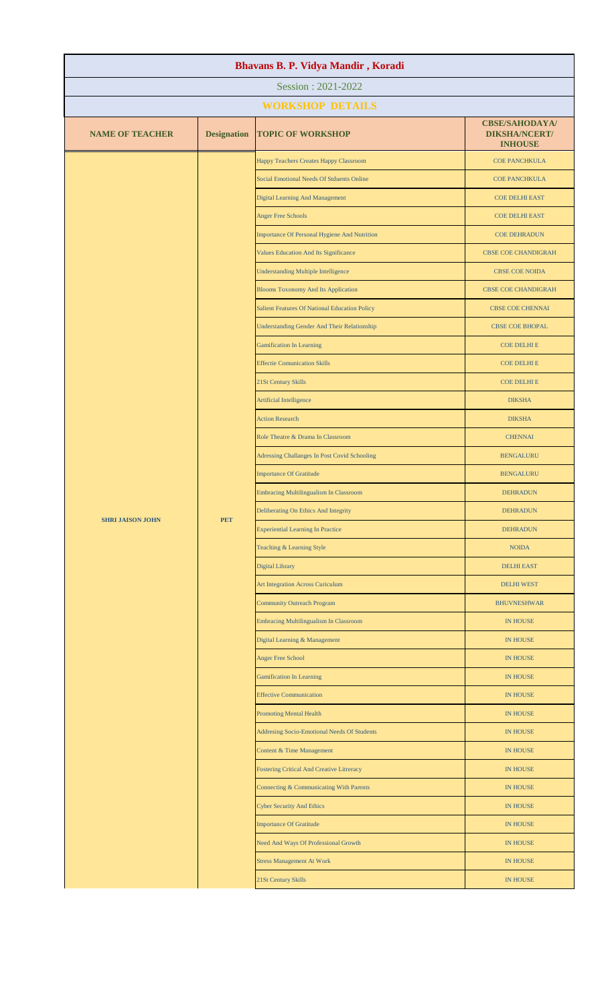| Bhavans B. P. Vidya Mandir, Koradi |                    |                                                      |                                                                 |  |  |
|------------------------------------|--------------------|------------------------------------------------------|-----------------------------------------------------------------|--|--|
| Session: 2021-2022                 |                    |                                                      |                                                                 |  |  |
|                                    |                    | <b>WORKSHOP DETAILS</b>                              |                                                                 |  |  |
| <b>NAME OF TEACHER</b>             | <b>Designation</b> | <b>TOPIC OF WORKSHOP</b>                             | <b>CBSE/SAHODAYA/</b><br><b>DIKSHA/NCERT/</b><br><b>INHOUSE</b> |  |  |
|                                    |                    | Happy Teachers Creates Happy Classroom               | <b>COE PANCHKULA</b>                                            |  |  |
|                                    |                    | Social Emotional Needs Of Stduents Online            | <b>COE PANCHKULA</b>                                            |  |  |
|                                    |                    | <b>Digital Learning And Management</b>               | <b>COE DELHI EAST</b>                                           |  |  |
|                                    |                    | <b>Anger Free Schools</b>                            | <b>COE DELHI EAST</b>                                           |  |  |
|                                    |                    | Importance Of Personal Hygiene And Nutrition         | <b>COE DEHRADUN</b>                                             |  |  |
|                                    |                    | Values Education And Its Significance                | <b>CBSE COE CHANDIGRAH</b>                                      |  |  |
|                                    |                    | <b>Understanding Multiple Intelligence</b>           | <b>CBSE COE NOIDA</b>                                           |  |  |
|                                    |                    | <b>Blooms Toxonomy And Its Application</b>           | <b>CBSE COE CHANDIGRAH</b>                                      |  |  |
|                                    |                    | <b>Salient Features Of National Education Policy</b> | <b>CBSE COE CHENNAI</b>                                         |  |  |
|                                    |                    | <b>Understanding Gender And Their Relationship</b>   | <b>CBSE COE BHOPAL</b>                                          |  |  |
|                                    |                    | <b>Gamification In Learning</b>                      | <b>COE DELHI E</b>                                              |  |  |
|                                    |                    | <b>Effectie Comunication Skills</b>                  | <b>COE DELHI E</b>                                              |  |  |
|                                    |                    | 21St Century Skills                                  | <b>COE DELHI E</b>                                              |  |  |
|                                    |                    | Artificial Intelligence                              | <b>DIKSHA</b>                                                   |  |  |
|                                    |                    | <b>Action Research</b>                               | <b>DIKSHA</b>                                                   |  |  |
|                                    |                    | Role Theatre & Drama In Classroom                    | <b>CHENNAI</b>                                                  |  |  |
|                                    | <b>PET</b>         | Adressing Challanges In Post Covid Schooling         | <b>BENGALURU</b>                                                |  |  |
| <b>SHRI JAISON JOHN</b>            |                    | <b>Importance Of Gratitude</b>                       | <b>BENGALURU</b>                                                |  |  |
|                                    |                    | Embracing Multilingualism In Classroom               | <b>DEHRADUN</b>                                                 |  |  |
|                                    |                    | Deliberating On Ethics And Integrity                 | <b>DEHRADUN</b>                                                 |  |  |
|                                    |                    | <b>Experiential Learning In Practice</b>             | <b>DEHRADUN</b>                                                 |  |  |
|                                    |                    | Teaching & Learning Style                            | <b>NOIDA</b>                                                    |  |  |
|                                    |                    | <b>Digital Library</b>                               | <b>DELHI EAST</b>                                               |  |  |
|                                    |                    | <b>Art Integration Across Curiculum</b>              | <b>DELHI WEST</b>                                               |  |  |
|                                    |                    | <b>Community Outreach Program</b>                    | <b>BHUVNESHWAR</b>                                              |  |  |
|                                    |                    | <b>Embracing Multilingualism In Classroom</b>        | <b>IN HOUSE</b>                                                 |  |  |
|                                    |                    | Digital Learning & Management                        | <b>IN HOUSE</b>                                                 |  |  |
|                                    |                    | <b>Anger Free School</b>                             | <b>IN HOUSE</b>                                                 |  |  |
|                                    |                    | <b>Gamification In Learning</b>                      | <b>IN HOUSE</b>                                                 |  |  |
|                                    |                    | <b>Effective Communication</b>                       | <b>IN HOUSE</b>                                                 |  |  |
|                                    |                    | <b>Promoting Mental Health</b>                       | <b>IN HOUSE</b>                                                 |  |  |
|                                    |                    | Addresing Socio-Emotional Needs Of Students          | <b>IN HOUSE</b>                                                 |  |  |
|                                    |                    | Content & Time Management                            | <b>IN HOUSE</b>                                                 |  |  |
|                                    |                    | <b>Fostering Critical And Creative Litreracy</b>     | <b>IN HOUSE</b>                                                 |  |  |
|                                    |                    | Connecting & Communicating With Parents              | <b>IN HOUSE</b>                                                 |  |  |
|                                    |                    | <b>Cyber Security And Ethics</b>                     | <b>IN HOUSE</b>                                                 |  |  |
|                                    |                    | <b>Importance Of Gratitude</b>                       | <b>IN HOUSE</b>                                                 |  |  |
|                                    |                    | Need And Ways Of Professional Growth                 | <b>IN HOUSE</b>                                                 |  |  |
|                                    |                    | <b>Stress Management At Work</b>                     | IN HOUSE                                                        |  |  |
|                                    |                    | 21St Century Skills                                  | <b>IN HOUSE</b>                                                 |  |  |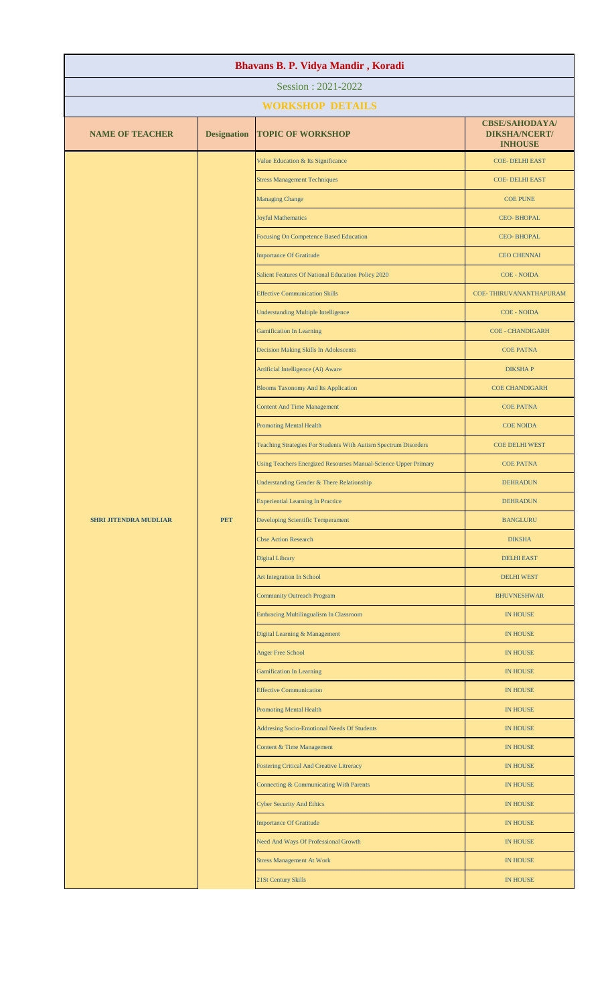| Bhavans B. P. Vidya Mandir, Koradi |                    |                                                                 |                                                                 |  |
|------------------------------------|--------------------|-----------------------------------------------------------------|-----------------------------------------------------------------|--|
| Session: 2021-2022                 |                    |                                                                 |                                                                 |  |
|                                    |                    | <b>WORKSHOP DETAILS</b>                                         |                                                                 |  |
| <b>NAME OF TEACHER</b>             | <b>Designation</b> | <b>TOPIC OF WORKSHOP</b>                                        | <b>CBSE/SAHODAYA/</b><br><b>DIKSHA/NCERT/</b><br><b>INHOUSE</b> |  |
|                                    |                    | Value Education & Its Significance                              | <b>COE- DELHI EAST</b>                                          |  |
|                                    |                    | <b>Stress Management Techniques</b>                             | <b>COE- DELHI EAST</b>                                          |  |
|                                    |                    | <b>Managing Change</b>                                          | <b>COE PUNE</b>                                                 |  |
|                                    |                    | <b>Joyful Mathematics</b>                                       | <b>CEO-BHOPAL</b>                                               |  |
|                                    |                    | Focusing On Competence Based Education                          | <b>CEO-BHOPAL</b>                                               |  |
|                                    |                    | <b>Importance Of Gratitude</b>                                  | <b>CEO CHENNAI</b>                                              |  |
|                                    |                    | Salient Features Of National Education Policy 2020              | <b>COE - NOIDA</b>                                              |  |
|                                    |                    | <b>Effective Communication Skills</b>                           | COE-THIRUVANANTHAPURAM                                          |  |
|                                    |                    | <b>Understanding Multiple Intelligence</b>                      | <b>COE - NOIDA</b>                                              |  |
|                                    |                    | <b>Gamification In Learning</b>                                 | <b>COE - CHANDIGARH</b>                                         |  |
|                                    |                    | Decision Making Skills In Adolescents                           | <b>COE PATNA</b>                                                |  |
|                                    |                    | Artificial Intelligence (Ai) Aware                              | <b>DIKSHAP</b>                                                  |  |
|                                    |                    | <b>Blooms Taxonomy And Its Application</b>                      | <b>COE CHANDIGARH</b>                                           |  |
|                                    |                    | <b>Content And Time Management</b>                              | <b>COE PATNA</b>                                                |  |
|                                    |                    | <b>Promoting Mental Health</b>                                  | <b>COE NOIDA</b>                                                |  |
|                                    |                    | Teaching Strategies For Students With Autism Spectrum Disorders | <b>COE DELHI WEST</b>                                           |  |
|                                    |                    | Using Teachers Energized Resourses Manual-Science Upper Primary | <b>COE PATNA</b>                                                |  |
|                                    |                    | Understanding Gender & There Relationship                       | <b>DEHRADUN</b>                                                 |  |
|                                    |                    | <b>Experiential Learning In Practice</b>                        | <b>DEHRADUN</b>                                                 |  |
| <b>SHRI JITENDRA MUDLIAR</b>       | <b>PET</b>         | Developing Scientific Temperament                               | <b>BANGLURU</b>                                                 |  |
|                                    |                    | <b>Cbse Action Research</b>                                     | <b>DIKSHA</b>                                                   |  |
|                                    |                    | <b>Digital Library</b>                                          | <b>DELHI EAST</b>                                               |  |
|                                    |                    | Art Integration In School                                       | <b>DELHI WEST</b>                                               |  |
|                                    |                    | <b>Community Outreach Program</b>                               | <b>BHUVNESHWAR</b>                                              |  |
|                                    |                    | <b>Embracing Multilingualism In Classroom</b>                   | <b>IN HOUSE</b>                                                 |  |
|                                    |                    | Digital Learning & Management                                   | IN HOUSE                                                        |  |
|                                    |                    | <b>Anger Free School</b>                                        | IN HOUSE                                                        |  |
|                                    |                    | <b>Gamification In Learning</b>                                 | IN HOUSE                                                        |  |
|                                    |                    | <b>Effective Communication</b>                                  | <b>IN HOUSE</b>                                                 |  |
|                                    |                    | <b>Promoting Mental Health</b>                                  | IN HOUSE                                                        |  |
|                                    |                    | Addresing Socio-Emotional Needs Of Students                     | <b>IN HOUSE</b>                                                 |  |
|                                    |                    | Content & Time Management                                       | <b>IN HOUSE</b>                                                 |  |
|                                    |                    | <b>Fostering Critical And Creative Litreracy</b>                | <b>IN HOUSE</b>                                                 |  |
|                                    |                    | Connecting & Communicating With Parents                         | <b>IN HOUSE</b>                                                 |  |
|                                    |                    | <b>Cyber Security And Ethics</b>                                | <b>IN HOUSE</b>                                                 |  |
|                                    |                    | <b>Importance Of Gratitude</b>                                  | <b>IN HOUSE</b>                                                 |  |
|                                    |                    | Need And Ways Of Professional Growth                            | <b>IN HOUSE</b>                                                 |  |
|                                    |                    | <b>Stress Management At Work</b>                                | <b>IN HOUSE</b>                                                 |  |
|                                    |                    | 21St Century Skills                                             | <b>IN HOUSE</b>                                                 |  |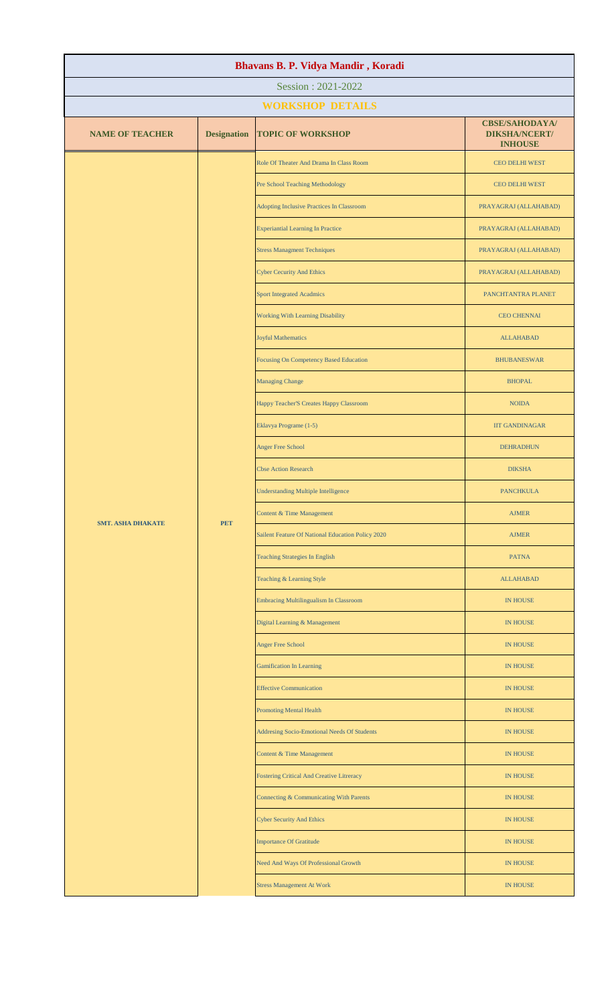| Bhavans B. P. Vidya Mandir, Koradi |                    |                                                   |                                                                 |  |  |
|------------------------------------|--------------------|---------------------------------------------------|-----------------------------------------------------------------|--|--|
| Session: 2021-2022                 |                    |                                                   |                                                                 |  |  |
|                                    |                    | <b>WORKSHOP DETAILS</b>                           |                                                                 |  |  |
| <b>NAME OF TEACHER</b>             | <b>Designation</b> | <b>TOPIC OF WORKSHOP</b>                          | <b>CBSE/SAHODAYA/</b><br><b>DIKSHA/NCERT/</b><br><b>INHOUSE</b> |  |  |
|                                    |                    | Role Of Theater And Drama In Class Room           | <b>CEO DELHI WEST</b>                                           |  |  |
|                                    |                    | Pre School Teaching Methodology                   | <b>CEO DELHI WEST</b>                                           |  |  |
|                                    |                    | Adopting Inclusive Practices In Classroom         | PRAYAGRAJ (ALLAHABAD)                                           |  |  |
|                                    |                    | <b>Experiantial Learning In Practice</b>          | PRAYAGRAJ (ALLAHABAD)                                           |  |  |
|                                    |                    | <b>Stress Managment Techniques</b>                | PRAYAGRAJ (ALLAHABAD)                                           |  |  |
|                                    |                    | <b>Cyber Cecurity And Ethics</b>                  | PRAYAGRAJ (ALLAHABAD)                                           |  |  |
|                                    |                    | <b>Sport Integrated Acadmics</b>                  | PANCHTANTRA PLANET                                              |  |  |
|                                    |                    | Working With Learning Disability                  | <b>CEO CHENNAI</b>                                              |  |  |
|                                    |                    | <b>Joyful Mathematics</b>                         | <b>ALLAHABAD</b>                                                |  |  |
|                                    |                    | <b>Focusing On Competency Based Education</b>     | <b>BHUBANESWAR</b>                                              |  |  |
|                                    |                    | <b>Managing Change</b>                            | <b>BHOPAL</b>                                                   |  |  |
|                                    |                    | Happy Teacher'S Creates Happy Classroom           | <b>NOIDA</b>                                                    |  |  |
|                                    |                    | Eklavya Programe (1-5)                            | <b>IIT GANDINAGAR</b>                                           |  |  |
|                                    | <b>PET</b>         | <b>Anger Free School</b>                          | <b>DEHRADHUN</b>                                                |  |  |
| <b>SMT. ASHA DHAKATE</b>           |                    | <b>Cbse Action Research</b>                       | <b>DIKSHA</b>                                                   |  |  |
|                                    |                    | <b>Understanding Multiple Intelligence</b>        | <b>PANCHKULA</b>                                                |  |  |
|                                    |                    | Content & Time Management                         | <b>AJMER</b>                                                    |  |  |
|                                    |                    | Sailent Feature Of National Education Policy 2020 | <b>AJMER</b>                                                    |  |  |
|                                    |                    | <b>Teaching Strategies In English</b>             | <b>PATNA</b>                                                    |  |  |
|                                    |                    | Teaching & Learning Style                         | <b>ALLAHABAD</b>                                                |  |  |
|                                    |                    | <b>Embracing Multilingualism In Classroom</b>     | <b>IN HOUSE</b>                                                 |  |  |
|                                    |                    | Digital Learning & Management                     | <b>IN HOUSE</b>                                                 |  |  |
|                                    |                    | <b>Anger Free School</b>                          | <b>IN HOUSE</b>                                                 |  |  |
|                                    |                    | <b>Gamification In Learning</b>                   | <b>IN HOUSE</b>                                                 |  |  |
|                                    |                    | <b>Effective Communication</b>                    | <b>IN HOUSE</b>                                                 |  |  |
|                                    |                    | <b>Promoting Mental Health</b>                    | <b>IN HOUSE</b>                                                 |  |  |
|                                    |                    | Addresing Socio-Emotional Needs Of Students       | <b>IN HOUSE</b>                                                 |  |  |
|                                    |                    | Content & Time Management                         | <b>IN HOUSE</b>                                                 |  |  |
|                                    |                    | Fostering Critical And Creative Litreracy         | <b>IN HOUSE</b>                                                 |  |  |
|                                    |                    | Connecting & Communicating With Parents           | <b>IN HOUSE</b>                                                 |  |  |
|                                    |                    | <b>Cyber Security And Ethics</b>                  | <b>IN HOUSE</b>                                                 |  |  |
|                                    |                    | <b>Importance Of Gratitude</b>                    | <b>IN HOUSE</b>                                                 |  |  |
|                                    |                    | Need And Ways Of Professional Growth              | <b>IN HOUSE</b>                                                 |  |  |
|                                    |                    | <b>Stress Management At Work</b>                  | IN HOUSE                                                        |  |  |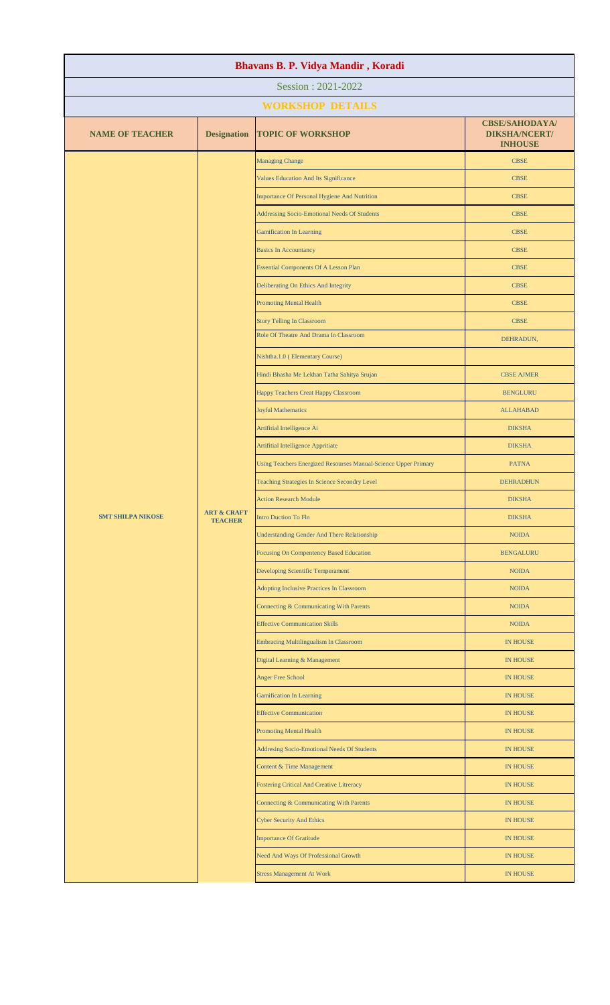| Bhavans B. P. Vidya Mandir, Koradi |                                          |                                                                 |                                                                 |  |
|------------------------------------|------------------------------------------|-----------------------------------------------------------------|-----------------------------------------------------------------|--|
| Session: 2021-2022                 |                                          |                                                                 |                                                                 |  |
|                                    |                                          | <b>WORKSHOP DETAILS</b>                                         |                                                                 |  |
| <b>NAME OF TEACHER</b>             | <b>Designation</b>                       | <b>TOPIC OF WORKSHOP</b>                                        | <b>CBSE/SAHODAYA/</b><br><b>DIKSHA/NCERT/</b><br><b>INHOUSE</b> |  |
|                                    |                                          | <b>Managing Change</b>                                          | <b>CBSE</b>                                                     |  |
|                                    |                                          | Values Education And Its Significance                           | <b>CBSE</b>                                                     |  |
|                                    |                                          | Importance Of Personal Hygiene And Nutrition                    | <b>CBSE</b>                                                     |  |
|                                    |                                          | Addressing Socio-Emotional Needs Of Students                    | <b>CBSE</b>                                                     |  |
|                                    |                                          | <b>Gamification In Learning</b>                                 | <b>CBSE</b>                                                     |  |
|                                    |                                          | <b>Basics In Accountancy</b>                                    | <b>CBSE</b>                                                     |  |
|                                    |                                          | <b>Essential Components Of A Lesson Plan</b>                    | <b>CBSE</b>                                                     |  |
|                                    |                                          | Deliberating On Ethics And Integrity                            | <b>CBSE</b>                                                     |  |
|                                    |                                          | <b>Promoting Mental Health</b>                                  | <b>CBSE</b>                                                     |  |
|                                    |                                          | <b>Story Telling In Classroom</b>                               | <b>CBSE</b>                                                     |  |
|                                    |                                          | Role Of Theatre And Drama In Classroom                          | DEHRADUN,                                                       |  |
|                                    |                                          | Nishtha.1.0 (Elementary Course)                                 |                                                                 |  |
|                                    |                                          | Hindi Bhasha Me Lekhan Tatha Sahitya Srujan                     | <b>CBSE AJMER</b>                                               |  |
|                                    |                                          | Happy Teachers Creat Happy Classroom                            | <b>BENGLURU</b>                                                 |  |
|                                    |                                          | <b>Joyful Mathematics</b>                                       | <b>ALLAHABAD</b>                                                |  |
|                                    |                                          | Artifitial Intelligence Ai                                      | <b>DIKSHA</b>                                                   |  |
|                                    |                                          | Artifitial Intelligence Appritiate                              | <b>DIKSHA</b>                                                   |  |
| <b>SMT SHILPA NIKOSE</b>           |                                          | Using Teachers Energized Resourses Manual-Science Upper Primary | <b>PATNA</b>                                                    |  |
|                                    |                                          | Teaching Strategies In Science Secondry Level                   | <b>DEHRADHUN</b>                                                |  |
|                                    |                                          | <b>Action Research Module</b>                                   | <b>DIKSHA</b>                                                   |  |
|                                    | <b>ART &amp; CRAFT</b><br><b>TEACHER</b> | <b>Intro Duction To Fln</b>                                     | <b>DIKSHA</b>                                                   |  |
|                                    |                                          | <b>Understanding Gender And There Relationship</b>              |                                                                 |  |
|                                    |                                          | <b>Focusing On Compentency Based Education</b>                  | <b>BENGALURU</b>                                                |  |
|                                    |                                          | Developing Scientific Temperament                               | <b>NOIDA</b>                                                    |  |
|                                    |                                          | <b>Adopting Inclusive Practices In Classroom</b>                | <b>NOIDA</b>                                                    |  |
|                                    |                                          | Connecting & Communicating With Parents                         | <b>NOIDA</b>                                                    |  |
|                                    |                                          | <b>Effective Communication Skills</b>                           | <b>NOIDA</b>                                                    |  |
|                                    |                                          | <b>Embracing Multilingualism In Classroom</b>                   | IN HOUSE                                                        |  |
|                                    |                                          | Digital Learning & Management                                   | IN HOUSE                                                        |  |
|                                    |                                          | <b>Anger Free School</b>                                        | IN HOUSE                                                        |  |
|                                    |                                          | <b>Gamification In Learning</b>                                 | <b>IN HOUSE</b>                                                 |  |
|                                    |                                          | <b>Effective Communication</b>                                  | IN HOUSE                                                        |  |
|                                    |                                          | <b>Promoting Mental Health</b>                                  | <b>IN HOUSE</b>                                                 |  |
|                                    |                                          | Addresing Socio-Emotional Needs Of Students                     | <b>IN HOUSE</b>                                                 |  |
|                                    |                                          | Content & Time Management                                       | <b>IN HOUSE</b>                                                 |  |
|                                    |                                          | Fostering Critical And Creative Litreracy                       | IN HOUSE                                                        |  |
|                                    |                                          | Connecting & Communicating With Parents                         | IN HOUSE                                                        |  |
|                                    |                                          | <b>Cyber Security And Ethics</b>                                | IN HOUSE                                                        |  |
|                                    |                                          | <b>Importance Of Gratitude</b>                                  | IN HOUSE                                                        |  |
|                                    |                                          | Need And Ways Of Professional Growth                            | IN HOUSE                                                        |  |
|                                    |                                          | <b>Stress Management At Work</b>                                | IN HOUSE                                                        |  |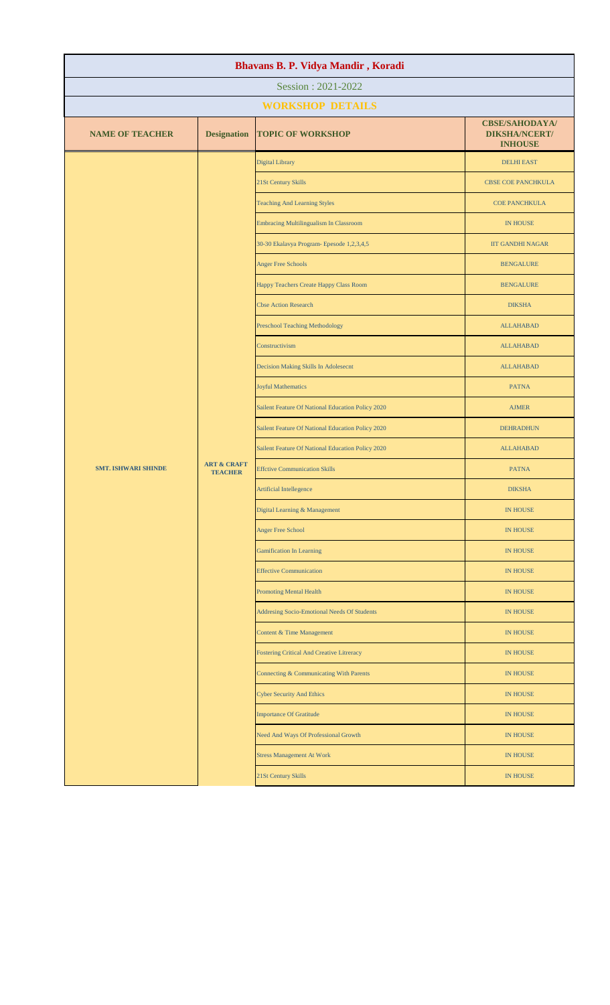| Bhavans B. P. Vidya Mandir, Koradi |                                          |                                                                                                        |                                                                 |  |
|------------------------------------|------------------------------------------|--------------------------------------------------------------------------------------------------------|-----------------------------------------------------------------|--|
| Session: 2021-2022                 |                                          |                                                                                                        |                                                                 |  |
|                                    |                                          | <b>WORKSHOP DETAILS</b>                                                                                |                                                                 |  |
| <b>NAME OF TEACHER</b>             | <b>Designation</b>                       | <b>TOPIC OF WORKSHOP</b>                                                                               | <b>CBSE/SAHODAYA/</b><br><b>DIKSHA/NCERT/</b><br><b>INHOUSE</b> |  |
|                                    |                                          | Digital Library                                                                                        | <b>DELHI EAST</b>                                               |  |
|                                    |                                          | 21St Century Skills                                                                                    | <b>CBSE COE PANCHKULA</b>                                       |  |
|                                    |                                          | <b>Teaching And Learning Styles</b>                                                                    | <b>COE PANCHKULA</b>                                            |  |
|                                    |                                          | <b>Embracing Multilingualism In Classroom</b>                                                          | <b>IN HOUSE</b>                                                 |  |
|                                    |                                          | 30-30 Ekalavya Program- Epesode 1,2,3,4,5                                                              | <b>IIT GANDHI NAGAR</b>                                         |  |
|                                    |                                          | <b>Anger Free Schools</b>                                                                              | <b>BENGALURE</b>                                                |  |
|                                    |                                          | Happy Teachers Create Happy Class Room                                                                 | <b>BENGALURE</b>                                                |  |
|                                    |                                          | <b>Cbse Action Research</b>                                                                            | <b>DIKSHA</b>                                                   |  |
|                                    |                                          | <b>Preschool Teaching Methodology</b>                                                                  | <b>ALLAHABAD</b>                                                |  |
|                                    |                                          | Constructivism                                                                                         | <b>ALLAHABAD</b>                                                |  |
|                                    |                                          | Decision Making Skills In Adolesecnt                                                                   | <b>ALLAHABAD</b>                                                |  |
|                                    |                                          | <b>Joyful Mathematics</b>                                                                              | <b>PATNA</b>                                                    |  |
| <b>SMT. ISHWARI SHINDE</b>         |                                          | Sailent Feature Of National Education Policy 2020<br>Sailent Feature Of National Education Policy 2020 | <b>AJMER</b>                                                    |  |
|                                    |                                          |                                                                                                        | <b>DEHRADHUN</b>                                                |  |
|                                    |                                          | Sailent Feature Of National Education Policy 2020                                                      | <b>ALLAHABAD</b>                                                |  |
|                                    | <b>ART &amp; CRAFT</b><br><b>TEACHER</b> | <b>Effctive Communication Skills</b>                                                                   | <b>PATNA</b>                                                    |  |
|                                    |                                          | <b>Artificial Intellegence</b>                                                                         | <b>DIKSHA</b>                                                   |  |
|                                    |                                          | Digital Learning & Management                                                                          | <b>IN HOUSE</b>                                                 |  |
|                                    |                                          | <b>Anger Free School</b>                                                                               | <b>IN HOUSE</b>                                                 |  |
|                                    |                                          | <b>Gamification In Learning</b>                                                                        | <b>IN HOUSE</b>                                                 |  |
|                                    |                                          | <b>Effective Communication</b>                                                                         | <b>IN HOUSE</b>                                                 |  |
|                                    |                                          | <b>Promoting Mental Health</b>                                                                         | <b>IN HOUSE</b>                                                 |  |
|                                    |                                          | Addresing Socio-Emotional Needs Of Students                                                            | <b>IN HOUSE</b>                                                 |  |
|                                    |                                          | Content & Time Management                                                                              | <b>IN HOUSE</b>                                                 |  |
|                                    |                                          | Fostering Critical And Creative Litreracy                                                              | <b>IN HOUSE</b>                                                 |  |
|                                    |                                          | Connecting & Communicating With Parents                                                                | <b>IN HOUSE</b>                                                 |  |
|                                    |                                          | <b>Cyber Security And Ethics</b>                                                                       | <b>IN HOUSE</b>                                                 |  |
|                                    |                                          | <b>Importance Of Gratitude</b>                                                                         | <b>IN HOUSE</b>                                                 |  |
|                                    |                                          | Need And Ways Of Professional Growth                                                                   | <b>IN HOUSE</b>                                                 |  |
|                                    |                                          | <b>Stress Management At Work</b>                                                                       | <b>IN HOUSE</b>                                                 |  |
|                                    |                                          | 21St Century Skills                                                                                    | <b>IN HOUSE</b>                                                 |  |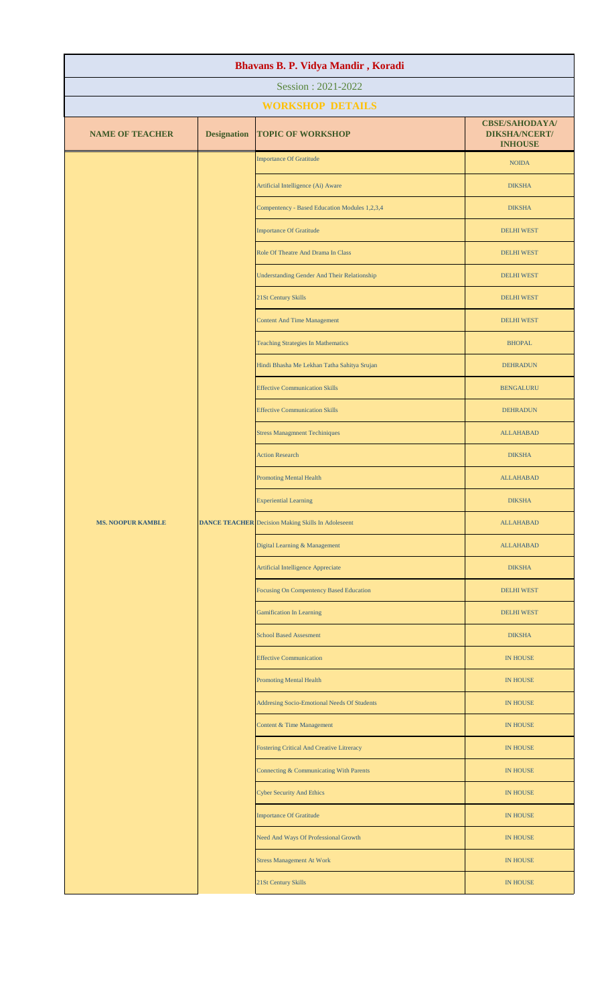| Bhavans B. P. Vidya Mandir, Koradi |                         |                                                           |                                                                 |  |  |
|------------------------------------|-------------------------|-----------------------------------------------------------|-----------------------------------------------------------------|--|--|
| Session: 2021-2022                 |                         |                                                           |                                                                 |  |  |
|                                    | <b>WORKSHOP DETAILS</b> |                                                           |                                                                 |  |  |
| <b>NAME OF TEACHER</b>             | <b>Designation</b>      | <b>TOPIC OF WORKSHOP</b>                                  | <b>CBSE/SAHODAYA/</b><br><b>DIKSHA/NCERT/</b><br><b>INHOUSE</b> |  |  |
|                                    |                         | <b>Importance Of Gratitude</b>                            | <b>NOIDA</b>                                                    |  |  |
|                                    |                         | Artificial Intelligence (Ai) Aware                        | <b>DIKSHA</b>                                                   |  |  |
|                                    |                         | Compentency - Based Education Modules 1,2,3,4             | <b>DIKSHA</b>                                                   |  |  |
|                                    |                         | <b>Importance Of Gratitude</b>                            | <b>DELHI WEST</b>                                               |  |  |
|                                    |                         | Role Of Theatre And Drama In Class                        | <b>DELHI WEST</b>                                               |  |  |
|                                    |                         | <b>Understanding Gender And Their Relationship</b>        | <b>DELHI WEST</b>                                               |  |  |
|                                    |                         | 21St Century Skills                                       | <b>DELHI WEST</b>                                               |  |  |
|                                    |                         | <b>Content And Time Management</b>                        | <b>DELHI WEST</b>                                               |  |  |
|                                    |                         | <b>Teaching Strategies In Mathematics</b>                 | <b>BHOPAL</b>                                                   |  |  |
|                                    |                         | Hindi Bhasha Me Lekhan Tatha Sahitya Srujan               | <b>DEHRADUN</b>                                                 |  |  |
|                                    |                         | <b>Effective Communication Skills</b>                     | <b>BENGALURU</b>                                                |  |  |
|                                    |                         | <b>Effective Communication Skills</b>                     | <b>DEHRADUN</b>                                                 |  |  |
|                                    |                         | <b>Stress Managmnent Techiniques</b>                      | <b>ALLAHABAD</b>                                                |  |  |
|                                    |                         | <b>Action Research</b>                                    | <b>DIKSHA</b>                                                   |  |  |
| <b>MS. NOOPUR KAMBLE</b>           |                         | <b>Promoting Mental Health</b>                            | <b>ALLAHABAD</b>                                                |  |  |
|                                    |                         | <b>Experiential Learning</b>                              | <b>DIKSHA</b>                                                   |  |  |
|                                    |                         | <b>DANCE TEACHER</b> Decision Making Skills In Adoleseent | <b>ALLAHABAD</b>                                                |  |  |
|                                    |                         | Digital Learning & Management                             | <b>ALLAHABAD</b>                                                |  |  |
|                                    |                         | Artificial Intelligence Appreciate                        | <b>DIKSHA</b>                                                   |  |  |
|                                    |                         | Focusing On Compentency Based Education                   | <b>DELHI WEST</b>                                               |  |  |
|                                    |                         | <b>Gamification In Learning</b>                           | <b>DELHI WEST</b>                                               |  |  |
|                                    |                         | <b>School Based Assesment</b>                             | <b>DIKSHA</b>                                                   |  |  |
|                                    |                         | <b>Effective Communication</b>                            | <b>IN HOUSE</b>                                                 |  |  |
|                                    |                         | <b>Promoting Mental Health</b>                            | <b>IN HOUSE</b>                                                 |  |  |
|                                    |                         | Addresing Socio-Emotional Needs Of Students               | <b>IN HOUSE</b>                                                 |  |  |
|                                    |                         | <b>Content &amp; Time Management</b>                      | <b>IN HOUSE</b>                                                 |  |  |
|                                    |                         | <b>Fostering Critical And Creative Litreracy</b>          | <b>IN HOUSE</b>                                                 |  |  |
|                                    |                         | Connecting & Communicating With Parents                   | <b>IN HOUSE</b>                                                 |  |  |
|                                    |                         | <b>Cyber Security And Ethics</b>                          | <b>IN HOUSE</b>                                                 |  |  |
|                                    |                         | <b>Importance Of Gratitude</b>                            | <b>IN HOUSE</b>                                                 |  |  |
|                                    |                         | Need And Ways Of Professional Growth                      | <b>IN HOUSE</b>                                                 |  |  |
|                                    |                         | <b>Stress Management At Work</b>                          | <b>IN HOUSE</b>                                                 |  |  |
|                                    |                         | 21St Century Skills                                       | <b>IN HOUSE</b>                                                 |  |  |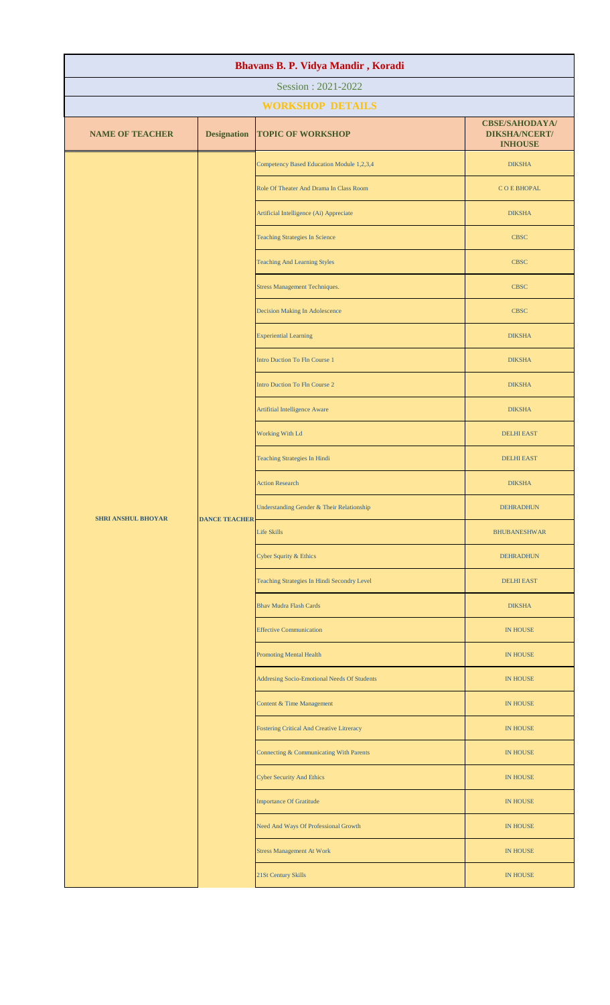| Bhavans B. P. Vidya Mandir, Koradi |                              |                                                  |                                                                 |  |  |
|------------------------------------|------------------------------|--------------------------------------------------|-----------------------------------------------------------------|--|--|
| Session: 2021-2022                 |                              |                                                  |                                                                 |  |  |
|                                    | <b>WORKSHOP DETAILS</b>      |                                                  |                                                                 |  |  |
| <b>NAME OF TEACHER</b>             | <b>Designation</b>           | <b>TOPIC OF WORKSHOP</b>                         | <b>CBSE/SAHODAYA/</b><br><b>DIKSHA/NCERT/</b><br><b>INHOUSE</b> |  |  |
|                                    |                              | Competency Based Education Module 1,2,3,4        | <b>DIKSHA</b>                                                   |  |  |
|                                    |                              | Role Of Theater And Drama In Class Room          | <b>COEBHOPAL</b>                                                |  |  |
|                                    |                              | Artificial Intelligence (Ai) Appreciate          | <b>DIKSHA</b>                                                   |  |  |
|                                    |                              | <b>Teaching Strategies In Science</b>            | <b>CBSC</b>                                                     |  |  |
|                                    |                              | <b>Teaching And Learning Styles</b>              | <b>CBSC</b>                                                     |  |  |
|                                    |                              | <b>Stress Management Techniques.</b>             | <b>CBSC</b>                                                     |  |  |
|                                    |                              | Decision Making In Adolescence                   | <b>CBSC</b>                                                     |  |  |
|                                    |                              | <b>Experiential Learning</b>                     | <b>DIKSHA</b>                                                   |  |  |
|                                    |                              | <b>Intro Duction To Fln Course 1</b>             | <b>DIKSHA</b>                                                   |  |  |
|                                    |                              | <b>Intro Duction To Fln Course 2</b>             | <b>DIKSHA</b>                                                   |  |  |
|                                    |                              | Artifitial Intelligence Aware                    | <b>DIKSHA</b>                                                   |  |  |
|                                    |                              | Working With Ld                                  | <b>DELHI EAST</b>                                               |  |  |
|                                    | Teaching Strategies In Hindi | <b>DELHI EAST</b>                                |                                                                 |  |  |
|                                    |                              | <b>Action Research</b>                           | <b>DIKSHA</b>                                                   |  |  |
| <b>SHRI ANSHUL BHOYAR</b>          |                              | Understanding Gender & Their Relationship        | <b>DEHRADHUN</b>                                                |  |  |
|                                    | <b>DANCE TEACHER</b>         | <b>Life Skills</b>                               | <b>BHUBANESHWAR</b>                                             |  |  |
|                                    |                              | Cyber Squrity & Ethics                           | <b>DEHRADHUN</b>                                                |  |  |
|                                    |                              | Teaching Strategies In Hindi Secondry Level      | <b>DELHI EAST</b>                                               |  |  |
|                                    |                              | <b>Bhav Mudra Flash Cards</b>                    | <b>DIKSHA</b>                                                   |  |  |
|                                    |                              | <b>Effective Communication</b>                   | IN HOUSE                                                        |  |  |
|                                    |                              | <b>Promoting Mental Health</b>                   | <b>IN HOUSE</b>                                                 |  |  |
|                                    |                              | Addresing Socio-Emotional Needs Of Students      | IN HOUSE                                                        |  |  |
|                                    |                              | Content & Time Management                        | IN HOUSE                                                        |  |  |
|                                    |                              | <b>Fostering Critical And Creative Litreracy</b> | <b>IN HOUSE</b>                                                 |  |  |
|                                    |                              | Connecting & Communicating With Parents          | <b>IN HOUSE</b>                                                 |  |  |
|                                    |                              | <b>Cyber Security And Ethics</b>                 | <b>IN HOUSE</b>                                                 |  |  |
|                                    |                              | <b>Importance Of Gratitude</b>                   | <b>IN HOUSE</b>                                                 |  |  |
|                                    |                              | Need And Ways Of Professional Growth             | IN HOUSE                                                        |  |  |
|                                    |                              | <b>Stress Management At Work</b>                 | <b>IN HOUSE</b>                                                 |  |  |
|                                    |                              | 21St Century Skills                              | IN HOUSE                                                        |  |  |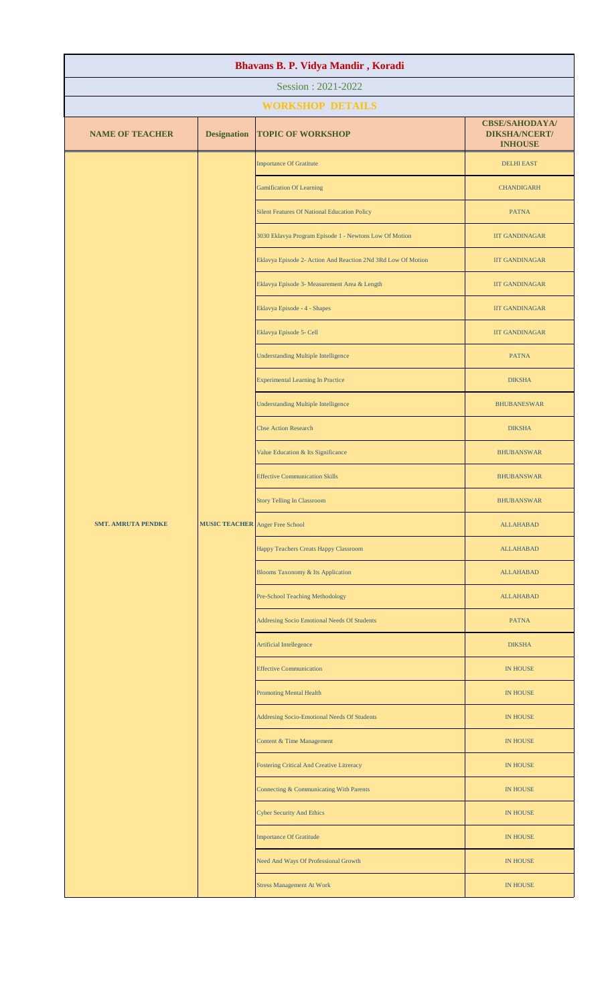| Bhavans B. P. Vidya Mandir, Koradi |                                        |                                                              |                                                                 |  |
|------------------------------------|----------------------------------------|--------------------------------------------------------------|-----------------------------------------------------------------|--|
| Session: 2021-2022                 |                                        |                                                              |                                                                 |  |
| <b>WORKSHOP DETAILS</b>            |                                        |                                                              |                                                                 |  |
| <b>NAME OF TEACHER</b>             | <b>Designation</b>                     | <b>TOPIC OF WORKSHOP</b>                                     | <b>CBSE/SAHODAYA/</b><br><b>DIKSHA/NCERT/</b><br><b>INHOUSE</b> |  |
|                                    |                                        | <b>Importance Of Gratitute</b>                               | <b>DELHI EAST</b>                                               |  |
|                                    |                                        | <b>Gamification Of Learning</b>                              | <b>CHANDIGARH</b>                                               |  |
|                                    |                                        | <b>Silent Features Of National Education Policy</b>          | <b>PATNA</b>                                                    |  |
|                                    |                                        | 3030 Eklavya Program Episode 1 - Newtons Low Of Motion       | <b>IIT GANDINAGAR</b>                                           |  |
|                                    |                                        | Eklavya Episode 2- Action And Reaction 2Nd 3Rd Low Of Motion | <b>IIT GANDINAGAR</b>                                           |  |
|                                    |                                        | Eklavya Episode 3- Measurement Area & Length                 | <b>IIT GANDINAGAR</b>                                           |  |
|                                    |                                        | Eklavya Episode - 4 - Shapes                                 | <b>IIT GANDINAGAR</b>                                           |  |
|                                    |                                        | Eklavya Episode 5- Cell                                      | <b>IIT GANDINAGAR</b>                                           |  |
|                                    |                                        | <b>Understanding Multiple Intelligence</b>                   | <b>PATNA</b>                                                    |  |
|                                    |                                        | <b>Experimental Learning In Practice</b>                     | <b>DIKSHA</b>                                                   |  |
|                                    |                                        | <b>Understanding Multiple Intelligence</b>                   | <b>BHUBANESWAR</b>                                              |  |
| <b>SMT. AMRUTA PENDKE</b>          |                                        | <b>Cbse Action Research</b>                                  | <b>DIKSHA</b>                                                   |  |
|                                    |                                        | Value Education & Its Significance                           | <b>BHUBANSWAR</b>                                               |  |
|                                    |                                        | <b>Effective Communication Skills</b>                        | <b>BHUBANSWAR</b>                                               |  |
|                                    |                                        | <b>Story Telling In Classroom</b>                            | <b>BHUBANSWAR</b>                                               |  |
|                                    | <b>MUSIC TEACHER</b> Anger Free School |                                                              | <b>ALLAHABAD</b>                                                |  |
|                                    |                                        | Happy Teachers Creats Happy Classroom                        | <b>ALLAHABAD</b>                                                |  |
|                                    |                                        | Blooms Taxonomy & Its Application                            | <b>ALLAHABAD</b>                                                |  |
|                                    |                                        | Pre-School Teaching Methodology                              | <b>ALLAHABAD</b>                                                |  |
|                                    |                                        | Addresing Socio Emotional Needs Of Students                  | <b>PATNA</b>                                                    |  |
|                                    |                                        | Artificial Intellegence                                      | <b>DIKSHA</b>                                                   |  |
|                                    |                                        | <b>Effective Communication</b>                               | <b>IN HOUSE</b>                                                 |  |
|                                    |                                        | <b>Promoting Mental Health</b>                               | <b>IN HOUSE</b>                                                 |  |
|                                    |                                        | Addresing Socio-Emotional Needs Of Students                  | <b>IN HOUSE</b>                                                 |  |
|                                    |                                        | Content & Time Management                                    | <b>IN HOUSE</b>                                                 |  |
|                                    |                                        | <b>Fostering Critical And Creative Litreracy</b>             | <b>IN HOUSE</b>                                                 |  |
|                                    |                                        | Connecting & Communicating With Parents                      | <b>IN HOUSE</b>                                                 |  |
|                                    |                                        | <b>Cyber Security And Ethics</b>                             | <b>IN HOUSE</b>                                                 |  |
|                                    |                                        | <b>Importance Of Gratitude</b>                               | <b>IN HOUSE</b>                                                 |  |
|                                    |                                        | Need And Ways Of Professional Growth                         | <b>IN HOUSE</b>                                                 |  |
|                                    |                                        | <b>Stress Management At Work</b>                             | <b>IN HOUSE</b>                                                 |  |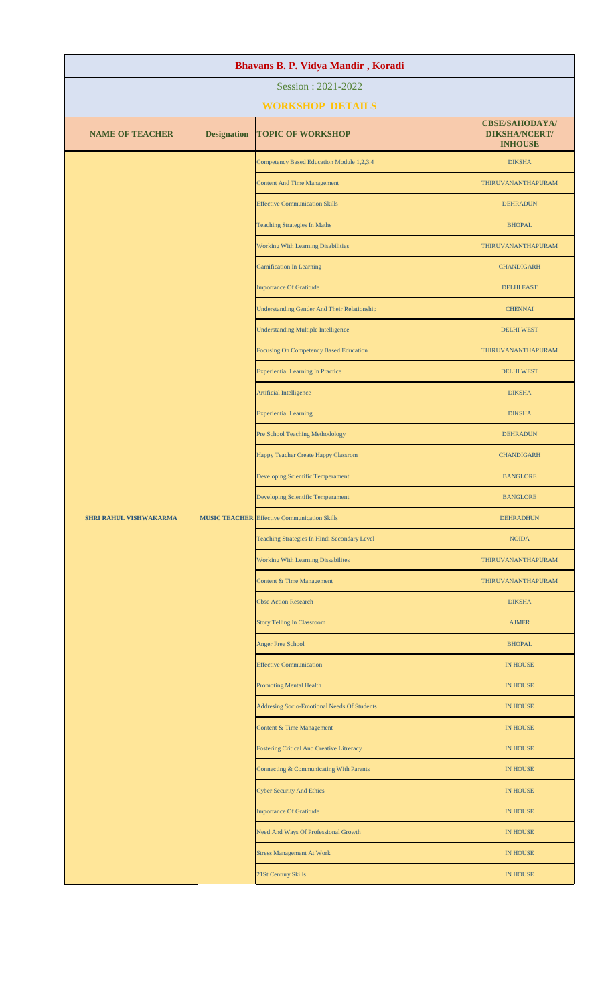| Session: 2021-2022<br><b>WORKSHOP DETAILS</b>                                                                                               |  |
|---------------------------------------------------------------------------------------------------------------------------------------------|--|
|                                                                                                                                             |  |
|                                                                                                                                             |  |
| <b>CBSE/SAHODAYA/</b><br><b>NAME OF TEACHER</b><br><b>Designation</b><br><b>TOPIC OF WORKSHOP</b><br><b>DIKSHA/NCERT/</b><br><b>INHOUSE</b> |  |
| Competency Based Education Module 1,2,3,4<br><b>DIKSHA</b>                                                                                  |  |
| <b>Content And Time Management</b><br>THIRUVANANTHAPURAM                                                                                    |  |
| <b>Effective Communication Skills</b><br><b>DEHRADUN</b>                                                                                    |  |
| <b>Teaching Strategies In Maths</b><br><b>BHOPAL</b>                                                                                        |  |
| <b>Working With Learning Disabilities</b><br>THIRUVANANTHAPURAM                                                                             |  |
| <b>Gamification In Learning</b><br><b>CHANDIGARH</b>                                                                                        |  |
| <b>Importance Of Gratitude</b><br><b>DELHI EAST</b>                                                                                         |  |
| <b>Understanding Gender And Their Relationship</b><br><b>CHENNAI</b>                                                                        |  |
| <b>Understanding Multiple Intelligence</b><br><b>DELHI WEST</b>                                                                             |  |
| <b>Focusing On Competency Based Education</b><br>THIRUVANANTHAPURAM                                                                         |  |
| <b>Experiential Learning In Practice</b><br><b>DELHI WEST</b>                                                                               |  |
| Artificial Intelligence<br><b>DIKSHA</b>                                                                                                    |  |
| <b>Experiential Learning</b><br><b>DIKSHA</b>                                                                                               |  |
| Pre School Teaching Methodology<br><b>DEHRADUN</b>                                                                                          |  |
| Happy Teacher Create Happy Classrom<br><b>CHANDIGARH</b>                                                                                    |  |
| Developing Scientific Temperament<br><b>BANGLORE</b>                                                                                        |  |
| Developing Scientific Temperament<br><b>BANGLORE</b>                                                                                        |  |
| <b>SHRI RAHUL VISHWAKARMA</b><br><b>MUSIC TEACHER Effective Communication Skills</b><br><b>DEHRADHUN</b>                                    |  |
| Teaching Strategies In Hindi Secondary Level<br><b>NOIDA</b>                                                                                |  |
| <b>Working With Learning Dissabilites</b><br>THIRUVANANTHAPURAM                                                                             |  |
| Content & Time Management<br>THIRUVANANTHAPURAM                                                                                             |  |
| <b>Cbse Action Research</b><br><b>DIKSHA</b>                                                                                                |  |
| <b>Story Telling In Classroom</b><br><b>AJMER</b>                                                                                           |  |
| Anger Free School<br><b>BHOPAL</b>                                                                                                          |  |
| <b>Effective Communication</b><br><b>IN HOUSE</b>                                                                                           |  |
| <b>Promoting Mental Health</b><br><b>IN HOUSE</b>                                                                                           |  |
| Addresing Socio-Emotional Needs Of Students<br><b>IN HOUSE</b>                                                                              |  |
| Content & Time Management<br><b>IN HOUSE</b>                                                                                                |  |
| <b>Fostering Critical And Creative Litreracy</b><br><b>IN HOUSE</b>                                                                         |  |
| Connecting & Communicating With Parents<br><b>IN HOUSE</b>                                                                                  |  |
| <b>Cyber Security And Ethics</b><br><b>IN HOUSE</b>                                                                                         |  |
| <b>Importance Of Gratitude</b><br><b>IN HOUSE</b>                                                                                           |  |
| Need And Ways Of Professional Growth<br><b>IN HOUSE</b>                                                                                     |  |
| <b>Stress Management At Work</b><br><b>IN HOUSE</b>                                                                                         |  |
| 21St Century Skills<br><b>IN HOUSE</b>                                                                                                      |  |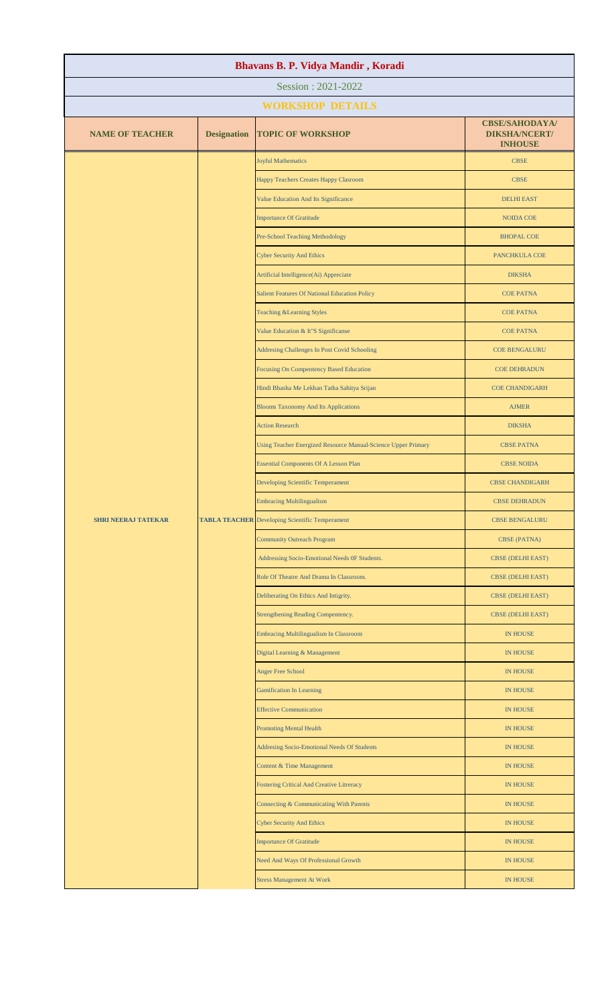| Bhavans B. P. Vidya Mandir, Koradi |                         |                                                                                                                                                         |                                                                                                                                                                                                                                                                                 |  |  |
|------------------------------------|-------------------------|---------------------------------------------------------------------------------------------------------------------------------------------------------|---------------------------------------------------------------------------------------------------------------------------------------------------------------------------------------------------------------------------------------------------------------------------------|--|--|
| Session: 2021-2022                 |                         |                                                                                                                                                         |                                                                                                                                                                                                                                                                                 |  |  |
|                                    | <b>WORKSHOP DETAILS</b> |                                                                                                                                                         |                                                                                                                                                                                                                                                                                 |  |  |
| <b>NAME OF TEACHER</b>             | <b>Designation</b>      | <b>TOPIC OF WORKSHOP</b>                                                                                                                                | <b>CBSE/SAHODAYA/</b><br><b>DIKSHA/NCERT/</b><br><b>INHOUSE</b>                                                                                                                                                                                                                 |  |  |
|                                    |                         | <b>Joyful Mathematics</b>                                                                                                                               | <b>CBSE</b>                                                                                                                                                                                                                                                                     |  |  |
|                                    |                         | Happy Teachers Creates Happy Clasroom                                                                                                                   | <b>CBSE</b>                                                                                                                                                                                                                                                                     |  |  |
|                                    |                         | Value Education And Its Significance                                                                                                                    | <b>DELHI EAST</b>                                                                                                                                                                                                                                                               |  |  |
|                                    |                         | <b>Importance Of Gratitude</b>                                                                                                                          | <b>NOIDA COE</b>                                                                                                                                                                                                                                                                |  |  |
|                                    |                         | Pre-School Teaching Methodology                                                                                                                         | <b>BHOPAL COE</b>                                                                                                                                                                                                                                                               |  |  |
|                                    |                         | <b>Cyber Security And Ethics</b>                                                                                                                        | PANCHKULA COE                                                                                                                                                                                                                                                                   |  |  |
|                                    |                         | Artificial Intelligence(Ai) Appreciate                                                                                                                  | <b>DIKSHA</b>                                                                                                                                                                                                                                                                   |  |  |
|                                    |                         | <b>Salient Features Of National Education Policy</b>                                                                                                    | <b>COE PATNA</b>                                                                                                                                                                                                                                                                |  |  |
|                                    |                         | <b>Teaching &amp;Learning Styles</b>                                                                                                                    | <b>COE PATNA</b>                                                                                                                                                                                                                                                                |  |  |
|                                    |                         | Value Education & It"S Significanse                                                                                                                     | <b>COE PATNA</b>                                                                                                                                                                                                                                                                |  |  |
|                                    |                         | Addresing Challenges In Post Covid Schooling                                                                                                            | <b>COE BENGALURU</b>                                                                                                                                                                                                                                                            |  |  |
|                                    |                         | Focusing On Compentency Based Education                                                                                                                 | <b>COE DEHRADUN</b><br><b>COE CHANDIGARH</b><br><b>AJMER</b><br><b>DIKSHA</b>                                                                                                                                                                                                   |  |  |
|                                    |                         | Hindi Bhasha Me Lekhan Tatha Sahitya Srijan                                                                                                             |                                                                                                                                                                                                                                                                                 |  |  |
|                                    |                         | <b>Blooms Taxonomy And Its Applications</b>                                                                                                             |                                                                                                                                                                                                                                                                                 |  |  |
|                                    |                         | <b>Action Research</b>                                                                                                                                  |                                                                                                                                                                                                                                                                                 |  |  |
| <b>SHRI NEERAJ TATEKAR</b>         |                         | Using Teacher Energized Resource Manual-Science Upper Primary<br><b>CBSE PATNA</b><br><b>Essential Components Of A Lesson Plan</b><br><b>CBSE NOIDA</b> |                                                                                                                                                                                                                                                                                 |  |  |
|                                    |                         |                                                                                                                                                         |                                                                                                                                                                                                                                                                                 |  |  |
|                                    |                         | Developing Scientific Temperament                                                                                                                       | <b>CBSE CHANDIGARH</b>                                                                                                                                                                                                                                                          |  |  |
|                                    |                         | <b>Embracing Multilingualism</b>                                                                                                                        | <b>CBSE DEHRADUN</b>                                                                                                                                                                                                                                                            |  |  |
|                                    |                         | <b>TABLA TEACHER</b> Developing Scientific Temperament                                                                                                  | <b>CBSE BENGALURU</b>                                                                                                                                                                                                                                                           |  |  |
|                                    |                         | <b>Community Outreach Program</b>                                                                                                                       | <b>CBSE (PATNA)</b>                                                                                                                                                                                                                                                             |  |  |
|                                    |                         | Addressing Socio-Emotional Needs OF Students.                                                                                                           | <b>CBSE (DELHI EAST)</b>                                                                                                                                                                                                                                                        |  |  |
|                                    |                         | Role Of Theatre And Drama In Classroom.                                                                                                                 | CBSE (DELHI EAST)                                                                                                                                                                                                                                                               |  |  |
|                                    |                         | Deliberating On Ethics And Intigrity.                                                                                                                   | <b>CBSE (DELHI EAST)</b>                                                                                                                                                                                                                                                        |  |  |
|                                    |                         | <b>Strengthening Reading Compentency.</b>                                                                                                               | <b>CBSE (DELHI EAST)</b><br><b>IN HOUSE</b><br><b>IN HOUSE</b><br><b>IN HOUSE</b><br><b>IN HOUSE</b><br><b>IN HOUSE</b><br><b>IN HOUSE</b><br><b>IN HOUSE</b><br><b>IN HOUSE</b><br><b>IN HOUSE</b><br><b>IN HOUSE</b><br><b>IN HOUSE</b><br><b>IN HOUSE</b><br><b>IN HOUSE</b> |  |  |
|                                    |                         | Embracing Multilingualism In Classroom                                                                                                                  |                                                                                                                                                                                                                                                                                 |  |  |
|                                    |                         | Digital Learning & Management                                                                                                                           |                                                                                                                                                                                                                                                                                 |  |  |
|                                    |                         | <b>Anger Free School</b>                                                                                                                                |                                                                                                                                                                                                                                                                                 |  |  |
|                                    |                         | <b>Gamification In Learning</b>                                                                                                                         |                                                                                                                                                                                                                                                                                 |  |  |
|                                    |                         | <b>Effective Communication</b>                                                                                                                          |                                                                                                                                                                                                                                                                                 |  |  |
|                                    |                         | <b>Promoting Mental Health</b>                                                                                                                          |                                                                                                                                                                                                                                                                                 |  |  |
|                                    |                         | Addresing Socio-Emotional Needs Of Students                                                                                                             |                                                                                                                                                                                                                                                                                 |  |  |
|                                    |                         | Content & Time Management                                                                                                                               |                                                                                                                                                                                                                                                                                 |  |  |
|                                    |                         | Fostering Critical And Creative Litreracy                                                                                                               |                                                                                                                                                                                                                                                                                 |  |  |
|                                    |                         | Connecting & Communicating With Parents                                                                                                                 |                                                                                                                                                                                                                                                                                 |  |  |
|                                    |                         | <b>Cyber Security And Ethics</b>                                                                                                                        |                                                                                                                                                                                                                                                                                 |  |  |
|                                    |                         | <b>Importance Of Gratitude</b>                                                                                                                          |                                                                                                                                                                                                                                                                                 |  |  |
|                                    |                         | Need And Ways Of Professional Growth                                                                                                                    |                                                                                                                                                                                                                                                                                 |  |  |
|                                    |                         | <b>Stress Management At Work</b>                                                                                                                        | <b>IN HOUSE</b>                                                                                                                                                                                                                                                                 |  |  |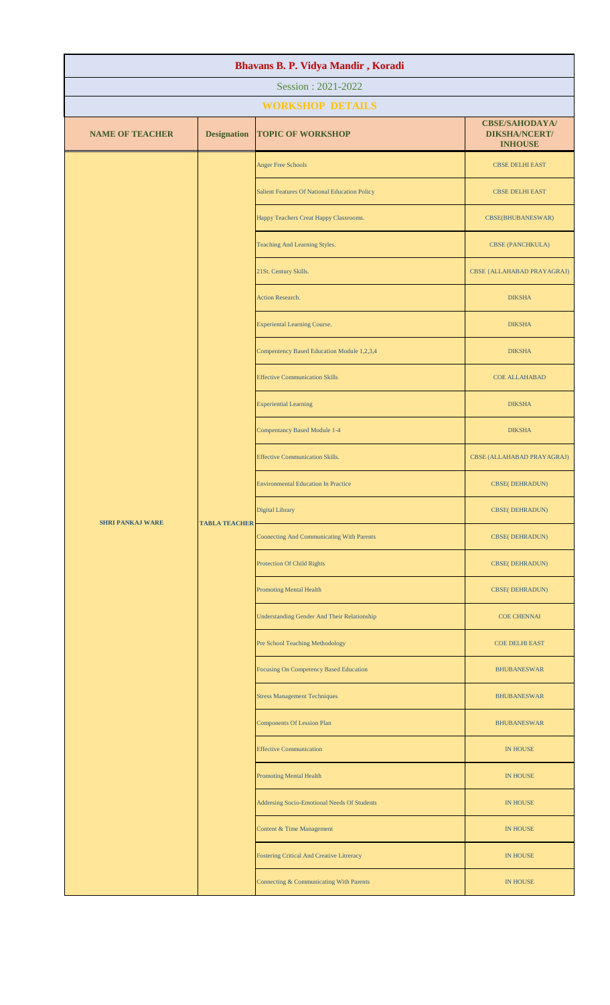| Bhavans B. P. Vidya Mandir, Koradi              |                                        |                                                    |                                                                 |                        |  |
|-------------------------------------------------|----------------------------------------|----------------------------------------------------|-----------------------------------------------------------------|------------------------|--|
| Session: 2021-2022                              |                                        |                                                    |                                                                 |                        |  |
|                                                 | <b>WORKSHOP DETAILS</b>                |                                                    |                                                                 |                        |  |
| <b>NAME OF TEACHER</b>                          | <b>Designation</b>                     | <b>TOPIC OF WORKSHOP</b>                           | <b>CBSE/SAHODAYA/</b><br><b>DIKSHA/NCERT/</b><br><b>INHOUSE</b> |                        |  |
|                                                 |                                        | <b>Anger Free Schools</b>                          | <b>CBSE DELHI EAST</b>                                          |                        |  |
|                                                 |                                        |                                                    | <b>Salient Features Of National Education Policy</b>            | <b>CBSE DELHI EAST</b> |  |
|                                                 |                                        | Happy Teachers Creat Happy Classrooms.             | CBSE(BHUBANESWAR)                                               |                        |  |
|                                                 |                                        | Teaching And Learning Styles.                      | <b>CBSE (PANCHKULA)</b>                                         |                        |  |
|                                                 |                                        | 21St. Century Skills.                              | <b>CBSE {ALLAHABAD PRAYAGRAJ)</b>                               |                        |  |
|                                                 |                                        | Action Research.                                   | <b>DIKSHA</b>                                                   |                        |  |
|                                                 |                                        | <b>Experiental Learning Course.</b>                | <b>DIKSHA</b>                                                   |                        |  |
|                                                 |                                        | Compentency Based Education Module 1,2,3,4         | <b>DIKSHA</b>                                                   |                        |  |
|                                                 |                                        | <b>Effective Communication Skills</b>              | <b>COE ALLAHABAD</b>                                            |                        |  |
|                                                 |                                        | <b>Experiential Learning</b>                       | <b>DIKSHA</b>                                                   |                        |  |
|                                                 |                                        | <b>Compentancy Based Module 1-4</b>                | <b>DIKSHA</b>                                                   |                        |  |
| <b>TABLA TEACHER</b><br><b>SHRI PANKAJ WARE</b> | <b>Effective Communication Skills.</b> | CBSE (ALLAHABAD PRAYAGRAJ)                         |                                                                 |                        |  |
|                                                 |                                        | <b>Environmental Education In Practice</b>         | <b>CBSE(DEHRADUN)</b>                                           |                        |  |
|                                                 |                                        |                                                    | <b>Digital Library</b>                                          | <b>CBSE(DEHRADUN)</b>  |  |
|                                                 |                                        |                                                    | Coonecting And Communicating With Parents                       | <b>CBSE( DEHRADUN)</b> |  |
|                                                 |                                        | Protection Of Child Rights                         | <b>CBSE( DEHRADUN)</b>                                          |                        |  |
|                                                 |                                        | <b>Promoting Mental Health</b>                     | <b>CBSE( DEHRADUN)</b>                                          |                        |  |
|                                                 |                                        | <b>Understanding Gender And Their Relationship</b> | <b>COE CHENNAI</b>                                              |                        |  |
|                                                 |                                        | Pre School Teaching Methodology                    | <b>COE DELHI EAST</b>                                           |                        |  |
|                                                 |                                        | Focusing On Competency Based Education             | <b>BHUBANESWAR</b>                                              |                        |  |
|                                                 |                                        | <b>Stress Management Techniques</b>                | <b>BHUBANESWAR</b>                                              |                        |  |
|                                                 |                                        | <b>Components Of Lession Plan</b>                  | <b>BHUBANESWAR</b>                                              |                        |  |
|                                                 |                                        | <b>Effective Communication</b>                     | <b>IN HOUSE</b>                                                 |                        |  |
|                                                 |                                        | <b>Promoting Mental Health</b>                     | <b>IN HOUSE</b>                                                 |                        |  |
|                                                 |                                        | Addresing Socio-Emotional Needs Of Students        | <b>IN HOUSE</b>                                                 |                        |  |
|                                                 |                                        | Content & Time Management                          | <b>IN HOUSE</b>                                                 |                        |  |
|                                                 |                                        | <b>Fostering Critical And Creative Litreracy</b>   | <b>IN HOUSE</b>                                                 |                        |  |
|                                                 |                                        | Connecting & Communicating With Parents            | IN HOUSE                                                        |                        |  |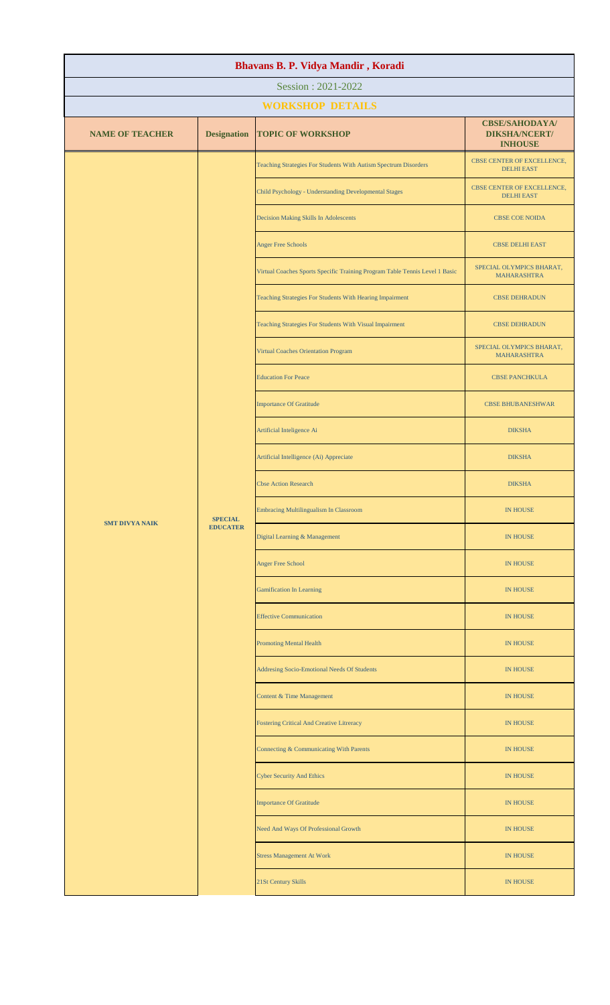| Bhavans B. P. Vidya Mandir, Koradi |                    |                                                                             |                                                                 |               |
|------------------------------------|--------------------|-----------------------------------------------------------------------------|-----------------------------------------------------------------|---------------|
|                                    |                    | Session: 2021-2022                                                          |                                                                 |               |
|                                    |                    | <b>WORKSHOP DETAILS</b>                                                     |                                                                 |               |
| <b>NAME OF TEACHER</b>             | <b>Designation</b> | <b>TOPIC OF WORKSHOP</b>                                                    | <b>CBSE/SAHODAYA/</b><br><b>DIKSHA/NCERT/</b><br><b>INHOUSE</b> |               |
|                                    |                    | Teaching Strategies For Students With Autism Spectrum Disorders             | CBSE CENTER OF EXCELLENCE,<br><b>DELHI EAST</b>                 |               |
|                                    |                    | Child Psychology - Understanding Developmental Stages                       | CBSE CENTER OF EXCELLENCE,<br><b>DELHI EAST</b>                 |               |
|                                    |                    | Decision Making Skills In Adolescents                                       | <b>CBSE COE NOIDA</b>                                           |               |
|                                    |                    | <b>Anger Free Schools</b>                                                   | <b>CBSE DELHI EAST</b>                                          |               |
|                                    |                    | Virtual Coaches Sports Specific Training Program Table Tennis Level 1 Basic | SPECIAL OLYMPICS BHARAT,<br><b>MAHARASHTRA</b>                  |               |
|                                    |                    | Teaching Strategies For Students With Hearing Impairment                    | <b>CBSE DEHRADUN</b>                                            |               |
|                                    |                    | Teaching Strategies For Students With Visual Impairment                     | <b>CBSE DEHRADUN</b>                                            |               |
|                                    |                    | Virtual Coaches Orientation Program                                         | SPECIAL OLYMPICS BHARAT,<br><b>MAHARASHTRA</b>                  |               |
|                                    |                    | <b>Education For Peace</b>                                                  | <b>CBSE PANCHKULA</b>                                           |               |
|                                    |                    | <b>Importance Of Gratitude</b>                                              | <b>CBSE BHUBANESHWAR</b>                                        |               |
|                                    |                    | Artificial Inteligence Ai                                                   | <b>DIKSHA</b>                                                   |               |
|                                    |                    | Artificial Intelligence (Ai) Appreciate                                     | <b>DIKSHA</b>                                                   |               |
| <b>SMT DIVYA NAIK</b>              |                    |                                                                             | <b>Cbse Action Research</b>                                     | <b>DIKSHA</b> |
|                                    | <b>SPECIAL</b>     | Embracing Multilingualism In Classroom                                      | <b>IN HOUSE</b>                                                 |               |
|                                    | <b>EDUCATER</b>    | Digital Learning & Management                                               | <b>IN HOUSE</b>                                                 |               |
|                                    |                    | Anger Free School                                                           | IN HOUSE                                                        |               |
|                                    |                    | <b>Gamification In Learning</b>                                             | <b>IN HOUSE</b>                                                 |               |
|                                    |                    | <b>Effective Communication</b>                                              | <b>IN HOUSE</b>                                                 |               |
|                                    |                    | <b>Promoting Mental Health</b>                                              | <b>IN HOUSE</b>                                                 |               |
|                                    |                    | Addresing Socio-Emotional Needs Of Students                                 | <b>IN HOUSE</b>                                                 |               |
|                                    |                    | Content & Time Management                                                   | <b>IN HOUSE</b>                                                 |               |
|                                    |                    | <b>Fostering Critical And Creative Litreracy</b>                            | <b>IN HOUSE</b>                                                 |               |
|                                    |                    | Connecting & Communicating With Parents                                     | <b>IN HOUSE</b>                                                 |               |
|                                    |                    | <b>Cyber Security And Ethics</b>                                            | <b>IN HOUSE</b>                                                 |               |
|                                    |                    | <b>Importance Of Gratitude</b>                                              | <b>IN HOUSE</b>                                                 |               |
|                                    |                    | Need And Ways Of Professional Growth                                        | <b>IN HOUSE</b>                                                 |               |
|                                    |                    | <b>Stress Management At Work</b>                                            | <b>IN HOUSE</b>                                                 |               |
|                                    |                    | 21St Century Skills                                                         | IN HOUSE                                                        |               |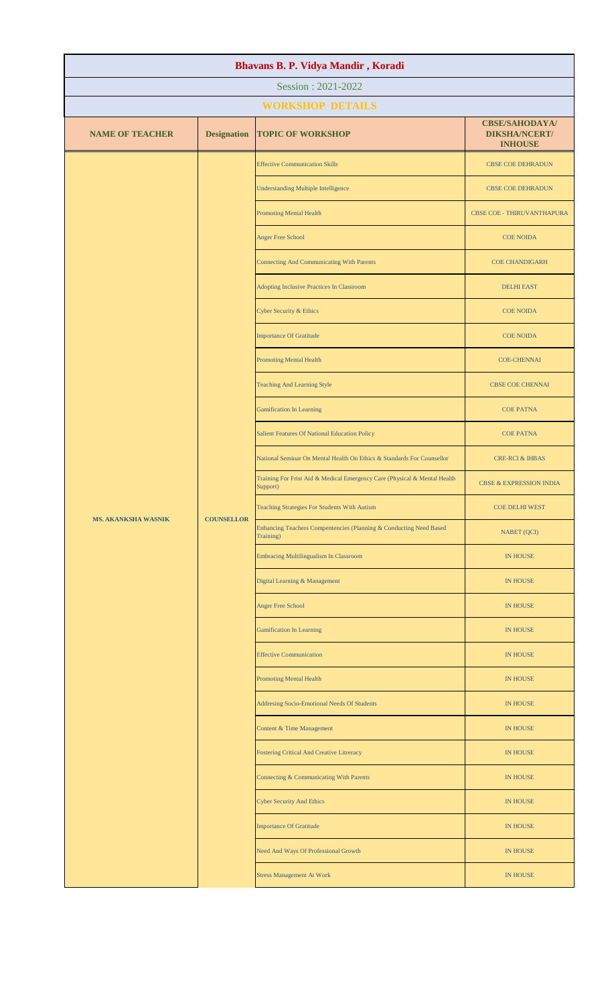| Bhavans B. P. Vidya Mandir, Koradi |                    |                                                                                       |                                                                                 |                          |
|------------------------------------|--------------------|---------------------------------------------------------------------------------------|---------------------------------------------------------------------------------|--------------------------|
| Session: 2021-2022                 |                    |                                                                                       |                                                                                 |                          |
|                                    |                    | <b>WORKSHOP DETAILS</b>                                                               |                                                                                 |                          |
| <b>NAME OF TEACHER</b>             | <b>Designation</b> | <b>TOPIC OF WORKSHOP</b>                                                              | <b>CBSE/SAHODAYA/</b><br><b>DIKSHA/NCERT/</b><br><b>INHOUSE</b>                 |                          |
|                                    |                    | <b>Effective Communication Skills</b>                                                 | <b>CBSE COE DEHRADUN</b>                                                        |                          |
|                                    |                    |                                                                                       | <b>Understanding Multiple Intelligence</b>                                      | <b>CBSE COE DEHRADUN</b> |
|                                    |                    | <b>Promoting Mental Health</b>                                                        | CBSE COE - THIRUVANTHAPURA                                                      |                          |
|                                    |                    | <b>Anger Free School</b>                                                              | <b>COE NOIDA</b>                                                                |                          |
|                                    |                    | <b>Connecting And Communicating With Parents</b>                                      | <b>COE CHANDIGARH</b>                                                           |                          |
|                                    |                    | Adopting Inclusive Practices In Classroom                                             | <b>DELHI EAST</b>                                                               |                          |
|                                    |                    | <b>Cyber Security &amp; Ethics</b>                                                    | <b>COE NOIDA</b>                                                                |                          |
|                                    |                    | <b>Importance Of Gratitude</b>                                                        | <b>COE NOIDA</b>                                                                |                          |
|                                    |                    | <b>Promoting Mental Health</b>                                                        | <b>COE-CHENNAI</b>                                                              |                          |
|                                    |                    | <b>Teaching And Learning Style</b>                                                    | <b>CBSE COE CHENNAI</b>                                                         |                          |
|                                    |                    | <b>Gamification In Learning</b>                                                       | <b>COE PATNA</b>                                                                |                          |
|                                    |                    | <b>Salient Features Of National Education Policy</b>                                  | <b>COE PATNA</b>                                                                |                          |
|                                    |                    | National Seminar On Mental Health On Ethics & Standards For Counsellor                | <b>CRE-RCI &amp; IHBAS</b>                                                      |                          |
|                                    |                    | Training For Frist Aid & Medical Emergency Care (Physical & Mental Health<br>Support) | <b>CBSE &amp; EXPRESSION INDIA</b>                                              |                          |
| <b>MS. AKANKSHA WASNIK</b>         |                    | Teaching Strategies For Students With Autism                                          | <b>COE DELHI WEST</b>                                                           |                          |
|                                    |                    | <b>COUNSELLOR</b>                                                                     | Enhancing Teachers Compentencies (Planning & Conducting Need Based<br>Training) | NABET (QCI)              |
|                                    |                    |                                                                                       | Embracing Multilingualism In Classroom                                          | <b>IN HOUSE</b>          |
|                                    |                    | Digital Learning & Management                                                         | <b>IN HOUSE</b>                                                                 |                          |
|                                    |                    | <b>Anger Free School</b>                                                              | <b>IN HOUSE</b>                                                                 |                          |
|                                    |                    | <b>Gamification In Learning</b>                                                       | <b>IN HOUSE</b>                                                                 |                          |
|                                    |                    | <b>Effective Communication</b>                                                        | <b>IN HOUSE</b>                                                                 |                          |
|                                    |                    | <b>Promoting Mental Health</b>                                                        | <b>IN HOUSE</b>                                                                 |                          |
|                                    |                    | Addresing Socio-Emotional Needs Of Students                                           | <b>IN HOUSE</b>                                                                 |                          |
|                                    |                    | Content & Time Management                                                             | <b>IN HOUSE</b>                                                                 |                          |
|                                    |                    |                                                                                       | <b>Fostering Critical And Creative Litreracy</b>                                | IN HOUSE                 |
|                                    |                    | Connecting & Communicating With Parents                                               | <b>IN HOUSE</b>                                                                 |                          |
|                                    |                    | <b>Cyber Security And Ethics</b>                                                      | <b>IN HOUSE</b>                                                                 |                          |
|                                    |                    | <b>Importance Of Gratitude</b>                                                        | IN HOUSE                                                                        |                          |
|                                    |                    | Need And Ways Of Professional Growth                                                  | IN HOUSE                                                                        |                          |
|                                    |                    | <b>Stress Management At Work</b>                                                      | IN HOUSE                                                                        |                          |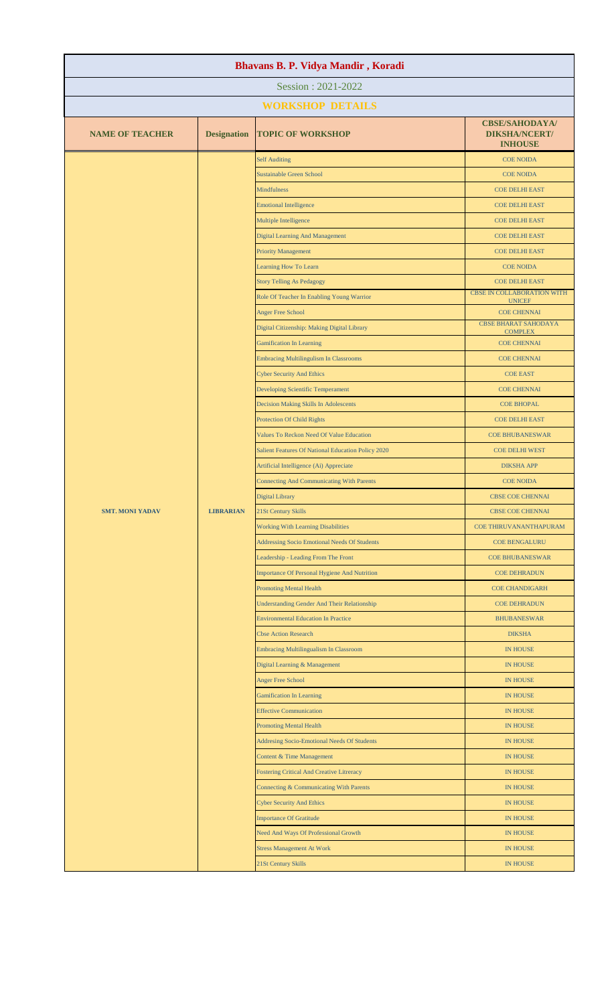| Bhavans B. P. Vidya Mandir, Koradi |                    |                                                     |                                                                 |  |
|------------------------------------|--------------------|-----------------------------------------------------|-----------------------------------------------------------------|--|
| Session: 2021-2022                 |                    |                                                     |                                                                 |  |
|                                    |                    | <b>WORKSHOP DETAILS</b>                             |                                                                 |  |
| <b>NAME OF TEACHER</b>             | <b>Designation</b> | <b>TOPIC OF WORKSHOP</b>                            | <b>CBSE/SAHODAYA/</b><br><b>DIKSHA/NCERT/</b><br><b>INHOUSE</b> |  |
|                                    |                    | <b>Self Auditing</b>                                | <b>COE NOIDA</b>                                                |  |
|                                    |                    | <b>Sustainable Green School</b>                     | <b>COE NOIDA</b>                                                |  |
|                                    |                    | <b>Mindfulness</b>                                  | <b>COE DELHI EAST</b>                                           |  |
|                                    |                    | <b>Emotional Intelligence</b>                       | <b>COE DELHI EAST</b>                                           |  |
|                                    |                    | Multiple Intelligence                               | <b>COE DELHI EAST</b>                                           |  |
|                                    |                    | <b>Digital Learning And Management</b>              | <b>COE DELHI EAST</b>                                           |  |
|                                    |                    | <b>Priority Management</b>                          | <b>COE DELHI EAST</b>                                           |  |
|                                    |                    | Learning How To Learn                               | <b>COE NOIDA</b>                                                |  |
|                                    |                    | <b>Story Telling As Pedagogy</b>                    | <b>COE DELHI EAST</b>                                           |  |
|                                    |                    | Role Of Teacher In Enabling Young Warrior           | <b>CBSE IN COLLABORATION WITH</b><br><b>UNICEF</b>              |  |
|                                    |                    | <b>Anger Free School</b>                            | <b>COE CHENNAI</b>                                              |  |
|                                    |                    | Digital Citizenship: Making Digital Library         | <b>CBSE BHARAT SAHODAYA</b><br><b>COMPLEX</b>                   |  |
|                                    |                    | <b>Gamification In Learning</b>                     | <b>COE CHENNAI</b>                                              |  |
|                                    |                    | <b>Embracing Multilingulism In Classrooms</b>       | <b>COE CHENNAI</b>                                              |  |
|                                    |                    | <b>Cyber Security And Ethics</b>                    | <b>COE EAST</b>                                                 |  |
|                                    |                    | Developing Scientific Temperament                   | <b>COE CHENNAI</b>                                              |  |
|                                    |                    | Decision Making Skills In Adolescents               | <b>COE BHOPAL</b>                                               |  |
|                                    |                    | <b>Protection Of Child Rights</b>                   | <b>COE DELHI EAST</b>                                           |  |
|                                    |                    | Values To Reckon Need Of Value Education            | <b>COE BHUBANESWAR</b>                                          |  |
|                                    |                    | Salient Features Of National Education Policy 2020  | <b>COE DELHI WEST</b>                                           |  |
|                                    |                    | Artificial Intelligence (Ai) Appreciate             | <b>DIKSHA APP</b>                                               |  |
|                                    |                    | <b>Connecting And Communicating With Parents</b>    | <b>COE NOIDA</b>                                                |  |
|                                    |                    | Digital Library                                     | CBSE COE CHENNAI                                                |  |
| <b>SMT. MONI YADAV</b>             | <b>LIBRARIAN</b>   | 21St Century Skills                                 | CBSE COE CHENNAI                                                |  |
|                                    |                    | <b>Working With Learning Disabilities</b>           | COE THIRUVANANTHAPURAM                                          |  |
|                                    |                    | <b>Addressing Socio Emotional Needs Of Students</b> | <b>COE BENGALURU</b>                                            |  |
|                                    |                    | Leadership - Leading From The Front                 | <b>COE BHUBANESWAR</b>                                          |  |
|                                    |                    | <b>Importance Of Personal Hygiene And Nutrition</b> | <b>COE DEHRADUN</b>                                             |  |
|                                    |                    | Promoting Mental Health                             | <b>COE CHANDIGARH</b>                                           |  |
|                                    |                    | <b>Understanding Gender And Their Relationship</b>  | <b>COE DEHRADUN</b>                                             |  |
|                                    |                    | <b>Environmental Education In Practice</b>          | <b>BHUBANESWAR</b>                                              |  |
|                                    |                    | <b>Cbse Action Research</b>                         | <b>DIKSHA</b>                                                   |  |
|                                    |                    | <b>Embracing Multilingualism In Classroom</b>       | <b>IN HOUSE</b>                                                 |  |
|                                    |                    | Digital Learning & Management                       | <b>IN HOUSE</b>                                                 |  |
|                                    |                    | <b>Anger Free School</b>                            | <b>IN HOUSE</b>                                                 |  |
|                                    |                    | <b>Gamification In Learning</b>                     | <b>IN HOUSE</b>                                                 |  |
|                                    |                    | <b>Effective Communication</b>                      | <b>IN HOUSE</b>                                                 |  |
|                                    |                    | <b>Promoting Mental Health</b>                      | <b>IN HOUSE</b>                                                 |  |
|                                    |                    | Addresing Socio-Emotional Needs Of Students         | <b>IN HOUSE</b>                                                 |  |
|                                    |                    | Content & Time Management                           | <b>IN HOUSE</b>                                                 |  |
|                                    |                    | <b>Fostering Critical And Creative Litreracy</b>    | <b>IN HOUSE</b>                                                 |  |
|                                    |                    | Connecting & Communicating With Parents             | <b>IN HOUSE</b>                                                 |  |
|                                    |                    | <b>Cyber Security And Ethics</b>                    | <b>IN HOUSE</b>                                                 |  |
|                                    |                    | <b>Importance Of Gratitude</b>                      | <b>IN HOUSE</b>                                                 |  |
|                                    |                    | Need And Ways Of Professional Growth                | <b>IN HOUSE</b>                                                 |  |
|                                    |                    | <b>Stress Management At Work</b>                    | <b>IN HOUSE</b>                                                 |  |
|                                    |                    | 21St Century Skills                                 | <b>IN HOUSE</b>                                                 |  |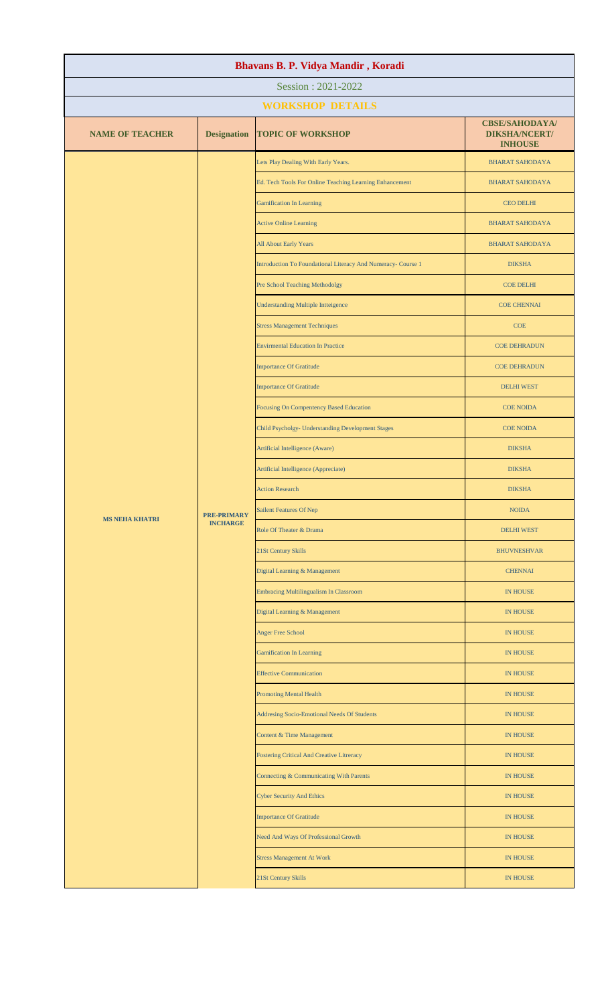| Bhavans B. P. Vidya Mandir, Koradi |                               |                                                              |                                                                 |  |  |
|------------------------------------|-------------------------------|--------------------------------------------------------------|-----------------------------------------------------------------|--|--|
| Session: 2021-2022                 |                               |                                                              |                                                                 |  |  |
|                                    |                               | <b>WORKSHOP DETAILS</b>                                      |                                                                 |  |  |
| <b>NAME OF TEACHER</b>             | <b>Designation</b>            | <b>TOPIC OF WORKSHOP</b>                                     | <b>CBSE/SAHODAYA/</b><br><b>DIKSHA/NCERT/</b><br><b>INHOUSE</b> |  |  |
|                                    |                               | Lets Play Dealing With Early Years.                          | <b>BHARAT SAHODAYA</b>                                          |  |  |
|                                    |                               | Ed. Tech Tools For Online Teaching Learning Enhancement      | <b>BHARAT SAHODAYA</b>                                          |  |  |
|                                    |                               | <b>Gamification In Learning</b>                              | <b>CEO DELHI</b>                                                |  |  |
|                                    |                               | <b>Active Online Learning</b>                                | <b>BHARAT SAHODAYA</b>                                          |  |  |
|                                    |                               | All About Early Years                                        | <b>BHARAT SAHODAYA</b>                                          |  |  |
|                                    |                               | Introduction To Foundational Literacy And Numeracy- Course 1 | <b>DIKSHA</b>                                                   |  |  |
|                                    |                               | Pre School Teaching Methodolgy                               | <b>COE DELHI</b>                                                |  |  |
|                                    |                               | <b>Understanding Multiple Intteigence</b>                    | <b>COE CHENNAI</b>                                              |  |  |
|                                    |                               | <b>Stress Management Techniques</b>                          | <b>COE</b>                                                      |  |  |
|                                    |                               | <b>Envirmental Education In Practice</b>                     | <b>COE DEHRADUN</b>                                             |  |  |
|                                    |                               | <b>Importance Of Gratitude</b>                               | <b>COE DEHRADUN</b>                                             |  |  |
|                                    |                               | <b>Importance Of Gratitude</b>                               | <b>DELHI WEST</b>                                               |  |  |
|                                    |                               | Focusing On Compentency Based Education                      | <b>COE NOIDA</b>                                                |  |  |
|                                    |                               | Child Psycholgy- Understanding Development Stages            | <b>COE NOIDA</b>                                                |  |  |
|                                    |                               | Artificial Intelligence (Aware)                              | <b>DIKSHA</b>                                                   |  |  |
|                                    |                               | Artificial Intelligence (Appreciate)                         | <b>DIKSHA</b>                                                   |  |  |
| <b>MS NEHA KHATRI</b>              |                               | <b>Action Research</b>                                       | <b>DIKSHA</b>                                                   |  |  |
|                                    | <b>PRE-PRIMARY</b>            | Sailent Features Of Nep                                      | <b>NOIDA</b>                                                    |  |  |
|                                    | <b>INCHARGE</b>               | Role Of Theater & Drama                                      | <b>DELHI WEST</b>                                               |  |  |
|                                    |                               | 21St Century Skills                                          | <b>BHUVNESHVAR</b>                                              |  |  |
|                                    | Digital Learning & Management | <b>CHENNAI</b>                                               |                                                                 |  |  |
|                                    |                               | <b>Embracing Multilingualism In Classroom</b>                | <b>IN HOUSE</b>                                                 |  |  |
|                                    |                               | Digital Learning & Management                                | <b>IN HOUSE</b>                                                 |  |  |
|                                    |                               | Anger Free School                                            | IN HOUSE                                                        |  |  |
|                                    |                               | <b>Gamification In Learning</b>                              | IN HOUSE                                                        |  |  |
|                                    |                               | <b>Effective Communication</b>                               | <b>IN HOUSE</b>                                                 |  |  |
|                                    |                               | <b>Promoting Mental Health</b>                               | <b>IN HOUSE</b>                                                 |  |  |
|                                    |                               | Addresing Socio-Emotional Needs Of Students                  | IN HOUSE                                                        |  |  |
|                                    |                               | <b>Content &amp; Time Management</b>                         | IN HOUSE                                                        |  |  |
|                                    |                               | Fostering Critical And Creative Litreracy                    | <b>IN HOUSE</b>                                                 |  |  |
|                                    |                               | Connecting & Communicating With Parents                      | <b>IN HOUSE</b>                                                 |  |  |
|                                    |                               | <b>Cyber Security And Ethics</b>                             | <b>IN HOUSE</b>                                                 |  |  |
|                                    |                               | <b>Importance Of Gratitude</b>                               | <b>IN HOUSE</b>                                                 |  |  |
|                                    |                               | Need And Ways Of Professional Growth                         | <b>IN HOUSE</b>                                                 |  |  |
|                                    |                               | <b>Stress Management At Work</b>                             | <b>IN HOUSE</b>                                                 |  |  |
|                                    |                               | 21St Century Skills                                          | <b>IN HOUSE</b>                                                 |  |  |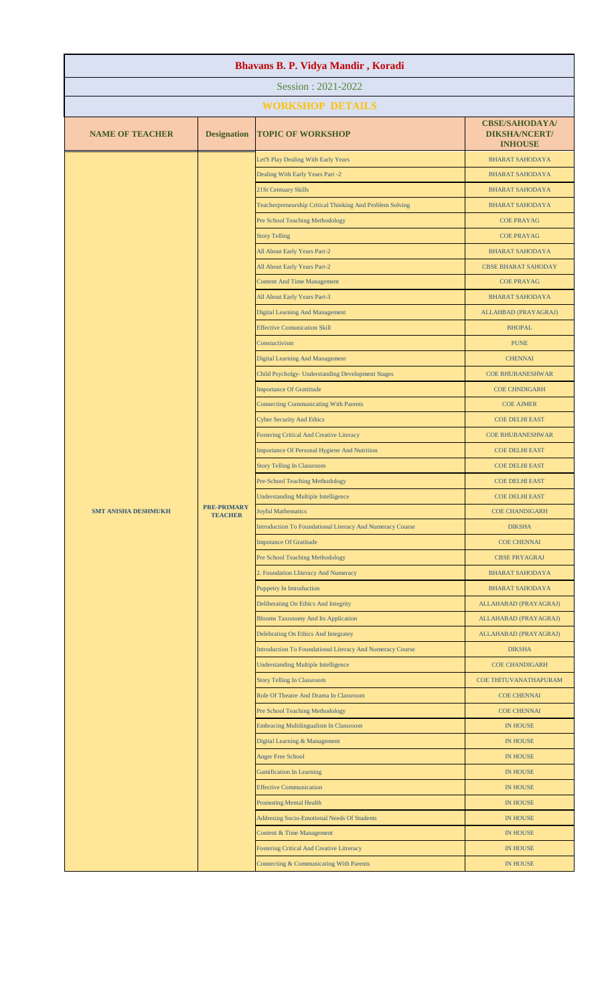| Bhavans B. P. Vidya Mandir, Koradi |                    |                                                                                                   |                                                                 |  |
|------------------------------------|--------------------|---------------------------------------------------------------------------------------------------|-----------------------------------------------------------------|--|
| Session: 2021-2022                 |                    |                                                                                                   |                                                                 |  |
|                                    |                    | <b>WORKSHOP DETAILS</b>                                                                           |                                                                 |  |
| <b>NAME OF TEACHER</b>             | <b>Designation</b> | <b>TOPIC OF WORKSHOP</b>                                                                          | <b>CBSE/SAHODAYA/</b><br><b>DIKSHA/NCERT/</b><br><b>INHOUSE</b> |  |
|                                    |                    | Let'S Play Dealing With Early Years                                                               | <b>BHARAT SAHODAYA</b>                                          |  |
|                                    |                    | Dealing With Early Years Part -2                                                                  | <b>BHARAT SAHODAYA</b>                                          |  |
|                                    |                    | 21St Centuary Skills                                                                              | <b>BHARAT SAHODAYA</b>                                          |  |
|                                    |                    | Teacherpreneurship Critical Thinking And Problem Solving                                          | <b>BHARAT SAHODAYA</b>                                          |  |
|                                    |                    | Pre School Teaching Methodology                                                                   | <b>COE PRAYAG</b>                                               |  |
|                                    |                    | <b>Story Telling</b>                                                                              | <b>COE PRAYAG</b>                                               |  |
|                                    |                    | All About Early Years Part-2                                                                      | <b>BHARAT SAHODAYA</b>                                          |  |
|                                    |                    | All About Early Years Part-2                                                                      | <b>CBSE BHARAT SAHODAY</b>                                      |  |
|                                    |                    | <b>Content And Time Management</b>                                                                | <b>COE PRAYAG</b>                                               |  |
|                                    |                    | All About Early Years Part-3                                                                      | <b>BHARAT SAHODAYA</b>                                          |  |
|                                    |                    | <b>Digital Learning And Management</b>                                                            | ALLAHBAD (PRAYAGRAJ)                                            |  |
|                                    |                    | <b>Effective Comunication Skill</b>                                                               | <b>BHOPAL</b>                                                   |  |
|                                    |                    | Constuctivism                                                                                     | <b>PUNE</b>                                                     |  |
|                                    |                    | <b>Digital Learning And Management</b>                                                            | <b>CHENNAI</b>                                                  |  |
|                                    |                    | Child Psycholgy- Understanding Development Stages                                                 | <b>COE BHUBANESHWAR</b>                                         |  |
|                                    |                    | <b>Importance Of Grattitude</b>                                                                   | <b>COE CHNDIGARH</b>                                            |  |
|                                    |                    | <b>Connecting Communicating With Parents</b>                                                      | <b>COE AJMER</b>                                                |  |
|                                    |                    | <b>Cyber Security And Ethics</b>                                                                  | <b>COE DELHI EAST</b>                                           |  |
|                                    |                    | <b>Fostering Critical And Creative Literacy</b>                                                   | <b>COE BHUBANESHWAR</b>                                         |  |
|                                    |                    | Importance Of Personal Hygiene And Nutrition                                                      | <b>COE DELHI EAST</b>                                           |  |
|                                    |                    | <b>Story Telling In Classroom</b>                                                                 | <b>COE DELHI EAST</b>                                           |  |
|                                    |                    | <b>Pre-School Teaching Methodology</b>                                                            | <b>COE DELHI EAST</b>                                           |  |
|                                    | <b>PRE-PRIMARY</b> | <b>Understanding Multiple Intelligence</b>                                                        | <b>COE DELHI EAST</b>                                           |  |
| <b>SMT ANISHA DESHMUKH</b>         | <b>TEACHER</b>     | <b>Joyful Mathematics</b>                                                                         | <b>COE CHANDIGARH</b>                                           |  |
|                                    |                    | Introduction To Foundational Literacy And Numeracy Course                                         | <b>DIKSHA</b>                                                   |  |
|                                    |                    | <b>Impotance Of Gratitude</b>                                                                     | <b>COE CHENNAI</b>                                              |  |
|                                    |                    | <b>Pre School Teaching Methodology</b>                                                            | <b>CBSE PRYAGRAJ</b>                                            |  |
|                                    |                    | 2. Foundation Lliteracy And Numeracy                                                              | <b>BHARAT SAHODAYA</b>                                          |  |
|                                    |                    | <b>Puppetry In Introduction</b>                                                                   | <b>BHARAT SAHODAYA</b>                                          |  |
|                                    |                    | Deliberating On Ethics And Integrity                                                              | ALLAHABAD (PRAYAGRAJ)                                           |  |
|                                    |                    | <b>Blooms Taxonomy And Its Application</b>                                                        | ALLAHABAD (PRAYAGRAJ)                                           |  |
|                                    |                    | Delebrating On Ethics And Integratey<br>Introduction To Foundational Literacy And Numeracy Course | ALLAHABAD (PRAYAGRAJ)<br><b>DIKSHA</b>                          |  |
|                                    |                    | <b>Understanding Multiple Intelligence</b>                                                        | <b>COE CHANDIGARH</b>                                           |  |
|                                    |                    | <b>Story Telling In Classroom</b>                                                                 | COE THITUVANATHAPURAM                                           |  |
|                                    |                    | Role Of Theatre And Drama In Classroom                                                            | <b>COE CHENNAI</b>                                              |  |
|                                    |                    | Pre School Teaching Methodology                                                                   | <b>COE CHENNAI</b>                                              |  |
|                                    |                    | Embracing Multilingualism In Classroom                                                            | <b>IN HOUSE</b>                                                 |  |
|                                    |                    | Digital Learning & Management                                                                     | <b>IN HOUSE</b>                                                 |  |
|                                    |                    | <b>Anger Free School</b>                                                                          | <b>IN HOUSE</b>                                                 |  |
|                                    |                    | <b>Gamification In Learning</b>                                                                   | <b>IN HOUSE</b>                                                 |  |
|                                    |                    | <b>Effective Communication</b>                                                                    | <b>IN HOUSE</b>                                                 |  |
|                                    |                    | <b>Promoting Mental Health</b>                                                                    | <b>IN HOUSE</b>                                                 |  |
|                                    |                    | Addresing Socio-Emotional Needs Of Students                                                       | <b>IN HOUSE</b>                                                 |  |
|                                    |                    | Content & Time Management                                                                         | <b>IN HOUSE</b>                                                 |  |
|                                    |                    | <b>Fostering Critical And Creative Litreracy</b>                                                  | <b>IN HOUSE</b>                                                 |  |
|                                    |                    | Connecting & Communicating With Parents                                                           | <b>IN HOUSE</b>                                                 |  |
|                                    |                    |                                                                                                   |                                                                 |  |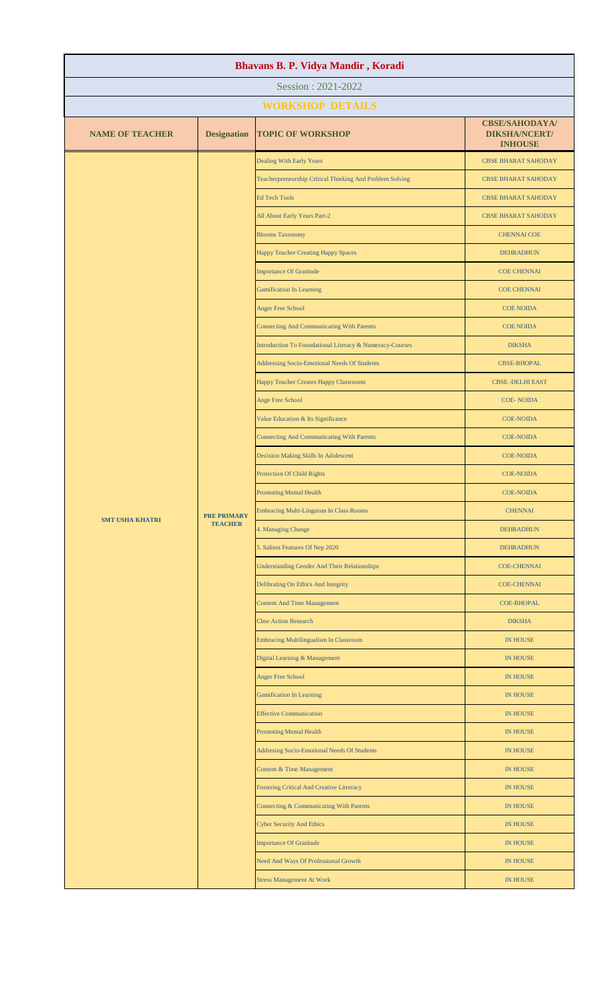| Bhavans B. P. Vidya Mandir, Koradi |                                      |                                                          |                                                                 |  |
|------------------------------------|--------------------------------------|----------------------------------------------------------|-----------------------------------------------------------------|--|
| Session: 2021-2022                 |                                      |                                                          |                                                                 |  |
|                                    |                                      | <b>WORKSHOP DETAILS</b>                                  |                                                                 |  |
| <b>NAME OF TEACHER</b>             | <b>Designation</b>                   | <b>TOPIC OF WORKSHOP</b>                                 | <b>CBSE/SAHODAYA/</b><br><b>DIKSHA/NCERT/</b><br><b>INHOUSE</b> |  |
|                                    |                                      | Dealing With Early Years                                 | <b>CBSE BHARAT SAHODAY</b>                                      |  |
|                                    |                                      | Teacherpreneurship Critical Thinking And Problem Solving | <b>CBSE BHARAT SAHODAY</b>                                      |  |
|                                    |                                      | <b>Ed Tech Tools</b>                                     | <b>CBSE BHARAT SAHODAY</b>                                      |  |
|                                    |                                      | All About Early Years Part-2                             | <b>CBSE BHARAT SAHODAY</b>                                      |  |
|                                    |                                      | <b>Blooms Taxonomy</b>                                   | <b>CHENNAI COE</b>                                              |  |
|                                    |                                      | Happy Teacher Creating Happy Spaces                      | <b>DEHRADHUN</b>                                                |  |
|                                    |                                      | <b>Importance Of Gratitude</b>                           | <b>COE CHENNAI</b>                                              |  |
|                                    |                                      | <b>Gamification In Learning</b>                          | <b>COE CHENNAI</b>                                              |  |
|                                    |                                      | <b>Anger Free School</b>                                 | <b>COE NOIDA</b>                                                |  |
|                                    |                                      | <b>Connecting And Communicating With Parents</b>         | <b>COE NOIDA</b>                                                |  |
|                                    |                                      | Introduction To Foundational Literacy & Numeracy-Courses | <b>DIKSHA</b>                                                   |  |
|                                    |                                      | Addressing Socio-Emotional Needs Of Students             | <b>CBSE-BHOPAL</b>                                              |  |
|                                    |                                      | Happy Teacher Creates Happy Classrooms                   | <b>CBSE-DELHI EAST</b>                                          |  |
|                                    |                                      | Ange Free School                                         | <b>COE-NOIDA</b>                                                |  |
|                                    |                                      | Value Education & Its Significance                       | <b>COE-NOIDA</b>                                                |  |
|                                    |                                      | <b>Connecting And Communicating With Parents</b>         | <b>COE-NOIDA</b>                                                |  |
|                                    | <b>PRE PRIMARY</b><br><b>TEACHER</b> | Decision Making Skills In Adolescent                     | <b>COE-NOIDA</b>                                                |  |
| <b>SMT USHA KHATRI</b>             |                                      | Protection Of Child Rights                               | <b>COE-NOIDA</b>                                                |  |
|                                    |                                      | <b>Promoting Mental Health</b>                           | <b>COE-NOIDA</b>                                                |  |
|                                    |                                      | <b>Embracing Multi-Linguism In Class Rooms</b>           | <b>CHENNAI</b>                                                  |  |
|                                    |                                      | 4. Managing Change                                       | <b>DEHRADHUN</b>                                                |  |
|                                    |                                      | 5. Salient Features Of Nep 2020                          | <b>DEHRADHUN</b>                                                |  |
|                                    |                                      | <b>Understanding Gender And Their Relationships</b>      | <b>COE-CHENNAI</b>                                              |  |
|                                    |                                      | Delibrating On Ethics And Integrity                      | <b>COE-CHENNAI</b>                                              |  |
|                                    |                                      | <b>Content And Time Management</b>                       | <b>COE-BHOPAL</b>                                               |  |
|                                    |                                      | <b>Cbse Action Research</b>                              | <b>DIKSHA</b>                                                   |  |
|                                    |                                      | Embracing Multilingualism In Classroom                   | <b>IN HOUSE</b>                                                 |  |
|                                    |                                      | Digital Learning & Management                            | <b>IN HOUSE</b>                                                 |  |
|                                    |                                      | <b>Anger Free School</b>                                 | <b>IN HOUSE</b>                                                 |  |
|                                    |                                      | <b>Gamification In Learning</b>                          | <b>IN HOUSE</b>                                                 |  |
|                                    |                                      | <b>Effective Communication</b>                           | <b>IN HOUSE</b>                                                 |  |
|                                    |                                      | <b>Promoting Mental Health</b>                           | <b>IN HOUSE</b>                                                 |  |
|                                    |                                      | Addresing Socio-Emotional Needs Of Students              | <b>IN HOUSE</b>                                                 |  |
|                                    |                                      | Content & Time Management                                | <b>IN HOUSE</b>                                                 |  |
|                                    |                                      | <b>Fostering Critical And Creative Litreracy</b>         | <b>IN HOUSE</b>                                                 |  |
|                                    |                                      | Connecting & Communicating With Parents                  | <b>IN HOUSE</b>                                                 |  |
|                                    |                                      | <b>Cyber Security And Ethics</b>                         | <b>IN HOUSE</b>                                                 |  |
|                                    |                                      | <b>Importance Of Gratitude</b>                           | <b>IN HOUSE</b>                                                 |  |
|                                    |                                      | Need And Ways Of Professional Growth                     | <b>IN HOUSE</b>                                                 |  |
|                                    |                                      | <b>Stress Management At Work</b>                         | <b>IN HOUSE</b>                                                 |  |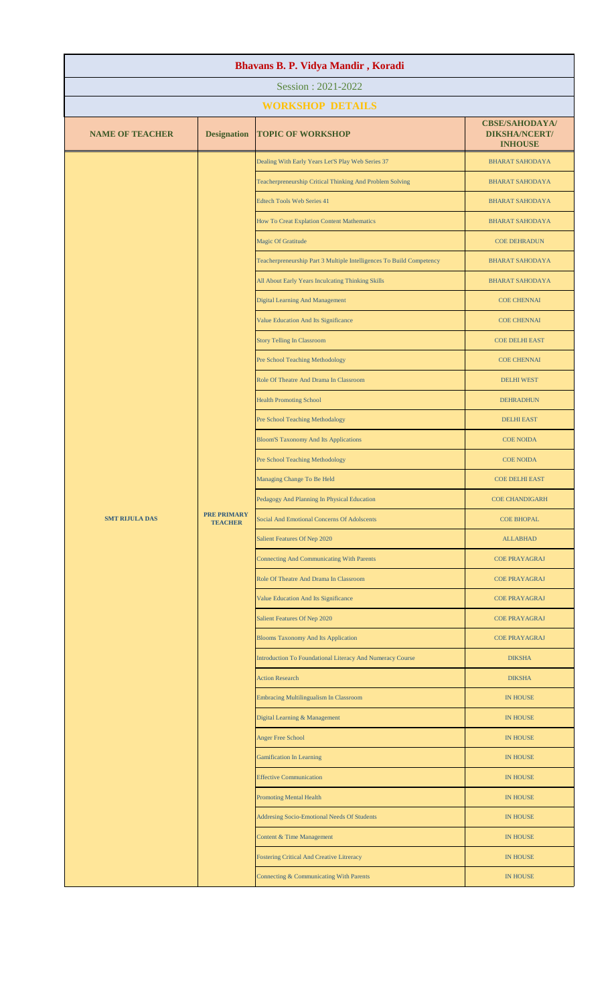| Session: 2021-2022<br><b>WORKSHOP DETAILS</b><br><b>CBSE/SAHODAYA/</b><br><b>NAME OF TEACHER</b><br><b>Designation</b><br><b>DIKSHA/NCERT/</b><br><b>TOPIC OF WORKSHOP</b><br><b>INHOUSE</b><br>Dealing With Early Years Let'S Play Web Series 37<br><b>BHARAT SAHODAYA</b><br>Teacherpreneurship Critical Thinking And Problem Solving<br><b>BHARAT SAHODAYA</b><br><b>Edtech Tools Web Series 41</b><br><b>BHARAT SAHODAYA</b><br>How To Creat Explation Content Mathematics<br><b>BHARAT SAHODAYA</b><br>Magic Of Gratitude<br><b>COE DEHRADUN</b><br>Teacherpreneurship Part 3 Multiple Intelligences To Build Competency<br><b>BHARAT SAHODAYA</b><br>All About Early Years Inculcating Thinking Skills<br><b>BHARAT SAHODAYA</b><br><b>Digital Learning And Management</b><br><b>COE CHENNAI</b><br>Value Education And Its Significance<br><b>COE CHENNAI</b><br><b>Story Telling In Classroom</b><br><b>COE DELHI EAST</b><br>Pre School Teaching Methodology<br><b>COE CHENNAI</b><br>Role Of Theatre And Drama In Classroom<br><b>DELHI WEST</b><br><b>Health Promoting School</b><br><b>DEHRADHUN</b><br>Pre School Teaching Methodalogy<br><b>DELHI EAST</b><br><b>Bloom'S Taxonomy And Its Applications</b><br><b>COE NOIDA</b><br>Pre School Teaching Methodology<br><b>COE NOIDA</b><br>Managing Change To Be Held<br><b>COE DELHI EAST</b><br>Pedagogy And Planning In Physical Education<br><b>COE CHANDIGARH</b><br><b>PRE PRIMARY</b><br><b>SMT RIJULA DAS</b><br>Social And Emotional Concerns Of Adolscents<br><b>COE BHOPAL</b><br><b>TEACHER</b><br>Salient Features Of Nep 2020<br><b>ALLABHAD</b><br><b>Connecting And Communicating With Parents</b><br><b>COE PRAYAGRAJ</b><br>Role Of Theatre And Drama In Classroom<br><b>COE PRAYAGRAJ</b><br>Value Education And Its Significance<br><b>COE PRAYAGRAJ</b><br>Salient Features Of Nep 2020<br><b>COE PRAYAGRAJ</b><br><b>Blooms Taxonomy And Its Application</b><br><b>COE PRAYAGRAJ</b><br>Introduction To Foundational Literacy And Numeracy Course<br><b>DIKSHA</b><br><b>Action Research</b><br><b>DIKSHA</b><br><b>Embracing Multilingualism In Classroom</b><br><b>IN HOUSE</b><br>Digital Learning & Management<br><b>IN HOUSE</b><br>Anger Free School<br><b>IN HOUSE</b> | Bhavans B. P. Vidya Mandir, Koradi |  |  |  |  |
|-----------------------------------------------------------------------------------------------------------------------------------------------------------------------------------------------------------------------------------------------------------------------------------------------------------------------------------------------------------------------------------------------------------------------------------------------------------------------------------------------------------------------------------------------------------------------------------------------------------------------------------------------------------------------------------------------------------------------------------------------------------------------------------------------------------------------------------------------------------------------------------------------------------------------------------------------------------------------------------------------------------------------------------------------------------------------------------------------------------------------------------------------------------------------------------------------------------------------------------------------------------------------------------------------------------------------------------------------------------------------------------------------------------------------------------------------------------------------------------------------------------------------------------------------------------------------------------------------------------------------------------------------------------------------------------------------------------------------------------------------------------------------------------------------------------------------------------------------------------------------------------------------------------------------------------------------------------------------------------------------------------------------------------------------------------------------------------------------------------------------------------------------------------------------------------------------------------------------------------------------------------------|------------------------------------|--|--|--|--|
|                                                                                                                                                                                                                                                                                                                                                                                                                                                                                                                                                                                                                                                                                                                                                                                                                                                                                                                                                                                                                                                                                                                                                                                                                                                                                                                                                                                                                                                                                                                                                                                                                                                                                                                                                                                                                                                                                                                                                                                                                                                                                                                                                                                                                                                                 |                                    |  |  |  |  |
|                                                                                                                                                                                                                                                                                                                                                                                                                                                                                                                                                                                                                                                                                                                                                                                                                                                                                                                                                                                                                                                                                                                                                                                                                                                                                                                                                                                                                                                                                                                                                                                                                                                                                                                                                                                                                                                                                                                                                                                                                                                                                                                                                                                                                                                                 |                                    |  |  |  |  |
|                                                                                                                                                                                                                                                                                                                                                                                                                                                                                                                                                                                                                                                                                                                                                                                                                                                                                                                                                                                                                                                                                                                                                                                                                                                                                                                                                                                                                                                                                                                                                                                                                                                                                                                                                                                                                                                                                                                                                                                                                                                                                                                                                                                                                                                                 |                                    |  |  |  |  |
|                                                                                                                                                                                                                                                                                                                                                                                                                                                                                                                                                                                                                                                                                                                                                                                                                                                                                                                                                                                                                                                                                                                                                                                                                                                                                                                                                                                                                                                                                                                                                                                                                                                                                                                                                                                                                                                                                                                                                                                                                                                                                                                                                                                                                                                                 |                                    |  |  |  |  |
|                                                                                                                                                                                                                                                                                                                                                                                                                                                                                                                                                                                                                                                                                                                                                                                                                                                                                                                                                                                                                                                                                                                                                                                                                                                                                                                                                                                                                                                                                                                                                                                                                                                                                                                                                                                                                                                                                                                                                                                                                                                                                                                                                                                                                                                                 |                                    |  |  |  |  |
|                                                                                                                                                                                                                                                                                                                                                                                                                                                                                                                                                                                                                                                                                                                                                                                                                                                                                                                                                                                                                                                                                                                                                                                                                                                                                                                                                                                                                                                                                                                                                                                                                                                                                                                                                                                                                                                                                                                                                                                                                                                                                                                                                                                                                                                                 |                                    |  |  |  |  |
|                                                                                                                                                                                                                                                                                                                                                                                                                                                                                                                                                                                                                                                                                                                                                                                                                                                                                                                                                                                                                                                                                                                                                                                                                                                                                                                                                                                                                                                                                                                                                                                                                                                                                                                                                                                                                                                                                                                                                                                                                                                                                                                                                                                                                                                                 |                                    |  |  |  |  |
|                                                                                                                                                                                                                                                                                                                                                                                                                                                                                                                                                                                                                                                                                                                                                                                                                                                                                                                                                                                                                                                                                                                                                                                                                                                                                                                                                                                                                                                                                                                                                                                                                                                                                                                                                                                                                                                                                                                                                                                                                                                                                                                                                                                                                                                                 |                                    |  |  |  |  |
|                                                                                                                                                                                                                                                                                                                                                                                                                                                                                                                                                                                                                                                                                                                                                                                                                                                                                                                                                                                                                                                                                                                                                                                                                                                                                                                                                                                                                                                                                                                                                                                                                                                                                                                                                                                                                                                                                                                                                                                                                                                                                                                                                                                                                                                                 |                                    |  |  |  |  |
|                                                                                                                                                                                                                                                                                                                                                                                                                                                                                                                                                                                                                                                                                                                                                                                                                                                                                                                                                                                                                                                                                                                                                                                                                                                                                                                                                                                                                                                                                                                                                                                                                                                                                                                                                                                                                                                                                                                                                                                                                                                                                                                                                                                                                                                                 |                                    |  |  |  |  |
|                                                                                                                                                                                                                                                                                                                                                                                                                                                                                                                                                                                                                                                                                                                                                                                                                                                                                                                                                                                                                                                                                                                                                                                                                                                                                                                                                                                                                                                                                                                                                                                                                                                                                                                                                                                                                                                                                                                                                                                                                                                                                                                                                                                                                                                                 |                                    |  |  |  |  |
|                                                                                                                                                                                                                                                                                                                                                                                                                                                                                                                                                                                                                                                                                                                                                                                                                                                                                                                                                                                                                                                                                                                                                                                                                                                                                                                                                                                                                                                                                                                                                                                                                                                                                                                                                                                                                                                                                                                                                                                                                                                                                                                                                                                                                                                                 |                                    |  |  |  |  |
|                                                                                                                                                                                                                                                                                                                                                                                                                                                                                                                                                                                                                                                                                                                                                                                                                                                                                                                                                                                                                                                                                                                                                                                                                                                                                                                                                                                                                                                                                                                                                                                                                                                                                                                                                                                                                                                                                                                                                                                                                                                                                                                                                                                                                                                                 |                                    |  |  |  |  |
|                                                                                                                                                                                                                                                                                                                                                                                                                                                                                                                                                                                                                                                                                                                                                                                                                                                                                                                                                                                                                                                                                                                                                                                                                                                                                                                                                                                                                                                                                                                                                                                                                                                                                                                                                                                                                                                                                                                                                                                                                                                                                                                                                                                                                                                                 |                                    |  |  |  |  |
|                                                                                                                                                                                                                                                                                                                                                                                                                                                                                                                                                                                                                                                                                                                                                                                                                                                                                                                                                                                                                                                                                                                                                                                                                                                                                                                                                                                                                                                                                                                                                                                                                                                                                                                                                                                                                                                                                                                                                                                                                                                                                                                                                                                                                                                                 |                                    |  |  |  |  |
|                                                                                                                                                                                                                                                                                                                                                                                                                                                                                                                                                                                                                                                                                                                                                                                                                                                                                                                                                                                                                                                                                                                                                                                                                                                                                                                                                                                                                                                                                                                                                                                                                                                                                                                                                                                                                                                                                                                                                                                                                                                                                                                                                                                                                                                                 |                                    |  |  |  |  |
|                                                                                                                                                                                                                                                                                                                                                                                                                                                                                                                                                                                                                                                                                                                                                                                                                                                                                                                                                                                                                                                                                                                                                                                                                                                                                                                                                                                                                                                                                                                                                                                                                                                                                                                                                                                                                                                                                                                                                                                                                                                                                                                                                                                                                                                                 |                                    |  |  |  |  |
|                                                                                                                                                                                                                                                                                                                                                                                                                                                                                                                                                                                                                                                                                                                                                                                                                                                                                                                                                                                                                                                                                                                                                                                                                                                                                                                                                                                                                                                                                                                                                                                                                                                                                                                                                                                                                                                                                                                                                                                                                                                                                                                                                                                                                                                                 |                                    |  |  |  |  |
|                                                                                                                                                                                                                                                                                                                                                                                                                                                                                                                                                                                                                                                                                                                                                                                                                                                                                                                                                                                                                                                                                                                                                                                                                                                                                                                                                                                                                                                                                                                                                                                                                                                                                                                                                                                                                                                                                                                                                                                                                                                                                                                                                                                                                                                                 |                                    |  |  |  |  |
|                                                                                                                                                                                                                                                                                                                                                                                                                                                                                                                                                                                                                                                                                                                                                                                                                                                                                                                                                                                                                                                                                                                                                                                                                                                                                                                                                                                                                                                                                                                                                                                                                                                                                                                                                                                                                                                                                                                                                                                                                                                                                                                                                                                                                                                                 |                                    |  |  |  |  |
|                                                                                                                                                                                                                                                                                                                                                                                                                                                                                                                                                                                                                                                                                                                                                                                                                                                                                                                                                                                                                                                                                                                                                                                                                                                                                                                                                                                                                                                                                                                                                                                                                                                                                                                                                                                                                                                                                                                                                                                                                                                                                                                                                                                                                                                                 |                                    |  |  |  |  |
|                                                                                                                                                                                                                                                                                                                                                                                                                                                                                                                                                                                                                                                                                                                                                                                                                                                                                                                                                                                                                                                                                                                                                                                                                                                                                                                                                                                                                                                                                                                                                                                                                                                                                                                                                                                                                                                                                                                                                                                                                                                                                                                                                                                                                                                                 |                                    |  |  |  |  |
|                                                                                                                                                                                                                                                                                                                                                                                                                                                                                                                                                                                                                                                                                                                                                                                                                                                                                                                                                                                                                                                                                                                                                                                                                                                                                                                                                                                                                                                                                                                                                                                                                                                                                                                                                                                                                                                                                                                                                                                                                                                                                                                                                                                                                                                                 |                                    |  |  |  |  |
|                                                                                                                                                                                                                                                                                                                                                                                                                                                                                                                                                                                                                                                                                                                                                                                                                                                                                                                                                                                                                                                                                                                                                                                                                                                                                                                                                                                                                                                                                                                                                                                                                                                                                                                                                                                                                                                                                                                                                                                                                                                                                                                                                                                                                                                                 |                                    |  |  |  |  |
|                                                                                                                                                                                                                                                                                                                                                                                                                                                                                                                                                                                                                                                                                                                                                                                                                                                                                                                                                                                                                                                                                                                                                                                                                                                                                                                                                                                                                                                                                                                                                                                                                                                                                                                                                                                                                                                                                                                                                                                                                                                                                                                                                                                                                                                                 |                                    |  |  |  |  |
|                                                                                                                                                                                                                                                                                                                                                                                                                                                                                                                                                                                                                                                                                                                                                                                                                                                                                                                                                                                                                                                                                                                                                                                                                                                                                                                                                                                                                                                                                                                                                                                                                                                                                                                                                                                                                                                                                                                                                                                                                                                                                                                                                                                                                                                                 |                                    |  |  |  |  |
|                                                                                                                                                                                                                                                                                                                                                                                                                                                                                                                                                                                                                                                                                                                                                                                                                                                                                                                                                                                                                                                                                                                                                                                                                                                                                                                                                                                                                                                                                                                                                                                                                                                                                                                                                                                                                                                                                                                                                                                                                                                                                                                                                                                                                                                                 |                                    |  |  |  |  |
|                                                                                                                                                                                                                                                                                                                                                                                                                                                                                                                                                                                                                                                                                                                                                                                                                                                                                                                                                                                                                                                                                                                                                                                                                                                                                                                                                                                                                                                                                                                                                                                                                                                                                                                                                                                                                                                                                                                                                                                                                                                                                                                                                                                                                                                                 |                                    |  |  |  |  |
|                                                                                                                                                                                                                                                                                                                                                                                                                                                                                                                                                                                                                                                                                                                                                                                                                                                                                                                                                                                                                                                                                                                                                                                                                                                                                                                                                                                                                                                                                                                                                                                                                                                                                                                                                                                                                                                                                                                                                                                                                                                                                                                                                                                                                                                                 |                                    |  |  |  |  |
|                                                                                                                                                                                                                                                                                                                                                                                                                                                                                                                                                                                                                                                                                                                                                                                                                                                                                                                                                                                                                                                                                                                                                                                                                                                                                                                                                                                                                                                                                                                                                                                                                                                                                                                                                                                                                                                                                                                                                                                                                                                                                                                                                                                                                                                                 |                                    |  |  |  |  |
|                                                                                                                                                                                                                                                                                                                                                                                                                                                                                                                                                                                                                                                                                                                                                                                                                                                                                                                                                                                                                                                                                                                                                                                                                                                                                                                                                                                                                                                                                                                                                                                                                                                                                                                                                                                                                                                                                                                                                                                                                                                                                                                                                                                                                                                                 |                                    |  |  |  |  |
|                                                                                                                                                                                                                                                                                                                                                                                                                                                                                                                                                                                                                                                                                                                                                                                                                                                                                                                                                                                                                                                                                                                                                                                                                                                                                                                                                                                                                                                                                                                                                                                                                                                                                                                                                                                                                                                                                                                                                                                                                                                                                                                                                                                                                                                                 |                                    |  |  |  |  |
|                                                                                                                                                                                                                                                                                                                                                                                                                                                                                                                                                                                                                                                                                                                                                                                                                                                                                                                                                                                                                                                                                                                                                                                                                                                                                                                                                                                                                                                                                                                                                                                                                                                                                                                                                                                                                                                                                                                                                                                                                                                                                                                                                                                                                                                                 |                                    |  |  |  |  |
| <b>Gamification In Learning</b><br><b>IN HOUSE</b>                                                                                                                                                                                                                                                                                                                                                                                                                                                                                                                                                                                                                                                                                                                                                                                                                                                                                                                                                                                                                                                                                                                                                                                                                                                                                                                                                                                                                                                                                                                                                                                                                                                                                                                                                                                                                                                                                                                                                                                                                                                                                                                                                                                                              |                                    |  |  |  |  |
| <b>Effective Communication</b><br><b>IN HOUSE</b>                                                                                                                                                                                                                                                                                                                                                                                                                                                                                                                                                                                                                                                                                                                                                                                                                                                                                                                                                                                                                                                                                                                                                                                                                                                                                                                                                                                                                                                                                                                                                                                                                                                                                                                                                                                                                                                                                                                                                                                                                                                                                                                                                                                                               |                                    |  |  |  |  |
| <b>Promoting Mental Health</b><br><b>IN HOUSE</b>                                                                                                                                                                                                                                                                                                                                                                                                                                                                                                                                                                                                                                                                                                                                                                                                                                                                                                                                                                                                                                                                                                                                                                                                                                                                                                                                                                                                                                                                                                                                                                                                                                                                                                                                                                                                                                                                                                                                                                                                                                                                                                                                                                                                               |                                    |  |  |  |  |
| Addresing Socio-Emotional Needs Of Students<br><b>IN HOUSE</b>                                                                                                                                                                                                                                                                                                                                                                                                                                                                                                                                                                                                                                                                                                                                                                                                                                                                                                                                                                                                                                                                                                                                                                                                                                                                                                                                                                                                                                                                                                                                                                                                                                                                                                                                                                                                                                                                                                                                                                                                                                                                                                                                                                                                  |                                    |  |  |  |  |
| Content & Time Management<br><b>IN HOUSE</b>                                                                                                                                                                                                                                                                                                                                                                                                                                                                                                                                                                                                                                                                                                                                                                                                                                                                                                                                                                                                                                                                                                                                                                                                                                                                                                                                                                                                                                                                                                                                                                                                                                                                                                                                                                                                                                                                                                                                                                                                                                                                                                                                                                                                                    |                                    |  |  |  |  |
| Fostering Critical And Creative Litreracy<br><b>IN HOUSE</b>                                                                                                                                                                                                                                                                                                                                                                                                                                                                                                                                                                                                                                                                                                                                                                                                                                                                                                                                                                                                                                                                                                                                                                                                                                                                                                                                                                                                                                                                                                                                                                                                                                                                                                                                                                                                                                                                                                                                                                                                                                                                                                                                                                                                    |                                    |  |  |  |  |
| Connecting & Communicating With Parents<br><b>IN HOUSE</b>                                                                                                                                                                                                                                                                                                                                                                                                                                                                                                                                                                                                                                                                                                                                                                                                                                                                                                                                                                                                                                                                                                                                                                                                                                                                                                                                                                                                                                                                                                                                                                                                                                                                                                                                                                                                                                                                                                                                                                                                                                                                                                                                                                                                      |                                    |  |  |  |  |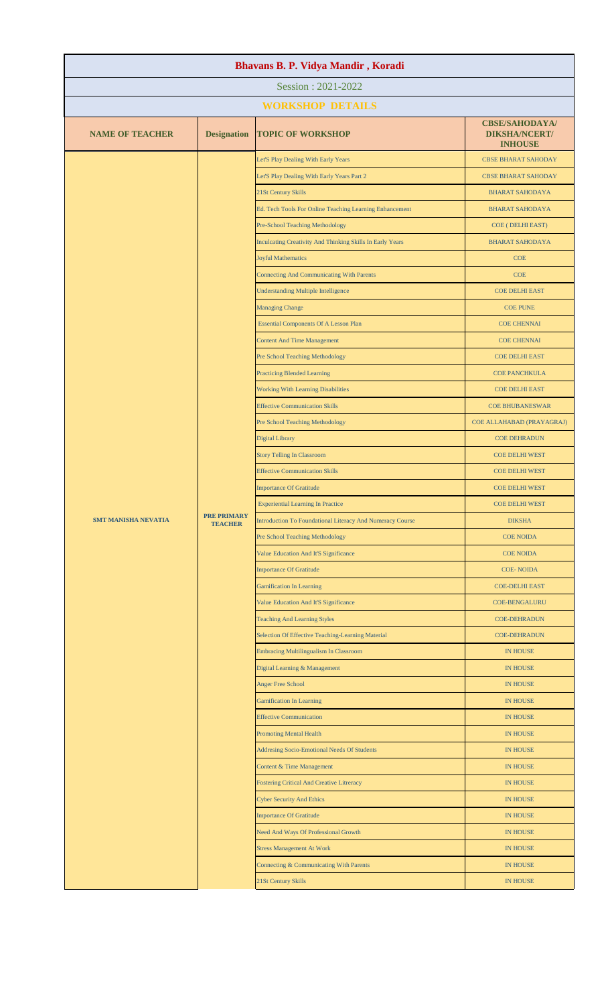| Bhavans B. P. Vidya Mandir, Koradi |                    |                                                                  |                                                                 |  |
|------------------------------------|--------------------|------------------------------------------------------------------|-----------------------------------------------------------------|--|
| Session: 2021-2022                 |                    |                                                                  |                                                                 |  |
|                                    |                    | <b>WORKSHOP DETAILS</b>                                          |                                                                 |  |
| <b>NAME OF TEACHER</b>             | <b>Designation</b> | <b>TOPIC OF WORKSHOP</b>                                         | <b>CBSE/SAHODAYA/</b><br><b>DIKSHA/NCERT/</b><br><b>INHOUSE</b> |  |
|                                    |                    | Let'S Play Dealing With Early Years                              | <b>CBSE BHARAT SAHODAY</b>                                      |  |
|                                    |                    | Let'S Play Dealing With Early Years Part 2                       | <b>CBSE BHARAT SAHODAY</b>                                      |  |
|                                    |                    | 21St Century Skills                                              | <b>BHARAT SAHODAYA</b>                                          |  |
|                                    |                    | Ed. Tech Tools For Online Teaching Learning Enhancement          | <b>BHARAT SAHODAYA</b>                                          |  |
|                                    |                    | <b>Pre-School Teaching Methodology</b>                           | COE (DELHI EAST)                                                |  |
|                                    |                    | Inculcating Creativity And Thinking Skills In Early Years        | <b>BHARAT SAHODAYA</b>                                          |  |
|                                    |                    | <b>Joyful Mathematics</b>                                        | <b>COE</b>                                                      |  |
|                                    |                    | <b>Connecting And Communicating With Parents</b>                 | <b>COE</b>                                                      |  |
|                                    |                    | <b>Understanding Multiple Intelligence</b>                       | <b>COE DELHI EAST</b>                                           |  |
|                                    |                    | <b>Managing Change</b>                                           | <b>COE PUNE</b>                                                 |  |
|                                    |                    | <b>Essential Components Of A Lesson Plan</b>                     | <b>COE CHENNAI</b>                                              |  |
|                                    |                    | <b>Content And Time Management</b>                               | <b>COE CHENNAI</b>                                              |  |
|                                    |                    | Pre School Teaching Methodology                                  | <b>COE DELHI EAST</b>                                           |  |
|                                    |                    | <b>Practicing Blended Learning</b>                               | <b>COE PANCHKULA</b>                                            |  |
|                                    |                    | <b>Working With Learning Disabilities</b>                        | <b>COE DELHI EAST</b>                                           |  |
|                                    |                    | <b>Effective Communication Skills</b>                            | <b>COE BHUBANESWAR</b>                                          |  |
|                                    |                    | Pre School Teaching Methodology                                  | COE ALLAHABAD (PRAYAGRAJ)                                       |  |
| <b>SMT MANISHA NEVATIA</b>         |                    | <b>Digital Library</b>                                           | <b>COE DEHRADUN</b>                                             |  |
|                                    |                    | <b>Story Telling In Classroom</b>                                | <b>COE DELHI WEST</b>                                           |  |
|                                    |                    | <b>Effective Communication Skills</b>                            | <b>COE DELHI WEST</b>                                           |  |
|                                    |                    | <b>Importance Of Gratitude</b>                                   | <b>COE DELHI WEST</b>                                           |  |
|                                    | <b>PRE PRIMARY</b> | <b>Experiential Learning In Practice</b>                         | <b>COE DELHI WEST</b>                                           |  |
|                                    | <b>TEACHER</b>     | <b>Introduction To Foundational Literacy And Numeracy Course</b> | <b>DIKSHA</b>                                                   |  |
|                                    |                    | Pre School Teaching Methodology                                  | <b>COE NOIDA</b>                                                |  |
|                                    |                    | Value Education And It'S Significance                            | <b>COE NOIDA</b>                                                |  |
|                                    |                    | <b>Importance Of Gratitude</b>                                   | <b>COE-NOIDA</b>                                                |  |
|                                    |                    | <b>Gamification In Learning</b>                                  | <b>COE-DELHI EAST</b>                                           |  |
|                                    |                    | Value Education And It'S Significance                            | <b>COE-BENGALURU</b>                                            |  |
|                                    |                    | <b>Teaching And Learning Styles</b>                              | <b>COE-DEHRADUN</b>                                             |  |
|                                    |                    | Selection Of Effective Teaching-Learning Material                | <b>COE-DEHRADUN</b>                                             |  |
|                                    |                    | <b>Embracing Multilingualism In Classroom</b>                    | <b>IN HOUSE</b>                                                 |  |
|                                    |                    | Digital Learning & Management                                    | <b>IN HOUSE</b>                                                 |  |
|                                    |                    | <b>Anger Free School</b>                                         | <b>IN HOUSE</b>                                                 |  |
|                                    |                    | <b>Gamification In Learning</b>                                  | <b>IN HOUSE</b>                                                 |  |
|                                    |                    | <b>Effective Communication</b>                                   | <b>IN HOUSE</b>                                                 |  |
|                                    |                    | <b>Promoting Mental Health</b>                                   | <b>IN HOUSE</b>                                                 |  |
|                                    |                    | <b>Addresing Socio-Emotional Needs Of Students</b>               | <b>IN HOUSE</b>                                                 |  |
|                                    |                    | Content & Time Management                                        | <b>IN HOUSE</b>                                                 |  |
|                                    |                    | <b>Fostering Critical And Creative Litreracy</b>                 | <b>IN HOUSE</b>                                                 |  |
|                                    |                    | <b>Cyber Security And Ethics</b>                                 | <b>IN HOUSE</b>                                                 |  |
|                                    |                    | <b>Importance Of Gratitude</b>                                   | <b>IN HOUSE</b>                                                 |  |
|                                    |                    | Need And Ways Of Professional Growth                             | <b>IN HOUSE</b>                                                 |  |
|                                    |                    | <b>Stress Management At Work</b>                                 | <b>IN HOUSE</b>                                                 |  |
|                                    |                    | Connecting & Communicating With Parents                          | <b>IN HOUSE</b>                                                 |  |
|                                    |                    | 21St Century Skills                                              | <b>IN HOUSE</b>                                                 |  |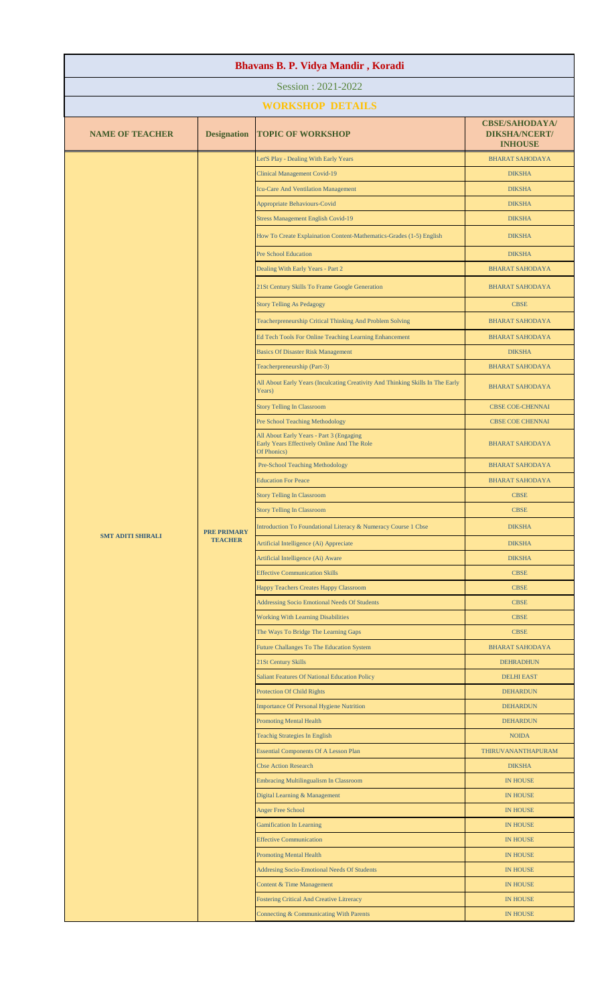| Bhavans B. P. Vidya Mandir, Koradi |                                      |                                                                                                        |                                                                 |  |  |
|------------------------------------|--------------------------------------|--------------------------------------------------------------------------------------------------------|-----------------------------------------------------------------|--|--|
| Session: 2021-2022                 |                                      |                                                                                                        |                                                                 |  |  |
| <b>WORKSHOP DETAILS</b>            |                                      |                                                                                                        |                                                                 |  |  |
| <b>NAME OF TEACHER</b>             | <b>Designation</b>                   | <b>TOPIC OF WORKSHOP</b>                                                                               | <b>CBSE/SAHODAYA/</b><br><b>DIKSHA/NCERT/</b><br><b>INHOUSE</b> |  |  |
|                                    |                                      | Let'S Play - Dealing With Early Years                                                                  | <b>BHARAT SAHODAYA</b>                                          |  |  |
|                                    |                                      | <b>Clinical Management Covid-19</b>                                                                    | <b>DIKSHA</b>                                                   |  |  |
|                                    |                                      | Icu-Care And Ventilation Management                                                                    | <b>DIKSHA</b>                                                   |  |  |
|                                    |                                      | Appropriate Behaviours-Covid                                                                           | <b>DIKSHA</b>                                                   |  |  |
|                                    |                                      | <b>Stress Management English Covid-19</b>                                                              | <b>DIKSHA</b>                                                   |  |  |
|                                    |                                      | How To Create Explaination Content-Mathematics-Grades (1-5) English                                    | <b>DIKSHA</b>                                                   |  |  |
|                                    |                                      | <b>Pre School Education</b>                                                                            | <b>DIKSHA</b>                                                   |  |  |
|                                    |                                      | Dealing With Early Years - Part 2                                                                      | <b>BHARAT SAHODAYA</b>                                          |  |  |
|                                    |                                      | 21St Century Skills To Frame Google Generation                                                         | <b>BHARAT SAHODAYA</b>                                          |  |  |
|                                    |                                      | <b>Story Telling As Pedagogy</b>                                                                       | <b>CBSE</b>                                                     |  |  |
|                                    |                                      | Teacherpreneurship Critical Thinking And Problem Solving                                               | <b>BHARAT SAHODAYA</b>                                          |  |  |
|                                    |                                      | Ed Tech Tools For Online Teaching Learning Enhancement                                                 | <b>BHARAT SAHODAYA</b>                                          |  |  |
|                                    |                                      | <b>Basics Of Disaster Risk Management</b>                                                              | <b>DIKSHA</b>                                                   |  |  |
|                                    |                                      | Teacherpreneurship (Part-3)                                                                            | <b>BHARAT SAHODAYA</b>                                          |  |  |
|                                    |                                      | All About Early Years (Inculcating Creativity And Thinking Skills In The Early<br>Years)               | <b>BHARAT SAHODAYA</b>                                          |  |  |
|                                    |                                      | <b>Story Telling In Classroom</b>                                                                      | <b>CBSE COE-CHENNAI</b>                                         |  |  |
|                                    |                                      | Pre School Teaching Methodology                                                                        | <b>CBSE COE CHENNAI</b>                                         |  |  |
|                                    |                                      | All About Early Years - Part 3 (Engaging<br>Early Years Effectively Online And The Role<br>Of Phonics) | <b>BHARAT SAHODAYA</b>                                          |  |  |
|                                    |                                      | <b>Pre-School Teaching Methodology</b>                                                                 | <b>BHARAT SAHODAYA</b>                                          |  |  |
|                                    |                                      | <b>Education For Peace</b>                                                                             | <b>BHARAT SAHODAYA</b>                                          |  |  |
|                                    |                                      | <b>Story Telling In Classroom</b>                                                                      | <b>CBSE</b>                                                     |  |  |
|                                    |                                      | <b>Story Telling In Classroom</b>                                                                      | <b>CBSE</b>                                                     |  |  |
| <b>SMT ADITI SHIRALI</b>           | <b>PRE PRIMARY</b><br><b>TEACHER</b> | Introduction To Foundational Literacy & Numeracy Course 1 Cbse                                         | <b>DIKSHA</b>                                                   |  |  |
|                                    |                                      | Artificial Intelligence (Ai) Appreciate                                                                | <b>DIKSHA</b>                                                   |  |  |
|                                    |                                      | Artificial Intelligence (Ai) Aware                                                                     | <b>DIKSHA</b>                                                   |  |  |
|                                    |                                      | <b>Effective Communication Skills</b>                                                                  | <b>CBSE</b>                                                     |  |  |
|                                    |                                      | Happy Teachers Creates Happy Classroom                                                                 | <b>CBSE</b>                                                     |  |  |
|                                    |                                      | <b>Addressing Socio Emotional Needs Of Students</b>                                                    | <b>CBSE</b>                                                     |  |  |
|                                    |                                      | <b>Working With Learning Disabilities</b><br>The Ways To Bridge The Learning Gaps                      | <b>CBSE</b><br><b>CBSE</b>                                      |  |  |
|                                    |                                      | Future Challanges To The Education System                                                              | <b>BHARAT SAHODAYA</b>                                          |  |  |
|                                    |                                      | 21St Century Skills                                                                                    | <b>DEHRADHUN</b>                                                |  |  |
|                                    |                                      | <b>Saliant Features Of National Education Policy</b>                                                   | <b>DELHI EAST</b>                                               |  |  |
|                                    |                                      | <b>Protection Of Child Rights</b>                                                                      | <b>DEHARDUN</b>                                                 |  |  |
|                                    |                                      | <b>Importance Of Personal Hygiene Nutrition</b>                                                        | <b>DEHARDUN</b>                                                 |  |  |
|                                    |                                      | <b>Promoting Mental Health</b>                                                                         | <b>DEHARDUN</b>                                                 |  |  |
|                                    |                                      | <b>Teachig Strategies In English</b>                                                                   | <b>NOIDA</b>                                                    |  |  |
|                                    |                                      | <b>Essential Components Of A Lesson Plan</b>                                                           | THIRUVANANTHAPURAM                                              |  |  |
|                                    |                                      | <b>Cbse Action Research</b>                                                                            | <b>DIKSHA</b>                                                   |  |  |
|                                    |                                      | Embracing Multilingualism In Classroom                                                                 | <b>IN HOUSE</b>                                                 |  |  |
|                                    |                                      | Digital Learning & Management                                                                          | <b>IN HOUSE</b>                                                 |  |  |
|                                    |                                      | <b>Anger Free School</b>                                                                               | <b>IN HOUSE</b>                                                 |  |  |
|                                    |                                      | <b>Gamification In Learning</b>                                                                        | <b>IN HOUSE</b>                                                 |  |  |
|                                    |                                      | <b>Effective Communication</b>                                                                         | <b>IN HOUSE</b>                                                 |  |  |
|                                    |                                      | <b>Promoting Mental Health</b>                                                                         | <b>IN HOUSE</b>                                                 |  |  |
|                                    |                                      | Addresing Socio-Emotional Needs Of Students<br>Content & Time Management                               | <b>IN HOUSE</b><br><b>IN HOUSE</b>                              |  |  |
|                                    |                                      | <b>Fostering Critical And Creative Litreracy</b>                                                       | <b>IN HOUSE</b>                                                 |  |  |
|                                    |                                      | Connecting & Communicating With Parents                                                                | <b>IN HOUSE</b>                                                 |  |  |
|                                    |                                      |                                                                                                        |                                                                 |  |  |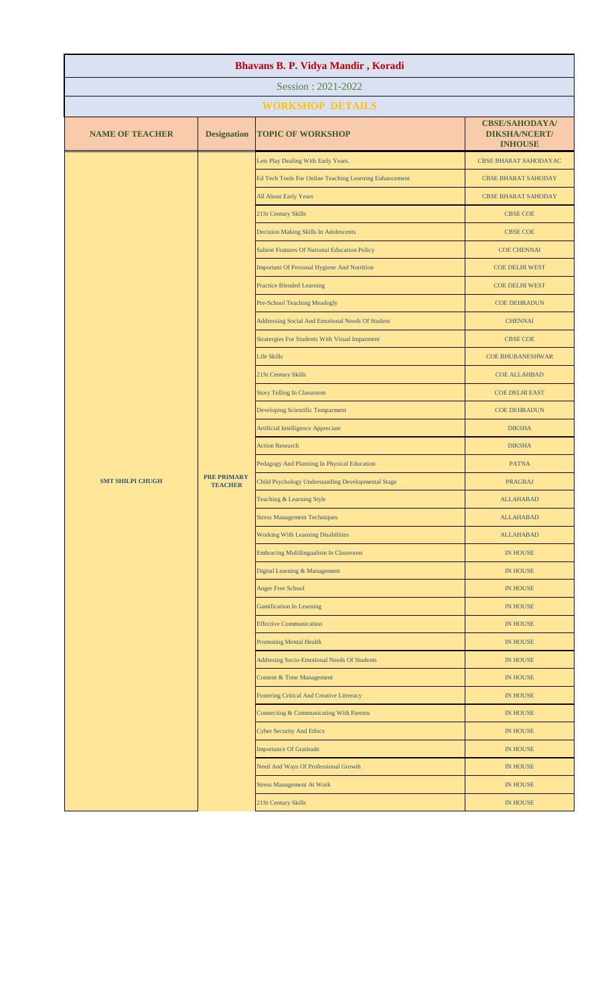| Bhavans B. P. Vidya Mandir, Koradi |                                      |                                                        |                                                                 |  |
|------------------------------------|--------------------------------------|--------------------------------------------------------|-----------------------------------------------------------------|--|
|                                    |                                      | Session: 2021-2022                                     |                                                                 |  |
|                                    |                                      | <b>WORKSHOP DETAILS</b>                                |                                                                 |  |
| <b>NAME OF TEACHER</b>             | <b>Designation</b>                   | <b>TOPIC OF WORKSHOP</b>                               | <b>CBSE/SAHODAYA/</b><br><b>DIKSHA/NCERT/</b><br><b>INHOUSE</b> |  |
|                                    |                                      | Lets Play Dealing With Early Years.                    | <b>CBSE BHARAT SAHODAYAC</b>                                    |  |
|                                    |                                      | Ed Tech Tools For Online Teaching Learning Enhancement | <b>CBSE BHARAT SAHODAY</b>                                      |  |
|                                    |                                      | All About Early Years                                  | <b>CBSE BHARAT SAHODAY</b>                                      |  |
|                                    |                                      | 21St Century Skills                                    | <b>CBSE COE</b>                                                 |  |
|                                    |                                      | Decision Making Skills In Adolescents                  | <b>CBSE COE</b>                                                 |  |
|                                    |                                      | Salient Features Of National Education Policy          | <b>COE CHENNAI</b>                                              |  |
|                                    |                                      | Important Of Personal Hygiene And Nutrition            | <b>COE DELHI WEST</b>                                           |  |
|                                    |                                      | <b>Practice Blended Learning</b>                       | <b>COE DELHI WEST</b>                                           |  |
|                                    |                                      | Pre-School Teaching Meadogly                           | <b>COE DEHRADUN</b>                                             |  |
|                                    |                                      | Addressing Social And Emotional Needs Of Student       | <b>CHENNAI</b>                                                  |  |
|                                    |                                      | <b>Stratergies For Students With Visual Imparment</b>  | <b>CBSE COE</b>                                                 |  |
|                                    |                                      | <b>Life Skills</b>                                     | <b>COE BHUBANESHWAR</b>                                         |  |
|                                    |                                      | 21St Century Skills                                    | <b>COE ALLAHBAD</b>                                             |  |
|                                    |                                      | <b>Story Telling In Classroom</b>                      | <b>COE DELHI EAST</b>                                           |  |
|                                    |                                      | Developing Scientific Temparment                       | <b>COE DEHRADUN</b>                                             |  |
|                                    |                                      | Artificial Intelligence Appreciate                     | <b>DIKSHA</b>                                                   |  |
|                                    |                                      | <b>Action Research</b>                                 | <b>DIKSHA</b>                                                   |  |
|                                    |                                      | Pedagogy And Planning In Physical Education            | <b>PATNA</b>                                                    |  |
| <b>SMT SHILPI CHUGH</b>            | <b>PRE PRIMARY</b><br><b>TEACHER</b> | Child Psychology Understanding Developmental Stage     | <b>PRAGRAJ</b>                                                  |  |
|                                    |                                      | Teaching & Learning Style                              | <b>ALLAHABAD</b>                                                |  |
|                                    |                                      | <b>Stress Management Techniques</b>                    | <b>ALLAHABAD</b>                                                |  |
|                                    |                                      | <b>Working With Learning Disabilities</b>              | <b>ALLAHABAD</b>                                                |  |
|                                    |                                      | <b>Embracing Multilingualism In Classroom</b>          | <b>IN HOUSE</b>                                                 |  |
|                                    |                                      | Digital Learning & Management                          | <b>IN HOUSE</b>                                                 |  |
|                                    |                                      | <b>Anger Free School</b>                               | <b>IN HOUSE</b>                                                 |  |
|                                    |                                      | <b>Gamification In Learning</b>                        | <b>IN HOUSE</b>                                                 |  |
|                                    |                                      | <b>Effective Communication</b>                         | <b>IN HOUSE</b>                                                 |  |
|                                    |                                      | <b>Promoting Mental Health</b>                         | <b>IN HOUSE</b>                                                 |  |
|                                    |                                      | Addresing Socio-Emotional Needs Of Students            | <b>IN HOUSE</b>                                                 |  |
|                                    |                                      | Content & Time Management                              | <b>IN HOUSE</b>                                                 |  |
|                                    |                                      | <b>Fostering Critical And Creative Litreracy</b>       | <b>IN HOUSE</b>                                                 |  |
|                                    |                                      | Connecting & Communicating With Parents                | <b>IN HOUSE</b>                                                 |  |
|                                    |                                      | <b>Cyber Security And Ethics</b>                       | <b>IN HOUSE</b>                                                 |  |
|                                    |                                      | <b>Importance Of Gratitude</b>                         | <b>IN HOUSE</b>                                                 |  |
|                                    |                                      | Need And Ways Of Professional Growth                   | <b>IN HOUSE</b>                                                 |  |
|                                    |                                      | <b>Stress Management At Work</b>                       | <b>IN HOUSE</b>                                                 |  |
|                                    |                                      | 21St Century Skills                                    | IN HOUSE                                                        |  |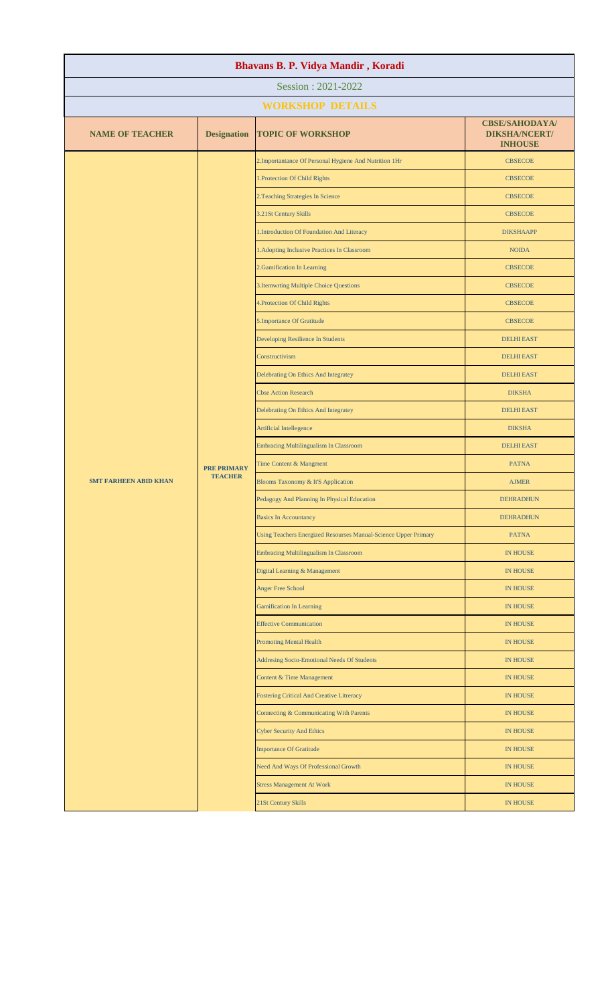| Bhavans B. P. Vidya Mandir, Koradi |                                      |                                                                 |                                                                 |  |  |
|------------------------------------|--------------------------------------|-----------------------------------------------------------------|-----------------------------------------------------------------|--|--|
| Session: 2021-2022                 |                                      |                                                                 |                                                                 |  |  |
|                                    |                                      | <b>WORKSHOP DETAILS</b>                                         |                                                                 |  |  |
| <b>NAME OF TEACHER</b>             | <b>Designation</b>                   | <b>TOPIC OF WORKSHOP</b>                                        | <b>CBSE/SAHODAYA/</b><br><b>DIKSHA/NCERT/</b><br><b>INHOUSE</b> |  |  |
|                                    |                                      | 2. Importantance Of Personal Hygiene And Nutrition 1Hr          | <b>CBSECOE</b>                                                  |  |  |
|                                    |                                      | 1. Protection Of Child Rights                                   | <b>CBSECOE</b>                                                  |  |  |
|                                    |                                      | 2. Teaching Strategies In Science                               | <b>CBSECOE</b>                                                  |  |  |
|                                    |                                      | 3.21St Century Skills                                           | <b>CBSECOE</b>                                                  |  |  |
|                                    |                                      | 1.Introduction Of Foundation And Literacy                       | <b>DIKSHAAPP</b>                                                |  |  |
|                                    |                                      | 1. Adopting Inclusive Practices In Classroom                    | <b>NOIDA</b>                                                    |  |  |
|                                    |                                      | 2. Gamification In Learning                                     | <b>CBSECOE</b>                                                  |  |  |
|                                    |                                      | 3. Itemwrting Multiple Choice Questions                         | <b>CBSECOE</b>                                                  |  |  |
|                                    |                                      | 4. Protection Of Child Rights                                   | <b>CBSECOE</b>                                                  |  |  |
|                                    |                                      | 5.Importance Of Gratitude                                       | <b>CBSECOE</b>                                                  |  |  |
|                                    |                                      | Developing Resilience In Students                               | <b>DELHI EAST</b>                                               |  |  |
|                                    |                                      | Constructivism                                                  | <b>DELHI EAST</b>                                               |  |  |
|                                    |                                      | Delebrating On Ethics And Integratey                            | <b>DELHI EAST</b>                                               |  |  |
|                                    | <b>PRE PRIMARY</b><br><b>TEACHER</b> | <b>Cbse Action Research</b>                                     | <b>DIKSHA</b>                                                   |  |  |
|                                    |                                      | Delebrating On Ethics And Integratey                            | <b>DELHI EAST</b>                                               |  |  |
|                                    |                                      | <b>Artificial Intellegence</b>                                  | <b>DIKSHA</b>                                                   |  |  |
|                                    |                                      | <b>Embracing Multilingualism In Classroom</b>                   | <b>DELHI EAST</b>                                               |  |  |
|                                    |                                      | Time Content & Mangment                                         | <b>PATNA</b>                                                    |  |  |
| <b>SMT FARHEEN ABID KHAN</b>       |                                      | Blooms Taxonomy & It'S Application                              | <b>AJMER</b>                                                    |  |  |
|                                    |                                      | Pedagogy And Planning In Physical Education                     | <b>DEHRADHUN</b>                                                |  |  |
|                                    |                                      | <b>Basics In Accountancy</b>                                    | <b>DEHRADHUN</b>                                                |  |  |
|                                    |                                      | Using Teachers Energized Resourses Manual-Science Upper Primary | <b>PATNA</b>                                                    |  |  |
|                                    |                                      | <b>Embracing Multilingualism In Classroom</b>                   | <b>IN HOUSE</b>                                                 |  |  |
|                                    |                                      | Digital Learning & Management                                   | <b>IN HOUSE</b>                                                 |  |  |
|                                    |                                      | <b>Anger Free School</b>                                        | <b>IN HOUSE</b>                                                 |  |  |
|                                    |                                      | <b>Gamification In Learning</b>                                 | <b>IN HOUSE</b>                                                 |  |  |
|                                    |                                      | <b>Effective Communication</b>                                  | <b>IN HOUSE</b>                                                 |  |  |
|                                    |                                      | <b>Promoting Mental Health</b>                                  | <b>IN HOUSE</b>                                                 |  |  |
|                                    |                                      | Addresing Socio-Emotional Needs Of Students                     | <b>IN HOUSE</b>                                                 |  |  |
|                                    |                                      | Content & Time Management                                       | <b>IN HOUSE</b>                                                 |  |  |
|                                    |                                      | Fostering Critical And Creative Litreracy                       | <b>IN HOUSE</b>                                                 |  |  |
|                                    |                                      | Connecting & Communicating With Parents                         | <b>IN HOUSE</b>                                                 |  |  |
|                                    |                                      | <b>Cyber Security And Ethics</b>                                | <b>IN HOUSE</b>                                                 |  |  |
|                                    |                                      | <b>Importance Of Gratitude</b>                                  | <b>IN HOUSE</b>                                                 |  |  |
|                                    |                                      | Need And Ways Of Professional Growth                            | <b>IN HOUSE</b>                                                 |  |  |
|                                    |                                      | <b>Stress Management At Work</b>                                | <b>IN HOUSE</b>                                                 |  |  |
|                                    |                                      | 21St Century Skills                                             | IN HOUSE                                                        |  |  |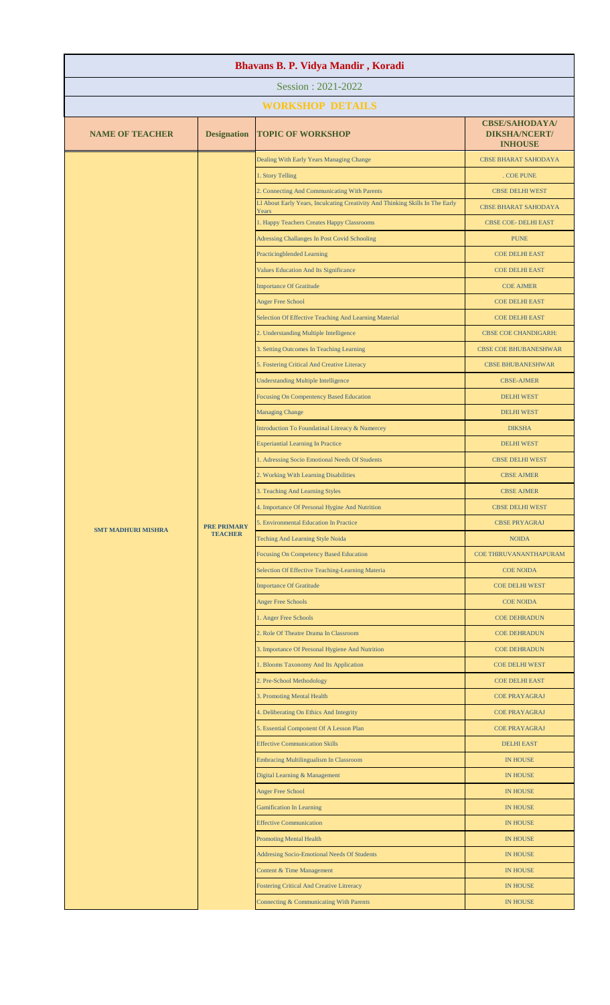| Bhavans B. P. Vidya Mandir, Koradi |                                      |                                                                                        |                                                                 |  |
|------------------------------------|--------------------------------------|----------------------------------------------------------------------------------------|-----------------------------------------------------------------|--|
| Session: 2021-2022                 |                                      |                                                                                        |                                                                 |  |
|                                    |                                      | <b>WORKSHOP DETAILS</b>                                                                |                                                                 |  |
| <b>NAME OF TEACHER</b>             | <b>Designation</b>                   | <b>TOPIC OF WORKSHOP</b>                                                               | <b>CBSE/SAHODAYA/</b><br><b>DIKSHA/NCERT/</b><br><b>INHOUSE</b> |  |
|                                    |                                      | Dealing With Early Years Managing Change                                               | <b>CBSE BHARAT SAHODAYA</b>                                     |  |
|                                    |                                      | 1. Story Telling                                                                       | . COE PUNE                                                      |  |
|                                    |                                      | 2. Connecting And Communicating With Parents                                           | <b>CBSE DELHI WEST</b>                                          |  |
|                                    |                                      | Ll About Early Years, Inculcating Creativity And Thinking Skills In The Early<br>Years | <b>CBSE BHARAT SAHODAYA</b>                                     |  |
|                                    |                                      | 1. Happy Teachers Creates Happy Classrooms                                             | <b>CBSE COE- DELHI EAST</b>                                     |  |
|                                    |                                      | Adressing Challanges In Post Covid Schooling                                           | <b>PUNE</b>                                                     |  |
|                                    |                                      | <b>Practicingblended Learning</b>                                                      | <b>COE DELHI EAST</b>                                           |  |
|                                    |                                      | <b>Values Education And Its Significance</b>                                           | <b>COE DELHI EAST</b>                                           |  |
|                                    |                                      | <b>Importance Of Gratitude</b>                                                         | <b>COE AJMER</b>                                                |  |
|                                    |                                      | <b>Anger Free School</b>                                                               | <b>COE DELHI EAST</b>                                           |  |
|                                    |                                      | Selection Of Effective Teaching And Learning Material                                  | <b>COE DELHI EAST</b>                                           |  |
|                                    |                                      | 2. Understanding Multiple Intelligence                                                 | <b>CBSE COE CHANDIGARH:</b>                                     |  |
|                                    |                                      | 3. Setting Outcomes In Teaching Learning                                               | <b>CBSE COE BHUBANESHWAR</b>                                    |  |
|                                    |                                      | 5. Fostering Critical And Creative Literacy                                            | <b>CBSE BHUBANESHWAR</b>                                        |  |
|                                    |                                      | <b>Understanding Multiple Intelligence</b>                                             | <b>CBSE-AJMER</b>                                               |  |
|                                    |                                      | <b>Focusing On Compentency Based Education</b>                                         | <b>DELHI WEST</b>                                               |  |
|                                    |                                      | <b>Managing Change</b>                                                                 | <b>DELHI WEST</b>                                               |  |
|                                    |                                      | Introduction To Foundatinal Litreacy & Numercey                                        | <b>DIKSHA</b>                                                   |  |
|                                    |                                      | <b>Experiantial Learning In Practice</b>                                               | <b>DELHI WEST</b><br><b>CBSE DELHI WEST</b>                     |  |
|                                    |                                      | 1. Adressing Socio Emotional Needs Of Students                                         |                                                                 |  |
| <b>SMT MADHURI MISHRA</b>          |                                      | 2. Working With Learning Disabilities<br>3. Teaching And Learning Styles               | <b>CBSE AJMER</b><br><b>CBSE AJMER</b>                          |  |
|                                    |                                      | 4. Importance Of Personal Hygine And Nutrition                                         | <b>CBSE DELHI WEST</b>                                          |  |
|                                    | <b>PRE PRIMARY</b><br><b>TEACHER</b> | 5. Environmental Education In Practice                                                 | <b>CBSE PRYAGRAJ</b>                                            |  |
|                                    |                                      | Teching And Learning Style Noida                                                       | <b>NOIDA</b>                                                    |  |
|                                    |                                      | Focusing On Competency Based Education                                                 | COE THIRUVANANTHAPURAM                                          |  |
|                                    |                                      | Selection Of Effective Teaching-Learning Materia                                       | <b>COE NOIDA</b>                                                |  |
|                                    |                                      | <b>Importance Of Gratitude</b>                                                         | <b>COE DELHI WEST</b>                                           |  |
|                                    |                                      | <b>Anger Free Schools</b>                                                              | <b>COE NOIDA</b>                                                |  |
|                                    |                                      | 1. Anger Free Schools                                                                  | <b>COE DEHRADUN</b>                                             |  |
|                                    |                                      | 2. Role Of Theatre Drama In Classroom                                                  | <b>COE DEHRADUN</b>                                             |  |
|                                    |                                      | 3. Importance Of Personal Hygiene And Nutrition                                        | <b>COE DEHRADUN</b>                                             |  |
|                                    |                                      | 1. Blooms Taxonomy And Its Application                                                 | <b>COE DELHI WEST</b>                                           |  |
|                                    |                                      | 2. Pre-School Methodology                                                              | <b>COE DELHI EAST</b>                                           |  |
|                                    |                                      | 3. Promoting Mental Health                                                             | <b>COE PRAYAGRAJ</b>                                            |  |
|                                    |                                      | 4. Deliberating On Ethics And Integrity                                                | <b>COE PRAYAGRAJ</b>                                            |  |
|                                    |                                      | 5. Essential Component Of A Lesson Plan                                                | <b>COE PRAYAGRAJ</b>                                            |  |
|                                    |                                      | <b>Effective Communication Skills</b>                                                  | <b>DELHI EAST</b>                                               |  |
|                                    |                                      | <b>Embracing Multilingualism In Classroom</b>                                          | <b>IN HOUSE</b>                                                 |  |
|                                    |                                      | Digital Learning & Management                                                          | <b>IN HOUSE</b>                                                 |  |
|                                    |                                      | <b>Anger Free School</b>                                                               | <b>IN HOUSE</b>                                                 |  |
|                                    |                                      | <b>Gamification In Learning</b>                                                        | <b>IN HOUSE</b>                                                 |  |
|                                    |                                      | <b>Effective Communication</b>                                                         | <b>IN HOUSE</b>                                                 |  |
|                                    |                                      | <b>Promoting Mental Health</b>                                                         | <b>IN HOUSE</b>                                                 |  |
|                                    |                                      | Addresing Socio-Emotional Needs Of Students                                            | <b>IN HOUSE</b>                                                 |  |
|                                    |                                      | Content & Time Management                                                              | <b>IN HOUSE</b>                                                 |  |
|                                    |                                      | <b>Fostering Critical And Creative Litreracy</b>                                       | <b>IN HOUSE</b>                                                 |  |
|                                    |                                      | Connecting & Communicating With Parents                                                | <b>IN HOUSE</b>                                                 |  |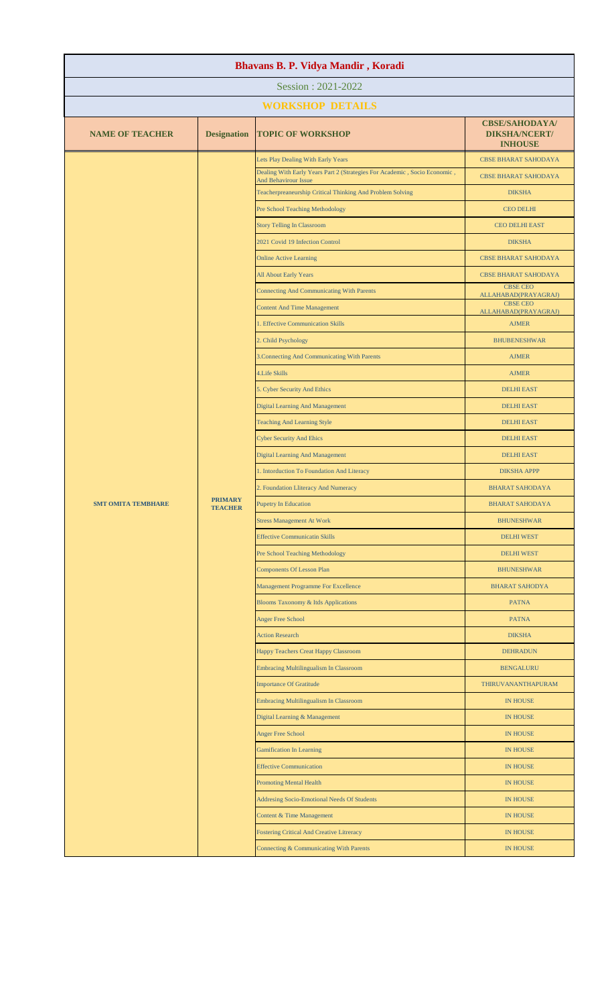| Bhavans B. P. Vidya Mandir, Koradi |                                  |                                                                                                   |                                                                 |  |
|------------------------------------|----------------------------------|---------------------------------------------------------------------------------------------------|-----------------------------------------------------------------|--|
| Session: 2021-2022                 |                                  |                                                                                                   |                                                                 |  |
|                                    |                                  | <b>WORKSHOP DETAILS</b>                                                                           |                                                                 |  |
| <b>NAME OF TEACHER</b>             | <b>Designation</b>               | <b>TOPIC OF WORKSHOP</b>                                                                          | <b>CBSE/SAHODAYA/</b><br><b>DIKSHA/NCERT/</b><br><b>INHOUSE</b> |  |
|                                    |                                  | Lets Play Dealing With Early Years                                                                | <b>CBSE BHARAT SAHODAYA</b>                                     |  |
|                                    |                                  | Dealing With Early Years Part 2 (Strategies For Academic, Socio Economic,<br>And Behavirour Issue | <b>CBSE BHARAT SAHODAYA</b>                                     |  |
|                                    |                                  | Teacherpreaneurship Critical Thinking And Problem Solving                                         | <b>DIKSHA</b>                                                   |  |
|                                    |                                  | Pre School Teaching Methodology                                                                   | <b>CEO DELHI</b>                                                |  |
|                                    |                                  | <b>Story Telling In Classroom</b>                                                                 | <b>CEO DELHI EAST</b>                                           |  |
|                                    |                                  | 2021 Covid 19 Infection Control                                                                   | <b>DIKSHA</b>                                                   |  |
|                                    |                                  | <b>Online Active Learning</b>                                                                     | <b>CBSE BHARAT SAHODAYA</b>                                     |  |
|                                    |                                  | All About Early Years                                                                             | <b>CBSE BHARAT SAHODAYA</b>                                     |  |
|                                    |                                  | <b>Connecting And Communicating With Parents</b>                                                  | <b>CBSE CEO</b><br>ALLAHABAD(PRAYAGRAJ)                         |  |
|                                    |                                  | <b>Content And Time Management</b>                                                                | <b>CBSE CEO</b><br>ALLAHABAD(PRAYAGRAJ)                         |  |
|                                    |                                  | 1. Effective Communication Skills                                                                 | <b>AJMER</b>                                                    |  |
|                                    |                                  | 2. Child Psychology                                                                               | <b>BHUBENESHWAR</b>                                             |  |
|                                    |                                  | 3. Connecting And Communicating With Parents                                                      | <b>AJMER</b>                                                    |  |
|                                    |                                  | 4. Life Skills                                                                                    | <b>AJMER</b>                                                    |  |
|                                    |                                  | 5. Cyber Security And Ethics                                                                      | <b>DELHI EAST</b>                                               |  |
|                                    |                                  | <b>Digital Learning And Management</b>                                                            | <b>DELHI EAST</b>                                               |  |
|                                    |                                  | <b>Teaching And Learning Style</b>                                                                | <b>DELHI EAST</b>                                               |  |
|                                    |                                  | <b>Cyber Security And Ehics</b>                                                                   | <b>DELHI EAST</b>                                               |  |
|                                    |                                  | <b>Digital Learning And Management</b>                                                            | <b>DELHI EAST</b>                                               |  |
|                                    |                                  | 1. Intorduction To Foundation And Literacy                                                        | <b>DIKSHA APPP</b>                                              |  |
|                                    |                                  | 2. Foundation Lliteracy And Numeracy                                                              | <b>BHARAT SAHODAYA</b>                                          |  |
| <b>SMT OMITA TEMBHARE</b>          | <b>PRIMARY</b><br><b>TEACHER</b> | <b>Pupetry In Education</b>                                                                       | <b>BHARAT SAHODAYA</b>                                          |  |
|                                    |                                  | <b>Stress Management At Work</b>                                                                  | <b>BHUNESHWAR</b>                                               |  |
|                                    |                                  | <b>Effective Communicatin Skills</b>                                                              | <b>DELHI WEST</b>                                               |  |
|                                    |                                  | Pre School Teaching Methodology                                                                   | <b>DELHI WEST</b>                                               |  |
|                                    |                                  | <b>Components Of Lesson Plan</b>                                                                  | <b>BHUNESHWAR</b>                                               |  |
|                                    |                                  | Management Programme For Excellence                                                               | <b>BHARAT SAHODYA</b>                                           |  |
|                                    |                                  | <b>Blooms Taxonomy &amp; Itds Applications</b>                                                    | <b>PATNA</b>                                                    |  |
|                                    |                                  | <b>Anger Free School</b>                                                                          | <b>PATNA</b>                                                    |  |
|                                    |                                  | <b>Action Research</b>                                                                            | <b>DIKSHA</b>                                                   |  |
|                                    |                                  | Happy Teachers Creat Happy Classroom                                                              | <b>DEHRADUN</b>                                                 |  |
|                                    |                                  | Embracing Multilingualism In Classroom                                                            | <b>BENGALURU</b>                                                |  |
|                                    |                                  | <b>Importance Of Gratitude</b>                                                                    | <b>THIRUVANANTHAPURAM</b>                                       |  |
|                                    |                                  | <b>Embracing Multilingualism In Classroom</b>                                                     | <b>IN HOUSE</b>                                                 |  |
|                                    |                                  | Digital Learning & Management                                                                     | <b>IN HOUSE</b>                                                 |  |
|                                    |                                  | <b>Anger Free School</b>                                                                          | <b>IN HOUSE</b>                                                 |  |
|                                    |                                  | <b>Gamification In Learning</b>                                                                   | <b>IN HOUSE</b>                                                 |  |
|                                    |                                  | <b>Effective Communication</b>                                                                    | <b>IN HOUSE</b>                                                 |  |
|                                    |                                  | <b>Promoting Mental Health</b>                                                                    | <b>IN HOUSE</b>                                                 |  |
|                                    |                                  | Addresing Socio-Emotional Needs Of Students                                                       | <b>IN HOUSE</b>                                                 |  |
|                                    |                                  | Content & Time Management                                                                         | <b>IN HOUSE</b>                                                 |  |
|                                    |                                  | <b>Fostering Critical And Creative Litreracy</b>                                                  | <b>IN HOUSE</b>                                                 |  |
|                                    |                                  | Connecting & Communicating With Parents                                                           | <b>IN HOUSE</b>                                                 |  |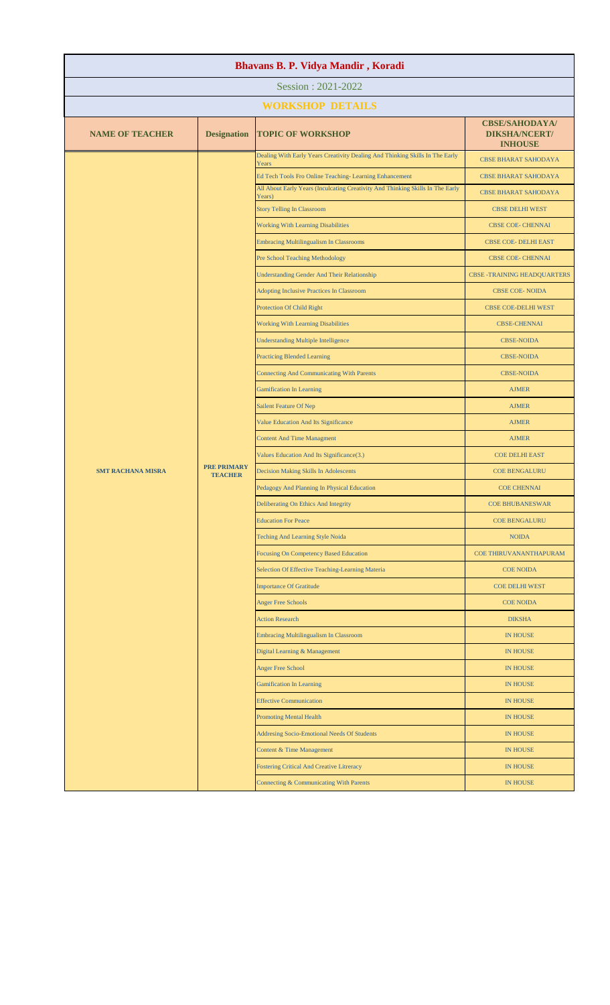| Bhavans B. P. Vidya Mandir, Koradi |                                      |                                                                                          |                                                                 |  |
|------------------------------------|--------------------------------------|------------------------------------------------------------------------------------------|-----------------------------------------------------------------|--|
| Session: 2021-2022                 |                                      |                                                                                          |                                                                 |  |
|                                    |                                      | <b>WORKSHOP DETAILS</b>                                                                  |                                                                 |  |
| <b>NAME OF TEACHER</b>             | <b>Designation</b>                   | <b>TOPIC OF WORKSHOP</b>                                                                 | <b>CBSE/SAHODAYA/</b><br><b>DIKSHA/NCERT/</b><br><b>INHOUSE</b> |  |
|                                    |                                      | Dealing With Early Years Creativity Dealing And Thinking Skills In The Early<br>Years    | <b>CBSE BHARAT SAHODAYA</b>                                     |  |
|                                    |                                      | Ed Tech Tools Fro Online Teaching-Learning Enhancement                                   | <b>CBSE BHARAT SAHODAYA</b>                                     |  |
|                                    |                                      | All About Early Years (Inculcating Creativity And Thinking Skills In The Early<br>Years) | <b>CBSE BHARAT SAHODAYA</b>                                     |  |
|                                    |                                      | <b>Story Telling In Classroom</b>                                                        | <b>CBSE DELHI WEST</b>                                          |  |
|                                    |                                      | <b>Working With Learning Disabilities</b>                                                | <b>CBSE COE- CHENNAI</b>                                        |  |
|                                    |                                      | <b>Embracing Multilingualism In Classrooms</b>                                           | CBSE COE- DELHI EAST                                            |  |
|                                    |                                      | Pre School Teaching Methodology                                                          | <b>CBSE COE- CHENNAI</b>                                        |  |
|                                    |                                      | <b>Understanding Gender And Their Relationship</b>                                       | <b>CBSE -TRAINING HEADQUARTERS</b>                              |  |
|                                    |                                      | Adopting Inclusive Practices In Classroom                                                | <b>CBSE COE-NOIDA</b>                                           |  |
|                                    |                                      | Protection Of Child Right                                                                | <b>CBSE COE-DELHI WEST</b>                                      |  |
|                                    |                                      | Working With Learning Disabilities                                                       | <b>CBSE-CHENNAI</b>                                             |  |
|                                    |                                      | <b>Understanding Multiple Intelligence</b>                                               | <b>CBSE-NOIDA</b>                                               |  |
|                                    |                                      | <b>Practicing Blended Learning</b>                                                       | <b>CBSE-NOIDA</b>                                               |  |
|                                    | <b>PRE PRIMARY</b><br><b>TEACHER</b> | <b>Connecting And Communicating With Parents</b>                                         | <b>CBSE-NOIDA</b>                                               |  |
|                                    |                                      | <b>Gamification In Learning</b>                                                          | <b>AJMER</b>                                                    |  |
| <b>SMT RACHANA MISRA</b>           |                                      | Sailent Feature Of Nep                                                                   | <b>AJMER</b>                                                    |  |
|                                    |                                      | Value Education And Its Significance                                                     | <b>AJMER</b>                                                    |  |
|                                    |                                      | <b>Content And Time Managment</b>                                                        | <b>AJMER</b>                                                    |  |
|                                    |                                      | Values Education And Its Significance(3.)                                                | <b>COE DELHI EAST</b>                                           |  |
|                                    |                                      | Decision Making Skills In Adolescents                                                    | <b>COE BENGALURU</b>                                            |  |
|                                    |                                      | Pedagogy And Planning In Physical Education                                              | <b>COE CHENNAI</b>                                              |  |
|                                    |                                      | Deliberating On Ethics And Integrity                                                     | <b>COE BHUBANESWAR</b>                                          |  |
|                                    |                                      | <b>Education For Peace</b>                                                               | COE BENGALURU                                                   |  |
|                                    |                                      | Teching And Learning Style Noida                                                         | <b>NOIDA</b>                                                    |  |
|                                    |                                      | Focusing On Competency Based Education                                                   | COE THIRUVANANTHAPURAM                                          |  |
|                                    |                                      | Selection Of Effective Teaching-Learning Materia                                         | <b>COE NOIDA</b>                                                |  |
|                                    |                                      | <b>Importance Of Gratitude</b>                                                           | <b>COE DELHI WEST</b>                                           |  |
|                                    |                                      | <b>Anger Free Schools</b>                                                                | <b>COE NOIDA</b>                                                |  |
|                                    |                                      | <b>Action Research</b>                                                                   | <b>DIKSHA</b>                                                   |  |
|                                    |                                      | Embracing Multilingualism In Classroom                                                   | <b>IN HOUSE</b>                                                 |  |
|                                    |                                      | Digital Learning & Management                                                            | <b>IN HOUSE</b>                                                 |  |
|                                    |                                      | <b>Anger Free School</b>                                                                 | <b>IN HOUSE</b>                                                 |  |
|                                    |                                      | <b>Gamification In Learning</b>                                                          | <b>IN HOUSE</b>                                                 |  |
|                                    |                                      | <b>Effective Communication</b>                                                           | <b>IN HOUSE</b>                                                 |  |
|                                    |                                      | <b>Promoting Mental Health</b>                                                           | <b>IN HOUSE</b>                                                 |  |
|                                    |                                      | Addresing Socio-Emotional Needs Of Students                                              | <b>IN HOUSE</b>                                                 |  |
|                                    |                                      | Content & Time Management                                                                | <b>IN HOUSE</b>                                                 |  |
|                                    |                                      | <b>Fostering Critical And Creative Litreracy</b>                                         | <b>IN HOUSE</b>                                                 |  |
|                                    |                                      | Connecting & Communicating With Parents                                                  | <b>IN HOUSE</b>                                                 |  |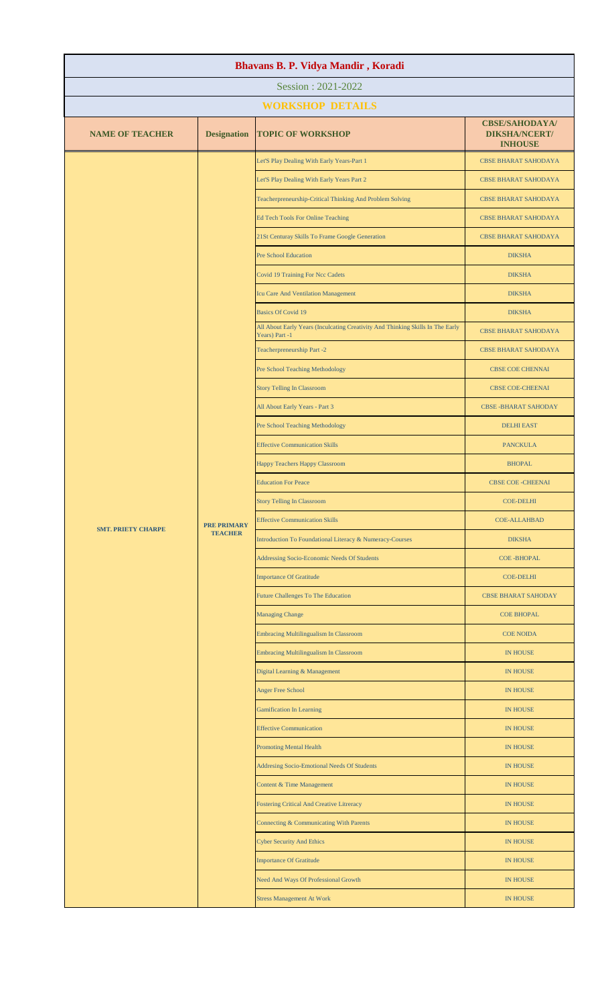| Bhavans B. P. Vidya Mandir, Koradi |                                      |                                                                                                  |                                                                 |  |
|------------------------------------|--------------------------------------|--------------------------------------------------------------------------------------------------|-----------------------------------------------------------------|--|
| Session: 2021-2022                 |                                      |                                                                                                  |                                                                 |  |
|                                    |                                      | <b>WORKSHOP DETAILS</b>                                                                          |                                                                 |  |
| <b>NAME OF TEACHER</b>             | <b>Designation</b>                   | <b>TOPIC OF WORKSHOP</b>                                                                         | <b>CBSE/SAHODAYA/</b><br><b>DIKSHA/NCERT/</b><br><b>INHOUSE</b> |  |
|                                    |                                      | Let'S Play Dealing With Early Years-Part 1                                                       | <b>CBSE BHARAT SAHODAYA</b>                                     |  |
|                                    |                                      | Let'S Play Dealing With Early Years Part 2                                                       | <b>CBSE BHARAT SAHODAYA</b>                                     |  |
|                                    |                                      | Teacherpreneurship-Critical Thinking And Problem Solving                                         | <b>CBSE BHARAT SAHODAYA</b>                                     |  |
|                                    |                                      | <b>Ed Tech Tools For Online Teaching</b>                                                         | <b>CBSE BHARAT SAHODAYA</b>                                     |  |
|                                    |                                      | 21St Centuray Skills To Frame Google Generation                                                  | <b>CBSE BHARAT SAHODAYA</b>                                     |  |
|                                    |                                      | <b>Pre School Education</b>                                                                      | <b>DIKSHA</b>                                                   |  |
|                                    |                                      | <b>Covid 19 Training For Ncc Cadets</b>                                                          | <b>DIKSHA</b>                                                   |  |
|                                    |                                      | Icu Care And Ventilation Management                                                              | <b>DIKSHA</b>                                                   |  |
|                                    |                                      | <b>Basics Of Covid 19</b>                                                                        | <b>DIKSHA</b>                                                   |  |
|                                    |                                      | All About Early Years (Inculcating Creativity And Thinking Skills In The Early<br>Years) Part -1 | <b>CBSE BHARAT SAHODAYA</b>                                     |  |
|                                    |                                      | Teacherpreneurship Part -2                                                                       | <b>CBSE BHARAT SAHODAYA</b>                                     |  |
|                                    |                                      | Pre School Teaching Methodology                                                                  | <b>CBSE COE CHENNAI</b>                                         |  |
|                                    |                                      | <b>Story Telling In Classroom</b>                                                                | <b>CBSE COE-CHEENAI</b>                                         |  |
|                                    |                                      | All About Early Years - Part 3                                                                   | <b>CBSE-BHARAT SAHODAY</b>                                      |  |
|                                    |                                      | Pre School Teaching Methodology                                                                  | <b>DELHI EAST</b>                                               |  |
|                                    |                                      | <b>Effective Communication Skills</b>                                                            | <b>PANCKULA</b>                                                 |  |
|                                    | <b>PRE PRIMARY</b><br><b>TEACHER</b> | Happy Teachers Happy Classroom                                                                   | <b>BHOPAL</b>                                                   |  |
| <b>SMT. PRIETY CHARPE</b>          |                                      | <b>Education For Peace</b>                                                                       | <b>CBSE COE - CHEENAI</b>                                       |  |
|                                    |                                      | <b>Story Telling In Classroom</b>                                                                | COE-DELHI                                                       |  |
|                                    |                                      | <b>Effective Communication Skills</b>                                                            | <b>COE-ALLAHBAD</b>                                             |  |
|                                    |                                      | Introduction To Foundational Literacy & Numeracy-Courses                                         | <b>DIKSHA</b>                                                   |  |
|                                    |                                      | Addressing Socio-Economic Needs Of Students                                                      | <b>COE-BHOPAL</b>                                               |  |
|                                    |                                      | <b>Importance Of Gratitude</b>                                                                   | <b>COE-DELHI</b>                                                |  |
|                                    |                                      | <b>Future Challenges To The Education</b>                                                        | <b>CBSE BHARAT SAHODAY</b>                                      |  |
|                                    |                                      | <b>Managing Change</b>                                                                           | <b>COE BHOPAL</b>                                               |  |
|                                    |                                      | Embracing Multilingualism In Classroom                                                           | <b>COE NOIDA</b>                                                |  |
|                                    |                                      | Embracing Multilingualism In Classroom                                                           | <b>IN HOUSE</b>                                                 |  |
|                                    |                                      | Digital Learning & Management                                                                    | <b>IN HOUSE</b>                                                 |  |
|                                    |                                      | <b>Anger Free School</b>                                                                         | <b>IN HOUSE</b>                                                 |  |
|                                    |                                      | <b>Gamification In Learning</b>                                                                  | <b>IN HOUSE</b>                                                 |  |
|                                    |                                      | <b>Effective Communication</b>                                                                   | <b>IN HOUSE</b>                                                 |  |
|                                    |                                      | <b>Promoting Mental Health</b>                                                                   | IN HOUSE                                                        |  |
|                                    |                                      | Addresing Socio-Emotional Needs Of Students                                                      | <b>IN HOUSE</b>                                                 |  |
|                                    |                                      | Content & Time Management                                                                        | <b>IN HOUSE</b>                                                 |  |
|                                    |                                      | <b>Fostering Critical And Creative Litreracy</b>                                                 | <b>IN HOUSE</b>                                                 |  |
|                                    |                                      | Connecting & Communicating With Parents                                                          | <b>IN HOUSE</b>                                                 |  |
|                                    |                                      | <b>Cyber Security And Ethics</b>                                                                 | <b>IN HOUSE</b>                                                 |  |
|                                    |                                      | <b>Importance Of Gratitude</b>                                                                   | <b>IN HOUSE</b>                                                 |  |
|                                    |                                      | Need And Ways Of Professional Growth                                                             | <b>IN HOUSE</b>                                                 |  |
|                                    |                                      | <b>Stress Management At Work</b>                                                                 | <b>IN HOUSE</b>                                                 |  |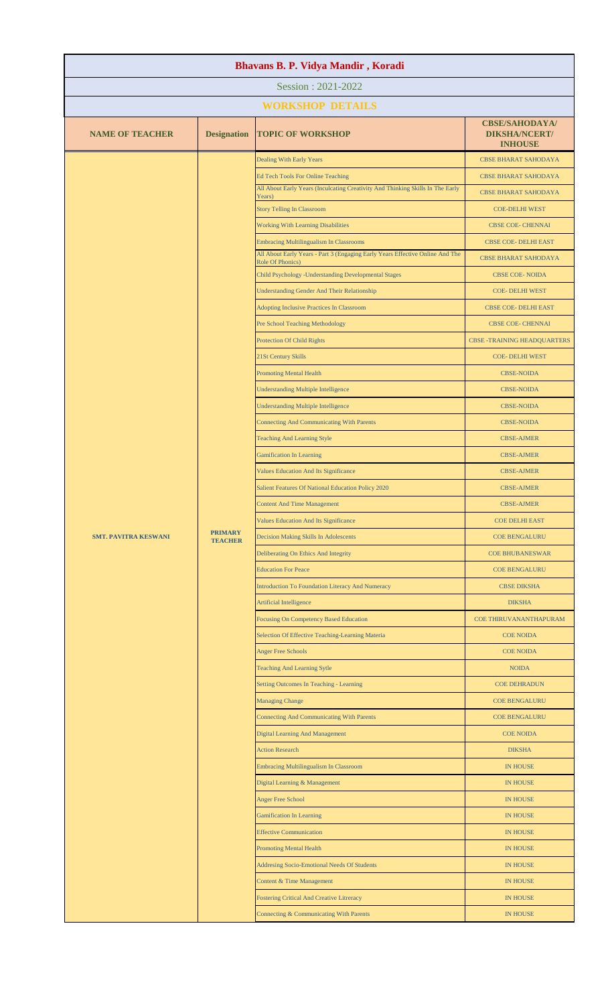| Bhavans B. P. Vidya Mandir, Koradi |                                  |                                                                                                   |                                                                 |  |
|------------------------------------|----------------------------------|---------------------------------------------------------------------------------------------------|-----------------------------------------------------------------|--|
| Session: 2021-2022                 |                                  |                                                                                                   |                                                                 |  |
|                                    |                                  | <b>WORKSHOP DETAILS</b>                                                                           |                                                                 |  |
| <b>NAME OF TEACHER</b>             | <b>Designation</b>               | <b>TOPIC OF WORKSHOP</b>                                                                          | <b>CBSE/SAHODAYA/</b><br><b>DIKSHA/NCERT/</b><br><b>INHOUSE</b> |  |
|                                    |                                  | <b>Dealing With Early Years</b>                                                                   | <b>CBSE BHARAT SAHODAYA</b>                                     |  |
|                                    |                                  | <b>Ed Tech Tools For Online Teaching</b>                                                          | <b>CBSE BHARAT SAHODAYA</b>                                     |  |
|                                    |                                  | All About Early Years (Inculcating Creativity And Thinking Skills In The Early<br>Years)          | <b>CBSE BHARAT SAHODAYA</b>                                     |  |
|                                    |                                  | <b>Story Telling In Classroom</b>                                                                 | <b>COE-DELHI WEST</b>                                           |  |
|                                    |                                  | <b>Working With Learning Disabilities</b>                                                         | <b>CBSE COE- CHENNAI</b>                                        |  |
|                                    |                                  | <b>Embracing Multilingualism In Classrooms</b>                                                    | <b>CBSE COE- DELHI EAST</b>                                     |  |
|                                    |                                  | All About Early Years - Part 3 (Engaging Early Years Effective Online And The<br>Role Of Phonics) | <b>CBSE BHARAT SAHODAYA</b>                                     |  |
|                                    |                                  | Child Psychology -Understanding Developmental Stages                                              | <b>CBSE COE-NOIDA</b>                                           |  |
|                                    |                                  | <b>Understanding Gender And Their Relationship</b>                                                | COE-DELHI WEST                                                  |  |
|                                    |                                  | Adopting Inclusive Practices In Classroom                                                         | CBSE COE- DELHI EAST                                            |  |
|                                    |                                  | Pre School Teaching Methodology                                                                   | <b>CBSE COE- CHENNAI</b>                                        |  |
|                                    |                                  | <b>Protection Of Child Rights</b>                                                                 | <b>CBSE -TRAINING HEADQUARTERS</b>                              |  |
|                                    |                                  | 21St Century Skills                                                                               | COE-DELHI WEST                                                  |  |
|                                    |                                  | <b>Promoting Mental Health</b>                                                                    | <b>CBSE-NOIDA</b>                                               |  |
|                                    |                                  | <b>Understanding Multiple Intelligence</b>                                                        | <b>CBSE-NOIDA</b>                                               |  |
|                                    |                                  | <b>Understanding Multiple Intelligence</b>                                                        | <b>CBSE-NOIDA</b>                                               |  |
|                                    |                                  | <b>Connecting And Communicating With Parents</b>                                                  | <b>CBSE-NOIDA</b>                                               |  |
|                                    |                                  | <b>Teaching And Learning Style</b>                                                                | <b>CBSE-AJMER</b>                                               |  |
|                                    |                                  | <b>Gamification In Learning</b>                                                                   | <b>CBSE-AJMER</b>                                               |  |
|                                    |                                  | Values Education And Its Significance                                                             | <b>CBSE-AJMER</b>                                               |  |
| <b>SMT. PAVITRA KESWANI</b>        |                                  | Salient Features Of National Education Policy 2020                                                | <b>CBSE-AJMER</b>                                               |  |
|                                    |                                  | <b>Content And Time Management</b>                                                                | <b>CBSE-AJMER</b>                                               |  |
|                                    |                                  | Values Education And Its Significance                                                             | <b>COE DELHI EAST</b>                                           |  |
|                                    | <b>PRIMARY</b><br><b>TEACHER</b> | <b>Decision Making Skills In Adolescents</b>                                                      | <b>COE BENGALURU</b>                                            |  |
|                                    |                                  | Deliberating On Ethics And Integrity                                                              | <b>COE BHUBANESWAR</b>                                          |  |
|                                    |                                  | <b>Education For Peace</b>                                                                        | <b>COE BENGALURU</b>                                            |  |
|                                    |                                  | <b>Introduction To Foundation Literacy And Numeracy</b>                                           | <b>CBSE DIKSHA</b>                                              |  |
|                                    |                                  | Artificial Intelligence                                                                           | <b>DIKSHA</b>                                                   |  |
|                                    |                                  | <b>Focusing On Competency Based Education</b>                                                     | COE THIRUVANANTHAPURAM                                          |  |
|                                    |                                  | Selection Of Effective Teaching-Learning Materia                                                  | <b>COE NOIDA</b>                                                |  |
|                                    |                                  | <b>Anger Free Schools</b>                                                                         | <b>COE NOIDA</b>                                                |  |
|                                    |                                  | <b>Teaching And Learning Sytle</b>                                                                | <b>NOIDA</b>                                                    |  |
|                                    |                                  | Setting Outcomes In Teaching - Learning                                                           | <b>COE DEHRADUN</b>                                             |  |
|                                    |                                  | <b>Managing Change</b>                                                                            | <b>COE BENGALURU</b>                                            |  |
|                                    |                                  | <b>Connecting And Communicating With Parents</b>                                                  | <b>COE BENGALURU</b>                                            |  |
|                                    |                                  | <b>Digital Learning And Management</b>                                                            | <b>COE NOIDA</b>                                                |  |
|                                    |                                  | <b>Action Research</b>                                                                            | <b>DIKSHA</b>                                                   |  |
|                                    |                                  | <b>Embracing Multilingualism In Classroom</b>                                                     | <b>IN HOUSE</b>                                                 |  |
|                                    |                                  | Digital Learning & Management                                                                     | <b>IN HOUSE</b>                                                 |  |
|                                    |                                  | <b>Anger Free School</b>                                                                          | <b>IN HOUSE</b>                                                 |  |
|                                    |                                  | <b>Gamification In Learning</b>                                                                   | <b>IN HOUSE</b>                                                 |  |
|                                    |                                  | <b>Effective Communication</b>                                                                    | <b>IN HOUSE</b>                                                 |  |
|                                    |                                  | <b>Promoting Mental Health</b>                                                                    | <b>IN HOUSE</b>                                                 |  |
|                                    |                                  | <b>Addresing Socio-Emotional Needs Of Students</b>                                                | <b>IN HOUSE</b>                                                 |  |
|                                    |                                  | Content & Time Management                                                                         | <b>IN HOUSE</b>                                                 |  |
|                                    |                                  | <b>Fostering Critical And Creative Litreracy</b>                                                  | <b>IN HOUSE</b>                                                 |  |
|                                    |                                  | Connecting & Communicating With Parents                                                           | <b>IN HOUSE</b>                                                 |  |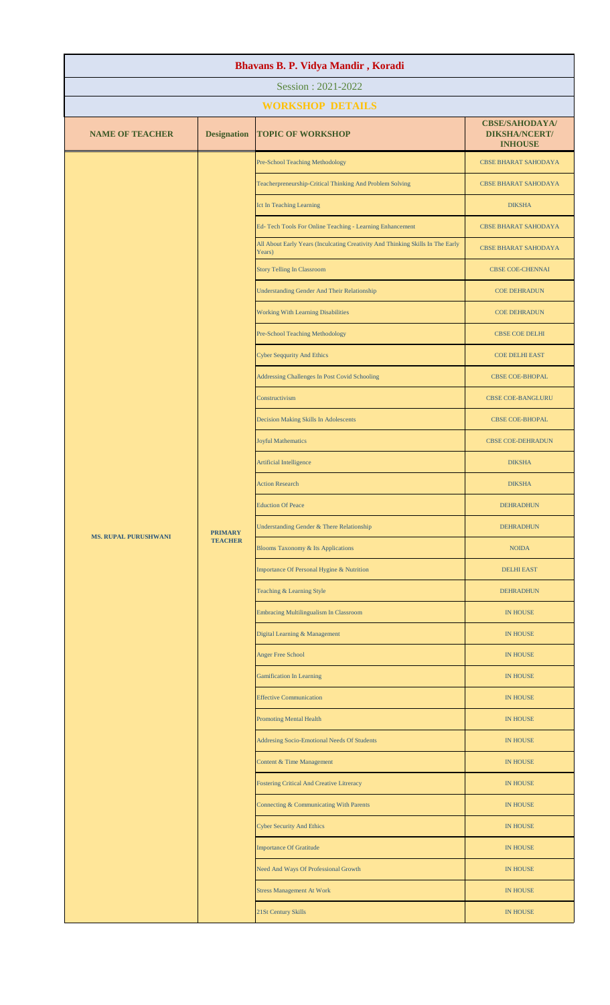| Bhavans B. P. Vidya Mandir, Koradi |                                  |                                                                                          |                                                                 |  |
|------------------------------------|----------------------------------|------------------------------------------------------------------------------------------|-----------------------------------------------------------------|--|
|                                    |                                  | Session: 2021-2022                                                                       |                                                                 |  |
|                                    |                                  | <b>WORKSHOP DETAILS</b>                                                                  |                                                                 |  |
| <b>NAME OF TEACHER</b>             | <b>Designation</b>               | <b>TOPIC OF WORKSHOP</b>                                                                 | <b>CBSE/SAHODAYA/</b><br><b>DIKSHA/NCERT/</b><br><b>INHOUSE</b> |  |
|                                    |                                  | Pre-School Teaching Methodology                                                          | <b>CBSE BHARAT SAHODAYA</b>                                     |  |
|                                    |                                  | Teacherpreneurship-Critical Thinking And Problem Solving                                 | <b>CBSE BHARAT SAHODAYA</b>                                     |  |
|                                    |                                  | Ict In Teaching Learning                                                                 | <b>DIKSHA</b>                                                   |  |
|                                    |                                  | Ed-Tech Tools For Online Teaching - Learning Enhancement                                 | <b>CBSE BHARAT SAHODAYA</b>                                     |  |
|                                    |                                  | All About Early Years (Inculcating Creativity And Thinking Skills In The Early<br>Years) | <b>CBSE BHARAT SAHODAYA</b>                                     |  |
|                                    |                                  | <b>Story Telling In Classroom</b>                                                        | <b>CBSE COE-CHENNAI</b>                                         |  |
|                                    |                                  | <b>Understanding Gender And Their Relationship</b>                                       | <b>COE DEHRADUN</b>                                             |  |
|                                    |                                  | <b>Working With Learning Disabilities</b>                                                | <b>COE DEHRADUN</b>                                             |  |
|                                    |                                  | <b>Pre-School Teaching Methodology</b>                                                   | <b>CBSE COE DELHI</b>                                           |  |
|                                    |                                  | <b>Cyber Seqqurity And Ethics</b>                                                        | <b>COE DELHI EAST</b>                                           |  |
|                                    |                                  | Addressing Challenges In Post Covid Schooling                                            | <b>CBSE COE-BHOPAL</b>                                          |  |
|                                    |                                  | Constructivism                                                                           | <b>CBSE COE-BANGLURU</b>                                        |  |
|                                    |                                  | Decision Making Skills In Adolescents                                                    | CBSE COE-BHOPAL                                                 |  |
|                                    |                                  | <b>Joyful Mathematics</b>                                                                | <b>CBSE COE-DEHRADUN</b>                                        |  |
|                                    | <b>PRIMARY</b><br><b>TEACHER</b> | Artificial Intelligence                                                                  | <b>DIKSHA</b>                                                   |  |
| <b>MS. RUPAL PURUSHWANI</b>        |                                  | <b>Action Research</b>                                                                   | <b>DIKSHA</b>                                                   |  |
|                                    |                                  | <b>Eduction Of Peace</b>                                                                 | <b>DEHRADHUN</b>                                                |  |
|                                    |                                  | Understanding Gender & There Relationship                                                | <b>DEHRADHUN</b>                                                |  |
|                                    |                                  | Blooms Taxonomy & Its Applications                                                       | <b>NOIDA</b>                                                    |  |
|                                    |                                  | Importance Of Personal Hygine & Nutrition                                                | <b>DELHI EAST</b>                                               |  |
|                                    |                                  | Teaching & Learning Style                                                                | <b>DEHRADHUN</b>                                                |  |
|                                    |                                  | <b>Embracing Multilingualism In Classroom</b>                                            | <b>IN HOUSE</b>                                                 |  |
|                                    |                                  | Digital Learning & Management                                                            | <b>IN HOUSE</b>                                                 |  |
|                                    |                                  | <b>Anger Free School</b>                                                                 | <b>IN HOUSE</b>                                                 |  |
|                                    |                                  | <b>Gamification In Learning</b>                                                          | <b>IN HOUSE</b>                                                 |  |
|                                    |                                  | <b>Effective Communication</b>                                                           | <b>IN HOUSE</b>                                                 |  |
|                                    |                                  | <b>Promoting Mental Health</b>                                                           | <b>IN HOUSE</b>                                                 |  |
|                                    |                                  | <b>Addresing Socio-Emotional Needs Of Students</b>                                       | <b>IN HOUSE</b>                                                 |  |
|                                    |                                  | Content & Time Management                                                                | <b>IN HOUSE</b>                                                 |  |
|                                    |                                  | <b>Fostering Critical And Creative Litreracy</b>                                         | <b>IN HOUSE</b>                                                 |  |
|                                    |                                  | Connecting & Communicating With Parents                                                  | <b>IN HOUSE</b>                                                 |  |
|                                    |                                  | <b>Cyber Security And Ethics</b>                                                         | <b>IN HOUSE</b>                                                 |  |
|                                    |                                  | <b>Importance Of Gratitude</b>                                                           | <b>IN HOUSE</b>                                                 |  |
|                                    |                                  | Need And Ways Of Professional Growth                                                     | <b>IN HOUSE</b>                                                 |  |
|                                    |                                  | <b>Stress Management At Work</b>                                                         | <b>IN HOUSE</b>                                                 |  |
|                                    |                                  | 21St Century Skills                                                                      | <b>IN HOUSE</b>                                                 |  |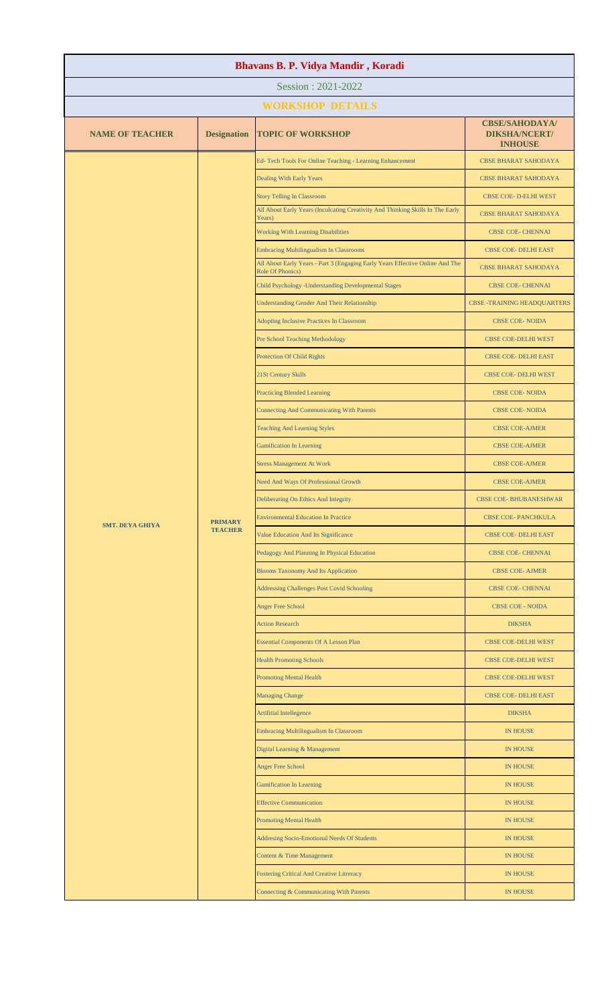| Bhavans B. P. Vidya Mandir, Koradi |                                  |                                                                                                                                 |                                                                 |  |
|------------------------------------|----------------------------------|---------------------------------------------------------------------------------------------------------------------------------|-----------------------------------------------------------------|--|
|                                    |                                  | Session: 2021-2022                                                                                                              |                                                                 |  |
|                                    |                                  | <b>WORKSHOP DETAILS</b>                                                                                                         |                                                                 |  |
| <b>NAME OF TEACHER</b>             | <b>Designation</b>               | <b>TOPIC OF WORKSHOP</b>                                                                                                        | <b>CBSE/SAHODAYA/</b><br><b>DIKSHA/NCERT/</b><br><b>INHOUSE</b> |  |
|                                    |                                  | Ed-Tech Tools For Online Teaching - Learning Enhancement                                                                        | <b>CBSE BHARAT SAHODAYA</b>                                     |  |
|                                    |                                  | Dealing With Early Years                                                                                                        | <b>CBSE BHARAT SAHODAYA</b>                                     |  |
|                                    |                                  | <b>Story Telling In Classroom</b><br>All About Early Years (Inculcating Creativity And Thinking Skills In The Early             | CBSE COE- D-ELHI WEST                                           |  |
|                                    |                                  | Years)                                                                                                                          | <b>CBSE BHARAT SAHODAYA</b>                                     |  |
|                                    |                                  | <b>Working With Learning Disabilities</b>                                                                                       | CBSE COE- CHENNAI                                               |  |
|                                    |                                  | <b>Embracing Multilingualism In Classrooms</b><br>All About Early Years - Part 3 (Engaging Early Years Effective Online And The | CBSE COE- DELHI EAST<br><b>CBSE BHARAT SAHODAYA</b>             |  |
|                                    |                                  | Role Of Phonics)<br>Child Psychology - Understanding Developmental Stages                                                       | CBSE COE- CHENNAI                                               |  |
|                                    |                                  | <b>Understanding Gender And Their Relationship</b>                                                                              | <b>CBSE -TRAINING HEADQUARTERS</b>                              |  |
|                                    |                                  | <b>Adopting Inclusive Practices In Classroom</b>                                                                                | <b>CBSE COE-NOIDA</b>                                           |  |
|                                    |                                  | <b>Pre School Teaching Methodology</b>                                                                                          | <b>CBSE COE-DELHI WEST</b>                                      |  |
|                                    |                                  | Protection Of Child Rights                                                                                                      | CBSE COE- DELHI EAST                                            |  |
|                                    |                                  | 21St Century Skills                                                                                                             | CBSE COE- DELHI WEST                                            |  |
|                                    |                                  | <b>Practicing Blended Learning</b>                                                                                              | <b>CBSE COE-NOIDA</b>                                           |  |
|                                    |                                  | <b>Connecting And Communicating With Parents</b>                                                                                | <b>CBSE COE-NOIDA</b>                                           |  |
|                                    |                                  | <b>Teaching And Learning Styles</b>                                                                                             | <b>CBSE COE-AJMER</b>                                           |  |
|                                    |                                  | <b>Gamification In Learning</b>                                                                                                 | <b>CBSE COE-AJMER</b>                                           |  |
| <b>SMT. DEYA GHIYA</b>             | <b>PRIMARY</b><br><b>TEACHER</b> | <b>Stress Management At Work</b>                                                                                                | <b>CBSE COE-AJMER</b>                                           |  |
|                                    |                                  | Need And Ways Of Professional Growth                                                                                            | <b>CBSE COE-AJMER</b>                                           |  |
|                                    |                                  | Deliberating On Ethics And Integrity                                                                                            | <b>CBSE COE- BHUBANESHWAR</b>                                   |  |
|                                    |                                  | <b>Environmental Education In Practice</b>                                                                                      | <b>CBSE COE-PANCHKULA</b>                                       |  |
|                                    |                                  | Value Education And Its Significance                                                                                            | <b>CBSE COE- DELHI EAST</b>                                     |  |
|                                    |                                  | Pedagogy And Planning In Physical Education<br><b>Blooms Taxonomy And Its Application</b>                                       | CBSE COE- CHENNAI<br><b>CBSE COE- AJMER</b>                     |  |
|                                    |                                  | <b>Addressing Challenges Post Covid Schooling</b>                                                                               | <b>CBSE COE- CHENNAI</b>                                        |  |
|                                    |                                  | <b>Anger Free School</b>                                                                                                        | CBSE COE - NOIDA                                                |  |
|                                    |                                  | <b>Action Research</b>                                                                                                          | <b>DIKSHA</b>                                                   |  |
|                                    |                                  | <b>Essential Components Of A Lesson Plan</b>                                                                                    | CBSE COE-DELHI WEST                                             |  |
|                                    |                                  | <b>Health Promoting Schools</b>                                                                                                 | CBSE COE-DELHI WEST                                             |  |
|                                    |                                  | <b>Promoting Mental Health</b>                                                                                                  | CBSE COE-DELHI WEST                                             |  |
|                                    |                                  | <b>Managing Change</b>                                                                                                          | CBSE COE- DELHI EAST                                            |  |
|                                    |                                  | Artifitial Intellegence                                                                                                         | <b>DIKSHA</b>                                                   |  |
|                                    |                                  | Embracing Multilingualism In Classroom                                                                                          | <b>IN HOUSE</b>                                                 |  |
|                                    |                                  | Digital Learning & Management                                                                                                   | <b>IN HOUSE</b>                                                 |  |
|                                    |                                  | <b>Anger Free School</b>                                                                                                        | <b>IN HOUSE</b>                                                 |  |
|                                    |                                  | <b>Gamification In Learning</b>                                                                                                 | <b>IN HOUSE</b>                                                 |  |
|                                    |                                  | <b>Effective Communication</b>                                                                                                  | <b>IN HOUSE</b>                                                 |  |
|                                    |                                  | <b>Promoting Mental Health</b>                                                                                                  | <b>IN HOUSE</b>                                                 |  |
|                                    |                                  | Addresing Socio-Emotional Needs Of Students                                                                                     | <b>IN HOUSE</b>                                                 |  |
|                                    |                                  | <b>Content &amp; Time Management</b>                                                                                            | <b>IN HOUSE</b>                                                 |  |
|                                    |                                  | <b>Fostering Critical And Creative Litreracy</b>                                                                                | <b>IN HOUSE</b>                                                 |  |
|                                    |                                  | Connecting & Communicating With Parents                                                                                         | <b>IN HOUSE</b>                                                 |  |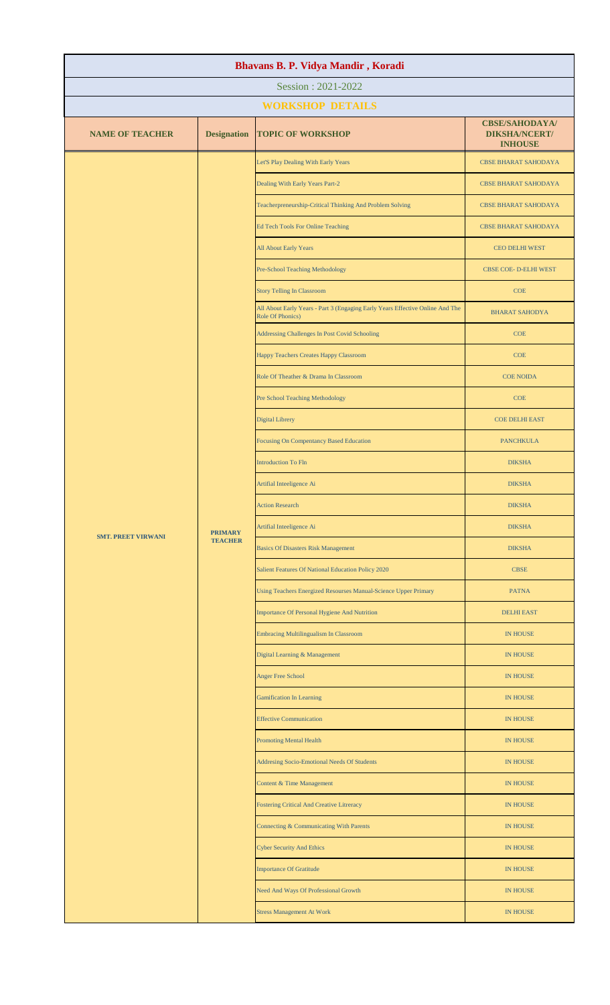| Bhavans B. P. Vidya Mandir, Koradi |                                  |                                                                                                   |                                                                 |  |  |  |
|------------------------------------|----------------------------------|---------------------------------------------------------------------------------------------------|-----------------------------------------------------------------|--|--|--|
|                                    | Session: 2021-2022               |                                                                                                   |                                                                 |  |  |  |
|                                    |                                  | <b>WORKSHOP DETAILS</b>                                                                           |                                                                 |  |  |  |
| <b>NAME OF TEACHER</b>             | <b>Designation</b>               | <b>TOPIC OF WORKSHOP</b>                                                                          | <b>CBSE/SAHODAYA/</b><br><b>DIKSHA/NCERT/</b><br><b>INHOUSE</b> |  |  |  |
|                                    |                                  | Let'S Play Dealing With Early Years                                                               | <b>CBSE BHARAT SAHODAYA</b>                                     |  |  |  |
|                                    |                                  | Dealing With Early Years Part-2                                                                   | <b>CBSE BHARAT SAHODAYA</b>                                     |  |  |  |
|                                    |                                  | Teacherpreneurship-Critical Thinking And Problem Solving                                          | <b>CBSE BHARAT SAHODAYA</b>                                     |  |  |  |
|                                    |                                  | <b>Ed Tech Tools For Online Teaching</b>                                                          | <b>CBSE BHARAT SAHODAYA</b>                                     |  |  |  |
|                                    |                                  | All About Early Years                                                                             | CEO DELHI WEST                                                  |  |  |  |
|                                    |                                  | Pre-School Teaching Methodology                                                                   | CBSE COE- D-ELHI WEST                                           |  |  |  |
|                                    |                                  | <b>Story Telling In Classroom</b>                                                                 | <b>COE</b>                                                      |  |  |  |
|                                    |                                  | All About Early Years - Part 3 (Engaging Early Years Effective Online And The<br>Role Of Phonics) | <b>BHARAT SAHODYA</b>                                           |  |  |  |
|                                    |                                  | Addressing Challenges In Post Covid Schooling                                                     | COE                                                             |  |  |  |
|                                    |                                  | Happy Teachers Creates Happy Classroom                                                            | <b>COE</b>                                                      |  |  |  |
|                                    |                                  | Role Of Theather & Drama In Classroom                                                             | <b>COE NOIDA</b>                                                |  |  |  |
|                                    |                                  | Pre School Teaching Methodology                                                                   | COE                                                             |  |  |  |
|                                    |                                  | <b>Digital Librery</b>                                                                            | <b>COE DELHI EAST</b>                                           |  |  |  |
|                                    |                                  | <b>Focusing On Compentancy Based Education</b>                                                    | <b>PANCHKULA</b>                                                |  |  |  |
|                                    | <b>PRIMARY</b><br><b>TEACHER</b> | <b>Introduction To Fln</b>                                                                        | <b>DIKSHA</b>                                                   |  |  |  |
|                                    |                                  | Artifial Inteeligence Ai                                                                          | <b>DIKSHA</b>                                                   |  |  |  |
|                                    |                                  | <b>Action Research</b>                                                                            | <b>DIKSHA</b>                                                   |  |  |  |
| <b>SMT. PREET VIRWANI</b>          |                                  | Artifial Inteeligence Ai                                                                          | <b>DIKSHA</b>                                                   |  |  |  |
|                                    |                                  | <b>Basics Of Disasters Risk Management</b>                                                        | <b>DIKSHA</b>                                                   |  |  |  |
|                                    |                                  | Salient Features Of National Education Policy 2020                                                | <b>CBSE</b>                                                     |  |  |  |
|                                    |                                  | Using Teachers Energized Resourses Manual-Science Upper Primary                                   | <b>PATNA</b>                                                    |  |  |  |
|                                    |                                  | Importance Of Personal Hygiene And Nutrition                                                      | <b>DELHI EAST</b>                                               |  |  |  |
|                                    |                                  | Embracing Multilingualism In Classroom                                                            | <b>IN HOUSE</b>                                                 |  |  |  |
|                                    |                                  | Digital Learning & Management                                                                     | <b>IN HOUSE</b>                                                 |  |  |  |
|                                    |                                  | <b>Anger Free School</b>                                                                          | <b>IN HOUSE</b>                                                 |  |  |  |
|                                    |                                  | <b>Gamification In Learning</b>                                                                   | <b>IN HOUSE</b>                                                 |  |  |  |
|                                    |                                  | <b>Effective Communication</b>                                                                    | <b>IN HOUSE</b>                                                 |  |  |  |
|                                    |                                  | <b>Promoting Mental Health</b>                                                                    | <b>IN HOUSE</b>                                                 |  |  |  |
|                                    |                                  | Addresing Socio-Emotional Needs Of Students                                                       | <b>IN HOUSE</b>                                                 |  |  |  |
|                                    |                                  | <b>Content &amp; Time Management</b>                                                              | <b>IN HOUSE</b>                                                 |  |  |  |
|                                    |                                  | Fostering Critical And Creative Litreracy                                                         | <b>IN HOUSE</b>                                                 |  |  |  |
|                                    |                                  | Connecting & Communicating With Parents                                                           | <b>IN HOUSE</b>                                                 |  |  |  |
|                                    |                                  | <b>Cyber Security And Ethics</b>                                                                  | <b>IN HOUSE</b>                                                 |  |  |  |
|                                    |                                  | <b>Importance Of Gratitude</b>                                                                    | <b>IN HOUSE</b>                                                 |  |  |  |
|                                    |                                  | Need And Ways Of Professional Growth                                                              | <b>IN HOUSE</b>                                                 |  |  |  |
|                                    |                                  | <b>Stress Management At Work</b>                                                                  | <b>IN HOUSE</b>                                                 |  |  |  |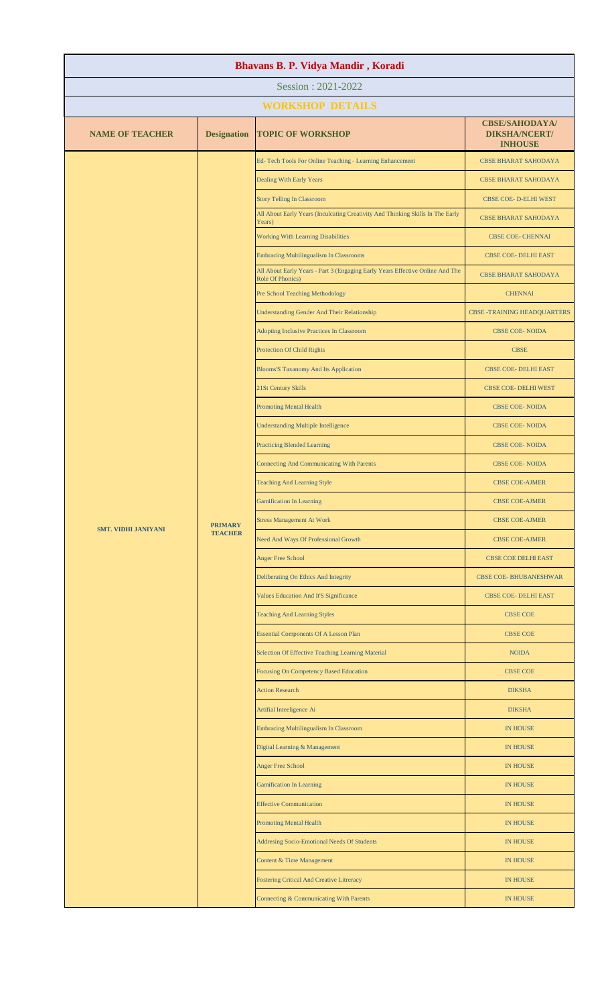| Bhavans B. P. Vidya Mandir, Koradi |                                  |                                                                                                   |                                                                 |  |
|------------------------------------|----------------------------------|---------------------------------------------------------------------------------------------------|-----------------------------------------------------------------|--|
| Session: 2021-2022                 |                                  |                                                                                                   |                                                                 |  |
|                                    |                                  | <b>WORKSHOP DETAILS</b>                                                                           |                                                                 |  |
| <b>NAME OF TEACHER</b>             | <b>Designation</b>               | <b>TOPIC OF WORKSHOP</b>                                                                          | <b>CBSE/SAHODAYA/</b><br><b>DIKSHA/NCERT/</b><br><b>INHOUSE</b> |  |
|                                    |                                  | Ed-Tech Tools For Online Teaching - Learning Enhancement                                          | <b>CBSE BHARAT SAHODAYA</b>                                     |  |
|                                    |                                  | Dealing With Early Years                                                                          | <b>CBSE BHARAT SAHODAYA</b>                                     |  |
|                                    |                                  | <b>Story Telling In Classroom</b>                                                                 | CBSE COE- D-ELHI WEST                                           |  |
|                                    |                                  | All About Early Years (Inculcating Creativity And Thinking Skills In The Early<br>Years)          | <b>CBSE BHARAT SAHODAYA</b>                                     |  |
|                                    |                                  | <b>Working With Learning Disabilities</b>                                                         | CBSE COE- CHENNAI                                               |  |
|                                    |                                  | <b>Embracing Multilingualism In Classrooms</b>                                                    | <b>CBSE COE- DELHI EAST</b>                                     |  |
|                                    |                                  | All About Early Years - Part 3 (Engaging Early Years Effective Online And The<br>Role Of Phonics) | <b>CBSE BHARAT SAHODAYA</b>                                     |  |
|                                    |                                  | Pre School Teaching Methodology                                                                   | <b>CHENNAI</b>                                                  |  |
|                                    |                                  | <b>Understanding Gender And Their Relationship</b>                                                | <b>CBSE -TRAINING HEADQUARTERS</b>                              |  |
|                                    |                                  | <b>Adopting Inclusive Practices In Classroom</b>                                                  | <b>CBSE COE-NOIDA</b>                                           |  |
|                                    |                                  | Protection Of Child Rights                                                                        | <b>CBSE</b>                                                     |  |
|                                    |                                  | <b>Blooms'S Taxanomy And Its Application</b>                                                      | CBSE COE- DELHI EAST                                            |  |
|                                    |                                  | 21St Century Skills                                                                               | CBSE COE- DELHI WEST                                            |  |
|                                    |                                  | <b>Promoting Mental Health</b>                                                                    | CBSE COE-NOIDA                                                  |  |
|                                    |                                  | <b>Understanding Multiple Intelligence</b>                                                        | CBSE COE-NOIDA                                                  |  |
|                                    |                                  | <b>Practicing Blended Learning</b>                                                                | <b>CBSE COE-NOIDA</b>                                           |  |
|                                    | <b>PRIMARY</b><br><b>TEACHER</b> | <b>Connecting And Communicating With Parents</b>                                                  | CBSE COE-NOIDA                                                  |  |
| <b>SMT. VIDHI JANIYANI</b>         |                                  | <b>Teaching And Learning Style</b>                                                                | <b>CBSE COE-AJMER</b>                                           |  |
|                                    |                                  | <b>Gamification In Learning</b>                                                                   | <b>CBSE COE-AJMER</b>                                           |  |
|                                    |                                  | <b>Stress Management At Work</b>                                                                  | <b>CBSE COE-AJMER</b>                                           |  |
|                                    |                                  | Need And Ways Of Professional Growth                                                              | <b>CBSE COE-AJMER</b>                                           |  |
|                                    |                                  | <b>Anger Free School</b>                                                                          | CBSE COE DELHI EAST                                             |  |
|                                    |                                  | Deliberating On Ethics And Integrity                                                              | <b>CBSE COE- BHUBANESHWAR</b>                                   |  |
|                                    |                                  | Values Education And It'S Significance                                                            | CBSE COE- DELHI EAST                                            |  |
|                                    |                                  | <b>Teaching And Learning Styles</b>                                                               | <b>CBSE COE</b>                                                 |  |
|                                    |                                  | <b>Essential Components Of A Lesson Plan</b>                                                      | <b>CBSE COE</b>                                                 |  |
|                                    |                                  | Selection Of Effective Teaching Learning Material                                                 | <b>NOIDA</b>                                                    |  |
|                                    |                                  | Focusing On Competency Based Education                                                            | <b>CBSE COE</b>                                                 |  |
|                                    |                                  | <b>Action Research</b>                                                                            | <b>DIKSHA</b>                                                   |  |
|                                    |                                  | Artifial Inteeligence Ai                                                                          | <b>DIKSHA</b>                                                   |  |
|                                    |                                  | <b>Embracing Multilingualism In Classroom</b>                                                     | <b>IN HOUSE</b>                                                 |  |
|                                    |                                  | Digital Learning & Management                                                                     | <b>IN HOUSE</b>                                                 |  |
|                                    |                                  | <b>Anger Free School</b>                                                                          | <b>IN HOUSE</b>                                                 |  |
|                                    |                                  | <b>Gamification In Learning</b>                                                                   | <b>IN HOUSE</b>                                                 |  |
|                                    |                                  | <b>Effective Communication</b>                                                                    | <b>IN HOUSE</b>                                                 |  |
|                                    |                                  | <b>Promoting Mental Health</b>                                                                    | <b>IN HOUSE</b>                                                 |  |
|                                    |                                  | <b>Addresing Socio-Emotional Needs Of Students</b>                                                | <b>IN HOUSE</b>                                                 |  |
|                                    |                                  | Content & Time Management                                                                         | <b>IN HOUSE</b>                                                 |  |
|                                    |                                  | <b>Fostering Critical And Creative Litreracy</b>                                                  | <b>IN HOUSE</b>                                                 |  |
|                                    |                                  | Connecting & Communicating With Parents                                                           | <b>IN HOUSE</b>                                                 |  |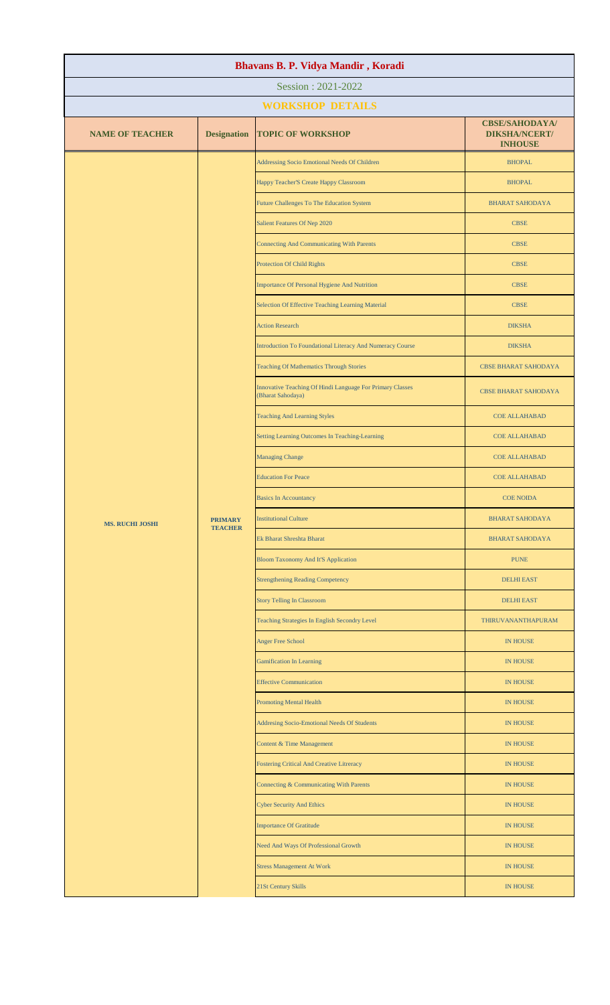| Bhavans B. P. Vidya Mandir, Koradi |                                  |                                                                                |                                                                 |  |  |
|------------------------------------|----------------------------------|--------------------------------------------------------------------------------|-----------------------------------------------------------------|--|--|
| Session: 2021-2022                 |                                  |                                                                                |                                                                 |  |  |
|                                    |                                  | <b>WORKSHOP DETAILS</b>                                                        |                                                                 |  |  |
| <b>NAME OF TEACHER</b>             | <b>Designation</b>               | <b>TOPIC OF WORKSHOP</b>                                                       | <b>CBSE/SAHODAYA/</b><br><b>DIKSHA/NCERT/</b><br><b>INHOUSE</b> |  |  |
|                                    |                                  | Addressing Socio Emotional Needs Of Children                                   | <b>BHOPAL</b>                                                   |  |  |
|                                    |                                  | Happy Teacher'S Create Happy Classroom                                         | <b>BHOPAL</b>                                                   |  |  |
|                                    |                                  | Future Challenges To The Education System                                      | <b>BHARAT SAHODAYA</b>                                          |  |  |
|                                    |                                  | Salient Features Of Nep 2020                                                   | <b>CBSE</b>                                                     |  |  |
|                                    |                                  | <b>Connecting And Communicating With Parents</b>                               | <b>CBSE</b>                                                     |  |  |
|                                    |                                  | Protection Of Child Rights                                                     | <b>CBSE</b>                                                     |  |  |
|                                    |                                  | Importance Of Personal Hygiene And Nutrition                                   | <b>CBSE</b>                                                     |  |  |
|                                    |                                  | Selection Of Effective Teaching Learning Material                              | <b>CBSE</b>                                                     |  |  |
|                                    |                                  | <b>Action Research</b>                                                         | <b>DIKSHA</b>                                                   |  |  |
|                                    |                                  | Introduction To Foundational Literacy And Numeracy Course                      | <b>DIKSHA</b>                                                   |  |  |
|                                    |                                  | <b>Teaching Of Mathematics Through Stories</b>                                 | <b>CBSE BHARAT SAHODAYA</b>                                     |  |  |
|                                    |                                  | Innovative Teaching Of Hindi Language For Primary Classes<br>(Bharat Sahodaya) | <b>CBSE BHARAT SAHODAYA</b>                                     |  |  |
|                                    |                                  | <b>Teaching And Learning Styles</b>                                            | <b>COE ALLAHABAD</b>                                            |  |  |
|                                    | <b>PRIMARY</b><br><b>TEACHER</b> | Setting Learning Outcomes In Teaching-Learning                                 | <b>COE ALLAHABAD</b>                                            |  |  |
|                                    |                                  | <b>Managing Change</b>                                                         | <b>COE ALLAHABAD</b>                                            |  |  |
| <b>MS. RUCHI JOSHI</b>             |                                  | <b>Education For Peace</b>                                                     | <b>COE ALLAHABAD</b>                                            |  |  |
|                                    |                                  | <b>Basics In Accountancy</b>                                                   | <b>COE NOIDA</b>                                                |  |  |
|                                    |                                  | <b>Institutional Culture</b>                                                   | <b>BHARAT SAHODAYA</b>                                          |  |  |
|                                    |                                  | Ek Bharat Shreshta Bharat                                                      | <b>BHARAT SAHODAYA</b>                                          |  |  |
|                                    |                                  | <b>Bloom Taxonomy And It'S Application</b>                                     | <b>PUNE</b>                                                     |  |  |
|                                    |                                  | <b>Strengthening Reading Competency</b>                                        | <b>DELHI EAST</b>                                               |  |  |
|                                    |                                  | <b>Story Telling In Classroom</b>                                              | <b>DELHI EAST</b>                                               |  |  |
|                                    |                                  | Teaching Strategies In English Secondry Level                                  | THIRUVANANTHAPURAM                                              |  |  |
|                                    |                                  | Anger Free School                                                              | <b>IN HOUSE</b>                                                 |  |  |
|                                    |                                  | <b>Gamification In Learning</b>                                                | <b>IN HOUSE</b>                                                 |  |  |
|                                    |                                  | <b>Effective Communication</b>                                                 | <b>IN HOUSE</b>                                                 |  |  |
|                                    |                                  | <b>Promoting Mental Health</b>                                                 | <b>IN HOUSE</b>                                                 |  |  |
|                                    |                                  | Addresing Socio-Emotional Needs Of Students                                    | IN HOUSE                                                        |  |  |
|                                    |                                  | Content & Time Management                                                      | <b>IN HOUSE</b>                                                 |  |  |
|                                    |                                  | <b>Fostering Critical And Creative Litreracy</b>                               | <b>IN HOUSE</b>                                                 |  |  |
|                                    |                                  | Connecting & Communicating With Parents                                        | IN HOUSE                                                        |  |  |
|                                    |                                  | <b>Cyber Security And Ethics</b>                                               | <b>IN HOUSE</b>                                                 |  |  |
|                                    |                                  | <b>Importance Of Gratitude</b>                                                 | <b>IN HOUSE</b>                                                 |  |  |
|                                    |                                  | Need And Ways Of Professional Growth                                           | <b>IN HOUSE</b>                                                 |  |  |
|                                    |                                  | <b>Stress Management At Work</b>                                               | <b>IN HOUSE</b>                                                 |  |  |
|                                    |                                  | 21St Century Skills                                                            | <b>IN HOUSE</b>                                                 |  |  |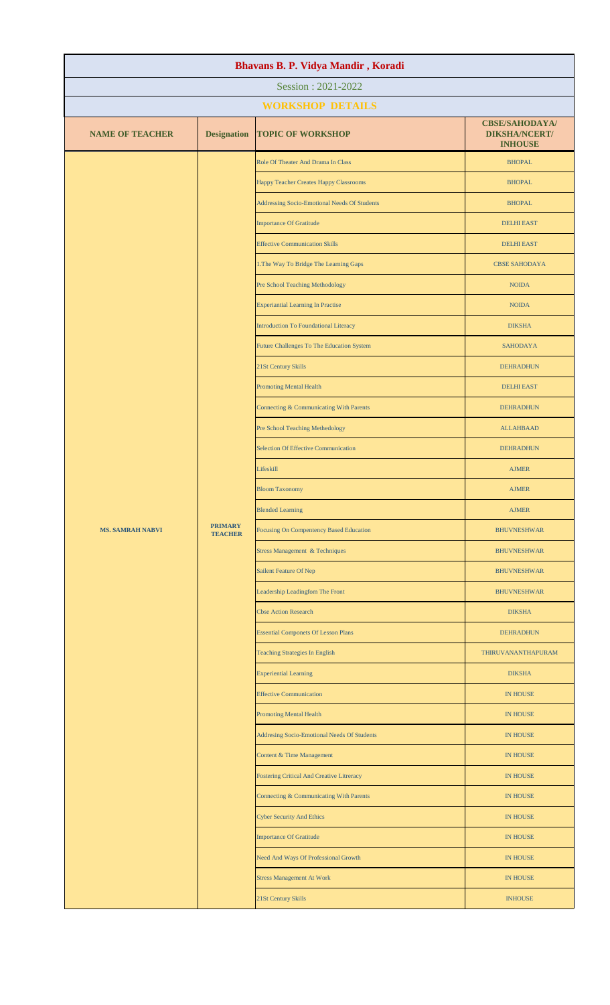| Bhavans B. P. Vidya Mandir, Koradi |                                  |                                                  |                                                                 |  |
|------------------------------------|----------------------------------|--------------------------------------------------|-----------------------------------------------------------------|--|
| Session: 2021-2022                 |                                  |                                                  |                                                                 |  |
|                                    |                                  | <b>WORKSHOP DETAILS</b>                          |                                                                 |  |
| <b>NAME OF TEACHER</b>             | <b>Designation</b>               | <b>TOPIC OF WORKSHOP</b>                         | <b>CBSE/SAHODAYA/</b><br><b>DIKSHA/NCERT/</b><br><b>INHOUSE</b> |  |
|                                    |                                  | Role Of Theater And Drama In Class               | <b>BHOPAL</b>                                                   |  |
|                                    |                                  | Happy Teacher Creates Happy Classrooms           | <b>BHOPAL</b>                                                   |  |
|                                    |                                  | Addressing Socio-Emotional Needs Of Students     | <b>BHOPAL</b>                                                   |  |
|                                    |                                  | <b>Importance Of Gratitude</b>                   | <b>DELHI EAST</b>                                               |  |
|                                    |                                  | <b>Effective Communication Skills</b>            | <b>DELHI EAST</b>                                               |  |
|                                    |                                  | 1. The Way To Bridge The Learning Gaps           | <b>CBSE SAHODAYA</b>                                            |  |
|                                    |                                  | Pre School Teaching Methodology                  | <b>NOIDA</b>                                                    |  |
|                                    |                                  | <b>Experiantial Learning In Practise</b>         | <b>NOIDA</b>                                                    |  |
|                                    |                                  | <b>Introduction To Foundational Literacy</b>     | <b>DIKSHA</b>                                                   |  |
|                                    |                                  | Future Challenges To The Education System        | <b>SAHODAYA</b>                                                 |  |
|                                    |                                  | 21St Century Skills                              | <b>DEHRADHUN</b>                                                |  |
|                                    |                                  | <b>Promoting Mental Health</b>                   | <b>DELHI EAST</b>                                               |  |
|                                    |                                  | Connecting & Communicating With Parents          | <b>DEHRADHUN</b>                                                |  |
|                                    |                                  | Pre School Teaching Methedology                  | <b>ALLAHBAAD</b>                                                |  |
|                                    | <b>PRIMARY</b><br><b>TEACHER</b> | <b>Selection Of Effective Communication</b>      | <b>DEHRADHUN</b>                                                |  |
| <b>MS. SAMRAH NABVI</b>            |                                  | Lifeskill                                        | <b>AJMER</b>                                                    |  |
|                                    |                                  | <b>Bloom Taxonomy</b>                            | <b>AJMER</b>                                                    |  |
|                                    |                                  | <b>Blended Learning</b>                          | <b>AJMER</b>                                                    |  |
|                                    |                                  | <b>Focusing On Compentency Based Education</b>   | <b>BHUVNESHWAR</b>                                              |  |
|                                    |                                  | <b>Stress Management &amp; Techniques</b>        | <b>BHUVNESHWAR</b>                                              |  |
|                                    |                                  | Sailent Feature Of Nep                           | <b>BHUVNESHWAR</b>                                              |  |
|                                    |                                  | Leadership Leadingfom The Front                  | <b>BHUVNESHWAR</b>                                              |  |
|                                    |                                  | <b>Cbse Action Research</b>                      | <b>DIKSHA</b>                                                   |  |
|                                    |                                  | <b>Essential Componets Of Lesson Plans</b>       | <b>DEHRADHUN</b>                                                |  |
|                                    |                                  | <b>Teaching Strategies In English</b>            | THIRUVANANTHAPURAM                                              |  |
|                                    |                                  | <b>Experiential Learning</b>                     | <b>DIKSHA</b>                                                   |  |
|                                    |                                  | <b>Effective Communication</b>                   | IN HOUSE                                                        |  |
|                                    |                                  | <b>Promoting Mental Health</b>                   | IN HOUSE                                                        |  |
|                                    |                                  | Addresing Socio-Emotional Needs Of Students      | <b>IN HOUSE</b>                                                 |  |
|                                    |                                  | Content & Time Management                        | IN HOUSE                                                        |  |
|                                    |                                  | <b>Fostering Critical And Creative Litreracy</b> | IN HOUSE                                                        |  |
|                                    |                                  | Connecting & Communicating With Parents          | IN HOUSE                                                        |  |
|                                    |                                  | <b>Cyber Security And Ethics</b>                 | IN HOUSE                                                        |  |
|                                    |                                  | <b>Importance Of Gratitude</b>                   | IN HOUSE                                                        |  |
|                                    |                                  | Need And Ways Of Professional Growth             | <b>IN HOUSE</b>                                                 |  |
|                                    |                                  | <b>Stress Management At Work</b>                 | <b>IN HOUSE</b>                                                 |  |
|                                    |                                  | 21St Century Skills                              | <b>INHOUSE</b>                                                  |  |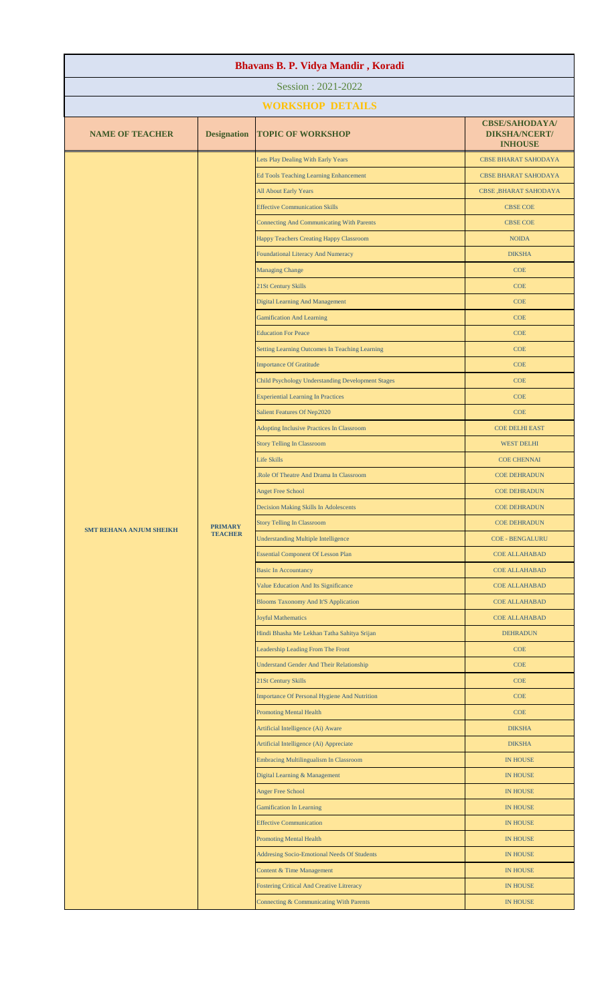| Session: 2021-2022<br><b>WORKSHOP DETAILS</b><br><b>CBSE/SAHODAYA/</b><br><b>NAME OF TEACHER</b><br><b>Designation</b><br><b>TOPIC OF WORKSHOP</b><br><b>DIKSHA/NCERT/</b><br><b>INHOUSE</b><br>Lets Play Dealing With Early Years<br><b>CBSE BHARAT SAHODAYA</b><br>Ed Tools Teaching Learning Enhancement<br><b>CBSE BHARAT SAHODAYA</b><br>All About Early Years<br><b>CBSE, BHARAT SAHODAYA</b><br><b>Effective Communication Skills</b><br><b>CBSE COE</b><br><b>Connecting And Communicating With Parents</b><br><b>CBSE COE</b><br>Happy Teachers Creating Happy Classroom<br><b>NOIDA</b><br><b>Foundational Literacy And Numeracy</b><br><b>DIKSHA</b><br><b>Managing Change</b><br>COE<br>21St Century Skills<br><b>COE</b><br><b>Digital Learning And Management</b><br><b>COE</b><br><b>Gamification And Learning</b><br><b>COE</b><br><b>Education For Peace</b><br><b>COE</b><br>Setting Learning Outcomes In Teaching Learning<br><b>COE</b><br><b>Importance Of Gratitude</b><br><b>COE</b><br>Child Psychology Understanding Development Stages<br><b>COE</b><br><b>Experiential Learning In Practices</b><br><b>COE</b><br>Salient Features Of Nep2020<br>COE<br><b>Adopting Inclusive Practices In Classroom</b><br><b>COE DELHI EAST</b><br><b>Story Telling In Classroom</b><br><b>WEST DELHI</b><br><b>Life Skills</b><br><b>COE CHENNAI</b><br>Role Of Theatre And Drama In Classroom<br><b>COE DEHRADUN</b><br><b>Anget Free School</b><br><b>COE DEHRADUN</b><br><b>Decision Making Skills In Adolescents</b><br><b>COE DEHRADUN</b><br><b>Story Telling In Classroom</b><br><b>COE DEHRADUN</b><br><b>PRIMARY</b><br><b>SMT REHANA ANJUM SHEIKH</b><br><b>TEACHER</b><br><b>Understanding Multiple Intelligence</b><br><b>COE - BENGALURU</b><br><b>Essential Component Of Lesson Plan</b><br><b>COE ALLAHABAD</b><br><b>Basic In Accountancy</b><br><b>COE ALLAHABAD</b><br>Value Education And Its Significance<br>COE ALLAHABAD<br><b>Blooms Taxonomy And It'S Application</b><br><b>COE ALLAHABAD</b><br><b>Joyful Mathematics</b><br><b>COE ALLAHABAD</b><br>Hindi Bhasha Me Lekhan Tatha Sahitya Srijan<br><b>DEHRADUN</b><br>Leadership Leading From The Front<br><b>COE</b><br><b>Understand Gender And Their Relationship</b><br>COE<br>21St Century Skills<br>COE<br>Importance Of Personal Hygiene And Nutrition<br>COE<br><b>Promoting Mental Health</b><br><b>COE</b><br>Artificial Intelligence (Ai) Aware<br><b>DIKSHA</b><br>Artificial Intelligence (Ai) Appreciate<br><b>DIKSHA</b><br>Embracing Multilingualism In Classroom<br><b>IN HOUSE</b><br>Digital Learning & Management<br><b>IN HOUSE</b><br><b>Anger Free School</b><br><b>IN HOUSE</b><br><b>Gamification In Learning</b><br>IN HOUSE<br><b>Effective Communication</b><br><b>IN HOUSE</b><br><b>Promoting Mental Health</b><br>IN HOUSE<br><b>Addresing Socio-Emotional Needs Of Students</b><br><b>IN HOUSE</b><br>Content & Time Management<br><b>IN HOUSE</b><br><b>Fostering Critical And Creative Litreracy</b><br>IN HOUSE<br>Connecting & Communicating With Parents<br><b>IN HOUSE</b> | Bhavans B. P. Vidya Mandir, Koradi |  |  |  |  |
|----------------------------------------------------------------------------------------------------------------------------------------------------------------------------------------------------------------------------------------------------------------------------------------------------------------------------------------------------------------------------------------------------------------------------------------------------------------------------------------------------------------------------------------------------------------------------------------------------------------------------------------------------------------------------------------------------------------------------------------------------------------------------------------------------------------------------------------------------------------------------------------------------------------------------------------------------------------------------------------------------------------------------------------------------------------------------------------------------------------------------------------------------------------------------------------------------------------------------------------------------------------------------------------------------------------------------------------------------------------------------------------------------------------------------------------------------------------------------------------------------------------------------------------------------------------------------------------------------------------------------------------------------------------------------------------------------------------------------------------------------------------------------------------------------------------------------------------------------------------------------------------------------------------------------------------------------------------------------------------------------------------------------------------------------------------------------------------------------------------------------------------------------------------------------------------------------------------------------------------------------------------------------------------------------------------------------------------------------------------------------------------------------------------------------------------------------------------------------------------------------------------------------------------------------------------------------------------------------------------------------------------------------------------------------------------------------------------------------------------------------------------------------------------------------------------------------------------------------------------------------------------------------------------------------------------------------------------------------------------------------------------------------------------------------------------------------------------------------------|------------------------------------|--|--|--|--|
|                                                                                                                                                                                                                                                                                                                                                                                                                                                                                                                                                                                                                                                                                                                                                                                                                                                                                                                                                                                                                                                                                                                                                                                                                                                                                                                                                                                                                                                                                                                                                                                                                                                                                                                                                                                                                                                                                                                                                                                                                                                                                                                                                                                                                                                                                                                                                                                                                                                                                                                                                                                                                                                                                                                                                                                                                                                                                                                                                                                                                                                                                                          |                                    |  |  |  |  |
|                                                                                                                                                                                                                                                                                                                                                                                                                                                                                                                                                                                                                                                                                                                                                                                                                                                                                                                                                                                                                                                                                                                                                                                                                                                                                                                                                                                                                                                                                                                                                                                                                                                                                                                                                                                                                                                                                                                                                                                                                                                                                                                                                                                                                                                                                                                                                                                                                                                                                                                                                                                                                                                                                                                                                                                                                                                                                                                                                                                                                                                                                                          |                                    |  |  |  |  |
|                                                                                                                                                                                                                                                                                                                                                                                                                                                                                                                                                                                                                                                                                                                                                                                                                                                                                                                                                                                                                                                                                                                                                                                                                                                                                                                                                                                                                                                                                                                                                                                                                                                                                                                                                                                                                                                                                                                                                                                                                                                                                                                                                                                                                                                                                                                                                                                                                                                                                                                                                                                                                                                                                                                                                                                                                                                                                                                                                                                                                                                                                                          |                                    |  |  |  |  |
|                                                                                                                                                                                                                                                                                                                                                                                                                                                                                                                                                                                                                                                                                                                                                                                                                                                                                                                                                                                                                                                                                                                                                                                                                                                                                                                                                                                                                                                                                                                                                                                                                                                                                                                                                                                                                                                                                                                                                                                                                                                                                                                                                                                                                                                                                                                                                                                                                                                                                                                                                                                                                                                                                                                                                                                                                                                                                                                                                                                                                                                                                                          |                                    |  |  |  |  |
|                                                                                                                                                                                                                                                                                                                                                                                                                                                                                                                                                                                                                                                                                                                                                                                                                                                                                                                                                                                                                                                                                                                                                                                                                                                                                                                                                                                                                                                                                                                                                                                                                                                                                                                                                                                                                                                                                                                                                                                                                                                                                                                                                                                                                                                                                                                                                                                                                                                                                                                                                                                                                                                                                                                                                                                                                                                                                                                                                                                                                                                                                                          |                                    |  |  |  |  |
|                                                                                                                                                                                                                                                                                                                                                                                                                                                                                                                                                                                                                                                                                                                                                                                                                                                                                                                                                                                                                                                                                                                                                                                                                                                                                                                                                                                                                                                                                                                                                                                                                                                                                                                                                                                                                                                                                                                                                                                                                                                                                                                                                                                                                                                                                                                                                                                                                                                                                                                                                                                                                                                                                                                                                                                                                                                                                                                                                                                                                                                                                                          |                                    |  |  |  |  |
|                                                                                                                                                                                                                                                                                                                                                                                                                                                                                                                                                                                                                                                                                                                                                                                                                                                                                                                                                                                                                                                                                                                                                                                                                                                                                                                                                                                                                                                                                                                                                                                                                                                                                                                                                                                                                                                                                                                                                                                                                                                                                                                                                                                                                                                                                                                                                                                                                                                                                                                                                                                                                                                                                                                                                                                                                                                                                                                                                                                                                                                                                                          |                                    |  |  |  |  |
|                                                                                                                                                                                                                                                                                                                                                                                                                                                                                                                                                                                                                                                                                                                                                                                                                                                                                                                                                                                                                                                                                                                                                                                                                                                                                                                                                                                                                                                                                                                                                                                                                                                                                                                                                                                                                                                                                                                                                                                                                                                                                                                                                                                                                                                                                                                                                                                                                                                                                                                                                                                                                                                                                                                                                                                                                                                                                                                                                                                                                                                                                                          |                                    |  |  |  |  |
|                                                                                                                                                                                                                                                                                                                                                                                                                                                                                                                                                                                                                                                                                                                                                                                                                                                                                                                                                                                                                                                                                                                                                                                                                                                                                                                                                                                                                                                                                                                                                                                                                                                                                                                                                                                                                                                                                                                                                                                                                                                                                                                                                                                                                                                                                                                                                                                                                                                                                                                                                                                                                                                                                                                                                                                                                                                                                                                                                                                                                                                                                                          |                                    |  |  |  |  |
|                                                                                                                                                                                                                                                                                                                                                                                                                                                                                                                                                                                                                                                                                                                                                                                                                                                                                                                                                                                                                                                                                                                                                                                                                                                                                                                                                                                                                                                                                                                                                                                                                                                                                                                                                                                                                                                                                                                                                                                                                                                                                                                                                                                                                                                                                                                                                                                                                                                                                                                                                                                                                                                                                                                                                                                                                                                                                                                                                                                                                                                                                                          |                                    |  |  |  |  |
|                                                                                                                                                                                                                                                                                                                                                                                                                                                                                                                                                                                                                                                                                                                                                                                                                                                                                                                                                                                                                                                                                                                                                                                                                                                                                                                                                                                                                                                                                                                                                                                                                                                                                                                                                                                                                                                                                                                                                                                                                                                                                                                                                                                                                                                                                                                                                                                                                                                                                                                                                                                                                                                                                                                                                                                                                                                                                                                                                                                                                                                                                                          |                                    |  |  |  |  |
|                                                                                                                                                                                                                                                                                                                                                                                                                                                                                                                                                                                                                                                                                                                                                                                                                                                                                                                                                                                                                                                                                                                                                                                                                                                                                                                                                                                                                                                                                                                                                                                                                                                                                                                                                                                                                                                                                                                                                                                                                                                                                                                                                                                                                                                                                                                                                                                                                                                                                                                                                                                                                                                                                                                                                                                                                                                                                                                                                                                                                                                                                                          |                                    |  |  |  |  |
|                                                                                                                                                                                                                                                                                                                                                                                                                                                                                                                                                                                                                                                                                                                                                                                                                                                                                                                                                                                                                                                                                                                                                                                                                                                                                                                                                                                                                                                                                                                                                                                                                                                                                                                                                                                                                                                                                                                                                                                                                                                                                                                                                                                                                                                                                                                                                                                                                                                                                                                                                                                                                                                                                                                                                                                                                                                                                                                                                                                                                                                                                                          |                                    |  |  |  |  |
|                                                                                                                                                                                                                                                                                                                                                                                                                                                                                                                                                                                                                                                                                                                                                                                                                                                                                                                                                                                                                                                                                                                                                                                                                                                                                                                                                                                                                                                                                                                                                                                                                                                                                                                                                                                                                                                                                                                                                                                                                                                                                                                                                                                                                                                                                                                                                                                                                                                                                                                                                                                                                                                                                                                                                                                                                                                                                                                                                                                                                                                                                                          |                                    |  |  |  |  |
|                                                                                                                                                                                                                                                                                                                                                                                                                                                                                                                                                                                                                                                                                                                                                                                                                                                                                                                                                                                                                                                                                                                                                                                                                                                                                                                                                                                                                                                                                                                                                                                                                                                                                                                                                                                                                                                                                                                                                                                                                                                                                                                                                                                                                                                                                                                                                                                                                                                                                                                                                                                                                                                                                                                                                                                                                                                                                                                                                                                                                                                                                                          |                                    |  |  |  |  |
|                                                                                                                                                                                                                                                                                                                                                                                                                                                                                                                                                                                                                                                                                                                                                                                                                                                                                                                                                                                                                                                                                                                                                                                                                                                                                                                                                                                                                                                                                                                                                                                                                                                                                                                                                                                                                                                                                                                                                                                                                                                                                                                                                                                                                                                                                                                                                                                                                                                                                                                                                                                                                                                                                                                                                                                                                                                                                                                                                                                                                                                                                                          |                                    |  |  |  |  |
|                                                                                                                                                                                                                                                                                                                                                                                                                                                                                                                                                                                                                                                                                                                                                                                                                                                                                                                                                                                                                                                                                                                                                                                                                                                                                                                                                                                                                                                                                                                                                                                                                                                                                                                                                                                                                                                                                                                                                                                                                                                                                                                                                                                                                                                                                                                                                                                                                                                                                                                                                                                                                                                                                                                                                                                                                                                                                                                                                                                                                                                                                                          |                                    |  |  |  |  |
|                                                                                                                                                                                                                                                                                                                                                                                                                                                                                                                                                                                                                                                                                                                                                                                                                                                                                                                                                                                                                                                                                                                                                                                                                                                                                                                                                                                                                                                                                                                                                                                                                                                                                                                                                                                                                                                                                                                                                                                                                                                                                                                                                                                                                                                                                                                                                                                                                                                                                                                                                                                                                                                                                                                                                                                                                                                                                                                                                                                                                                                                                                          |                                    |  |  |  |  |
|                                                                                                                                                                                                                                                                                                                                                                                                                                                                                                                                                                                                                                                                                                                                                                                                                                                                                                                                                                                                                                                                                                                                                                                                                                                                                                                                                                                                                                                                                                                                                                                                                                                                                                                                                                                                                                                                                                                                                                                                                                                                                                                                                                                                                                                                                                                                                                                                                                                                                                                                                                                                                                                                                                                                                                                                                                                                                                                                                                                                                                                                                                          |                                    |  |  |  |  |
|                                                                                                                                                                                                                                                                                                                                                                                                                                                                                                                                                                                                                                                                                                                                                                                                                                                                                                                                                                                                                                                                                                                                                                                                                                                                                                                                                                                                                                                                                                                                                                                                                                                                                                                                                                                                                                                                                                                                                                                                                                                                                                                                                                                                                                                                                                                                                                                                                                                                                                                                                                                                                                                                                                                                                                                                                                                                                                                                                                                                                                                                                                          |                                    |  |  |  |  |
|                                                                                                                                                                                                                                                                                                                                                                                                                                                                                                                                                                                                                                                                                                                                                                                                                                                                                                                                                                                                                                                                                                                                                                                                                                                                                                                                                                                                                                                                                                                                                                                                                                                                                                                                                                                                                                                                                                                                                                                                                                                                                                                                                                                                                                                                                                                                                                                                                                                                                                                                                                                                                                                                                                                                                                                                                                                                                                                                                                                                                                                                                                          |                                    |  |  |  |  |
|                                                                                                                                                                                                                                                                                                                                                                                                                                                                                                                                                                                                                                                                                                                                                                                                                                                                                                                                                                                                                                                                                                                                                                                                                                                                                                                                                                                                                                                                                                                                                                                                                                                                                                                                                                                                                                                                                                                                                                                                                                                                                                                                                                                                                                                                                                                                                                                                                                                                                                                                                                                                                                                                                                                                                                                                                                                                                                                                                                                                                                                                                                          |                                    |  |  |  |  |
|                                                                                                                                                                                                                                                                                                                                                                                                                                                                                                                                                                                                                                                                                                                                                                                                                                                                                                                                                                                                                                                                                                                                                                                                                                                                                                                                                                                                                                                                                                                                                                                                                                                                                                                                                                                                                                                                                                                                                                                                                                                                                                                                                                                                                                                                                                                                                                                                                                                                                                                                                                                                                                                                                                                                                                                                                                                                                                                                                                                                                                                                                                          |                                    |  |  |  |  |
|                                                                                                                                                                                                                                                                                                                                                                                                                                                                                                                                                                                                                                                                                                                                                                                                                                                                                                                                                                                                                                                                                                                                                                                                                                                                                                                                                                                                                                                                                                                                                                                                                                                                                                                                                                                                                                                                                                                                                                                                                                                                                                                                                                                                                                                                                                                                                                                                                                                                                                                                                                                                                                                                                                                                                                                                                                                                                                                                                                                                                                                                                                          |                                    |  |  |  |  |
|                                                                                                                                                                                                                                                                                                                                                                                                                                                                                                                                                                                                                                                                                                                                                                                                                                                                                                                                                                                                                                                                                                                                                                                                                                                                                                                                                                                                                                                                                                                                                                                                                                                                                                                                                                                                                                                                                                                                                                                                                                                                                                                                                                                                                                                                                                                                                                                                                                                                                                                                                                                                                                                                                                                                                                                                                                                                                                                                                                                                                                                                                                          |                                    |  |  |  |  |
|                                                                                                                                                                                                                                                                                                                                                                                                                                                                                                                                                                                                                                                                                                                                                                                                                                                                                                                                                                                                                                                                                                                                                                                                                                                                                                                                                                                                                                                                                                                                                                                                                                                                                                                                                                                                                                                                                                                                                                                                                                                                                                                                                                                                                                                                                                                                                                                                                                                                                                                                                                                                                                                                                                                                                                                                                                                                                                                                                                                                                                                                                                          |                                    |  |  |  |  |
|                                                                                                                                                                                                                                                                                                                                                                                                                                                                                                                                                                                                                                                                                                                                                                                                                                                                                                                                                                                                                                                                                                                                                                                                                                                                                                                                                                                                                                                                                                                                                                                                                                                                                                                                                                                                                                                                                                                                                                                                                                                                                                                                                                                                                                                                                                                                                                                                                                                                                                                                                                                                                                                                                                                                                                                                                                                                                                                                                                                                                                                                                                          |                                    |  |  |  |  |
|                                                                                                                                                                                                                                                                                                                                                                                                                                                                                                                                                                                                                                                                                                                                                                                                                                                                                                                                                                                                                                                                                                                                                                                                                                                                                                                                                                                                                                                                                                                                                                                                                                                                                                                                                                                                                                                                                                                                                                                                                                                                                                                                                                                                                                                                                                                                                                                                                                                                                                                                                                                                                                                                                                                                                                                                                                                                                                                                                                                                                                                                                                          |                                    |  |  |  |  |
|                                                                                                                                                                                                                                                                                                                                                                                                                                                                                                                                                                                                                                                                                                                                                                                                                                                                                                                                                                                                                                                                                                                                                                                                                                                                                                                                                                                                                                                                                                                                                                                                                                                                                                                                                                                                                                                                                                                                                                                                                                                                                                                                                                                                                                                                                                                                                                                                                                                                                                                                                                                                                                                                                                                                                                                                                                                                                                                                                                                                                                                                                                          |                                    |  |  |  |  |
|                                                                                                                                                                                                                                                                                                                                                                                                                                                                                                                                                                                                                                                                                                                                                                                                                                                                                                                                                                                                                                                                                                                                                                                                                                                                                                                                                                                                                                                                                                                                                                                                                                                                                                                                                                                                                                                                                                                                                                                                                                                                                                                                                                                                                                                                                                                                                                                                                                                                                                                                                                                                                                                                                                                                                                                                                                                                                                                                                                                                                                                                                                          |                                    |  |  |  |  |
|                                                                                                                                                                                                                                                                                                                                                                                                                                                                                                                                                                                                                                                                                                                                                                                                                                                                                                                                                                                                                                                                                                                                                                                                                                                                                                                                                                                                                                                                                                                                                                                                                                                                                                                                                                                                                                                                                                                                                                                                                                                                                                                                                                                                                                                                                                                                                                                                                                                                                                                                                                                                                                                                                                                                                                                                                                                                                                                                                                                                                                                                                                          |                                    |  |  |  |  |
|                                                                                                                                                                                                                                                                                                                                                                                                                                                                                                                                                                                                                                                                                                                                                                                                                                                                                                                                                                                                                                                                                                                                                                                                                                                                                                                                                                                                                                                                                                                                                                                                                                                                                                                                                                                                                                                                                                                                                                                                                                                                                                                                                                                                                                                                                                                                                                                                                                                                                                                                                                                                                                                                                                                                                                                                                                                                                                                                                                                                                                                                                                          |                                    |  |  |  |  |
|                                                                                                                                                                                                                                                                                                                                                                                                                                                                                                                                                                                                                                                                                                                                                                                                                                                                                                                                                                                                                                                                                                                                                                                                                                                                                                                                                                                                                                                                                                                                                                                                                                                                                                                                                                                                                                                                                                                                                                                                                                                                                                                                                                                                                                                                                                                                                                                                                                                                                                                                                                                                                                                                                                                                                                                                                                                                                                                                                                                                                                                                                                          |                                    |  |  |  |  |
|                                                                                                                                                                                                                                                                                                                                                                                                                                                                                                                                                                                                                                                                                                                                                                                                                                                                                                                                                                                                                                                                                                                                                                                                                                                                                                                                                                                                                                                                                                                                                                                                                                                                                                                                                                                                                                                                                                                                                                                                                                                                                                                                                                                                                                                                                                                                                                                                                                                                                                                                                                                                                                                                                                                                                                                                                                                                                                                                                                                                                                                                                                          |                                    |  |  |  |  |
|                                                                                                                                                                                                                                                                                                                                                                                                                                                                                                                                                                                                                                                                                                                                                                                                                                                                                                                                                                                                                                                                                                                                                                                                                                                                                                                                                                                                                                                                                                                                                                                                                                                                                                                                                                                                                                                                                                                                                                                                                                                                                                                                                                                                                                                                                                                                                                                                                                                                                                                                                                                                                                                                                                                                                                                                                                                                                                                                                                                                                                                                                                          |                                    |  |  |  |  |
|                                                                                                                                                                                                                                                                                                                                                                                                                                                                                                                                                                                                                                                                                                                                                                                                                                                                                                                                                                                                                                                                                                                                                                                                                                                                                                                                                                                                                                                                                                                                                                                                                                                                                                                                                                                                                                                                                                                                                                                                                                                                                                                                                                                                                                                                                                                                                                                                                                                                                                                                                                                                                                                                                                                                                                                                                                                                                                                                                                                                                                                                                                          |                                    |  |  |  |  |
|                                                                                                                                                                                                                                                                                                                                                                                                                                                                                                                                                                                                                                                                                                                                                                                                                                                                                                                                                                                                                                                                                                                                                                                                                                                                                                                                                                                                                                                                                                                                                                                                                                                                                                                                                                                                                                                                                                                                                                                                                                                                                                                                                                                                                                                                                                                                                                                                                                                                                                                                                                                                                                                                                                                                                                                                                                                                                                                                                                                                                                                                                                          |                                    |  |  |  |  |
|                                                                                                                                                                                                                                                                                                                                                                                                                                                                                                                                                                                                                                                                                                                                                                                                                                                                                                                                                                                                                                                                                                                                                                                                                                                                                                                                                                                                                                                                                                                                                                                                                                                                                                                                                                                                                                                                                                                                                                                                                                                                                                                                                                                                                                                                                                                                                                                                                                                                                                                                                                                                                                                                                                                                                                                                                                                                                                                                                                                                                                                                                                          |                                    |  |  |  |  |
|                                                                                                                                                                                                                                                                                                                                                                                                                                                                                                                                                                                                                                                                                                                                                                                                                                                                                                                                                                                                                                                                                                                                                                                                                                                                                                                                                                                                                                                                                                                                                                                                                                                                                                                                                                                                                                                                                                                                                                                                                                                                                                                                                                                                                                                                                                                                                                                                                                                                                                                                                                                                                                                                                                                                                                                                                                                                                                                                                                                                                                                                                                          |                                    |  |  |  |  |
|                                                                                                                                                                                                                                                                                                                                                                                                                                                                                                                                                                                                                                                                                                                                                                                                                                                                                                                                                                                                                                                                                                                                                                                                                                                                                                                                                                                                                                                                                                                                                                                                                                                                                                                                                                                                                                                                                                                                                                                                                                                                                                                                                                                                                                                                                                                                                                                                                                                                                                                                                                                                                                                                                                                                                                                                                                                                                                                                                                                                                                                                                                          |                                    |  |  |  |  |
|                                                                                                                                                                                                                                                                                                                                                                                                                                                                                                                                                                                                                                                                                                                                                                                                                                                                                                                                                                                                                                                                                                                                                                                                                                                                                                                                                                                                                                                                                                                                                                                                                                                                                                                                                                                                                                                                                                                                                                                                                                                                                                                                                                                                                                                                                                                                                                                                                                                                                                                                                                                                                                                                                                                                                                                                                                                                                                                                                                                                                                                                                                          |                                    |  |  |  |  |
|                                                                                                                                                                                                                                                                                                                                                                                                                                                                                                                                                                                                                                                                                                                                                                                                                                                                                                                                                                                                                                                                                                                                                                                                                                                                                                                                                                                                                                                                                                                                                                                                                                                                                                                                                                                                                                                                                                                                                                                                                                                                                                                                                                                                                                                                                                                                                                                                                                                                                                                                                                                                                                                                                                                                                                                                                                                                                                                                                                                                                                                                                                          |                                    |  |  |  |  |
|                                                                                                                                                                                                                                                                                                                                                                                                                                                                                                                                                                                                                                                                                                                                                                                                                                                                                                                                                                                                                                                                                                                                                                                                                                                                                                                                                                                                                                                                                                                                                                                                                                                                                                                                                                                                                                                                                                                                                                                                                                                                                                                                                                                                                                                                                                                                                                                                                                                                                                                                                                                                                                                                                                                                                                                                                                                                                                                                                                                                                                                                                                          |                                    |  |  |  |  |
|                                                                                                                                                                                                                                                                                                                                                                                                                                                                                                                                                                                                                                                                                                                                                                                                                                                                                                                                                                                                                                                                                                                                                                                                                                                                                                                                                                                                                                                                                                                                                                                                                                                                                                                                                                                                                                                                                                                                                                                                                                                                                                                                                                                                                                                                                                                                                                                                                                                                                                                                                                                                                                                                                                                                                                                                                                                                                                                                                                                                                                                                                                          |                                    |  |  |  |  |
|                                                                                                                                                                                                                                                                                                                                                                                                                                                                                                                                                                                                                                                                                                                                                                                                                                                                                                                                                                                                                                                                                                                                                                                                                                                                                                                                                                                                                                                                                                                                                                                                                                                                                                                                                                                                                                                                                                                                                                                                                                                                                                                                                                                                                                                                                                                                                                                                                                                                                                                                                                                                                                                                                                                                                                                                                                                                                                                                                                                                                                                                                                          |                                    |  |  |  |  |
|                                                                                                                                                                                                                                                                                                                                                                                                                                                                                                                                                                                                                                                                                                                                                                                                                                                                                                                                                                                                                                                                                                                                                                                                                                                                                                                                                                                                                                                                                                                                                                                                                                                                                                                                                                                                                                                                                                                                                                                                                                                                                                                                                                                                                                                                                                                                                                                                                                                                                                                                                                                                                                                                                                                                                                                                                                                                                                                                                                                                                                                                                                          |                                    |  |  |  |  |
|                                                                                                                                                                                                                                                                                                                                                                                                                                                                                                                                                                                                                                                                                                                                                                                                                                                                                                                                                                                                                                                                                                                                                                                                                                                                                                                                                                                                                                                                                                                                                                                                                                                                                                                                                                                                                                                                                                                                                                                                                                                                                                                                                                                                                                                                                                                                                                                                                                                                                                                                                                                                                                                                                                                                                                                                                                                                                                                                                                                                                                                                                                          |                                    |  |  |  |  |
|                                                                                                                                                                                                                                                                                                                                                                                                                                                                                                                                                                                                                                                                                                                                                                                                                                                                                                                                                                                                                                                                                                                                                                                                                                                                                                                                                                                                                                                                                                                                                                                                                                                                                                                                                                                                                                                                                                                                                                                                                                                                                                                                                                                                                                                                                                                                                                                                                                                                                                                                                                                                                                                                                                                                                                                                                                                                                                                                                                                                                                                                                                          |                                    |  |  |  |  |
|                                                                                                                                                                                                                                                                                                                                                                                                                                                                                                                                                                                                                                                                                                                                                                                                                                                                                                                                                                                                                                                                                                                                                                                                                                                                                                                                                                                                                                                                                                                                                                                                                                                                                                                                                                                                                                                                                                                                                                                                                                                                                                                                                                                                                                                                                                                                                                                                                                                                                                                                                                                                                                                                                                                                                                                                                                                                                                                                                                                                                                                                                                          |                                    |  |  |  |  |
|                                                                                                                                                                                                                                                                                                                                                                                                                                                                                                                                                                                                                                                                                                                                                                                                                                                                                                                                                                                                                                                                                                                                                                                                                                                                                                                                                                                                                                                                                                                                                                                                                                                                                                                                                                                                                                                                                                                                                                                                                                                                                                                                                                                                                                                                                                                                                                                                                                                                                                                                                                                                                                                                                                                                                                                                                                                                                                                                                                                                                                                                                                          |                                    |  |  |  |  |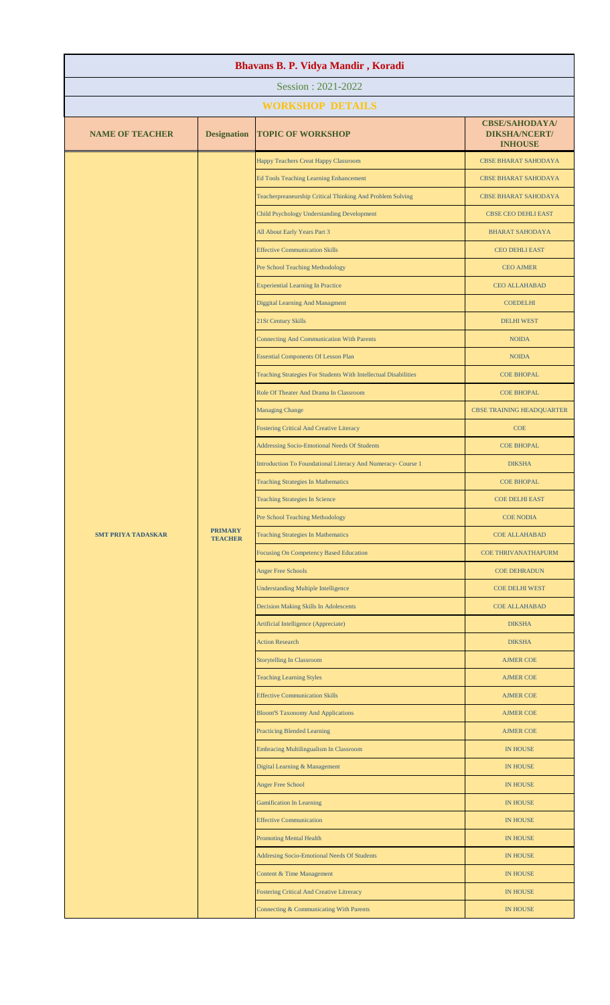| Bhavans B. P. Vidya Mandir, Koradi |                                  |                                                                 |                                                                 |  |
|------------------------------------|----------------------------------|-----------------------------------------------------------------|-----------------------------------------------------------------|--|
| Session: 2021-2022                 |                                  |                                                                 |                                                                 |  |
|                                    |                                  | <b>WORKSHOP DETAILS</b>                                         |                                                                 |  |
| <b>NAME OF TEACHER</b>             | <b>Designation</b>               | <b>TOPIC OF WORKSHOP</b>                                        | <b>CBSE/SAHODAYA/</b><br><b>DIKSHA/NCERT/</b><br><b>INHOUSE</b> |  |
|                                    |                                  | Happy Teachers Creat Happy Classroom                            | <b>CBSE BHARAT SAHODAYA</b>                                     |  |
|                                    |                                  | <b>Ed Tools Teaching Learning Enhancement</b>                   | <b>CBSE BHARAT SAHODAYA</b>                                     |  |
|                                    |                                  | Teacherpreaneurship Critical Thinking And Problem Solving       | <b>CBSE BHARAT SAHODAYA</b>                                     |  |
|                                    |                                  | Child Psychology Understanding Development                      | CBSE CEO DEHLI EAST                                             |  |
|                                    |                                  | All About Early Years Part 3                                    | <b>BHARAT SAHODAYA</b>                                          |  |
|                                    |                                  | <b>Effective Communication Skills</b>                           | <b>CEO DEHLI EAST</b>                                           |  |
|                                    |                                  | Pre School Teaching Methodology                                 | <b>CEO AJMER</b>                                                |  |
|                                    |                                  | <b>Experiential Learning In Practice</b>                        | <b>CEO ALLAHABAD</b>                                            |  |
|                                    |                                  | <b>Diggital Learning And Managment</b>                          | <b>COEDELHI</b>                                                 |  |
|                                    |                                  | 21St Century Skills                                             | <b>DELHI WEST</b>                                               |  |
|                                    |                                  | <b>Connecting And Communication With Parents</b>                | <b>NOIDA</b>                                                    |  |
|                                    |                                  | <b>Essential Components Of Lesson Plan</b>                      | <b>NOIDA</b>                                                    |  |
|                                    |                                  | Teaching Strategies For Students With Intellectual Disabilities | <b>COE BHOPAL</b>                                               |  |
|                                    |                                  | Role Of Theater And Drama In Classroom                          | <b>COE BHOPAL</b>                                               |  |
|                                    |                                  | <b>Managing Change</b>                                          | <b>CBSE TRAINING HEADQUARTER</b>                                |  |
|                                    |                                  | <b>Fostering Critical And Creative Literacy</b>                 | <b>COE</b>                                                      |  |
|                                    |                                  | <b>Addressing Socio-Emotional Needs Of Students</b>             | <b>COE BHOPAL</b>                                               |  |
|                                    | <b>PRIMARY</b><br><b>TEACHER</b> | Introduction To Foundational Literacy And Numeracy- Course 1    | <b>DIKSHA</b>                                                   |  |
| <b>SMT PRIYA TADASKAR</b>          |                                  | <b>Teaching Strategies In Mathematics</b>                       | <b>COE BHOPAL</b>                                               |  |
|                                    |                                  | <b>Teaching Strategies In Science</b>                           | <b>COE DELHI EAST</b>                                           |  |
|                                    |                                  | <b>Pre School Teaching Methodology</b>                          | <b>COE NODIA</b>                                                |  |
|                                    |                                  | <b>Teaching Strategies In Mathematics</b>                       | <b>COE ALLAHABAD</b>                                            |  |
|                                    |                                  | <b>Focusing On Competency Based Education</b>                   | <b>COE THRIVANATHAPURM</b>                                      |  |
|                                    |                                  | <b>Anger Free Schools</b>                                       | <b>COE DEHRADUN</b>                                             |  |
|                                    |                                  | <b>Understanding Multiple Intelligence</b>                      | <b>COE DELHI WEST</b>                                           |  |
|                                    |                                  | <b>Decision Making Skills In Adolescents</b>                    | COE ALLAHABAD                                                   |  |
|                                    |                                  | Artificial Intelligence (Appreciate)                            | <b>DIKSHA</b>                                                   |  |
|                                    |                                  | <b>Action Research</b>                                          | <b>DIKSHA</b>                                                   |  |
|                                    |                                  | <b>Storytelling In Classroom</b>                                | <b>AJMER COE</b>                                                |  |
|                                    |                                  | <b>Teaching Learning Styles</b>                                 | <b>AJMER COE</b>                                                |  |
|                                    |                                  | <b>Effective Communication Skills</b>                           | <b>AJMER COE</b>                                                |  |
|                                    |                                  | <b>Bloom'S Taxonomy And Applications</b>                        | <b>AJMER COE</b>                                                |  |
|                                    |                                  | <b>Practicing Blended Learning</b>                              | <b>AJMER COE</b>                                                |  |
|                                    |                                  | <b>Embracing Multilingualism In Classroom</b>                   | <b>IN HOUSE</b>                                                 |  |
|                                    |                                  | Digital Learning & Management                                   | <b>IN HOUSE</b>                                                 |  |
|                                    |                                  | <b>Anger Free School</b>                                        | <b>IN HOUSE</b>                                                 |  |
|                                    |                                  | <b>Gamification In Learning</b>                                 | <b>IN HOUSE</b>                                                 |  |
|                                    |                                  | <b>Effective Communication</b>                                  | IN HOUSE                                                        |  |
|                                    |                                  | <b>Promoting Mental Health</b>                                  | <b>IN HOUSE</b>                                                 |  |
|                                    |                                  | Addresing Socio-Emotional Needs Of Students                     | IN HOUSE                                                        |  |
|                                    |                                  | Content & Time Management                                       | <b>IN HOUSE</b>                                                 |  |
|                                    |                                  | <b>Fostering Critical And Creative Litreracy</b>                | <b>IN HOUSE</b>                                                 |  |
|                                    |                                  | Connecting & Communicating With Parents                         | <b>IN HOUSE</b>                                                 |  |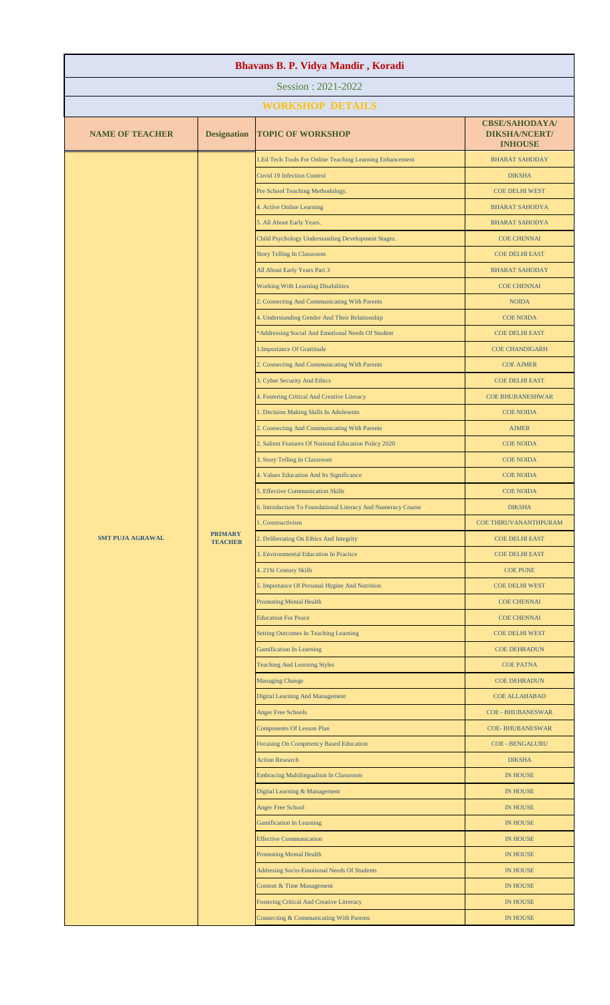| Bhavans B. P. Vidya Mandir, Koradi |                                  |                                                                                                       |                                                                 |  |
|------------------------------------|----------------------------------|-------------------------------------------------------------------------------------------------------|-----------------------------------------------------------------|--|
| Session: 2021-2022                 |                                  |                                                                                                       |                                                                 |  |
|                                    |                                  | <b>WORKSHOP DETAILS</b>                                                                               |                                                                 |  |
| <b>NAME OF TEACHER</b>             | <b>Designation</b>               | <b>TOPIC OF WORKSHOP</b>                                                                              | <b>CBSE/SAHODAYA/</b><br><b>DIKSHA/NCERT/</b><br><b>INHOUSE</b> |  |
|                                    |                                  | 1.Ed Tech Tools For Online Teaching Learning Enhancement                                              | <b>BHARAT SAHODAY</b>                                           |  |
|                                    |                                  | <b>Covid 19 Infection Control</b>                                                                     | <b>DIKSHA</b>                                                   |  |
|                                    |                                  | Pre School Teaching Methodology.                                                                      | <b>COE DELHI WEST</b>                                           |  |
|                                    |                                  | 4. Active Online Learning                                                                             | <b>BHARAT SAHODYA</b>                                           |  |
|                                    |                                  | 5. All About Early Years.                                                                             | <b>BHARAT SAHODYA</b>                                           |  |
|                                    |                                  | Child Psychology Understanding Development Stages.                                                    | <b>COE CHENNAI</b>                                              |  |
|                                    |                                  | <b>Story Telling In Classroom</b>                                                                     | <b>COE DELHI EAST</b>                                           |  |
|                                    |                                  | All About Early Years Part 3                                                                          | <b>BHARAT SAHODAY</b>                                           |  |
|                                    |                                  | <b>Working With Learning Disabilities</b>                                                             | <b>COE CHENNAI</b>                                              |  |
|                                    |                                  | 2. Connecting And Communicating With Parents                                                          | <b>NOIDA</b>                                                    |  |
|                                    |                                  | 4. Understanding Gender And Their Relationship                                                        | <b>COE NOIDA</b>                                                |  |
|                                    |                                  | *Addressing Social And Emotional Needs Of Student                                                     | <b>COE DELHI EAST</b>                                           |  |
|                                    |                                  | 1. Importance Of Grattitude                                                                           | <b>COE CHANDIGARH</b>                                           |  |
|                                    |                                  | 2. Connecting And Communicating With Parents                                                          | <b>COE AJMER</b>                                                |  |
|                                    |                                  | 3. Cyber Security And Ethics                                                                          | <b>COE DELHI EAST</b>                                           |  |
|                                    |                                  | 4. Fostering Critical And Creative Literacy                                                           | <b>COE BHUBANESHWAR</b>                                         |  |
|                                    |                                  | 1. Decision Making Skills In Adolesents                                                               | <b>COE NOIDA</b>                                                |  |
|                                    |                                  | 2. Connecting And Communicating With Parents<br>2. Salient Features Of National Education Policy 2020 | <b>AJMER</b><br><b>COE NOIDA</b>                                |  |
|                                    |                                  | 3. Story Telling In Classroom                                                                         | <b>COE NOIDA</b>                                                |  |
|                                    |                                  | 4. Values Education And Its Significance                                                              | <b>COE NOIDA</b>                                                |  |
|                                    |                                  | 5. Effective Communication Skills                                                                     | <b>COE NOIDA</b>                                                |  |
| <b>SMT PUJA AGRAWAL</b>            |                                  | 6. Introduction To Foundational Literacy And Numeracy Course                                          | <b>DIKSHA</b>                                                   |  |
|                                    |                                  | 1. Constructivism                                                                                     | <b>COE THIRUVANANTHPURAM</b>                                    |  |
|                                    | <b>PRIMARY</b><br><b>TEACHER</b> | 2. Deliberating On Ethics And Integrity                                                               | <b>COE DELHI EAST</b>                                           |  |
|                                    |                                  | 3. Environmental Education In Practice                                                                | <b>COE DELHI EAST</b>                                           |  |
|                                    |                                  | 4. 21St Century Skills                                                                                | <b>COE PUNE</b>                                                 |  |
|                                    |                                  | 5. Importance Of Personal Hygine And Nutrition                                                        | <b>COE DELHI WEST</b>                                           |  |
|                                    |                                  | <b>Promoting Mental Health</b>                                                                        | <b>COE CHENNAI</b>                                              |  |
|                                    |                                  | <b>Education For Peace</b>                                                                            | <b>COE CHENNAI</b>                                              |  |
|                                    |                                  | Setting Outcomes In Teaching Learning                                                                 | <b>COE DELHI WEST</b>                                           |  |
|                                    |                                  | <b>Gamification In Learning</b>                                                                       | <b>COE DEHRADUN</b>                                             |  |
|                                    |                                  | <b>Teaching And Learning Styles</b>                                                                   | <b>COE PATNA</b>                                                |  |
|                                    |                                  | <b>Managing Change</b>                                                                                | <b>COE DEHRADUN</b>                                             |  |
|                                    |                                  | <b>Digital Learning And Management</b>                                                                | <b>COE ALLAHABAD</b>                                            |  |
|                                    |                                  | <b>Anger Free Schools</b>                                                                             | <b>COE - BHUBANESWAR</b>                                        |  |
|                                    |                                  | <b>Components Of Lesson Plan</b>                                                                      | <b>COE-BHUBANESWAR</b>                                          |  |
|                                    |                                  | Focusing On Competency Based Education                                                                | <b>COE - BENGALURU</b>                                          |  |
|                                    |                                  | <b>Action Research</b><br><b>Embracing Multilingualism In Classroom</b>                               | <b>DIKSHA</b><br><b>IN HOUSE</b>                                |  |
|                                    |                                  | Digital Learning & Management                                                                         | <b>IN HOUSE</b>                                                 |  |
|                                    |                                  | <b>Anger Free School</b>                                                                              | <b>IN HOUSE</b>                                                 |  |
|                                    |                                  | <b>Gamification In Learning</b>                                                                       | <b>IN HOUSE</b>                                                 |  |
|                                    |                                  | <b>Effective Communication</b>                                                                        | <b>IN HOUSE</b>                                                 |  |
|                                    |                                  | <b>Promoting Mental Health</b>                                                                        | <b>IN HOUSE</b>                                                 |  |
|                                    |                                  | <b>Addresing Socio-Emotional Needs Of Students</b>                                                    | <b>IN HOUSE</b>                                                 |  |
|                                    |                                  | Content & Time Management                                                                             | <b>IN HOUSE</b>                                                 |  |
|                                    |                                  | <b>Fostering Critical And Creative Litreracy</b>                                                      | <b>IN HOUSE</b>                                                 |  |
|                                    |                                  | Connecting & Communicating With Parents                                                               | <b>IN HOUSE</b>                                                 |  |
|                                    |                                  |                                                                                                       |                                                                 |  |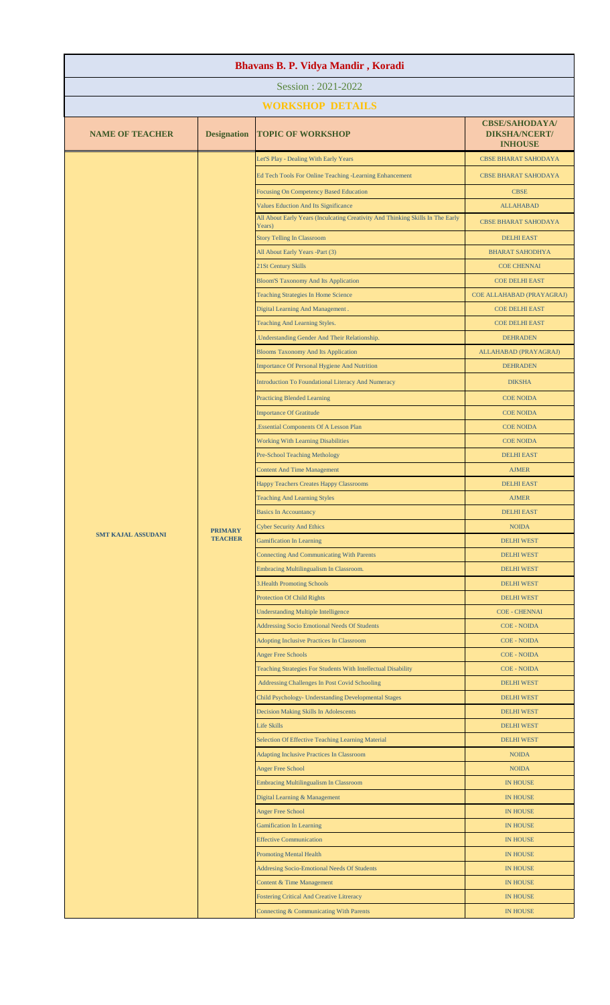| Bhavans B. P. Vidya Mandir, Koradi |                                  |                                                                                          |                                                                 |  |
|------------------------------------|----------------------------------|------------------------------------------------------------------------------------------|-----------------------------------------------------------------|--|
| Session: 2021-2022                 |                                  |                                                                                          |                                                                 |  |
|                                    |                                  | <b>WORKSHOP DETAILS</b>                                                                  |                                                                 |  |
| <b>NAME OF TEACHER</b>             | <b>Designation</b>               | <b>TOPIC OF WORKSHOP</b>                                                                 | <b>CBSE/SAHODAYA/</b><br><b>DIKSHA/NCERT/</b><br><b>INHOUSE</b> |  |
|                                    |                                  | Let'S Play - Dealing With Early Years                                                    | <b>CBSE BHARAT SAHODAYA</b>                                     |  |
|                                    |                                  | Ed Tech Tools For Online Teaching -Learning Enhancement                                  | <b>CBSE BHARAT SAHODAYA</b>                                     |  |
|                                    |                                  | <b>Focusing On Competency Based Education</b>                                            | <b>CBSE</b>                                                     |  |
|                                    |                                  | Values Eduction And Its Significance                                                     | <b>ALLAHABAD</b>                                                |  |
|                                    |                                  | All About Early Years (Inculcating Creativity And Thinking Skills In The Early<br>Years) | <b>CBSE BHARAT SAHODAYA</b>                                     |  |
|                                    |                                  | <b>Story Telling In Classroom</b>                                                        | <b>DELHI EAST</b>                                               |  |
|                                    |                                  | All About Early Years -Part (3)                                                          | <b>BHARAT SAHODHYA</b>                                          |  |
|                                    |                                  | 21St Century Skills                                                                      | <b>COE CHENNAI</b>                                              |  |
|                                    |                                  | <b>Bloom'S Taxonomy And Its Application</b>                                              | <b>COE DELHI EAST</b>                                           |  |
|                                    |                                  | <b>Teaching Strategies In Home Science</b>                                               | COE ALLAHABAD (PRAYAGRAJ)                                       |  |
|                                    |                                  | Digital Learning And Management.<br>Teaching And Learning Styles.                        | <b>COE DELHI EAST</b><br><b>COE DELHI EAST</b>                  |  |
|                                    |                                  | Understanding Gender And Their Relationship.                                             | <b>DEHRADEN</b>                                                 |  |
|                                    |                                  | <b>Blooms Taxonomy And Its Application</b>                                               | ALLAHABAD (PRAYAGRAJ)                                           |  |
|                                    |                                  | <b>Importance Of Personal Hygiene And Nutrition</b>                                      | <b>DEHRADEN</b>                                                 |  |
|                                    |                                  | Introduction To Foundational Literacy And Numeracy                                       | <b>DIKSHA</b>                                                   |  |
|                                    |                                  | <b>Practicing Blended Learning</b>                                                       | <b>COE NOIDA</b>                                                |  |
|                                    |                                  | <b>Importance Of Gratitude</b>                                                           | <b>COE NOIDA</b>                                                |  |
|                                    |                                  | Essential Components Of A Lesson Plan                                                    | <b>COE NOIDA</b>                                                |  |
|                                    |                                  | <b>Working With Learning Disabilities</b>                                                | <b>COE NOIDA</b>                                                |  |
|                                    |                                  | <b>Pre-School Teaching Methology</b>                                                     | <b>DELHI EAST</b>                                               |  |
|                                    | <b>PRIMARY</b><br><b>TEACHER</b> | <b>Content And Time Management</b>                                                       | <b>AJMER</b>                                                    |  |
|                                    |                                  | Happy Teachers Creates Happy Classrooms                                                  | <b>DELHI EAST</b>                                               |  |
|                                    |                                  | <b>Teaching And Learning Styles</b>                                                      | <b>AJMER</b>                                                    |  |
| <b>SMT KAJAL ASSUDANI</b>          |                                  | <b>Basics In Accountancy</b>                                                             | <b>DELHI EAST</b>                                               |  |
|                                    |                                  | <b>Cyber Security And Ethics</b>                                                         | <b>NOIDA</b>                                                    |  |
|                                    |                                  | <b>Gamification In Learning</b>                                                          | <b>DELHI WEST</b>                                               |  |
|                                    |                                  | <b>Connecting And Communicating With Parents</b>                                         | <b>DELHI WEST</b>                                               |  |
|                                    |                                  | Embracing Multilingualism In Classroom.<br><b>3. Health Promoting Schools</b>            | <b>DELHI WEST</b><br><b>DELHI WEST</b>                          |  |
|                                    |                                  | <b>Protection Of Child Rights</b>                                                        | <b>DELHI WEST</b>                                               |  |
|                                    |                                  | <b>Understanding Multiple Intelligence</b>                                               | <b>COE - CHENNAI</b>                                            |  |
|                                    |                                  | <b>Addressing Socio Emotional Needs Of Students</b>                                      | <b>COE - NOIDA</b>                                              |  |
|                                    |                                  | <b>Adopting Inclusive Practices In Classroom</b>                                         | <b>COE - NOIDA</b>                                              |  |
|                                    |                                  | <b>Anger Free Schools</b>                                                                | <b>COE - NOIDA</b>                                              |  |
|                                    |                                  | Teaching Strategies For Students With Intellectual Disability                            | <b>COE - NOIDA</b>                                              |  |
|                                    |                                  | Addressing Challenges In Post Covid Schooling                                            | <b>DELHI WEST</b>                                               |  |
|                                    |                                  | Child Psychology- Understanding Developmental Stages                                     | <b>DELHI WEST</b>                                               |  |
|                                    |                                  | <b>Decision Making Skills In Adolescents</b>                                             | <b>DELHI WEST</b>                                               |  |
|                                    |                                  | <b>Life Skills</b>                                                                       | <b>DELHI WEST</b>                                               |  |
|                                    |                                  | Selection Of Effective Teaching Learning Material                                        | <b>DELHI WEST</b>                                               |  |
|                                    |                                  | <b>Adapting Inclusive Practices In Classroom</b><br><b>Anger Free School</b>             | <b>NOIDA</b><br><b>NOIDA</b>                                    |  |
|                                    |                                  | <b>Embracing Multilingualism In Classroom</b>                                            | <b>IN HOUSE</b>                                                 |  |
|                                    |                                  | Digital Learning & Management                                                            | <b>IN HOUSE</b>                                                 |  |
|                                    |                                  | <b>Anger Free School</b>                                                                 | <b>IN HOUSE</b>                                                 |  |
|                                    |                                  | <b>Gamification In Learning</b>                                                          | <b>IN HOUSE</b>                                                 |  |
|                                    |                                  | <b>Effective Communication</b>                                                           | <b>IN HOUSE</b>                                                 |  |
|                                    |                                  | <b>Promoting Mental Health</b>                                                           | <b>IN HOUSE</b>                                                 |  |
|                                    |                                  | Addresing Socio-Emotional Needs Of Students                                              | <b>IN HOUSE</b>                                                 |  |
|                                    |                                  | Content & Time Management                                                                | <b>IN HOUSE</b>                                                 |  |
|                                    |                                  | <b>Fostering Critical And Creative Litreracy</b>                                         | <b>IN HOUSE</b>                                                 |  |
|                                    |                                  | Connecting & Communicating With Parents                                                  | <b>IN HOUSE</b>                                                 |  |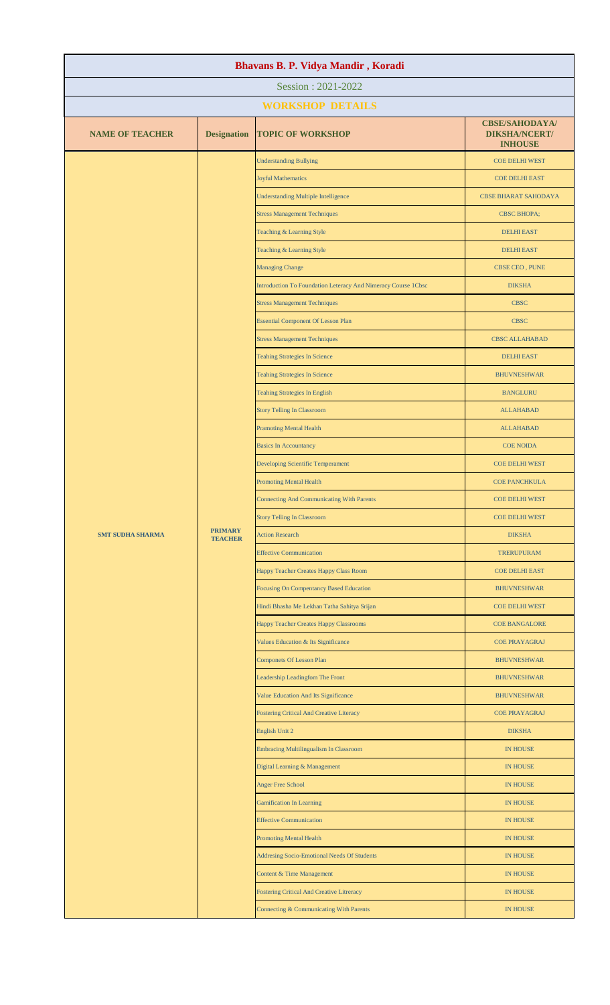| Bhavans B. P. Vidya Mandir, Koradi |                                  |                                                               |                                                                 |  |  |
|------------------------------------|----------------------------------|---------------------------------------------------------------|-----------------------------------------------------------------|--|--|
|                                    | Session: 2021-2022               |                                                               |                                                                 |  |  |
|                                    |                                  | <b>WORKSHOP DETAILS</b>                                       |                                                                 |  |  |
| <b>NAME OF TEACHER</b>             | <b>Designation</b>               | <b>TOPIC OF WORKSHOP</b>                                      | <b>CBSE/SAHODAYA/</b><br><b>DIKSHA/NCERT/</b><br><b>INHOUSE</b> |  |  |
|                                    |                                  | <b>Understanding Bullying</b>                                 | COE DELHI WEST                                                  |  |  |
|                                    |                                  | <b>Joyful Mathematics</b>                                     | <b>COE DELHI EAST</b>                                           |  |  |
|                                    |                                  | <b>Understanding Multiple Intelligence</b>                    | <b>CBSE BHARAT SAHODAYA</b>                                     |  |  |
|                                    |                                  | <b>Stress Management Techniques</b>                           | <b>CBSC BHOPA;</b>                                              |  |  |
|                                    |                                  | Teaching & Learning Style                                     | <b>DELHI EAST</b>                                               |  |  |
|                                    |                                  | Teaching & Learning Style                                     | <b>DELHI EAST</b>                                               |  |  |
|                                    |                                  | <b>Managing Change</b>                                        | CBSE CEO, PUNE                                                  |  |  |
|                                    |                                  | Introduction To Foundation Leteracy And Nimeracy Course 1Cbsc | <b>DIKSHA</b>                                                   |  |  |
|                                    |                                  | <b>Stress Management Techniques</b>                           | <b>CBSC</b>                                                     |  |  |
|                                    |                                  | <b>Essential Component Of Lesson Plan</b>                     | <b>CBSC</b>                                                     |  |  |
|                                    |                                  | <b>Stress Management Techniques</b>                           | <b>CBSC ALLAHABAD</b>                                           |  |  |
|                                    |                                  | <b>Teahing Strategies In Science</b>                          | <b>DELHI EAST</b>                                               |  |  |
|                                    |                                  | <b>Teahing Strategies In Science</b>                          | <b>BHUVNESHWAR</b>                                              |  |  |
|                                    |                                  | <b>Teahing Strategies In English</b>                          | <b>BANGLURU</b>                                                 |  |  |
|                                    |                                  | <b>Story Telling In Classroom</b>                             | <b>ALLAHABAD</b>                                                |  |  |
|                                    |                                  | <b>Pramoting Mental Health</b>                                | <b>ALLAHABAD</b>                                                |  |  |
|                                    |                                  | <b>Basics In Accountancy</b>                                  | <b>COE NOIDA</b>                                                |  |  |
|                                    | <b>PRIMARY</b><br><b>TEACHER</b> | Developing Scientific Temperament                             | <b>COE DELHI WEST</b>                                           |  |  |
|                                    |                                  | <b>Promoting Mental Health</b>                                | <b>COE PANCHKULA</b>                                            |  |  |
| <b>SMT SUDHA SHARMA</b>            |                                  | <b>Connecting And Communicating With Parents</b>              | <b>COE DELHI WEST</b>                                           |  |  |
|                                    |                                  | <b>Story Telling In Classroom</b>                             | <b>COE DELHI WEST</b>                                           |  |  |
|                                    |                                  | <b>Action Research</b>                                        | <b>DIKSHA</b>                                                   |  |  |
|                                    |                                  | <b>Effective Communication</b>                                | <b>TRERUPURAM</b>                                               |  |  |
|                                    |                                  | Happy Teacher Creates Happy Class Room                        | <b>COE DELHI EAST</b>                                           |  |  |
|                                    |                                  | Focusing On Compentancy Based Education                       | <b>BHUVNESHWAR</b>                                              |  |  |
|                                    |                                  | Hindi Bhasha Me Lekhan Tatha Sahitya Srijan                   | COE DELHI WEST                                                  |  |  |
|                                    |                                  | Happy Teacher Creates Happy Classrooms                        | <b>COE BANGALORE</b>                                            |  |  |
|                                    |                                  | Values Education & Its Significance                           | <b>COE PRAYAGRAJ</b>                                            |  |  |
|                                    |                                  | <b>Componets Of Lesson Plan</b>                               | <b>BHUVNESHWAR</b>                                              |  |  |
|                                    |                                  | Leadership Leadingfom The Front                               | <b>BHUVNESHWAR</b>                                              |  |  |
|                                    |                                  | Value Education And Its Significance                          | <b>BHUVNESHWAR</b>                                              |  |  |
|                                    |                                  | <b>Fostering Critical And Creative Literacy</b>               | <b>COE PRAYAGRAJ</b>                                            |  |  |
|                                    |                                  | English Unit 2                                                | <b>DIKSHA</b>                                                   |  |  |
|                                    |                                  | <b>Embracing Multilingualism In Classroom</b>                 | <b>IN HOUSE</b>                                                 |  |  |
|                                    |                                  | Digital Learning & Management                                 | <b>IN HOUSE</b>                                                 |  |  |
|                                    |                                  | <b>Anger Free School</b>                                      | IN HOUSE                                                        |  |  |
|                                    |                                  | <b>Gamification In Learning</b>                               | <b>IN HOUSE</b>                                                 |  |  |
|                                    |                                  | <b>Effective Communication</b>                                | <b>IN HOUSE</b>                                                 |  |  |
|                                    |                                  | <b>Promoting Mental Health</b>                                | <b>IN HOUSE</b>                                                 |  |  |
|                                    |                                  | Addresing Socio-Emotional Needs Of Students                   | <b>IN HOUSE</b>                                                 |  |  |
|                                    |                                  | Content & Time Management                                     | <b>IN HOUSE</b>                                                 |  |  |
|                                    |                                  | <b>Fostering Critical And Creative Litreracy</b>              | <b>IN HOUSE</b>                                                 |  |  |
|                                    |                                  | Connecting & Communicating With Parents                       | <b>IN HOUSE</b>                                                 |  |  |